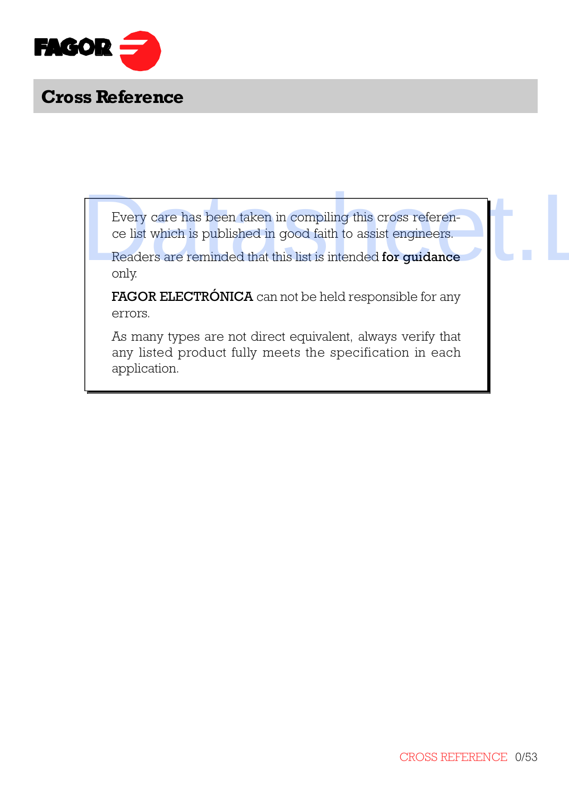

Every care has been taken in compiling this cross reference list which is published in good faith to assist engineers.

Readers are reminded that this list is intended for guidance only.

FAGOR ELECTRÓNICA can not be held responsible for any errors.

As many types are not direct equivalent, always verify that any listed product fully meets the specification in each application. Every care has been taken in compiling this cross reference is<br>cells which is published in good faith to assist engineers.<br>Readers are reminded that this list is intended for guidance<br>only.<br>FAGOR ELECTRÓNICA can not be hel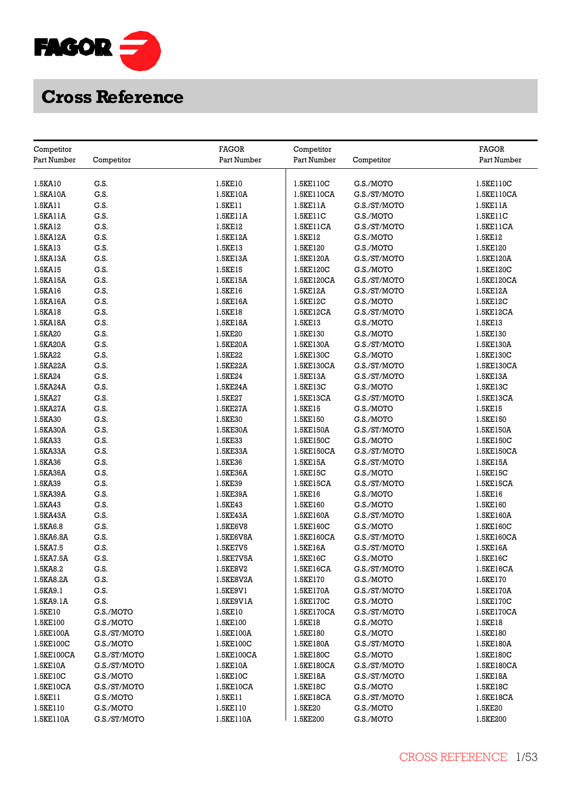

| Competitor           |                           | <b>FAGOR</b>          | Competitor  |                           | <b>FAGOR</b>         |
|----------------------|---------------------------|-----------------------|-------------|---------------------------|----------------------|
| Part Number          | Competitor                | Part Number           | Part Number | Competitor                | Part Number          |
|                      |                           |                       |             |                           |                      |
| 1.5KA10              | G.S.                      | 1.5KE10               | 1.5KE110C   | G.S./MOTO                 | 1.5KE110C            |
| 1.5KA10A             | G.S.                      | 1.5KE10A              | 1.5KE110CA  | G.S./ST/MOTO              | 1.5KE110CA           |
| 1.5KA11              | G.S.                      | 1.5KE11               | 1.5KE11A    | G.S./ST/MOTO              | 1.5KE11A             |
| 1.5KA11A             | G.S.                      | 1.5KE11A              | 1.5KE11C    | G.S./MOTO                 | 1.5KE11C             |
| 1.5KA12              | G.S.                      | 1.5KE12               | 1.5KE11CA   | G.S./ST/MOTO              | 1.5KE11CA            |
| 1.5KA12A             | G.S.                      | 1.5KE12A              | 1.5KE12     | G.S./MOTO                 | 1.5KE12              |
| 1.5KA13              | G.S.                      | 1.5KE13               | 1.5KE120    | G.S./MOTO                 | 1.5KE120             |
| 1.5KA13A             | G.S.                      | 1.5KE13A              | 1.5KE120A   | G.S./ST/MOTO              | 1.5KE120A            |
| 1.5KA15              | G.S.                      | 1.5KE15               | 1.5KE120C   | G.S./MOTO                 | 1.5KE120C            |
| 1.5KA15A             | G.S.                      | 1.5KE15A              | 1.5KE120CA  | G.S./ST/MOTO              | 1.5KE120CA           |
| 1.5KA16              | G.S.                      | 1.5KE16               | 1.5KE12A    | G.S./ST/MOTO              | 1.5KE12A             |
| 1.5KA16A             | G.S.                      | 1.5KE16A              | 1.5KE12C    | G.S./MOTO                 | 1.5KE12C             |
| 1.5KA18              | G.S.                      | 1.5KE18               | 1.5KE12CA   | G.S./ST/MOTO              | 1.5KE12CA            |
| 1.5KA18A             | G.S.                      | 1.5KE18A              | 1.5KE13     | G.S./MOTO                 | 1.5KE13              |
| 1.5KA20              | G.S.                      | 1.5KE20               | 1.5KE130    | G.S./MOTO                 | 1.5KE130             |
| 1.5KA20A             | G.S.                      | 1.5KE20A              | 1.5KE130A   | G.S./ST/MOTO              | 1.5KE130A            |
| 1.5KA22              | G.S.                      | 1.5KE22               | 1.5KE130C   | G.S./MOTO                 | 1.5KE130C            |
| 1.5KA22A             | G.S.                      | 1.5KE22A              | 1.5KE130CA  | G.S./ST/MOTO              | 1.5KE130CA           |
| 1.5KA24              | G.S.                      | 1.5KE24               | 1.5KE13A    | G.S./ST/MOTO              | 1.5KE13A             |
| 1.5KA24A             | G.S.                      | 1.5KE24A              | 1.5KE13C    | G.S./MOTO                 | 1.5KE13C             |
| 1.5KA27              | G.S.                      | 1.5KE27               | 1.5KE13CA   | G.S./ST/MOTO              | 1.5KE13CA            |
| 1.5KA27A             | G.S.                      | 1.5KE27A              | 1.5KE15     | G.S./MOTO                 | 1.5KE15              |
| 1.5KA30              | G.S.                      | 1.5KE30               | 1.5KE150    | G.S./MOTO                 | 1.5KE150             |
| 1.5KA30A             | G.S.                      | 1.5KE30A              | 1.5KE150A   | G.S./ST/MOTO              | 1.5KE150A            |
| 1.5KA33              | G.S.                      | 1.5KE33               | 1.5KE150C   | G.S./MOTO                 | 1.5KE150C            |
| 1.5KA33A             | G.S.                      | 1.5KE33A              | 1.5KE150CA  | G.S./ST/MOTO              | 1.5KE150CA           |
| 1.5KA36              | G.S.                      | 1.5KE36               | 1.5KE15A    | G.S./ST/MOTO              | 1.5KE15A             |
| 1.5KA36A             | G.S.                      | 1.5KE36A              | 1.5KE15C    | G.S./MOTO                 | 1.5KE15C             |
|                      | G.S.                      |                       | 1.5KE15CA   |                           |                      |
| 1.5KA39<br>1.5KA39A  | G.S.                      | 1.5KE39<br>1.5KE39A   | 1.5KE16     | G.S./ST/MOTO<br>G.S./MOTO | 1.5KE15CA<br>1.5KE16 |
| 1.5KA43              | G.S.                      | 1.5KE43               | 1.5KE160    | G.S./MOTO                 | 1.5KE160             |
| 1.5KA43A             | G.S.                      | 1.5KE43A              | 1.5KE160A   | G.S./ST/MOTO              | 1.5KE160A            |
| 1.5KA6.8             | G.S.                      | 1.5KE6V8              | 1.5KE160C   | G.S./MOTO                 | 1.5KE160C            |
| 1.5KA6.8A            | G.S.                      | 1.5KE6V8A             | 1.5KE160CA  | G.S./ST/MOTO              | 1.5KE160CA           |
| 1.5KA7.5             | G.S.                      | 1.5KE7V5              | 1.5KE16A    | G.S./ST/MOTO              | 1.5KE16A             |
| 1.5KA7.5A            | G.S.                      | 1.5KE7V5A             | 1.5KE16C    | G.S./MOTO                 | 1.5KE16C             |
| 1.5KA8.2             | G.S.                      | 1.5KE8V2              | 1.5KE16CA   | G.S./ST/MOTO              | 1.5KE16CA            |
| 1.5KA8.2A            | G.S.                      | 1.5KE8V2A             | 1.5KE170    | G.S./MOTO                 | 1.5KE170             |
| 1.5KA9.1             | G.S.                      | 1.5KE9V1              | 1.5KE170A   | G.S./ST/MOTO              | 1.5KE170A            |
| 1.5KA9.1A            | G.S.                      | 1.5KE9V1A             | 1.5KE170C   | G.S./MOTO                 | 1.5KE170C            |
| 1.5KE10              | G.S./MOTO                 | 1.5KE10               | 1.5KE170CA  | G.S./ST/MOTO              | 1.5KE170CA           |
| 1.5KE100             | G.S./MOTO                 | 1.5KE100              | 1.5KE18     | G.S./MOTO                 | 1.5KE18              |
| 1.5KE100A            | G.S./ST/MOTO              | 1.5KE100A             | 1.5KE180    | G.S./MOTO                 | 1.5KE180             |
| 1.5KE100C            | G.S./MOTO                 | 1.5KE100C             | 1.5KE180A   | G.S./ST/MOTO              | 1.5KE180A            |
| 1.5KE100CA           | G.S./ST/MOTO              | 1.5KE100CA            | 1.5KE180C   | G.S./MOTO                 | 1.5KE180C            |
|                      |                           |                       | 1.5KE180CA  | G.S./ST/MOTO              | 1.5KE180CA           |
| 1.5KE10A<br>1.5KE10C | G.S./ST/MOTO<br>G.S./MOTO | 1.5KE10A              | 1.5KE18A    | G.S./ST/MOTO              | 1.5KE18A             |
| 1.5KE10CA            | G.S./ST/MOTO              | 1.5KE10C<br>1.5KE10CA | 1.5KE18C    | G.S./MOTO                 | 1.5KE18C             |
| 1.5KE11              | G.S./MOTO                 | 1.5KE11               | 1.5KE18CA   | G.S./ST/MOTO              | 1.5KE18CA            |
| 1.5KE110             | G.S./MOTO                 | 1.5KE110              | 1.5KE20     | G.S./MOTO                 | 1.5KE20              |
| 1.5KE110A            | G.S./ST/MOTO              | 1.5KE110A             | 1.5KE200    | G.S./MOTO                 | 1.5KE200             |
|                      |                           |                       |             |                           |                      |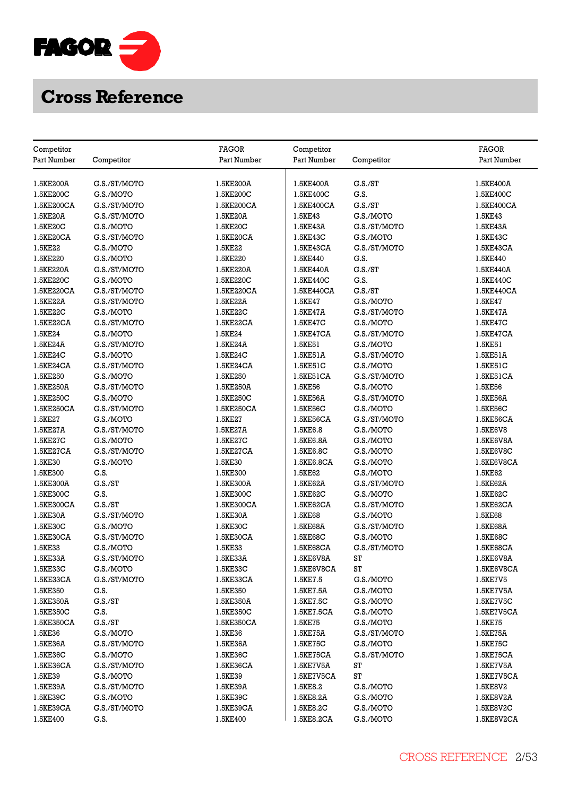

| Competitor  |              | <b>FAGOR</b> | Competitor  |              | <b>FAGOR</b> |
|-------------|--------------|--------------|-------------|--------------|--------------|
| Part Number | Competitor   | Part Number  | Part Number | Competitor   | Part Number  |
| 1.5KE200A   | G.S./ST/MOTO | 1.5KE200A    | 1.5KE400A   | G.S./ST      | 1.5KE400A    |
| 1.5KE200C   | G.S./MOTO    | 1.5KE200C    | 1.5KE400C   | G.S.         | 1.5KE400C    |
| 1.5KE200CA  | G.S./ST/MOTO | 1.5KE200CA   | 1.5KE400CA  | G.S./ST      | 1.5KE400CA   |
| 1.5KE20A    | G.S./ST/MOTO | 1.5KE20A     | 1.5KE43     | G.S./MOTO    | 1.5KE43      |
| 1.5KE20C    | G.S./MOTO    | 1.5KE20C     | 1.5KE43A    | G.S./ST/MOTO | 1.5KE43A     |
|             |              |              |             |              |              |
| 1.5KE20CA   | G.S./ST/MOTO | 1.5KE20CA    | 1.5KE43C    | G.S./MOTO    | 1.5KE43C     |
| 1.5KE22     | G.S./MOTO    | 1.5KE22      | 1.5KE43CA   | G.S./ST/MOTO | 1.5KE43CA    |
| 1.5KE220    | G.S./MOTO    | 1.5KE220     | 1.5KE440    | G.S.         | 1.5KE440     |
| 1.5KE220A   | G.S./ST/MOTO | 1.5KE220A    | 1.5KE440A   | G.S./ST      | 1.5KE440A    |
| 1.5KE220C   | G.S./MOTO    | 1.5KE220C    | 1.5KE440C   | G.S.         | 1.5KE440C    |
| 1.5KE220CA  | G.S./ST/MOTO | 1.5KE220CA   | 1.5KE440CA  | G.S./ST      | 1.5KE440CA   |
| 1.5KE22A    | G.S./ST/MOTO | 1.5KE22A     | 1.5KE47     | G.S./MOTO    | 1.5KE47      |
| 1.5KE22C    | G.S./MOTO    | 1.5KE22C     | 1.5KE47A    | G.S./ST/MOTO | 1.5KE47A     |
| 1.5KE22CA   | G.S./ST/MOTO | 1.5KE22CA    | 1.5KE47C    | G.S./MOTO    | 1.5KE47C     |
| 1.5KE24     | G.S./MOTO    | 1.5KE24      | 1.5KE47CA   | G.S./ST/MOTO | 1.5KE47CA    |
| 1.5KE24A    | G.S./ST/MOTO | 1.5KE24A     | 1.5KE51     | G.S./MOTO    | 1.5KE51      |
| 1.5KE24C    | G.S./MOTO    | 1.5KE24C     | 1.5KE51A    | G.S./ST/MOTO | 1.5KE51A     |
| 1.5KE24CA   | G.S./ST/MOTO | 1.5KE24CA    | 1.5KE51C    | G.S./MOTO    | 1.5KE51C     |
| 1.5KE250    | G.S./MOTO    | 1.5KE250     | 1.5KE51CA   | G.S./ST/MOTO | 1.5KE51CA    |
| 1.5KE250A   | G.S./ST/MOTO | 1.5KE250A    | 1.5KE56     | G.S./MOTO    | 1.5KE56      |
| 1.5KE250C   | G.S./MOTO    | 1.5KE250C    | 1.5KE56A    | G.S./ST/MOTO | 1.5KE56A     |
| 1.5KE250CA  | G.S./ST/MOTO | 1.5KE250CA   | 1.5KE56C    | G.S./MOTO    | 1.5KE56C     |
| 1.5KE27     | G.S./MOTO    | 1.5KE27      | 1.5KE56CA   | G.S./ST/MOTO | 1.5KE56CA    |
| 1.5KE27A    | G.S./ST/MOTO | 1.5KE27A     | 1.5KE6.8    | G.S./MOTO    | 1.5KE6V8     |
| 1.5KE27C    | G.S./MOTO    | 1.5KE27C     | 1.5KE6.8A   | G.S./MOTO    | 1.5KE6V8A    |
| 1.5KE27CA   | G.S./ST/MOTO | 1.5KE27CA    | 1.5KE6.8C   | G.S./MOTO    | 1.5KE6V8C    |
| 1.5KE30     | G.S./MOTO    | 1.5KE30      | 1.5KE6.8CA  | G.S./MOTO    | 1.5KE6V8CA   |
| 1.5KE300    | G.S.         | 1.5KE300     | 1.5KE62     | G.S./MOTO    | 1.5KE62      |
| 1.5KE300A   | G.S./ST      | 1.5KE300A    | 1.5KE62A    | G.S./ST/MOTO | 1.5KE62A     |
| 1.5KE300C   | G.S.         | 1.5KE300C    | 1.5KE62C    | G.S./MOTO    | 1.5KE62C     |
| 1.5KE300CA  | G.S./ST      | 1.5KE300CA   | 1.5KE62CA   | G.S./ST/MOTO | 1.5KE62CA    |
| 1.5KE30A    | G.S./ST/MOTO | 1.5KE30A     | 1.5KE68     | G.S./MOTO    | 1.5KE68      |
| 1.5KE30C    | G.S./MOTO    | 1.5KE30C     | 1.5KE68A    | G.S./ST/MOTO | 1.5KE68A     |
| 1.5KE30CA   | G.S./ST/MOTO | 1.5KE30CA    | 1.5KE68C    | G.S./MOTO    | 1.5KE68C     |
| 1.5KE33     | G.S./MOTO    | 1.5KE33      | 1.5KE68CA   | G.S./ST/MOTO | 1.5KE68CA    |
| 1.5KE33A    | G.S./ST/MOTO | 1.5KE33A     | 1.5KE6V8A   | ST           | 1.5KE6V8A    |
| 1.5KE33C    | G.S./MOTO    | 1.5KE33C     | 1.5KE6V8CA  | ST           | 1.5KE6V8CA   |
| 1.5KE33CA   | G.S./ST/MOTO | 1.5KE33CA    | 1.5KE7.5    | G.S./MOTO    | 1.5KE7V5     |
| 1.5KE350    | G.S.         | 1.5KE350     | 1.5KE7.5A   | G.S./MOTO    | 1.5KE7V5A    |
|             |              |              |             |              |              |
| 1.5KE350A   | G.S./ST      | 1.5KE350A    | 1.5KE7.5C   | G.S./MOTO    | 1.5KE7V5C    |
| 1.5KE350C   | G.S.         | 1.5KE350C    | 1.5KE7.5CA  | G.S./MOTO    | 1.5KE7V5CA   |
| 1.5KE350CA  | G.S./ST      | 1.5KE350CA   | 1.5KE75     | G.S./MOTO    | 1.5KE75      |
| 1.5KE36     | G.S./MOTO    | 1.5KE36      | 1.5KE75A    | G.S./ST/MOTO | 1.5KE75A     |
| 1.5KE36A    | G.S./ST/MOTO | 1.5KE36A     | 1.5KE75C    | G.S./MOTO    | 1.5KE75C     |
| 1.5KE36C    | G.S./MOTO    | 1.5KE36C     | 1.5KE75CA   | G.S./ST/MOTO | 1.5KE75CA    |
| 1.5KE36CA   | G.S./ST/MOTO | 1.5KE36CA    | 1.5KE7V5A   | ST           | 1.5KE7V5A    |
| 1.5KE39     | G.S./MOTO    | 1.5KE39      | 1.5KE7V5CA  | ST           | 1.5KE7V5CA   |
| 1.5KE39A    | G.S./ST/MOTO | 1.5KE39A     | 1.5KE8.2    | G.S./MOTO    | 1.5KE8V2     |
| 1.5KE39C    | G.S./MOTO    | 1.5KE39C     | 1.5KE8.2A   | G.S./MOTO    | 1.5KE8V2A    |
| 1.5KE39CA   | G.S./ST/MOTO | 1.5KE39CA    | 1.5KE8.2C   | G.S./MOTO    | 1.5KE8V2C    |
| 1.5KE400    | G.S.         | 1.5KE400     | 1.5KE8.2CA  | G.S./MOTO    | 1.5KE8V2CA   |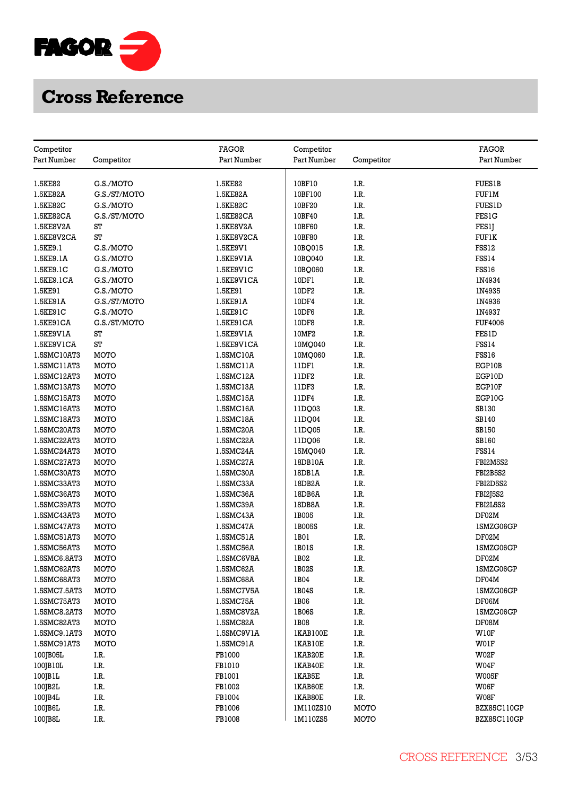

|                           |              | <b>FAGOR</b> |                           |            | <b>FAGOR</b>       |
|---------------------------|--------------|--------------|---------------------------|------------|--------------------|
| Competitor<br>Part Number |              | Part Number  | Competitor<br>Part Number |            | Part Number        |
|                           | Competitor   |              |                           | Competitor |                    |
| 1.5KE82                   | G.S./MOTO    | 1.5KE82      | 10BF10                    | I.R.       | <b>FUES1B</b>      |
| 1.5KE82A                  | G.S./ST/MOTO | 1.5KE82A     | 10BF100                   | I.R.       | <b>FUF1M</b>       |
| 1.5KE82C                  | G.S./MOTO    | 1.5KE82C     | 10BF20                    | I.R.       | <b>FUES1D</b>      |
| 1.5KE82CA                 | G.S./ST/MOTO | 1.5KE82CA    | 10BF40                    | I.R.       | <b>FES1G</b>       |
| 1.5KE8V2A                 | ST           | 1.5KE8V2A    | 10BF60                    | I.R.       | FES1J              |
| 1.5KE8V2CA                | ST           | 1.5KE8V2CA   | 10BF80                    | I.R.       |                    |
|                           | G.S./MOTO    |              | 10BQ015                   | I.R.       | FUFIK<br>FSS12     |
| 1.5KE9.1                  | G.S./MOTO    | 1.5KE9V1     |                           | I.R.       | <b>FSS14</b>       |
| 1.5KE9.1A                 |              | 1.5KE9V1A    | 10BQ040                   |            |                    |
| 1.5KE9.1C                 | G.S./MOTO    | 1.5KE9V1C    | 10BQ060                   | I.R.       | FSS16              |
| 1.5KE9.1CA                | G.S./MOTO    | 1.5KE9V1CA   | 10DF1                     | I.R.       | IN4934             |
| 1.5KE91                   | G.S./MOTO    | 1.5KE91      | 10DF2                     | I.R.       | 1N4935             |
| 1.5KE91A                  | G.S./ST/MOTO | 1.5KE91A     | 10DF4                     | I.R.       | 1N4936             |
| 1.5KE91C                  | G.S./MOTO    | 1.5KE91C     | 10DF6                     | I.R.       | 1N4937             |
| 1.5KE91CA                 | G.S./ST/MOTO | 1.5KE91CA    | 10DF8                     | I.R.       | <b>FUF4006</b>     |
| 1.5KE9V1A                 | ST           | 1.5KE9V1A    | 10MF2                     | I.R.       | <b>FES1D</b>       |
| 1.5KE9V1CA                | ST           | 1.5KE9V1CA   | 10MQ040                   | I.R.       | <b>FSS14</b>       |
| 1.5SMC10AT3               | MOTO         | 1.5SMC10A    | 10MQ060                   | I.R.       | FSS16              |
| 1.5SMC11AT3               | MOTO         | 1.5SMC11A    | 11DF1                     | I.R.       | EGP10B             |
| 1.5SMC12AT3               | MOTO         | 1.5SMC12A    | 11DF2                     | I.R.       | EGP10D             |
| 1.5SMC13AT3               | MOTO         | 1.5SMC13A    | 11DF3                     | I.R.       | EGP10F             |
| 1.5SMC15AT3               | <b>MOTO</b>  | 1.5SMC15A    | 11DF4                     | I.R.       | EGP10G             |
| 1.5SMC16AT3               | MOTO         | 1.5SMC16A    | 11DQ03                    | I.R.       | SB130              |
| 1.5SMC18AT3               | MOTO         | 1.5SMC18A    | 11DQ04                    | I.R.       | SB140              |
| 1.5SMC20AT3               | MOTO         | 1.5SMC20A    | 11DQ05                    | I.R.       | <b>SB150</b>       |
| 1.5SMC22AT3               | MOTO         | 1.5SMC22A    | 11DQ06                    | I.R.       | <b>SB160</b>       |
| 1.5SMC24AT3               | MOTO         | 1.5SMC24A    | 15MQ040                   | I.R.       | <b>FSS14</b>       |
| 1.5SMC27AT3               | MOTO         | 1.5SMC27A    | 18DB10A                   | I.R.       | FBI2M5S2           |
| 1.5SMC30AT3               | MOTO         | 1.5SMC30A    | 18DB1A                    | I.R.       | FBI2B5S2           |
| 1.5SMC33AT3               | MOTO         | 1.5SMC33A    | 18DB2A                    | I.R.       | FBI2D5S2           |
| 1.5SMC36AT3               | MOTO         | 1.5SMC36A    | 18DB6A                    | I.R.       | <b>FBI2J5S2</b>    |
| 1.5SMC39AT3               | MOTO         | 1.5SMC39A    | 18DB8A                    | I.R.       | FBI2L5S2           |
| 1.5SMC43AT3               | <b>MOTO</b>  | 1.5SMC43A    | 1B005                     | I.R.       | DF02M              |
| 1.5SMC47AT3               | MOTO         | 1.5SMC47A    | 1B005S                    | I.R.       | 1SMZG06GP          |
| 1.5SMC51AT3               | MOTO         | 1.5SMC51A    | 1B01                      | I.R.       | DF02M              |
| 1.5SMC56AT3               | MOTO         | 1.5SMC56A    | 1B01S                     | I.R.       | 1SMZG06GP          |
| 1.5SMC6.8AT3              | MOTO         | 1.5SMC6V8A   | 1B02                      | I.R.       | DF02M              |
| 1.5SMC62AT3               | MOTO         | 1.5SMC62A    | 1B02S                     | I.R.       | 1SMZG06GP          |
| 1.5SMC68AT3               | MOTO         | 1.5SMC68A    | 1B04                      | I.R.       | DF04M              |
| 1.5SMC7.5AT3              | MOTO         | 1.5SMC7V5A   | 1B04S                     | I.R.       | 1SMZG06GP          |
| 1.5SMC75AT3               | MOTO         | 1.5SMC75A    | 1B06                      | I.R.       | DF06M              |
| 1.5SMC8.2AT3              | MOTO         | 1.5SMC8V2A   | 1B06S                     | I.R.       | 1SMZG06GP          |
| 1.5SMC82AT3               | <b>MOTO</b>  | 1.5SMC82A    | 1B08                      | I.R.       | DF08M              |
| 1.5SMC9.1AT3              | MOTO         | 1.5SMC9V1A   | 1KAB100E                  | I.R.       | W10F               |
| 1.5SMC91AT3               | MOTO         | 1.5SMC91A    | 1KAB10E                   | I.R.       | W01F               |
| 100JB05L                  | I.R.         | FB1000       | 1KAB20E                   | I.R.       | W02F               |
| 100JB10L                  | I.R.         | FB1010       | 1KAB40E                   | I.R.       | W04F               |
| 100JB1L                   | I.R.         | FB1001       | 1KAB5E                    | I.R.       | W005F              |
| 100JB2L                   | I.R.         | FB1002       | 1KAB60E                   | I.R.       | W06F               |
| 100JB4L                   | I.R.         | FB1004       | 1KAB80E                   | I.R.       | W08F               |
| 100JB6L                   | I.R.         | FB1006       | 1M110ZS10                 | MOTO       | <b>BZX85C110GP</b> |
| 100JB8L                   | I.R.         | FB1008       | 1M110ZS5                  | MOTO       | BZX85C110GP        |
|                           |              |              |                           |            |                    |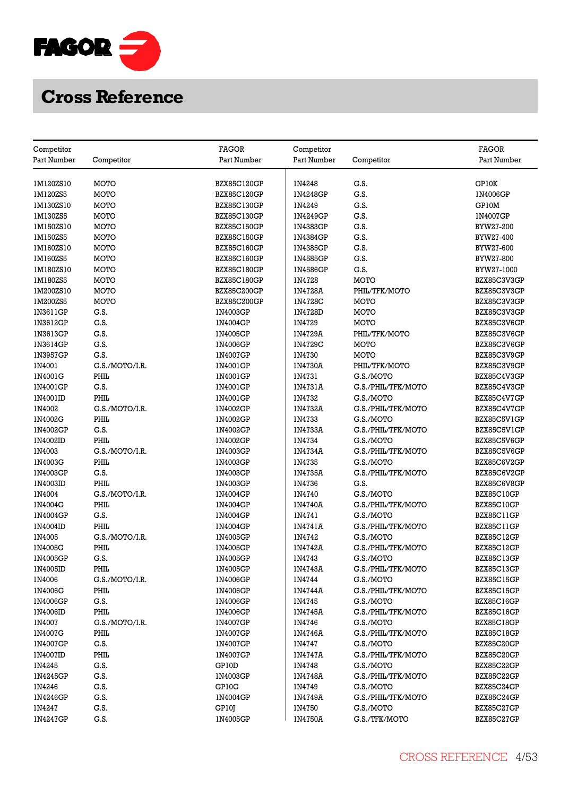

| Competitor  |                | <b>FAGOR</b>       | Competitor        |                                 | <b>FAGOR</b>             |
|-------------|----------------|--------------------|-------------------|---------------------------------|--------------------------|
| Part Number | Competitor     | Part Number        | Part Number       | Competitor                      | Part Number              |
|             |                |                    |                   |                                 |                          |
| 1M120ZS10   | MOTO           | <b>BZX85C120GP</b> | IN4248            | G.S.                            | GP10K                    |
| 1M120ZS5    | MOTO           | BZX85C120GP        | 1N4248GP          | G.S.                            | 1N4006GP                 |
| 1M130ZS10   | MOTO           | BZX85C130GP        | 1N4249            | G.S.                            | GP10M                    |
| 1M130ZS5    | MOTO           | BZX85C130GP        | 1N4249GP          | G.S.                            | 1N4007GP                 |
| 1M150ZS10   | MOTO           | <b>BZX85C150GP</b> | 1N4383GP          | G.S.                            | BYW27-200                |
| 1M150ZS5    | MOTO           | BZX85C150GP        | 1N4384GP          | G.S.                            | BYW27-400                |
| 1M160ZS10   | MOTO           | BZX85C160GP        | 1N4385GP          | G.S.                            | BYW27-600                |
| 1M160ZS5    | MOTO           | BZX85C160GP        | 1N4585GP          | G.S.                            | BYW27-800                |
| 1M180ZS10   | MOTO           | <b>BZX85C180GP</b> | 1N4586GP          | G.S.                            | BYW27-1000               |
| 1M180ZS5    | MOTO           | <b>BZX85C180GP</b> | 1N4728            | MOTO                            | BZX85C3V3GP              |
| 1M200ZS10   | MOTO           | <b>BZX85C200GP</b> | 1N4728A           | PHIL/TFK/MOTO                   | BZX85C3V3GP              |
| 1M200ZS5    | MOTO           | <b>BZX85C200GP</b> | 1N4728C           | MOTO                            | BZX85C3V3GP              |
| 1N3611GP    | G.S.           | 1N4003GP           | 1N4728D           | MOTO                            | BZX85C3V3GP              |
| 1N3612GP    | G.S.           | 1N4004GP           | 1N4729            | MOTO                            | BZX85C3V6GP              |
| 1N3613GP    | G.S.           | 1N4005GP           | 1N4729A           | PHIL/TFK/MOTO                   | BZX85C3V6GP              |
| 1N3614GP    | G.S.           | 1N4006GP           | 1N4729C           | <b>MOTO</b>                     | BZX85C3V6GP              |
| 1N3957GP    | G.S.           | 1N4007GP           | 1N4730            | MOTO                            | BZX85C3V9GP              |
| 1N4001      | G.S./MOTO/I.R. | 1N4001GP           | 1N4730A           | PHIL/TFK/MOTO                   | BZX85C3V9GP              |
| 1N4001G     | PHIL           | 1N4001GP           | 1N4731            | G.S./MOTO                       | BZX85C4V3GP              |
| 1N4001GP    | G.S.           | 1N4001GP           | 1N4731A           | G.S./PHIL/TFK/MOTO              | BZX85C4V3GP              |
| 1N4001ID    | PHIL           | 1N4001GP           | 1N4732            | G.S./MOTO                       | BZX85C4V7GP              |
| 1N4002      | G.S./MOTO/I.R. | 1N4002GP           | 1N4732A           | G.S./PHIL/TFK/MOTO              | BZX85C4V7GP              |
| 1N4002G     | PHIL           | 1N4002GP           | 1N4733            | G.S./MOTO                       | BZX85C5V1GP              |
| 1N4002GP    | G.S.           | 1N4002GP           | 1N4733A           | G.S./PHIL/TFK/MOTO              | BZX85C5V1GP              |
| 1N4002ID    | PHIL           | 1N4002GP           | 1N4734            | G.S./MOTO                       | BZX85C5V6GP              |
| 1N4003      | G.S./MOTO/I.R. | 1N4003GP           | 1N4734A           | G.S./PHIL/TFK/MOTO              | BZX85C5V6GP              |
| 1N4003G     | PHIL           | 1N4003GP           | 1N4735            | G.S./MOTO                       | BZX85C6V2GP              |
| 1N4003GP    | G.S.           | 1N4003GP           | 1N4735A           | G.S./PHIL/TFK/MOTO              | BZX85C6V2GP              |
| 1N4003ID    | PHIL           | 1N4003GP           | 1N4736            | G.S.                            | BZX85C6V8GP              |
| 1N4004      | G.S./MOTO/I.R. | 1N4004GP           | 1N4740            | G.S./MOTO                       | BZX85C10GP               |
| 1N4004G     | PHIL           | 1N4004GP           | 1N4740A           | G.S./PHIL/TFK/MOTO              | BZX85C10GP               |
| 1N4004GP    | G.S.           | 1N4004GP           | 1N4741            | G.S./MOTO                       | BZX85C11GP               |
| 1N4004ID    | PHIL           | 1N4004GP           | 1N4741A           | G.S./PHIL/TFK/MOTO              | BZX85C11GP               |
| 1N4005      | G.S./MOTO/I.R. | 1N4005GP           | 1N4742            | G.S./MOTO                       | BZX85C12GP               |
| 1N4005G     | PHIL           | 1N4005GP           | 1N4742A           | G.S./PHIL/TFK/MOTO              | BZX85C12GP               |
| 1N4005GP    | G.S.           | 1N4005GP           | 1N4743            | G.S./MOTO                       | BZX85C13GP               |
| 1N4005ID    | PHIL           | 1N4005GP           | 1N4743A           | G.S./PHIL/TFK/MOTO              | BZX85C13GP               |
| 1N4006      | G.S./MOTO/I.R. | 1N4006GP           | 1N4744            | G.S./MOTO                       | BZX85C15GP               |
| 1N4006G     | PHIL           | 1N4006GP           | 1N4744A           | G.S./PHIL/TFK/MOTO              | BZX85C15GP               |
| 1N4006GP    | G.S.           | 1N4006GP           | 1N4745            | G.S./MOTO                       | BZX85C16GP               |
| 1N4006ID    | PHIL           | 1N4006GP           | 1N4745A           | G.S./PHIL/TFK/MOTO              | BZX85C16GP               |
| 1N4007      | G.S./MOTO/I.R. | 1N4007GP           | IN4746            | G.S./MOTO                       | BZX85C18GP               |
| 1N4007G     | PHIL           | 1N4007GP           | 1N4746A           | G.S./PHIL/TFK/MOTO              | BZX85C18GP               |
| 1N4007GP    | G.S.           | 1N4007GP           | 1N4747            | G.S./MOTO                       | BZX85C20GP               |
|             | PHIL           |                    |                   |                                 |                          |
| 1N4007ID    | G.S.           | 1N4007GP<br>GP10D  | 1N4747A<br>1N4748 | G.S./PHIL/TFK/MOTO<br>G.S./MOTO | BZX85C20GP<br>BZX85C22GP |
| 1N4245      |                |                    |                   |                                 |                          |
| 1N4245GP    | G.S.           | 1N4003GP           | 1N4748A           | G.S./PHIL/TFK/MOTO              | BZX85C22GP               |
| 1N4246      | G.S.           | GP10G              | 1N4749            | G.S./MOTO                       | BZX85C24GP               |
| 1N4246GP    | G.S.           | 1N4004GP           | 1N4749A           | G.S./PHIL/TFK/MOTO              | BZX85C24GP               |
| IN4247      | G.S.           | GP10J              | 1N4750            | G.S./MOTO                       | BZX85C27GP               |
| 1N4247GP    | G.S.           | 1N4005GP           | 1N4750A           | G.S./TFK/MOTO                   | BZX85C27GP               |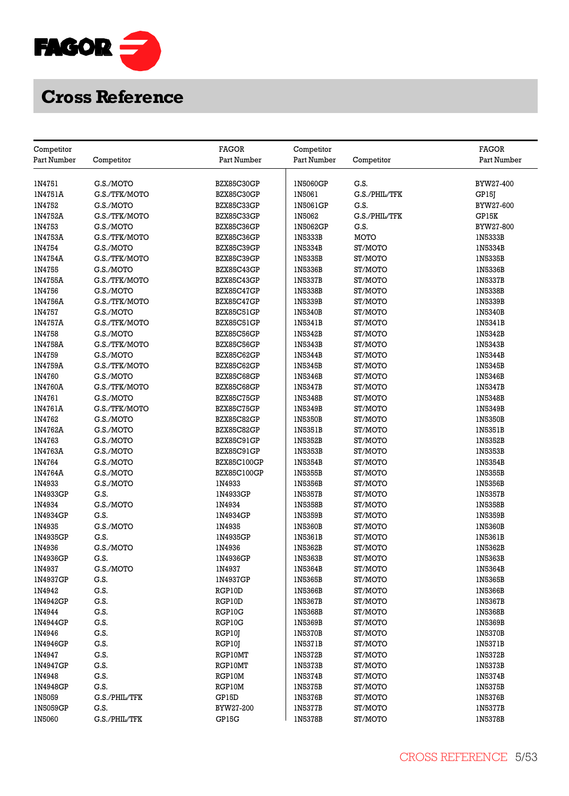

| Competitor    |               | <b>FAGOR</b>       | Competitor     |               | <b>FAGOR</b>   |
|---------------|---------------|--------------------|----------------|---------------|----------------|
| Part Number   | Competitor    | Part Number        | Part Number    | Competitor    | Part Number    |
|               |               |                    |                |               |                |
| 1N4751        | G.S./MOTO     | BZX85C30GP         | 1N5060GP       | G.S.          | BYW27-400      |
| 1N4751A       | G.S./TFK/MOTO | BZX85C30GP         | 1N5061         | G.S./PHIL/TFK | GP15J          |
| 1N4752        | G.S./MOTO     | BZX85C33GP         | 1N5061GP       | G.S.          | BYW27-600      |
| 1N4752A       | G.S./TFK/MOTO | BZX85C33GP         | 1N5062         | G.S./PHIL/TFK | GP15K          |
| 1N4753        | G.S./MOTO     | BZX85C36GP         | 1N5062GP       | G.S.          | BYW27-800      |
| 1N4753A       | G.S./TFK/MOTO | BZX85C36GP         | 1N5333B        | MOTO          | 1N5333B        |
| 1N4754        | G.S./MOTO     | BZX85C39GP         | 1N5334B        | ST/MOTO       | 1N5334B        |
| 1N4754A       | G.S./TFK/MOTO | BZX85C39GP         | 1N5335B        | ST/MOTO       | 1N5335B        |
| 1N4755        | G.S./MOTO     | BZX85C43GP         | 1N5336B        | ST/MOTO       | 1N5336B        |
| 1N4755A       | G.S./TFK/MOTO | BZX85C43GP         | 1N5337B        | ST/MOTO       | 1N5337B        |
| 1N4756        | G.S./MOTO     | BZX85C47GP         | 1N5338B        | ST/MOTO       | 1N5338B        |
| 1N4756A       | G.S./TFK/MOTO | BZX85C47GP         | 1N5339B        | ST/MOTO       | 1N5339B        |
| IN4757        | G.S./MOTO     | BZX85C51GP         | 1N5340B        | ST/MOTO       | 1N5340B        |
| 1N4757A       | G.S./TFK/MOTO | BZX85C51GP         | 1N5341B        | ST/MOTO       | 1N5341B        |
| 1N4758        | G.S./MOTO     | BZX85C56GP         | 1N5342B        | ST/MOTO       | 1N5342B        |
| 1N4758A       | G.S./TFK/MOTO | BZX85C56GP         | 1N5343B        | ST/MOTO       | <b>IN5343B</b> |
| 1N4759        | G.S./MOTO     | BZX85C62GP         | 1N5344B        | ST/MOTO       | 1N5344B        |
| 1N4759A       | G.S./TFK/MOTO | BZX85C62GP         | 1N5345B        | ST/MOTO       | 1N5345B        |
| 1N4760        | G.S./MOTO     | BZX85C68GP         | 1N5346B        | ST/MOTO       | 1N5346B        |
| 1N4760A       | G.S./TFK/MOTO | BZX85C68GP         | 1N5347B        | ST/MOTO       | 1N5347B        |
| 1N4761        | G.S./MOTO     | BZX85C75GP         | 1N5348B        | ST/MOTO       | 1N5348B        |
| 1N4761A       | G.S./TFK/MOTO | BZX85C75GP         | 1N5349B        | ST/MOTO       | 1N5349B        |
| IN4762        | G.S./MOTO     | BZX85C82GP         | 1N5350B        | ST/MOTO       | 1N5350B        |
| 1N4762A       | G.S./MOTO     | BZX85C82GP         | 1N5351B        | ST/MOTO       | 1N5351B        |
| 1N4763        | G.S./MOTO     | BZX85C91GP         | 1N5352B        | ST/MOTO       | 1N5352B        |
| 1N4763A       | G.S./MOTO     | BZX85C91GP         | 1N5353B        | ST/MOTO       | 1N5353B        |
| 1N4764        | G.S./MOTO     | BZX85C100GP        | 1N5354B        | ST/MOTO       | 1N5354B        |
| 1N4764A       | G.S./MOTO     | <b>BZX85C100GP</b> | 1N5355B        | ST/MOTO       | 1N5355B        |
| 1N4933        | G.S./MOTO     | 1N4933             | 1N5356B        | ST/MOTO       | 1N5356B        |
| 1N4933GP      | G.S.          | 1N4933GP           | 1N5357B        | ST/MOTO       | 1N5357B        |
| 1N4934        | G.S./MOTO     | 1N4934             | <b>IN5358B</b> | ST/MOTO       | <b>IN5358B</b> |
| 1N4934GP      | G.S.          | 1N4934GP           | 1N5359B        | ST/MOTO       | 1N5359B        |
| 1N4935        | G.S./MOTO     | 1N4935             | 1N5360B        | ST/MOTO       | 1N5360B        |
| 1N4935GP      | G.S.          | 1N4935GP           | 1N5361B        | ST/MOTO       | 1N5361B        |
| 1N4936        | G.S./MOTO     | 1N4936             | 1N5362B        | ST/MOTO       | 1N5362B        |
| 1N4936GP      | G.S.          | 1N4936GP           | 1N5363B        | ST/MOTO       | 1N5363B        |
| 1N4937        | G.S./MOTO     | 1N4937             | 1N5364B        | ST/MOTO       | 1N5364B        |
| 1N4937GP      | G.S.          | 1N4937GP           | 1N5365B        | ST/MOTO       | 1N5365B        |
| 1N4942        | G.S.          | RGP10D             | 1N5366B        | ST/MOTO       | 1N5366B        |
| 1N4942GP      | G.S.          | RGP10D             | 1N5367B        | ST/MOTO       | 1N5367B        |
| IN4944        | G.S.          | RGP10G             | 1N5368B        | ST/MOTO       | 1N5368B        |
| 1N4944GP      | G.S.          | RGP10G             | 1N5369B        | ST/MOTO       | 1N5369B        |
| 1N4946        | G.S.          | RGP10J             | 1N5370B        | ST/MOTO       | 1N5370B        |
| 1N4946GP      | G.S.          | RGP10J             | 1N5371B        | ST/MOTO       | 1N5371B        |
| 1N4947        | G.S.          | RGP10MT            | 1N5372B        | ST/MOTO       | 1N5372B        |
| 1N4947GP      | G.S.          | RGP10MT            | 1N5373B        | ST/MOTO       | 1N5373B        |
| 1N4948        | G.S.          | RGP10M             | 1N5374B        | ST/MOTO       | 1N5374B        |
| 1N4948GP      | G.S.          | RGP10M             | 1N5375B        | ST/MOTO       | 1N5375B        |
| IN5059        | G.S./PHIL/TFK | GP15D              | 1N5376B        | ST/MOTO       | <b>IN5376B</b> |
| 1N5059GP      | G.S.          | BYW27-200          | 1N5377B        | ST/MOTO       | <b>IN5377B</b> |
| <b>IN5060</b> | G.S./PHIL/TFK | GP15G              | <b>IN5378B</b> | ST/MOTO       | 1N5378B        |
|               |               |                    |                |               |                |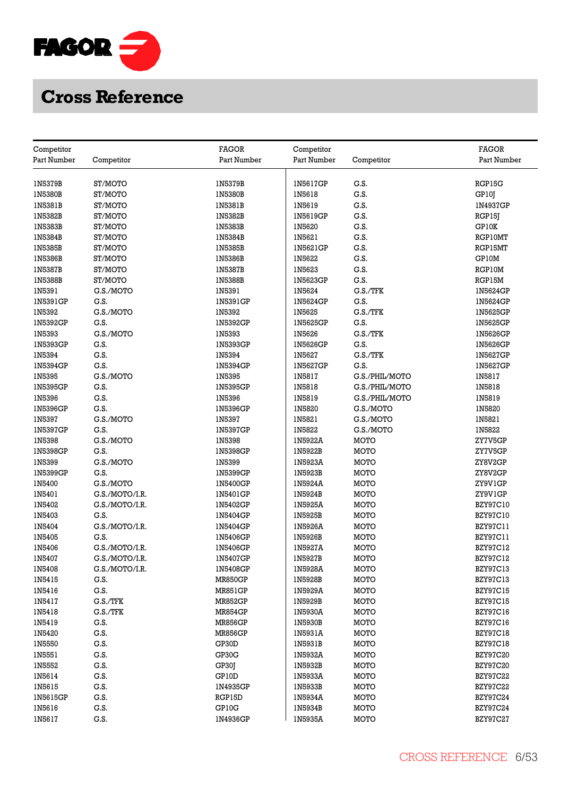

|                           |                |                             |                           |                | <b>FAGOR</b>    |
|---------------------------|----------------|-----------------------------|---------------------------|----------------|-----------------|
| Competitor<br>Part Number |                | <b>FAGOR</b><br>Part Number | Competitor<br>Part Number |                | Part Number     |
|                           | Competitor     |                             |                           | Competitor     |                 |
| 1N5379B                   | ST/MOTO        | 1N5379B                     | 1N5617GP                  | G.S.           | RGP15G          |
| <b>IN5380B</b>            | ST/MOTO        | 1N5380B                     | IN5618                    | G.S.           | GP10J           |
| 1N5381B                   | ST/MOTO        | 1N5381B                     | 1N5619                    | G.S.           | 1N4937GP        |
| 1N5382B                   | ST/MOTO        | 1N5382B                     | 1N5619GP                  | G.S.           | RGP15J          |
| <b>IN5383B</b>            | ST/MOTO        | 1N5383B                     | 1N5620                    | G.S.           | GP10K           |
| 1N5384B                   | ST/MOTO        | 1N5384B                     | 1N5621                    | G.S.           | RGP10MT         |
| 1N5385B                   | ST/MOTO        | 1N5385B                     | 1N5621GP                  | G.S.           | RGP15MT         |
| 1N5386B                   | ST/MOTO        | 1N5386B                     | 1N5622                    | G.S.           | GP10M           |
| 1N5387B                   | ST/MOTO        | 1N5387B                     | IN5623                    | G.S.           | RGP10M          |
| <b>IN5388B</b>            | ST/MOTO        | 1N5388B                     | 1N5623GP                  | G.S.           | RGP15M          |
| 1N5391                    | G.S./MOTO      | 1N5391                      | 1N5624                    | G.S./TFK       | 1N5624GP        |
| 1N5391GP                  | G.S.           | 1N5391GP                    | 1N5624GP                  | G.S.           | 1N5624GP        |
| 1N5392                    | G.S./MOTO      | 1N5392                      | 1N5625                    | G.S./TFK       | 1N5625GP        |
| 1N5392GP                  | G.S.           | 1N5392GP                    | 1N5625GP                  | G.S.           | 1N5625GP        |
| 1N5393                    | G.S./MOTO      | 1N5393                      | 1N5626                    | G.S./TFK       | 1N5626GP        |
| 1N5393GP                  | G.S.           | 1N5393GP                    | 1N5626GP                  | G.S.           | 1N5626GP        |
| 1N5394                    | G.S.           | 1N5394                      | IN5627                    | G.S./TFK       | 1N5627GP        |
| 1N5394GP                  | G.S.           | 1N5394GP                    | 1N5627GP                  | G.S.           | 1N5627GP        |
| IN5395                    | G.S./MOTO      | 1N5395                      | 1N5817                    | G.S./PHIL/MOTO | 1N5817          |
| 1N5395GP                  | G.S.           | 1N5395GP                    | 1N5818                    | G.S./PHIL/MOTO | 1N5818          |
| IN5396                    | G.S.           | 1N5396                      | IN5819                    | G.S./PHIL/MOTO | 1N5819          |
| 1N5396GP                  | G.S.           | 1N5396GP                    | 1N5820                    | G.S./MOTO      | 1N5820          |
| 1N5397                    | G.S./MOTO      | 1N5397                      | 1N5821                    | G.S./MOTO      | 1N5821          |
| 1N5397GP                  | G.S.           | 1N5397GP                    | 1N5822                    | G.S./MOTO      | 1N5822          |
| 1N5398                    | G.S./MOTO      | 1N5398                      | 1N5922A                   | MOTO           | ZY7V5GP         |
| 1N5398GP                  | G.S.           | 1N5398GP                    | 1N5922B                   | MOTO           | ZY7V5GP         |
| 1N5399                    | G.S./MOTO      | 1N5399                      | 1N5923A                   | MOTO           | ZY8V2GP         |
| 1N5399GP                  | G.S.           | 1N5399GP                    | 1N5923B                   | MOTO           | ZY8V2GP         |
| 1N5400                    | G.S./MOTO      | 1N5400GP                    | 1N5924A                   | MOTO           | ZY9V1GP         |
| IN5401                    | G.S./MOTO/I.R. | 1N5401GP                    | 1N5924B                   | MOTO           | ZY9V1GP         |
| 1N5402                    | G.S./MOTO/I.R. | 1N5402GP                    | 1N5925A                   | <b>MOTO</b>    | <b>BZY97C10</b> |
| 1N5403                    | G.S.           | 1N5404GP                    | 1N5925B                   | MOTO           | <b>BZY97C10</b> |
| 1N5404                    | G.S./MOTO/I.R. | 1N5404GP                    | 1N5926A                   | MOTO           | BZY97C11        |
| 1N5405                    | G.S.           | 1N5406GP                    | 1N5926B                   | MOTO           | BZY97C11        |
| 1N5406                    | G.S./MOTO/I.R. | 1N5406GP                    | 1N5927A                   | MOTO           | BZY97C12        |
| 1N5407                    | G.S./MOTO/I.R. | 1N5407GP                    | 1N5927B                   | MOTO           | <b>BZY97C12</b> |
| IN5408                    | G.S./MOTO/I.R. | 1N5408GP                    | 1N5928A                   | MOTO           | BZY97C13        |
| 1N5415                    | G.S.           | <b>MR850GP</b>              | 1N5928B                   | MOTO           | <b>BZY97C13</b> |
| 1N5416                    | G.S.           | <b>MR851GP</b>              | 1N5929A                   | MOTO           | <b>BZY97C15</b> |
| 1N5417                    | G.S./TFK       | <b>MR852GP</b>              | 1N5929B                   | MOTO           | <b>BZY97C15</b> |
| IN5418                    | G.S./TFK       | <b>MR854GP</b>              | 1N5930A                   | MOTO           | <b>BZY97C16</b> |
| IN5419                    | G.S.           | <b>MR856GP</b>              | <b>IN5930B</b>            | MOTO           | BZY97C16        |
| 1N5420                    | G.S.           | <b>MR856GP</b>              | 1N5931A                   | MOTO           | <b>BZY97C18</b> |
| 1N5550                    | G.S.           | GP30D                       | 1N5931B                   | MOTO           | <b>BZY97C18</b> |
| 1N5551                    | G.S.           | GP30G                       | 1N5932A                   | MOTO           | <b>BZY97C20</b> |
| IN5552                    | G.S.           | GP30J                       | 1N5932B                   | MOTO           | <b>BZY97C20</b> |
| 1N5614                    | G.S.           | GP10D                       | 1N5933A                   | MOTO           | <b>BZY97C22</b> |
| 1N5615                    | G.S.           | 1N4935GP                    | 1N5933B                   | MOTO           | <b>BZY97C22</b> |
| 1N5615GP                  | G.S.           | RGP15D                      | 1N5934A                   | MOTO           | <b>BZY97C24</b> |
| IN5616                    | G.S.           | GP10G                       | 1N5934B                   | MOTO           | <b>BZY97C24</b> |
| 1N5617                    | G.S.           | 1N4936GP                    | 1N5935A                   | MOTO           | <b>BZY97C27</b> |
|                           |                |                             |                           |                |                 |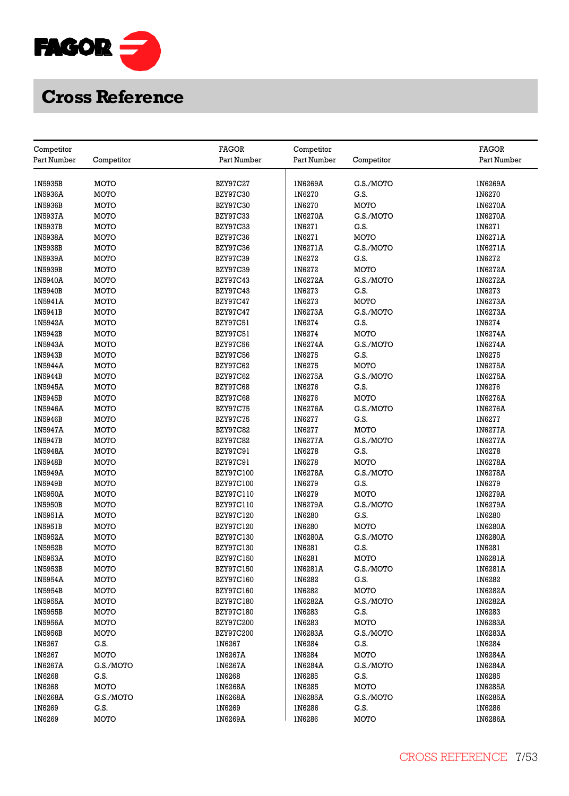

| Competitor  |             | <b>FAGOR</b>     | Competitor  |            | <b>FAGOR</b> |
|-------------|-------------|------------------|-------------|------------|--------------|
| Part Number | Competitor  | Part Number      | Part Number | Competitor | Part Number  |
|             |             |                  |             |            |              |
| 1N5935B     | MOTO        | <b>BZY97C27</b>  | 1N6269A     | G.S./MOTO  | 1N6269A      |
| 1N5936A     | MOTO        | <b>BZY97C30</b>  | 1N6270      | G.S.       | 1N6270       |
| 1N5936B     | MOTO        | <b>BZY97C30</b>  | 1N6270      | MOTO       | 1N6270A      |
| 1N5937A     | MOTO        | <b>BZY97C33</b>  | 1N6270A     | G.S./MOTO  | 1N6270A      |
| 1N5937B     | MOTO        | <b>BZY97C33</b>  | 1N6271      | G.S.       | 1N6271       |
| 1N5938A     | MOTO        | <b>BZY97C36</b>  | 1N6271      | MOTO       | 1N6271A      |
| 1N5938B     | MOTO        | <b>BZY97C36</b>  | 1N6271A     | G.S./MOTO  | 1N6271A      |
| 1N5939A     | MOTO        | <b>BZY97C39</b>  | 1N6272      | G.S.       | 1N6272       |
| 1N5939B     | MOTO        | <b>BZY97C39</b>  | 1N6272      | MOTO       | 1N6272A      |
| 1N5940A     | MOTO        | <b>BZY97C43</b>  | 1N6272A     | G.S./MOTO  | 1N6272A      |
| 1N5940B     | MOTO        | <b>BZY97C43</b>  | 1N6273      | G.S.       | 1N6273       |
| 1N5941A     | MOTO        | <b>BZY97C47</b>  | 1N6273      | MOTO       | 1N6273A      |
| 1N5941B     | MOTO        | <b>BZY97C47</b>  | 1N6273A     | G.S./MOTO  | 1N6273A      |
| 1N5942A     | MOTO        | BZY97C51         | 1N6274      | G.S.       | IN6274       |
| 1N5942B     | <b>MOTO</b> | BZY97C51         | 1N6274      | MOTO       | 1N6274A      |
| 1N5943A     | MOTO        | <b>BZY97C56</b>  | 1N6274A     | G.S./MOTO  | 1N6274A      |
|             | <b>MOTO</b> |                  | 1N6275      | G.S.       | 1N6275       |
| 1N5943B     |             | <b>BZY97C56</b>  |             |            |              |
| 1N5944A     | MOTO        | <b>BZY97C62</b>  | 1N6275      | MOTO       | 1N6275A      |
| 1N5944B     | MOTO        | <b>BZY97C62</b>  | 1N6275A     | G.S./MOTO  | 1N6275A      |
| 1N5945A     | MOTO        | <b>BZY97C68</b>  | 1N6276      | G.S.       | 1N6276       |
| 1N5945B     | MOTO        | <b>BZY97C68</b>  | 1N6276      | MOTO       | 1N6276A      |
| 1N5946A     | MOTO        | <b>BZY97C75</b>  | 1N6276A     | G.S./MOTO  | 1N6276A      |
| 1N5946B     | MOTO        | <b>BZY97C75</b>  | 1N6277      | G.S.       | 1N6277       |
| 1N5947A     | MOTO        | <b>BZY97C82</b>  | 1N6277      | MOTO       | 1N6277A      |
| 1N5947B     | <b>MOTO</b> | <b>BZY97C82</b>  | 1N6277A     | G.S./MOTO  | 1N6277A      |
| 1N5948A     | MOTO        | BZY97C91         | 1N6278      | G.S.       | 1N6278       |
| 1N5948B     | <b>MOTO</b> | <b>BZY97C91</b>  | IN6278      | MOTO       | 1N6278A      |
| 1N5949A     | MOTO        | BZY97C100        | 1N6278A     | G.S./MOTO  | 1N6278A      |
| 1N5949B     | MOTO        | BZY97C100        | 1N6279      | G.S.       | 1N6279       |
| 1N5950A     | MOTO        | BZY97C110        | 1N6279      | MOTO       | 1N6279A      |
| 1N5950B     | MOTO        | BZY97C110        | 1N6279A     | G.S./MOTO  | 1N6279A      |
| 1N5951A     | MOTO        | BZY97C120        | 1N6280      | G.S.       | 1N6280       |
| 1N5951B     | MOTO        | BZY97C120        | 1N6280      | MOTO       | 1N6280A      |
| 1N5952A     | MOTO        | BZY97C130        | 1N6280A     | G.S./MOTO  | 1N6280A      |
| 1N5952B     | MOTO        | BZY97C130        | 1N6281      | G.S.       | 1N6281       |
| 1N5953A     | MOTO        | <b>BZY97C150</b> | 1N6281      | MOTO       | 1N6281A      |
| 1N5953B     | MOTO        | BZY97C150        | 1N6281A     | G.S./MOTO  | 1N6281A      |
| 1N5954A     | MOTO        | <b>BZY97C160</b> | 1N6282      | G.S.       | 1N6282       |
| 1N5954B     | MOTO        | BZY97C160        | 1N6282      | MOTO       | 1N6282A      |
| 1N5955A     | MOTO        | <b>BZY97C180</b> | 1N6282A     | G.S./MOTO  | 1N6282A      |
| 1N5955B     | MOTO        | <b>BZY97C180</b> | 1N6283      | G.S.       | 1N6283       |
| 1N5956A     | MOTO        | <b>BZY97C200</b> | 1N6283      | MOTO       | 1N6283A      |
| 1N5956B     | MOTO        | BZY97C200        | 1N6283A     | G.S./MOTO  | 1N6283A      |
| 1N6267      | G.S.        | IN6267           | 1N6284      | G.S.       | 1N6284       |
| 1N6267      | MOTO        | 1N6267A          | 1N6284      | MOTO       | 1N6284A      |
| 1N6267A     | G.S./MOTO   | 1N6267A          | 1N6284A     | G.S./MOTO  | 1N6284A      |
| 1N6268      | G.S.        | 1N6268           | 1N6285      | G.S.       | 1N6285       |
| 1N6268      | MOTO        | <b>IN6268A</b>   | 1N6285      | MOTO       | 1N6285A      |
| 1N6268A     | G.S./MOTO   | 1N6268A          | 1N6285A     | G.S./MOTO  | 1N6285A      |
| 1N6269      | G.S.        | IN6269           | 1N6286      | G.S.       | 1N6286       |
| 1N6269      | MOTO        | 1N6269A          | IN6286      | MOTO       | 1N6286A      |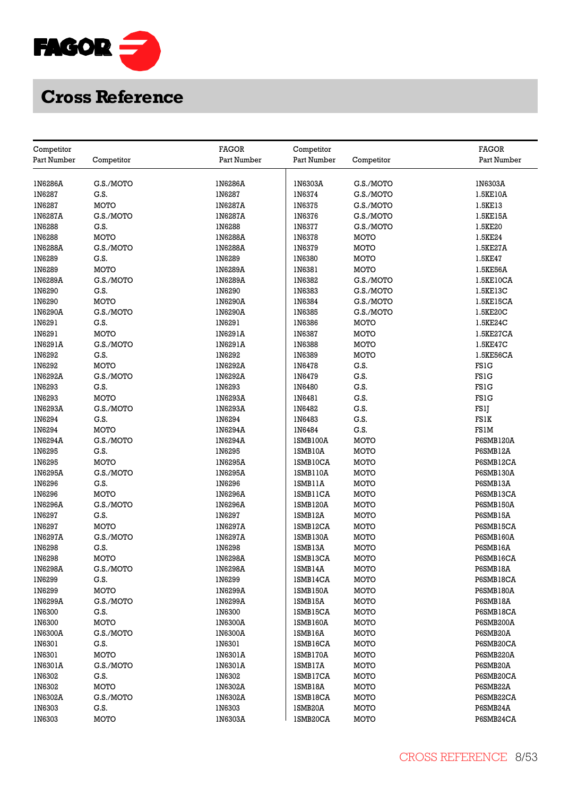

| Competitor        |              | <b>FAGOR</b> | Competitor           |             | <b>FAGOR</b>          |
|-------------------|--------------|--------------|----------------------|-------------|-----------------------|
| Part Number       | Competitor   | Part Number  | Part Number          | Competitor  | Part Number           |
|                   |              |              |                      |             |                       |
| 1N6286A           | G.S./MOTO    | 1N6286A      | 1N6303A              | G.S./MOTO   | 1N6303A               |
| IN6287            | G.S.         | 1N6287       | 1N6374               | G.S./MOTO   | 1.5KE10A              |
| 1N6287            | MOTO         | 1N6287A      | <b>1N6375</b>        | G.S./MOTO   | 1.5KE13               |
| 1N6287A           | G.S./MOTO    | 1N6287A      | IN6376               | G.S./MOTO   | 1.5KE15A              |
| 1N6288            | G.S.         | 1N6288       | 1N6377               | G.S./MOTO   | 1.5KE20               |
| IN6288            | <b>MOTO</b>  | 1N6288A      | 1N6378               | MOTO        | 1.5KE24               |
| 1N6288A           | G.S./MOTO    | 1N6288A      | 1N6379               | MOTO        | 1.5KE27A              |
| IN6289            | G.S.         | 1N6289       | 1N6380               | MOTO        | 1.5KE47               |
| 1N6289            | MOTO         | 1N6289A      | 1N6381               | MOTO        | 1.5KE56A              |
| 1N6289A           | G.S./MOTO    | 1N6289A      | 1N6382               | G.S./MOTO   | 1.5KE10CA             |
| 1N6290            | G.S.         | 1N6290       | 1N6383               | G.S./MOTO   | 1.5KE13C              |
| 1N6290            | <b>MOTO</b>  | 1N6290A      | 1N6384               | G.S./MOTO   | 1.5KE15CA             |
| 1N6290A           | G.S./MOTO    | 1N6290A      | 1N6385               | G.S./MOTO   | 1.5KE20C              |
| 1N6291            | G.S.         | 1N6291       | <b>1N6386</b>        | MOTO        | 1.5KE24C              |
| 1N6291            | <b>MOTO</b>  | 1N6291A      | 1N6387               | MOTO        | 1.5KE27CA             |
| 1N6291A           | G.S./MOTO    | 1N6291A      | <b>IN6388</b>        | MOTO        | 1.5KE47C              |
| 1N6292            | G.S.         | 1N6292       | 1N6389               | MOTO        | 1.5KE56CA             |
| IN6292            | <b>MOTO</b>  | 1N6292A      | 1N6478               | G.S.        | <b>FS1G</b>           |
| 1N6292A           | G.S./MOTO    | 1N6292A      | 1N6479               | G.S.        | <b>FS1G</b>           |
| IN6293            | G.S.         | 1N6293       | 1N6480               | G.S.        | <b>FS1G</b>           |
| 1N6293            | MOTO         | 1N6293A      | 1N6481               | G.S.        | FS1G                  |
| 1N6293A           | G.S./MOTO    | 1N6293A      | 1N6482               | G.S.        | FS1J                  |
| 1N6294            | G.S.         | 1N6294       | 1N6483               | G.S.        | <b>FS1K</b>           |
| 1N6294            | MOTO         | 1N6294A      | IN6484               | G.S.        | FS1M                  |
| 1N6294A           | G.S./MOTO    | 1N6294A      | 1SMB100A             | MOTO        | P6SMB120A             |
| 1N6295            | G.S.         | 1N6295       | 1SMB10A              | <b>MOTO</b> | P6SMB12A              |
|                   | MOTO         | 1N6295A      |                      | <b>MOTO</b> | P6SMB12CA             |
| 1N6295<br>1N6295A | G.S./MOTO    | 1N6295A      | 1SMB10CA<br>1SMB110A | MOTO        | P6SMB130A             |
|                   |              | 1N6296       |                      | MOTO        |                       |
| 1N6296<br>1N6296  | G.S.<br>MOTO | 1N6296A      | ISMB11A<br>ISMB11CA  | MOTO        | P6SMB13A<br>P6SMB13CA |
| 1N6296A           | G.S./MOTO    | 1N6296A      | 1SMB120A             | MOTO        | P6SMB150A             |
| 1N6297            | G.S.         | 1N6297       |                      | MOTO        |                       |
| 1N6297            | MOTO         | 1N6297A      | 1SMB12A<br>1SMB12CA  | MOTO        | P6SMB15A<br>P6SMB15CA |
| 1N6297A           | G.S./MOTO    | 1N6297A      | 1SMB130A             | MOTO        | P6SMB160A             |
| 1N6298            | G.S.         | 1N6298       | ISMB13A              | <b>MOTO</b> | P6SMB16A              |
| 1N6298            | MOTO         | 1N6298A      | 1SMB13CA             | MOTO        | P6SMB16CA             |
| 1N6298A           | G.S./MOTO    | 1N6298A      | ISMB14A              | MOTO        | P6SMB18A              |
| IN6299            | G.S.         | 1N6299       | 1SMB14CA             | MOTO        | P6SMB18CA             |
| 1N6299            | MOTO         | 1N6299A      | 1SMB150A             | MOTO        | <b>P6SMB180A</b>      |
| 1N6299A           | G.S./MOTO    | 1N6299A      | 1SMB15A              | MOTO        | P6SMB18A              |
| 1N6300            | G.S.         | 1N6300       | ISMB15CA             | MOTO        | P6SMB18CA             |
| 1N6300            | MOTO         | 1N6300A      | 1SMB160A             | MOTO        | P6SMB200A             |
| 1N6300A           | G.S./MOTO    | 1N6300A      | 1SMB16A              | MOTO        | P6SMB20A              |
| 1N6301            | G.S.         | 1N6301       | ISMB16CA             | MOTO        | P6SMB20CA             |
| 1N6301            | MOTO         | 1N6301A      | 1SMB170A             | MOTO        | P6SMB220A             |
| 1N6301A           | G.S./MOTO    | 1N6301A      | ISMB17A              | MOTO        | P6SMB20A              |
| 1N6302            | G.S.         | 1N6302       | 1SMB17CA             | MOTO        | P6SMB20CA             |
| 1N6302            | MOTO         | 1N6302A      | ISMB18A              | MOTO        | P6SMB22A              |
| 1N6302A           | G.S./MOTO    | 1N6302A      | 1SMB18CA             | MOTO        | P6SMB22CA             |
| 1N6303            | G.S.         | 1N6303       | 1SMB20A              | MOTO        | P6SMB24A              |
| 1N6303            | MOTO         | 1N6303A      | 1SMB20CA             | MOTO        | P6SMB24CA             |
|                   |              |              |                      |             |                       |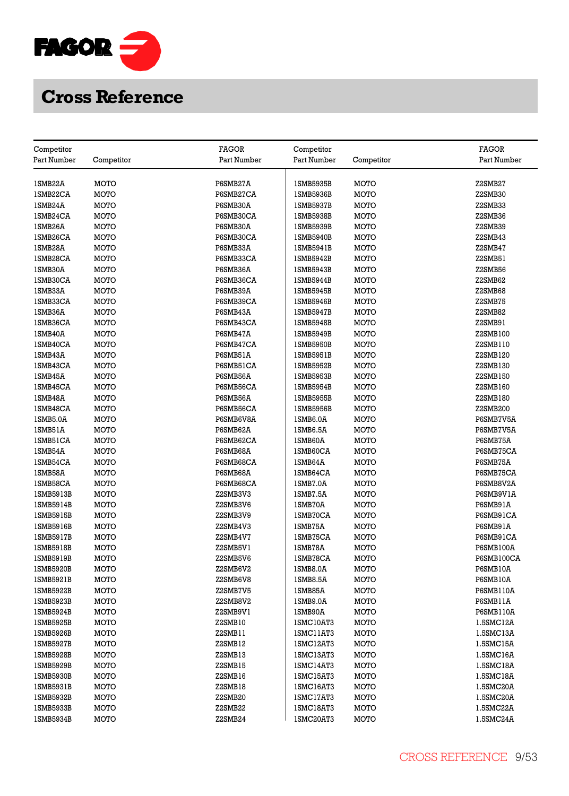

|                           |             | <b>FAGOR</b> |                           |             | <b>FAGOR</b>         |
|---------------------------|-------------|--------------|---------------------------|-------------|----------------------|
| Competitor<br>Part Number | Competitor  | Part Number  | Competitor<br>Part Number | Competitor  | Part Number          |
|                           |             |              |                           |             |                      |
| 1SMB22A                   | MOTO        | P6SMB27A     | 1SMB5935B                 | MOTO        | Z2SMB27              |
| 1SMB22CA                  | MOTO        | P6SMB27CA    | 1SMB5936B                 | MOTO        | Z2SMB30              |
| 1SMB24A                   | MOTO        | P6SMB30A     | 1SMB5937B                 | MOTO        | Z2SMB33              |
| 1SMB24CA                  | MOTO        | P6SMB30CA    | 1SMB5938B                 | MOTO        | Z2SMB36              |
| 1SMB26A                   | MOTO        | P6SMB30A     | 1SMB5939B                 | MOTO        | Z2SMB39              |
| 1SMB26CA                  | MOTO        | P6SMB30CA    | 1SMB5940B                 | MOTO        | Z2SMB43              |
| 1SMB28A                   | MOTO        | P6SMB33A     | <b>ISMB5941B</b>          | MOTO        | Z2SMB47              |
| 1SMB28CA                  | MOTO        | P6SMB33CA    | 1SMB5942B                 | MOTO        | Z2SMB51              |
| 1SMB30A                   | MOTO        | P6SMB36A     | 1SMB5943B                 | MOTO        | Z2SMB56              |
| 1SMB30CA                  | MOTO        | P6SMB36CA    | 1SMB5944B                 | MOTO        | Z2SMB62              |
| 1SMB33A                   | MOTO        | P6SMB39A     | 1SMB5945B                 | MOTO        | Z2SMB68              |
| 1SMB33CA                  | MOTO        | P6SMB39CA    | 1SMB5946B                 | MOTO        | Z2SMB75              |
| 1SMB36A                   | MOTO        | P6SMB43A     | <b>ISMB5947B</b>          | MOTO        | Z2SMB82              |
| 1SMB36CA                  | MOTO        | P6SMB43CA    | <b>ISMB5948B</b>          | MOTO        | Z2SMB91              |
| 1SMB40A                   | MOTO        | P6SMB47A     | 1SMB5949B                 | MOTO        | Z2SMB100             |
| 1SMB40CA                  | MOTO        | P6SMB47CA    | <b>ISMB5950B</b>          | MOTO        | Z2SMB110             |
| 1SMB43A                   | MOTO        | P6SMB51A     |                           | MOTO        | Z2SMB120             |
|                           |             |              | 1SMB5951B                 |             |                      |
| 1SMB43CA                  | <b>MOTO</b> | P6SMB51CA    | <b>ISMB5952B</b>          | MOTO        | Z2SMB130             |
| 1SMB45A                   | <b>MOTO</b> | P6SMB56A     | 1SMB5953B                 | MOTO        | Z2SMB150<br>Z2SMB160 |
| 1SMB45CA                  | <b>MOTO</b> | P6SMB56CA    | 1SMB5954B                 | MOTO        |                      |
| 1SMB48A                   | <b>MOTO</b> | P6SMB56A     | 1SMB5955B                 | MOTO        | Z2SMB180             |
| 1SMB48CA                  | MOTO        | P6SMB56CA    | <b>ISMB5956B</b>          | MOTO        | Z2SMB200             |
| 1SMB5.0A                  | <b>MOTO</b> | P6SMB6V8A    | 1SMB6.0A                  | MOTO        | P6SMB7V5A            |
| 1SMB51A                   | MOTO        | P6SMB62A     | 1SMB6.5A                  | MOTO        | P6SMB7V5A            |
| ISMB51CA                  | MOTO        | P6SMB62CA    | 1SMB60A                   | MOTO        | P6SMB75A             |
| 1SMB54A                   | MOTO        | P6SMB68A     | 1SMB60CA                  | MOTO        | P6SMB75CA            |
| 1SMB54CA                  | MOTO        | P6SMB68CA    | 1SMB64A                   | MOTO        | P6SMB75A             |
| 1SMB58A                   | MOTO        | P6SMB68A     | 1SMB64CA                  | MOTO        | P6SMB75CA            |
| 1SMB58CA                  | MOTO        | P6SMB68CA    | ISMB7.0A                  | MOTO        | P6SMB8V2A            |
| 1SMB5913B                 | MOTO        | Z2SMB3V3     | 1SMB7.5A                  | MOTO        | P6SMB9V1A            |
| 1SMB5914B                 | MOTO        | Z2SMB3V6     | 1SMB70A                   | MOTO        | P6SMB91A             |
| 1SMB5915B                 | MOTO        | Z2SMB3V9     | 1SMB70CA                  | MOTO        | P6SMB91CA            |
| 1SMB5916B                 | MOTO        | Z2SMB4V3     | ISMB75A                   | MOTO        | P6SMB91A             |
| 1SMB5917B                 | <b>MOTO</b> | Z2SMB4V7     | <b>ISMB75CA</b>           | MOTO        | P6SMB91CA            |
| <b>ISMB5918B</b>          | MOTO        | Z2SMB5V1     | 1SMB78A                   | MOTO        | P6SMB100A            |
| <b>ISMB5919B</b>          | <b>MOTO</b> | Z2SMB5V6     | 1SMB78CA                  | MOTO        | P6SMB100CA           |
| <b>ISMB5920B</b>          | MOTO        | Z2SMB6V2     | 1SMB8.0A                  | MOTO        | P6SMB10A             |
| 1SMB5921B                 | <b>MOTO</b> | Z2SMB6V8     | 1SMB8.5A                  | MOTO        | P6SMB10A             |
| 1SMB5922B                 | MOTO        | Z2SMB7V5     | 1SMB85A                   | MOTO        | <b>P6SMB110A</b>     |
| <b>ISMB5923B</b>          | <b>MOTO</b> | Z2SMB8V2     | 1SMB9.0A                  | MOTO        | P6SMB11A             |
| 1SMB5924B                 | <b>MOTO</b> | Z2SMB9V1     | 1SMB90A                   | MOTO        | P6SMB110A            |
| 1SMB5925B                 | MOTO        | Z2SMB10      | 1SMC10AT3                 | MOTO        | 1.5SMC12A            |
| 1SMB5926B                 | MOTO        | Z2SMB11      | ISMC11AT3                 | MOTO        | 1.5SMC13A            |
| 1SMB5927B                 | MOTO        | Z2SMB12      | 1SMC12AT3                 | <b>MOTO</b> | 1.5SMC15A            |
| 1SMB5928B                 | MOTO        | Z2SMB13      | ISMC13AT3                 | MOTO        | 1.5SMC16A            |
| <b>ISMB5929B</b>          | MOTO        | Z2SMB15      | 1SMC14AT3                 | MOTO        | 1.5SMC18A            |
| <b>ISMB5930B</b>          | MOTO        | Z2SMB16      | ISMC15AT3                 | MOTO        | 1.5SMC18A            |
| <b>ISMB5931B</b>          | MOTO        | Z2SMB18      | ISMC16AT3                 | MOTO        | 1.5SMC20A            |
| 1SMB5932B                 | MOTO        | Z2SMB20      | 1SMC17AT3                 | MOTO        | 1.5SMC20A            |
| <b>ISMB5933B</b>          | <b>MOTO</b> | Z2SMB22      | ISMC18AT3                 | MOTO        | 1.5SMC22A            |
| 1SMB5934B                 | <b>MOTO</b> | Z2SMB24      | 1SMC20AT3                 | MOTO        | 1.5SMC24A            |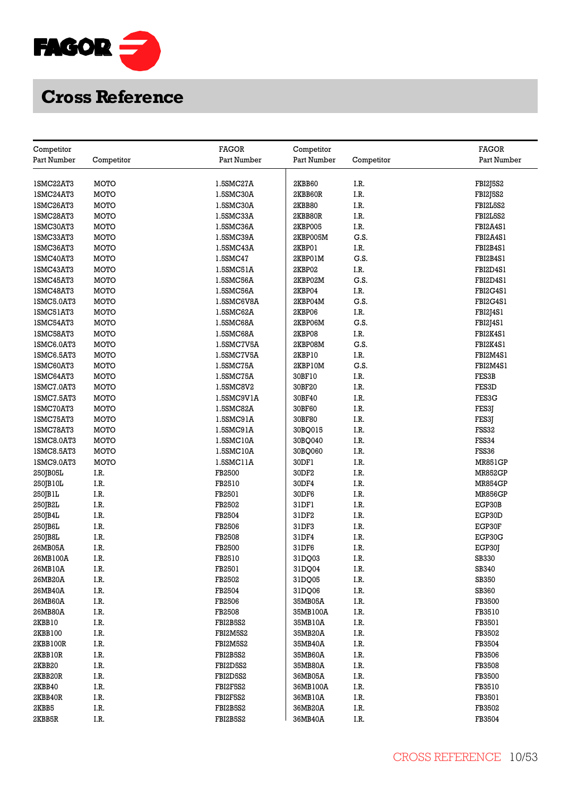

| Competitor  |              | <b>FAGOR</b> | Competitor       |              | <b>FAGOR</b>    |
|-------------|--------------|--------------|------------------|--------------|-----------------|
| Part Number | Competitor   | Part Number  | Part Number      | Competitor   | Part Number     |
|             |              |              |                  |              |                 |
| 1SMC22AT3   | MOTO         | 1.5SMC27A    | 2KBB60           | I.R.         | <b>FBI2J5S2</b> |
| 1SMC24AT3   | MOTO         | 1.5SMC30A    | 2KBB60R          | I.R.         | FBI2J5S2        |
| 1SMC26AT3   | <b>MOTO</b>  | 1.5SMC30A    | <b>2KBB80</b>    | I.R.         | FBI2L5S2        |
| 1SMC28AT3   | MOTO         | 1.5SMC33A    | 2KBB80R          | I.R.         | FBI2L5S2        |
| 1SMC30AT3   | MOTO         | 1.5SMC36A    | 2KBP005          | I.R.         | FBI2A4S1        |
| 1SMC33AT3   | MOTO         | 1.5SMC39A    | 2KBP005M         | G.S.         | FBI2A4S1        |
| 1SMC36AT3   | MOTO         | 1.5SMC43A    | 2KBP01           | I.R.         | FBI2B4S1        |
| 1SMC40AT3   | MOTO         | 1.5SMC47     | 2KBP01M          | G.S.         | FBI2B4S1        |
| 1SMC43AT3   | MOTO         | 1.5SMC51A    | 2KBP02           | I.R.         | FBI2D4S1        |
| 1SMC45AT3   | MOTO         | 1.5SMC56A    | 2KBP02M          | G.S.         | FBI2D4S1        |
| 1SMC48AT3   | MOTO         | 1.5SMC56A    | 2KBP04           | I.R.         | FBI2G4S1        |
| 1SMC5.0AT3  | MOTO         | 1.5SMC6V8A   | 2KBP04M          | G.S.         | FBI2G4S1        |
| 1SMC51AT3   | MOTO         | 1.5SMC62A    | 2KBP06           | I.R.         | FBI2J4S1        |
| 1SMC54AT3   | MOTO         | 1.5SMC68A    | 2KBP06M          | G.S.         | FBI2J4S1        |
| 1SMC58AT3   | MOTO         | 1.5SMC68A    | 2KBP08           | I.R.         | FBI2K4S1        |
| 1SMC6.0AT3  | MOTO         | 1.5SMC7V5A   | 2KBP08M          | G.S.         | FBI2K4S1        |
| 1SMC6.5AT3  | MOTO         | 1.5SMC7V5A   | 2KBP10           | I.R.         | FBI2M4S1        |
|             | MOTO         |              | 2KBP10M          | G.S.         | FBI2M4S1        |
| 1SMC60AT3   | MOTO         | 1.5SMC75A    |                  | I.R.         | FES3B           |
| 1SMC64AT3   | MOTO         | 1.5SMC75A    | 30BF10<br>30BF20 | I.R.         | FES3D           |
| 1SMC7.0AT3  |              | 1.5SMC8V2    |                  |              |                 |
| 1SMC7.5AT3  | MOTO<br>MOTO | 1.5SMC9V1A   | 30BF40           | I.R.<br>I.R. | FES3G           |
| 1SMC70AT3   |              | 1.5SMC82A    | 30BF60           |              | FES3J           |
| 1SMC75AT3   | MOTO         | 1.5SMC91A    | 30BF80           | I.R.         | FES3J           |
| 1SMC78AT3   | <b>MOTO</b>  | 1.5SMC91A    | 30BQ015          | I.R.         | FSS32           |
| 1SMC8.0AT3  | MOTO         | 1.5SMC10A    | 30BQ040          | I.R.         | <b>FSS34</b>    |
| 1SMC8.5AT3  | MOTO         | 1.5SMC10A    | 30BQ060          | I.R.         | FSS36           |
| 1SMC9.0AT3  | MOTO         | 1.5SMC11A    | 30DF1            | I.R.         | <b>MR851GP</b>  |
| 250JB05L    | I.R.         | FB2500       | 30DF2            | I.R.         | <b>MR852GP</b>  |
| 250JB10L    | I.R.         | FB2510       | 30DF4            | I.R.         | <b>MR854GP</b>  |
| 250JB1L     | I.R.         | FB2501       | 30DF6            | I.R.         | <b>MR856GP</b>  |
| 250JB2L     | I.R.         | FB2502       | 31DF1            | I.R.         | EGP30B          |
| 250JB4L     | I.R.         | FB2504       | 31DF2            | I.R.         | EGP30D          |
| 250JB6L     | I.R.         | FB2506       | 31DF3            | I.R.         | EGP30F          |
| 250JB8L     | I.R.         | FB2508       | 31DF4            | I.R.         | EGP30G          |
| 26MB05A     | I.R.         | FB2500       | 31DF6            | I.R.         | EGP30J          |
| 26MB100A    | I.R.         | FB2510       | 31DQ03           | I.R.         | SB330           |
| 26MB10A     | I.R.         | FB2501       | 31DQ04           | I.R.         | SB340           |
| 26MB20A     | I.R.         | FB2502       | 31DQ05           | I.R.         | SB350           |
| 26MB40A     | I.R.         | FB2504       | 31DQ06           | I.R.         | <b>SB360</b>    |
| 26MB60A     | I.R.         | FB2506       | 35MB05A          | I.R.         | FB3500          |
| 26MB80A     | I.R.         | FB2508       | 35MB100A         | I.R.         | FB3510          |
| 2KBB10      | I.R.         | FBI2B5S2     | 35MB10A          | I.R.         | FB3501          |
| 2KBB100     | I.R.         | FBI2M5S2     | 35MB20A          | I.R.         | FB3502          |
| 2KBB100R    | I.R.         | FBI2M5S2     | 35MB40A          | I.R.         | FB3504          |
| 2KBB10R     | I.R.         | FBI2B5S2     | 35MB60A          | I.R.         | FB3506          |
| 2KBB20      | I.R.         | FBI2D5S2     | 35MB80A          | I.R.         | FB3508          |
| 2KBB20R     | I.R.         | FBI2D5S2     | 36MB05A          | I.R.         | FB3500          |
| 2KBB40      | I.R.         | FBI2F5S2     | 36MB100A         | I.R.         | FB3510          |
| 2KBB40R     | I.R.         | FBI2F5S2     | 36MB10A          | I.R.         | FB3501          |
| 2KBB5       | I.R.         | FBI2B5S2     | 36MB20A          | I.R.         | FB3502          |
| 2KBB5R      | I.R.         | FBI2B5S2     | 36MB40A          | I.R.         | FB3504          |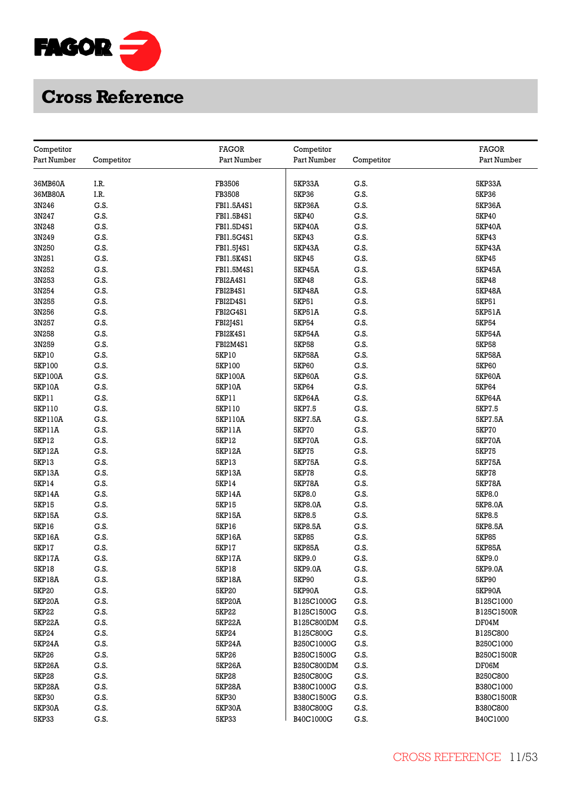

| Competitor    |            | <b>FAGOR</b>  | Competitor    |            | <b>FAGOR</b>  |
|---------------|------------|---------------|---------------|------------|---------------|
| Part Number   | Competitor | Part Number   | Part Number   | Competitor | Part Number   |
|               |            |               |               |            |               |
| 36MB60A       | I.R.       | FB3506        | 5KP33A        | G.S.       | <b>5KP33A</b> |
| 36MB80A       | I.R.       | FB3508        | 5KP36         | G.S.       | 5KP36         |
| 3N246         | G.S.       | FBI1.5A4S1    | 5KP36A        | G.S.       | 5KP36A        |
| 3N247         | G.S.       | FBI1.5B4S1    | 5KP40         | G.S.       | 5KP40         |
| 3N248         | G.S.       | FBI1.5D4S1    | 5KP40A        | G.S.       | 5KP40A        |
| 3N249         | G.S.       | FBI1.5G4S1    | 5KP43         | G.S.       | 5KP43         |
| 3N250         | G.S.       | FBI1.5J4S1    | 5KP43A        | G.S.       | 5KP43A        |
| 3N251         | G.S.       | FBI1.5K4S1    | 5KP45         | G.S.       | 5KP45         |
| 3N252         | G.S.       | FBI1.5M4S1    | 5KP45A        | G.S.       | 5KP45A        |
| 3N253         | G.S.       | FBI2A4S1      | 5KP48         | G.S.       | 5KP48         |
| 3N254         | G.S.       | FBI2B4S1      | 5KP48A        | G.S.       | 5KP48A        |
| 3N255         | G.S.       | FBI2D4S1      | 5KP51         | G.S.       | 5KP51         |
| 3N256         | G.S.       | FBI2G4S1      | 5KP51A        | G.S.       | 5KP51A        |
| 3N257         | G.S.       | FBI2J4S1      | <b>5KP54</b>  | G.S.       | <b>5KP54</b>  |
| 3N258         | G.S.       | FBI2K4S1      | 5KP54A        | G.S.       | <b>5KP54A</b> |
| 3N259         | G.S.       | FBI2M4S1      | <b>5KP58</b>  | G.S.       | <b>5KP58</b>  |
| 5KP10         | G.S.       | 5KP10         | <b>5KP58A</b> | G.S.       | <b>5KP58A</b> |
| 5KP100        | G.S.       | 5KP100        | 5KP60         | G.S.       | <b>5KP60</b>  |
| 5KP100A       | G.S.       | 5KP100A       | 5KP60A        | G.S.       | 5KP60A        |
| 5KP10A        | G.S.       | 5KP10A        | 5KP64         | G.S.       | 5KP64         |
| 5KP11         | G.S.       | 5KP11         | 5KP64A        | G.S.       | 5KP64A        |
| 5KP110        | G.S.       | 5KP110        | 5KP7.5        | G.S.       | 5KP7.5        |
| 5KP110A       | G.S.       | 5KP110A       | 5KP7.5A       | G.S.       | 5KP7.5A       |
| 5KP11A        | G.S.       | 5KP11A        | <b>5KP70</b>  | G.S.       | 5KP70         |
| 5KP12         | G.S.       | 5KP12         | <b>5KP70A</b> | G.S.       | 5KP70A        |
| <b>5KP12A</b> | G.S.       | 5KP12A        | <b>5KP75</b>  | G.S.       | <b>5KP75</b>  |
| 5KP13         | G.S.       | 5KP13         | <b>5KP75A</b> | G.S.       | 5KP75A        |
| 5KP13A        | G.S.       | 5KP13A        | <b>5KP78</b>  | G.S.       | <b>5KP78</b>  |
| 5KP14         | G.S.       | 5KP14         | <b>5KP78A</b> | G.S.       | 5KP78A        |
| 5KP14A        | G.S.       | 5KP14A        | 5KP8.0        | G.S.       | 5KP8.0        |
| <b>5KP15</b>  | G.S.       | 5KP15         | 5KP8.0A       | G.S.       | 5KP8.0A       |
| 5KP15A        | G.S.       | 5KP15A        | 5KP8.5        | G.S.       | 5KP8.5        |
| 5KP16         | G.S.       | 5KP16         | 5KP8.5A       | G.S.       | 5KP8.5A       |
| 5KP16A        | G.S.       | 5KP16A        | <b>5KP85</b>  | G.S.       | <b>5KP85</b>  |
| 5KP17         | G.S.       | 5KP17         | <b>5KP85A</b> | G.S.       | <b>5KP85A</b> |
| 5KP17A        | G.S.       | 5KP17A        | 5KP9.0        | G.S.       | 5KP9.0        |
| <b>5KP18</b>  | G.S.       | 5KP18         | 5KP9.0A       | G.S.       | 5KP9.0A       |
| 5KP18A        | G.S.       | 5KP18A        | 5KP90         | G.S.       | 5KP90         |
| 5KP20         | G.S.       | 5KP20         | 5KP90A        | G.S.       | 5KP90A        |
| <b>5KP20A</b> | G.S.       | 5KP20A        | B125C1000G    | G.S.       | B125C1000     |
| 5KP22         | G.S.       | 5KP22         | B125C1500G    | G.S.       | B125C1500R    |
| 5KP22A        | G.S.       | 5KP22A        | B125C800DM    | G.S.       | DF04M         |
| 5KP24         | G.S.       | 5KP24         | B125C800G     | G.S.       | B125C800      |
| 5KP24A        | G.S.       | 5KP24A        | B250C1000G    | G.S.       | B250C1000     |
| 5KP26         | G.S.       | 5KP26         | B250C1500G    | G.S.       | B250C1500R    |
| <b>5KP26A</b> | G.S.       | 5KP26A        | B250C800DM    | G.S.       | DF06M         |
| <b>5KP28</b>  | G.S.       | <b>5KP28</b>  | B250C800G     | G.S.       | B250C800      |
| 5KP28A        | G.S.       | 5KP28A        | B380C1000G    | G.S.       | B380C1000     |
| <b>5KP30</b>  | G.S.       | 5KP30         | B380C1500G    | G.S.       | B380C1500R    |
| <b>5KP30A</b> | G.S.       | <b>5KP30A</b> | B380C800G     | G.S.       | B380C800      |
| <b>5KP33</b>  | G.S.       | 5KP33         | B40C1000G     | G.S.       | B40C1000      |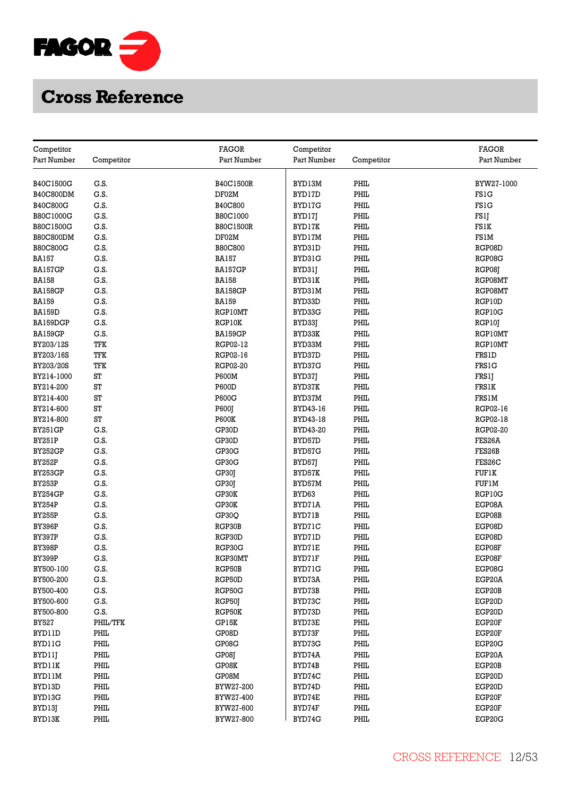

| Competitor                     |              | <b>FAGOR</b>           | Competitor       |              | <b>FAGOR</b>     |
|--------------------------------|--------------|------------------------|------------------|--------------|------------------|
| Part Number                    | Competitor   | Part Number            | Part Number      | Competitor   | Part Number      |
|                                |              |                        |                  |              |                  |
| B40C1500G                      | G.S.         | B40C1500R              | BYD13M           | PHIL         | BYW27-1000       |
| B40C800DM                      | G.S.         | DF02M                  | BYD17D           | PHIL         | <b>FS1G</b>      |
| <b>B40C800G</b>                | G.S.         | <b>B40C800</b>         | BYD17G           | PHIL         | <b>FS1G</b>      |
| B80C1000G                      | G.S.         | B80C1000               | BYD17J           | PHIL         | FS1J             |
| B80C1500G                      | G.S.         | B80C1500R              | BYD17K           | PHIL         | FS1K             |
| <b>B80C800DM</b>               | G.S.         | DF02M                  | BYD17M           | PHIL         | FS1M             |
| <b>B80C800G</b>                | G.S.         | <b>B80C800</b>         | BYD31D           | PHIL         | RGP08D           |
| <b>BA157</b>                   | G.S.         | <b>BA157</b>           | BYD31G           | PHIL         | RGP08G           |
| BA157GP                        | G.S.         | BA157GP                | BYD31J           | PHIL         | RGP08J           |
| <b>BA158</b>                   | G.S.         | <b>BA158</b>           | BYD31K           | PHIL         | RGP08MT          |
| BA158GP                        | G.S.         | <b>BA158GP</b>         | BYD31M           | PHIL         | RGP08MT          |
| <b>BA159</b>                   | G.S.         | <b>BA159</b>           | BYD33D           | PHIL         | RGP10D           |
| <b>BA159D</b>                  | G.S.         | RGP10MT                | BYD33G           | PHIL         | RGP10G           |
| BA159DGP                       | G.S.         | RGP10K                 | BYD33J           | PHIL         | RGP10T           |
| BA159GP                        | G.S.         | <b>BA159GP</b>         | BYD33K           | PHIL         | RGP10MT          |
| BY203/12S                      | TFK          | RGP02-12               | BYD33M           | PHIL         | RGP10MT          |
| BY203/16S                      | TFK          | RGP02-16               | BYD37D           | PHIL         | <b>FRS1D</b>     |
| BY203/20S                      | TFK          | RGP02-20               | BYD37G           | PHIL         | <b>FRS1G</b>     |
| BY214-1000                     | ST           | <b>P600M</b>           | BYD37J           | PHIL         | FRS1J            |
| BY214-200                      | ST           | <b>P600D</b>           | BYD37K           | PHIL         | FRS1K            |
| BY214-400                      | ST           | P600G                  | BYD37M           | PHIL         | <b>FRS1M</b>     |
| BY214-600                      | ST           | P600J                  | BYD43-16         | PHIL         | RGP02-16         |
| BY214-800                      | ST           | <b>P600K</b>           | BYD43-18         | PHIL         | RGP02-18         |
| <b>BY251GP</b>                 | G.S.         | GP30D                  | BYD43-20         | PHIL         | <b>RGP02-20</b>  |
| BY251P                         | G.S.         | GP30D                  | BYD57D           | PHIL         | FES26A           |
| BY252GP                        | G.S.         | GP30G                  | BYD57G           | PHIL         | FES26B           |
| <b>BY252P</b>                  | G.S.         | GP30G                  |                  | PHIL         | FES26C           |
| <b>BY253GP</b>                 | G.S.         | GP30J                  | BYD57J<br>BYD57K | PHIL         | <b>FUF1K</b>     |
| <b>BY253P</b>                  | G.S.         |                        |                  | PHIL         |                  |
| <b>BY254GP</b>                 | G.S.         | GP30J<br>GP30K         | BYD57M<br>BYD63  | PHIL         | FUFIM<br>RGP10G  |
| <b>BY254P</b>                  | G.S.         | GP30K                  | BYD71A           | PHIL         | EGP08A           |
|                                | G.S.         |                        |                  | PHIL         |                  |
| <b>BY255P</b><br><b>BY396P</b> | G.S.         | GP30Q<br>RGP30B        | BYD71B<br>BYD71C | PHIL         | EGP08B<br>EGP08D |
| <b>BY397P</b>                  | G.S.         | RGP30D                 | BYD71D           | PHIL         | EGP08D           |
| <b>BY398P</b>                  | G.S.         | RGP30G                 | BYD71E           | PHIL         | EGP08F           |
| <b>BY399P</b>                  | G.S.         | RGP30MT                | BYD71F           | PHIL         | EGP08F           |
| BY500-100                      | G.S.         | RGP50B                 | BYD71G           | PHIL         | EGP08G           |
| BY500-200                      | G.S.         | RGP50D                 | BYD73A           | PHIL         | EGP20A           |
| BY500-400                      | G.S.         | RGP50G                 | BYD73B           | PHIL         | EGP20B           |
| BY500-600                      | G.S.         | RGP50J                 | BYD73C           | PHIL         | EGP20D           |
| BY500-800                      | G.S.         | RGP50K                 | BYD73D           | PHIL         | EGP20D           |
| <b>BY527</b>                   | PHIL/TFK     | GP15K                  | BYD73E           | PHIL         | EGP20F           |
| BYD11D                         | PHIL         | GP08D                  | BYD73F           | PHIL         | EGP20F           |
| BYD11G                         | PHIL         | GP08G                  | BYD73G           | PHIL         | EGP20G           |
|                                | PHIL         | GP08J                  |                  | PHIL         | EGP20A           |
| BYD11J<br><b>BYD11K</b>        | PHIL         | GP08K                  | BYD74A<br>BYD74B | PHIL         | EGP20B           |
|                                |              |                        |                  | PHIL         |                  |
| BYD11M<br>BYD13D               | PHIL<br>PHIL | GP08M                  | BYD74C<br>BYD74D | PHIL         | EGP20D<br>EGP20D |
|                                |              | BYW27-200              |                  |              |                  |
| BYD13G                         | PHIL<br>PHIL | BYW27-400<br>BYW27-600 | BYD74E<br>BYD74F | PHIL<br>PHIL | EGP20F<br>EGP20F |
| BYD13J                         |              |                        | BYD74G           | PHIL         |                  |
| BYD13K                         | PHIL         | BYW27-800              |                  |              | EGP20G           |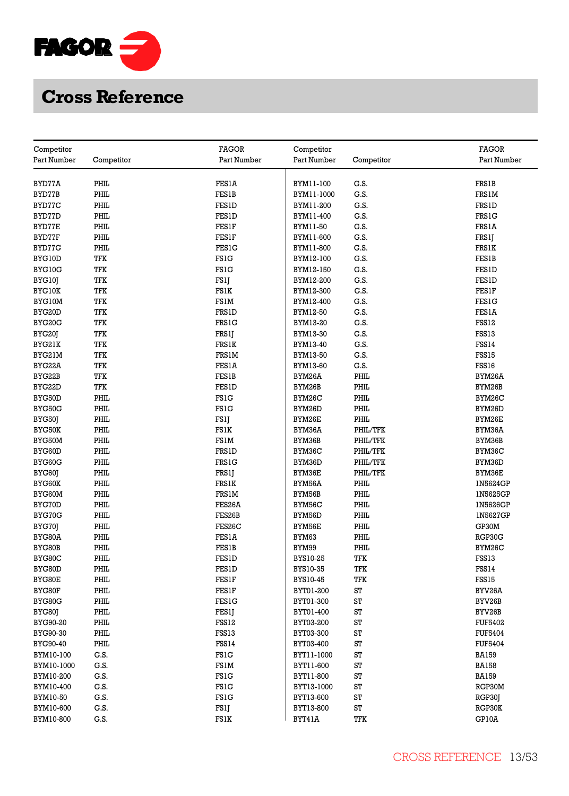

| Competitor      |            | <b>FAGOR</b> | Competitor       |            | <b>FAGOR</b>   |
|-----------------|------------|--------------|------------------|------------|----------------|
| Part Number     | Competitor | Part Number  | Part Number      | Competitor | Part Number    |
|                 |            |              |                  |            |                |
| BYD77A          | PHIL       | FES1A        | BYM11-100        | G.S.       | <b>FRS1B</b>   |
| BYD77B          | PHIL       | <b>FES1B</b> | BYM11-1000       | G.S.       | <b>FRS1M</b>   |
| BYD77C          | PHIL       | <b>FES1D</b> | BYM11-200        | G.S.       | <b>FRS1D</b>   |
| BYD77D          | PHIL       | <b>FES1D</b> | BYM11-400        | G.S.       | <b>FRS1G</b>   |
| BYD77E          | PHIL       | FESIF        | BYM11-50         | G.S.       | FRS1A          |
| BYD77F          | PHIL       | FESIF        | BYM11-600        | G.S.       | FRS1J          |
| BYD77G          | PHIL       | <b>FES1G</b> | BYM11-800        | G.S.       | <b>FRS1K</b>   |
| BYG10D          | TFK        | <b>FS1G</b>  | BYM12-100        | G.S.       | <b>FES1B</b>   |
| BYG10G          | TFK        | <b>FS1G</b>  | BYM12-150        | G.S.       | <b>FES1D</b>   |
| BYG10J          | TFK        | FS1J         | BYM12-200        | G.S.       | <b>FES1D</b>   |
| <b>BYG10K</b>   | TFK        | FS1K         | BYM12-300        | G.S.       | FES1F          |
| BYG10M          | TFK        | FS1M         | BYM12-400        | G.S.       | <b>FES1G</b>   |
| BYG20D          | TFK        | <b>FRS1D</b> | BYM12-50         | G.S.       | FESIA          |
| BYG20G          | TFK        | FRS1G        | BYM13-20         | G.S.       | FSS12          |
| BYG20J          | TFK        | <b>FRS1J</b> | BYM13-30         | G.S.       | FSS13          |
| BYG21K          | TFK        | <b>FRS1K</b> | BYM13-40         | G.S.       | <b>FSS14</b>   |
| BYG21M          | TFK        | FRS1M        | BYM13-50         | G.S.       | FSS15          |
| BYG22A          | TFK        | <b>FES1A</b> | BYM13-60         | G.S.       | FSS16          |
| BYG22B          | TFK        | <b>FES1B</b> | BYM26A           | PHIL       | BYM26A         |
| BYG22D          | TFK        | FESID        | BYM26B           | PHIL       | BYM26B         |
| BYG50D          | PHIL       | <b>FS1G</b>  | BYM26C           | PHIL       | BYM26C         |
| BYG50G          | PHIL       | <b>FS1G</b>  | BYM26D           | PHIL       | BYM26D         |
| BYG50J          | PHIL       | FS1J         | BYM26E           | PHIL       | BYM26E         |
| <b>BYG50K</b>   | PHIL       | FS1K         | BYM36A           | PHIL/TFK   | BYM36A         |
| BYG50M          | PHIL       | <b>FS1M</b>  | BYM36B           | PHIL/TFK   | BYM36B         |
| BYG60D          | PHIL       | <b>FRS1D</b> | BYM36C           | PHIL/TFK   | BYM36C         |
| BYG60G          | PHIL       | FRS1G        | BYM36D           | PHIL/TFK   | BYM36D         |
| BYG60J          | PHIL       | FRS1J        | BYM36E           | PHIL/TFK   | BYM36E         |
| BYG60K          | PHIL       | <b>FRS1K</b> | <b>BYM56A</b>    | PHIL       | 1N5624GP       |
| BYG60M          | PHIL       | FRS1M        | BYM56B           | PHIL       | 1N5625GP       |
| BYG70D          | PHIL       | FES26A       | BYM56C           | PHIL       | 1N5626GP       |
| BYG70G          | PHIL       | FES26B       | BYM56D           | PHIL       | 1N5627GP       |
| BYG70J          | PHIL       | FES26C       | BYM56E           | PHIL       | GP30M          |
| BYG80A          | PHIL       | <b>FES1A</b> | BYM63            | PHIL       | RGP30G         |
| BYG80B          | PHIL       | <b>FES1B</b> | BYM99            | PHIL       | BYM26C         |
| BYG80C          | PHIL       | <b>FES1D</b> | BYS10-25         | TFK        | FSS13          |
| BYG80D          | PHIL       | <b>FES1D</b> | BYS10-35         | TFK        | FSS14          |
| BYG80E          | PHIL       | FESIF        | BYS10-45         | TFK        | FSS15          |
| BYG80F          | PHIL       | FES1F        | BYT01-200        | ST         | BYV26A         |
| BYG80G          | PHIL       | <b>FES1G</b> | BYT01-300        | ST         | BYV26B         |
| BYG80J          | PHIL       | FES1J        | BYT01-400        | ST         | BYV26B         |
| BYG90-20        | PHIL       | FSS12        | BYT03-200        | ST         | <b>FUF5402</b> |
| BYG90-30        | PHIL       | FSS13        | BYT03-300        | ST         | <b>FUF5404</b> |
| <b>BYG90-40</b> | PHIL       | FSS14        | <b>BYT03-400</b> | ST         | <b>FUF5404</b> |
| BYM10-100       | G.S.       | <b>FS1G</b>  | BYT11-1000       | ST         | <b>BA159</b>   |
| BYM10-1000      | G.S.       | FS1M         | BYT11-600        | ST         | <b>BA158</b>   |
| BYM10-200       | G.S.       | <b>FS1G</b>  | BYT11-800        | ST         | <b>BA159</b>   |
| BYM10-400       | G.S.       | <b>FS1G</b>  | BYT13-1000       | ST         | RGP30M         |
| BYM10-50        | G.S.       | <b>FS1G</b>  | BYT13-600        | ST         | RGP30J         |
| BYM10-600       | G.S.       | FS1J         | BYT13-800        | ST         | RGP30K         |
| BYM10-800       | G.S.       | FS1K         | BYT41A           | TFK        | GP10A          |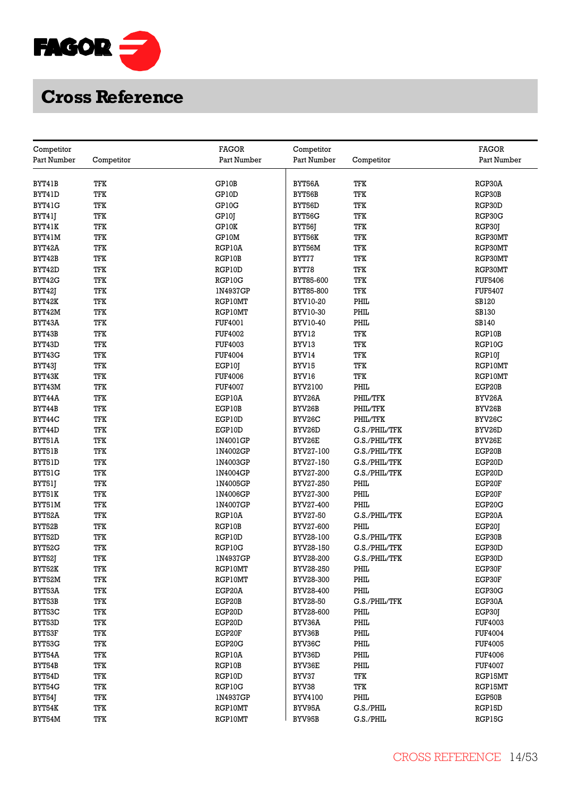

| Competitor       |            | <b>FAGOR</b>                     | Competitor     |               | <b>FAGOR</b>   |
|------------------|------------|----------------------------------|----------------|---------------|----------------|
| Part Number      | Competitor | Part Number                      | Part Number    | Competitor    | Part Number    |
|                  |            |                                  |                |               |                |
| BYT41B           | TFK        | GP10B                            | BYT56A         | TFK           | RGP30A         |
| BYT41D           | TFK        | GP10D                            | BYT56B         | TFK           | RGP30B         |
| BYT41G           | TFK        | GP10G                            | BYT56D         | TFK           | RGP30D         |
| BYT41J           | TFK        | GP10J                            | BYT56G         | TFK           | RGP30G         |
| BYT41K           | TFK        | GP10K                            | BYT56J         | TFK           | RGP30J         |
| BYT41M           | TFK        | GP10M                            | BYT56K         | TFK           | RGP30MT        |
| BYT42A           | TFK        | RGP10A                           | BYT56M         | TFK           | RGP30MT        |
| BYT42B           | TFK        | RGP10B                           | BYT77          | TFK           | RGP30MT        |
| BYT42D           | TFK        | RGP10D                           | BYT78          | TFK           | RGP30MT        |
| BYT42G           | TFK        | RGP10G                           | BYT85-600      | TFK           | <b>FUF5406</b> |
| <b>BYT421</b>    | TFK        | 1N4937GP                         | BYT85-800      | TFK           | <b>FUF5407</b> |
| BYT42K           | TFK        | RGP10MT                          | BYV10-20       | PHIL          | SB120          |
| BYT42M           | TFK        | RGP10MT                          | BYV10-30       | PHIL          | SB130          |
| BYT43A           | TFK        | <b>FUF4001</b>                   | BYV10-40       | PHIL          | SB140          |
|                  |            | <b>FUF4002</b>                   |                |               | RGP10B         |
| BYT43B           | TFK<br>TFK |                                  | BYV12          | TFK<br>TFK    | RGP10G         |
| BYT43D<br>BYT43G | TFK        | <b>FUF4003</b><br><b>FUF4004</b> | BYV13<br>BYV14 | TFK           |                |
|                  |            |                                  |                |               | RGP10J         |
| BYT43J           | TFK        | EGP10J                           | BYV15          | TFK           | RGP10MT        |
| BYT43K           | TFK        | <b>FUF4006</b>                   | BYV16          | TFK           | RGP10MT        |
| BYT43M           | TFK        | <b>FUF4007</b>                   | BYV2100        | PHIL          | EGP20B         |
| BYT44A           | TFK        | EGP10A                           | BYV26A         | PHIL/TFK      | BYV26A         |
| BYT44B           | TFK        | EGP10B                           | BYV26B         | PHIL/TFK      | BYV26B         |
| BYT44C           | TFK        | EGP10D                           | BYV26C         | PHIL/TFK      | BYV26C         |
| BYT44D           | TFK        | EGP10D                           | BYV26D         | G.S./PHIL/TFK | BYV26D         |
| BYT51A           | TFK        | 1N4001GP                         | BYV26E         | G.S./PHIL/TFK | BYV26E         |
| BYT51B           | TFK        | 1N4002GP                         | BYV27-100      | G.S./PHIL/TFK | EGP20B         |
| BYT51D           | <b>TFK</b> | 1N4003GP                         | BYV27-150      | G.S./PHIL/TFK | EGP20D         |
| BYT51G           | TFK        | 1N4004GP                         | BYV27-200      | G.S./PHIL/TFK | EGP20D         |
| BYT51J           | TFK        | 1N4005GP                         | BYV27-250      | PHIL          | EGP20F         |
| BYT51K           | TFK        | 1N4006GP                         | BYV27-300      | PHIL          | EGP20F         |
| BYT51M           | TFK        | 1N4007GP                         | BYV27-400      | PHIL          | EGP20G         |
| BYT52A           | TFK        | RGP10A                           | BYV27-50       | G.S./PHIL/TFK | EGP20A         |
| BYT52B           | TFK        | RGP10B                           | BYV27-600      | PHIL          | EGP20J         |
| BYT52D           | TFK        | RGP10D                           | BYV28-100      | G.S./PHIL/TFK | EGP30B         |
| BYT52G           | TFK        | RGP10G                           | BYV28-150      | G.S./PHIL/TFK | EGP30D         |
| BYT52J           | TFK        | 1N4937GP                         | BYV28-200      | G.S./PHIL/TFK | EGP30D         |
| BYT52K           | TFK        | RGP10MT                          | BYV28-250      | PHIL          | EGP30F         |
| BYT52M           | TFK        | RGP10MT                          | BYV28-300      | PHIL          | EGP30F         |
| BYT53A           | TFK        | EGP20A                           | BYV28-400      | PHIL          | EGP30G         |
| BYT53B           | TFK        | EGP20B                           | BYV28-50       | G.S./PHIL/TFK | EGP30A         |
| BYT53C           | TFK        | EGP20D                           | BYV28-600      | PHIL          | EGP30J         |
| BYT53D           | TFK        | EGP20D                           | BYV36A         | PHIL          | FUF4003        |
| BYT53F           | TFK        | EGP20F                           | BYV36B         | PHIL          | <b>FUF4004</b> |
| BYT53G           | TFK        | EGP20G                           | BYV36C         | PHIL          | <b>FUF4005</b> |
| BYT54A           | TFK        | RGP10A                           | BYV36D         | PHIL          | <b>FUF4006</b> |
| BYT54B           | TFK        | RGP10B                           | BYV36E         | PHIL          | <b>FUF4007</b> |
| BYT54D           | TFK        | RGP10D                           | BYV37          | TFK           | RGP15MT        |
| BYT54G           | TFK        | RGP10G                           | BYV38          | TFK           | RGP15MT        |
| BYT54J           | TFK        | 1N4937GP                         | BYV4100        | PHIL          | EGP50B         |
| <b>BYT54K</b>    | TFK        | RGP10MT                          | BYV95A         | G.S./PHIL     | RGP15D         |
| <b>BYT54M</b>    | <b>TFK</b> | RGP10MT                          | BYV95B         | G.S./PHIL     | RGP15G         |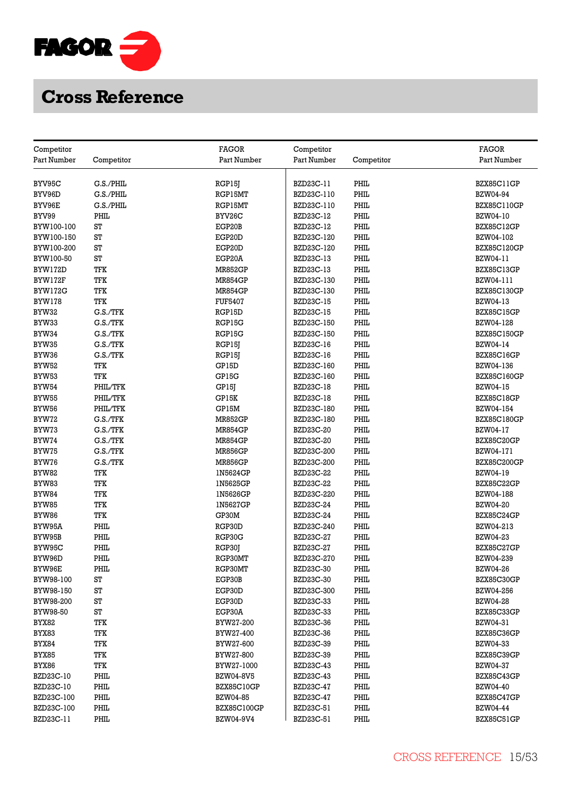

| Competitor     |            | <b>FAGOR</b>             | Competitor                    |            | <b>FAGOR</b>       |
|----------------|------------|--------------------------|-------------------------------|------------|--------------------|
| Part Number    | Competitor | Part Number              | Part Number                   | Competitor | Part Number        |
|                |            |                          |                               |            |                    |
| BYV95C         | G.S./PHIL  | RGP15J                   | BZD23C-11                     | PHIL       | BZX85C11GP         |
| BYV96D         | G.S./PHIL  | RGP15MT                  | BZD23C-110                    | PHIL       | BZW04-94           |
| BYV96E         | G.S./PHIL  | RGP15MT                  | BZD23C-110                    | PHIL       | <b>BZX85C110GP</b> |
| BYV99          | PHIL       | BYV26C                   | <b>BZD23C-12</b>              | PHIL       | BZW04-10           |
| BYW100-100     | ST         | EGP20B                   | <b>BZD23C-12</b>              | PHIL       | BZX85C12GP         |
| BYW100-150     | ST         | EGP20D                   | BZD23C-120                    | PHIL       | BZW04-102          |
| BYW100-200     | ST         | EGP20D                   | BZD23C-120                    | PHIL       | <b>BZX85C120GP</b> |
| BYW100-50      | ST         | EGP20A                   | BZD23C-13                     | PHIL       | BZW04-11           |
| BYW172D        | TFK        | <b>MR852GP</b>           | BZD23C-13                     | PHIL       | BZX85C13GP         |
| BYW172F        | TFK        | <b>MR854GP</b>           |                               | PHIL       | BZW04-111          |
| BYW172G        | TFK        | <b>MR854GP</b>           | BZD23C-130<br>BZD23C-130      | PHIL       | BZX85C130GP        |
|                | TFK        |                          |                               | PHIL       | BZW04-13           |
| <b>BYW178</b>  | G.S./TFK   | <b>FUF5407</b><br>RGP15D | BZD23C-15<br><b>BZD23C-15</b> | PHIL       | <b>BZX85C15GP</b>  |
| BYW32<br>BYW33 | G.S./TFK   | RGP15G                   | BZD23C-150                    | PHIL       | BZW04-128          |
|                | G.S./TFK   |                          |                               | PHIL       |                    |
| BYW34          |            | RGP15G                   | BZD23C-150                    |            | <b>BZX85C150GP</b> |
| BYW35          | G.S./TFK   | RGP15J                   | <b>BZD23C-16</b>              | PHIL       | BZW04-14           |
| BYW36          | G.S./TFK   | RGP15J                   | <b>BZD23C-16</b>              | PHIL       | BZX85C16GP         |
| <b>BYW52</b>   | TFK        | GP15D                    | BZD23C-160                    | PHIL       | BZW04-136          |
| BYW53          | TFK        | GP15G                    | BZD23C-160                    | PHIL       | <b>BZX85C160GP</b> |
| <b>BYW54</b>   | PHIL/TFK   | GP15J                    | BZD23C-18                     | PHIL       | BZW04-15           |
| BYW55          | PHIL/TFK   | GP15K                    | <b>BZD23C-18</b>              | PHIL       | BZX85C18GP         |
| <b>BYW56</b>   | PHIL/TFK   | GP15M                    | BZD23C-180                    | PHIL       | BZW04-154          |
| BYW72          | G.S./TFK   | <b>MR852GP</b>           | BZD23C-180                    | PHIL       | <b>BZX85C180GP</b> |
| BYW73          | G.S./TFK   | <b>MR854GP</b>           | <b>BZD23C-20</b>              | PHIL       | BZW04-17           |
| BYW74          | G.S./TFK   | <b>MR854GP</b>           | BZD23C-20                     | PHIL       | BZX85C20GP         |
| BYW75          | G.S./TFK   | <b>MR856GP</b>           | BZD23C-200                    | PHIL       | BZW04-171          |
| BYW76          | G.S./TFK   | <b>MR856GP</b>           | BZD23C-200                    | PHIL       | BZX85C200GP        |
| BYW82          | TFK        | 1N5624GP                 | BZD23C-22                     | PHIL       | BZW04-19           |
| BYW83          | TFK        | 1N5625GP                 | <b>BZD23C-22</b>              | PHIL       | BZX85C22GP         |
| <b>BYW84</b>   | TFK        | 1N5626GP                 | BZD23C-220                    | PHIL       | BZW04-188          |
| BYW85          | TFK        | 1N5627GP                 | BZD23C-24                     | PHIL       | <b>BZW04-20</b>    |
| BYW86          | TFK        | GP30M                    | BZD23C-24                     | PHIL       | BZX85C24GP         |
| BYW95A         | PHIL       | RGP30D                   | BZD23C-240                    | PHIL       | BZW04-213          |
| BYW95B         | PHIL       | RGP30G                   | BZD23C-27                     | PHIL       | BZW04-23           |
| BYW95C         | PHIL       | RGP30J                   | <b>BZD23C-27</b>              | PHIL       | <b>BZX85C27GP</b>  |
| BYW96D         | PHIL       | RGP30MT                  | BZD23C-270                    | PHIL       | BZW04-239          |
| BYW96E         | PHIL       | RGP30MT                  | BZD23C-30                     | PHIL       | BZW04-26           |
| BYW98-100      | ST         | EGP30B                   | <b>BZD23C-30</b>              | PHIL       | BZX85C30GP         |
| BYW98-150      | ST         | EGP30D                   | BZD23C-300                    | PHIL       | BZW04-256          |
| BYW98-200      | ST         | EGP30D                   | BZD23C-33                     | PHIL       | <b>BZW04-28</b>    |
| BYW98-50       | ST         | EGP30A                   | BZD23C-33                     | PHIL       | BZX85C33GP         |
| BYX82          | TFK        | BYW27-200                | <b>BZD23C-36</b>              | PHIL       | BZW04-31           |
| BYX83          | TFK        | BYW27-400                | BZD23C-36                     | PHIL       | BZX85C36GP         |
| <b>BYX84</b>   | TFK        | BYW27-600                | BZD23C-39                     | PHIL       | BZW04-33           |
| BYX85          | TFK        | BYW27-800                | <b>BZD23C-39</b>              | PHIL       | BZX85C39GP         |
| BYX86          | TFK        | BYW27-1000               | BZD23C-43                     | PHIL       | BZW04-37           |
| BZD23C-10      | PHIL       | <b>BZW04-8V5</b>         | <b>BZD23C-43</b>              | PHIL       | BZX85C43GP         |
| BZD23C-10      | PHIL       | BZX85C10GP               | <b>BZD23C-47</b>              | PHIL       | <b>BZW04-40</b>    |
| BZD23C-100     | PHIL       | BZW04-85                 | BZD23C-47                     | PHIL       | BZX85C47GP         |
| BZD23C-100     | PHIL       | <b>BZX85C100GP</b>       | BZD23C-51                     | PHIL       | <b>BZW04-44</b>    |
| BZD23C-11      | PHIL       | BZW04-9V4                | BZD23C-51                     | PHIL       | BZX85C51GP         |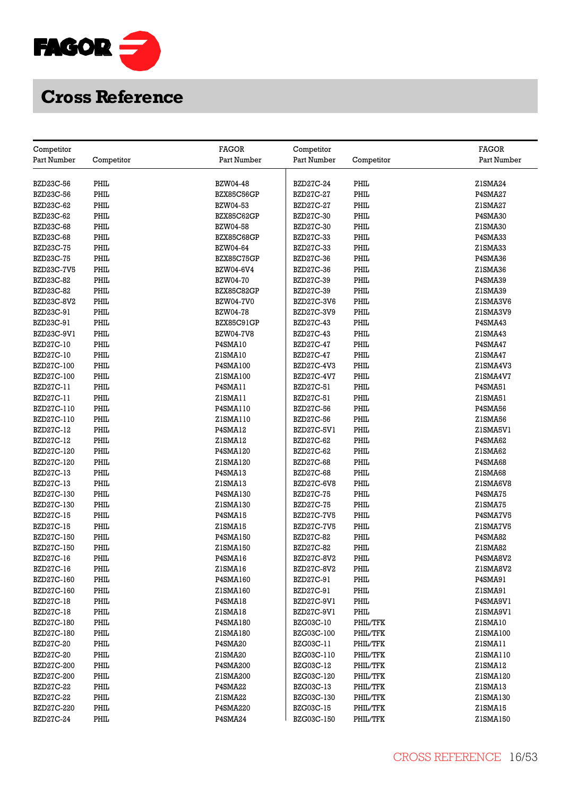

| <b>FAGOR</b><br>Competitor<br>Competitor                                | <b>FAGOR</b> |
|-------------------------------------------------------------------------|--------------|
| Part Number<br>Competitor<br>Part Number<br>Part Number<br>Competitor   | Part Number  |
|                                                                         |              |
| PHIL<br>BZD23C-56<br><b>BZW04-48</b><br><b>BZD27C-24</b><br>PHIL        | ZISMA24      |
| PHIL<br>PHIL<br>BZD23C-56<br>BZX85C56GP<br><b>BZD27C-27</b>             | P4SMA27      |
| PHIL<br>PHIL<br><b>BZW04-53</b><br>BZD23C-62<br>BZD27C-27               | ZISMA27      |
| PHIL<br>PHIL<br><b>BZD23C-62</b><br>BZX85C62GP<br><b>BZD27C-30</b>      | P4SMA30      |
| <b>BZD23C-68</b><br>PHIL<br><b>BZW04-58</b><br><b>BZD27C-30</b><br>PHIL | Z1SMA30      |
| PHIL<br>PHIL<br><b>BZD23C-68</b><br>BZX85C68GP<br>BZD27C-33             | P4SMA33      |
| PHIL<br><b>BZD23C-75</b><br>PHIL<br>BZW04-64<br><b>BZD27C-33</b>        | Z1SMA33      |
| PHIL<br>PHIL<br><b>BZD23C-75</b><br><b>BZX85C75GP</b><br>BZD27C-36      | P4SMA36      |
| PHIL<br><b>BZD23C-7V5</b><br>BZW04-6V4<br><b>BZD27C-36</b><br>PHIL      | Z1SMA36      |
| PHIL<br>PHIL<br><b>BZD23C-82</b><br><b>BZW04-70</b><br>BZD27C-39        | P4SMA39      |
| <b>BZD23C-82</b><br>PHIL<br>BZX85C82GP<br><b>BZD27C-39</b><br>PHIL      | Z1SMA39      |
| PHIL<br>PHIL<br>BZD23C-8V2<br><b>BZW04-7V0</b><br><b>BZD27C-3V6</b>     | Z1SMA3V6     |
| BZD23C-91<br>PHIL<br><b>BZW04-78</b><br>BZD27C-3V9<br>PHIL              | Z1SMA3V9     |
| BZD23C-91<br>PHIL<br>PHIL<br>BZX85C91GP<br><b>BZD27C-43</b>             | P4SMA43      |
| PHIL<br>PHIL<br>BZD23C-9V1<br><b>BZW04-7V8</b><br><b>BZD27C-43</b>      | Z1SMA43      |
| <b>BZD27C-10</b><br>PHIL<br>P4SMA10<br><b>BZD27C-47</b><br>PHIL         | P4SMA47      |
| PHIL<br>PHIL<br>BZD27C-10<br>ZISMA10<br>BZD27C-47                       | ZISMA47      |
| PHIL<br>PHIL<br><b>BZD27C-100</b><br>P4SMA100<br><b>BZD27C-4V3</b>      | ZISMA4V3     |
| PHIL<br>PHIL<br><b>BZD27C-100</b><br>Z1SMA100<br>BZD27C-4V7             | ZISMA4V7     |
| BZD27C-11<br>PHIL<br>PHIL<br>P4SMA11<br>BZD27C-51                       | P4SMA51      |
| PHIL<br><b>BZD27C-11</b><br>PHIL<br>ZISMA11<br>BZD27C-51                | ZISMA51      |
| BZD27C-110<br>PHIL<br>P4SMA110<br>PHIL<br><b>BZD27C-56</b>              | P4SMA56      |
| PHIL<br>PHIL<br>BZD27C-110<br>Z1SMA110<br><b>BZD27C-56</b>              | ZISMA56      |
| <b>BZD27C-12</b><br>PHIL<br>P4SMA12<br>PHIL<br>BZD27C-5V1               | ZISMA5VI     |
| PHIL<br><b>BZD27C-12</b><br>PHIL<br>ZISMA12<br>BZD27C-62                | P4SMA62      |
| PHIL<br>BZD27C-120<br>PHIL<br>P4SMA120<br><b>BZD27C-62</b>              | Z1SMA62      |
| PHIL<br>PHIL<br>BZD27C-120<br>Z1SMA120<br><b>BZD27C-68</b>              | P4SMA68      |
| PHIL<br>PHIL<br><b>BZD27C-13</b><br>P4SMA13<br><b>BZD27C-68</b>         | Z1SMA68      |
| PHIL<br>PHIL<br><b>BZD27C-13</b><br>Z1SMA13<br>BZD27C-6V8               | ZISMA6V8     |
| PHIL<br>PHIL<br>BZD27C-130<br>P4SMA130<br><b>BZD27C-75</b>              | P4SMA75      |
| PHIL<br>PHIL<br>BZD27C-130<br>Z1SMA130<br><b>BZD27C-75</b>              | ZISMA75      |
| PHIL<br>PHIL<br><b>BZD27C-15</b><br>P4SMA15<br><b>BZD27C-7V5</b>        | P4SMA7V5     |
| PHIL<br>PHIL<br><b>BZD27C-15</b><br>ZISMA15<br><b>BZD27C-7V5</b>        | ZISMA7V5     |
| PHIL<br>PHIL<br>BZD27C-150<br>P4SMA150<br><b>BZD27C-82</b>              | P4SMA82      |
| PHIL<br>PHIL<br>BZD27C-150<br>Z1SMA150<br><b>BZD27C-82</b>              | Z1SMA82      |
| PHIL<br>PHIL<br><b>BZD27C-16</b><br>P4SMA16<br>BZD27C-8V2               | P4SMA8V2     |
| PHIL<br>PHIL<br>BZD27C-16<br>ZISMA16<br>BZD27C-8V2                      | ZISMA8V2     |
| PHIL<br>PHIL<br>BZD27C-160<br>P4SMA160<br>BZD27C-91                     | P4SMA91      |
| BZD27C-160<br>PHIL<br>Z1SMA160<br>BZD27C-91<br>PHIL                     | ZISMA91      |
| <b>BZD27C-18</b><br>PHIL<br>PHIL<br>P4SMA18<br>BZD27C-9V1               | P4SMA9V1     |
| PHIL<br>PHIL<br><b>BZD27C-18</b><br>ZISMA18<br>BZD27C-9V1               | Z1SMA9V1     |
| <b>BZD27C-180</b><br>PHIL<br>P4SMA180<br>BZG03C-10<br>PHIL/TFK          | ZISMA10      |
| PHIL<br>PHIL/TFK<br>BZD27C-180<br>Z1SMA180<br>BZG03C-100                | Z1SMA100     |
| <b>BZD27C-20</b><br>PHIL<br>P4SMA20<br>BZG03C-11<br>PHIL/TFK            | ZISMA11      |
| PHIL<br>PHIL/TFK<br><b>BZD27C-20</b><br>Z1SMA20<br>BZG03C-110           | Z1SMA110     |
| PHIL<br><b>P4SMA200</b><br>PHIL/TFK<br>BZD27C-200<br>BZG03C-12          | ZISMA12      |
| <b>BZD27C-200</b><br>PHIL<br>Z1SMA200<br>PHIL/TFK<br>BZG03C-120         | Z1SMA120     |
| <b>BZD27C-22</b><br>PHIL<br>P4SMA22<br>PHIL/TFK<br>BZG03C-13            | ZISMA13      |
| PHIL<br><b>BZD27C-22</b><br>ZISMA22<br>BZG03C-130<br>PHIL/TFK           | Z1SMA130     |
| <b>BZD27C-220</b><br>PHIL<br>P4SMA220<br>PHIL/TFK<br><b>BZG03C-15</b>   | ZISMA15      |
| PHIL<br><b>BZD27C-24</b><br><b>P4SMA24</b><br>BZG03C-150<br>PHIL/TFK    | Z1SMA150     |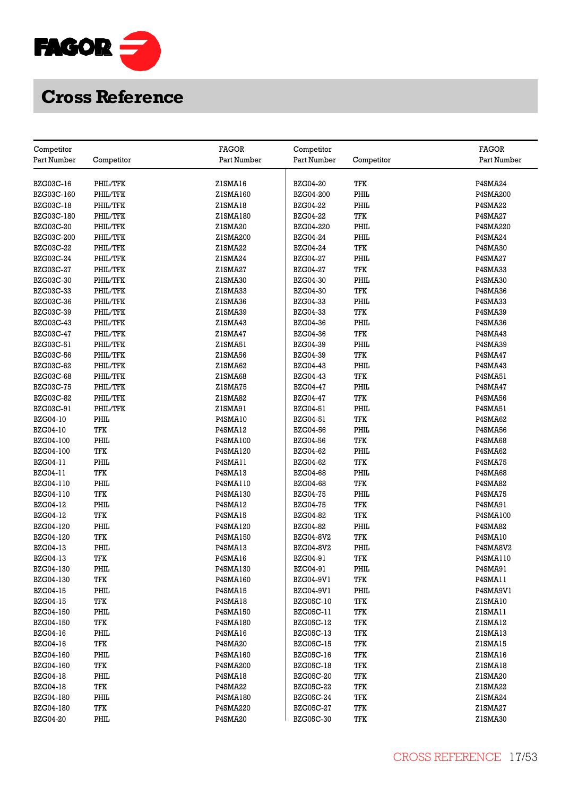

| Competitor       |            | <b>FAGOR</b>    | Competitor       |            | <b>FAGOR</b>    |
|------------------|------------|-----------------|------------------|------------|-----------------|
| Part Number      | Competitor | Part Number     | Part Number      | Competitor | Part Number     |
|                  |            |                 |                  |            |                 |
| <b>BZG03C-16</b> | PHIL/TFK   | ZISMA16         | <b>BZG04-20</b>  | TFK        | P4SMA24         |
| BZG03C-160       | PHIL/TFK   | Z1SMA160        | <b>BZG04-200</b> | PHIL       | <b>P4SMA200</b> |
| <b>BZG03C-18</b> | PHIL/TFK   | ZISMA18         | <b>BZG04-22</b>  | PHIL       | P4SMA22         |
| BZG03C-180       | PHIL/TFK   | Z1SMA180        | <b>BZG04-22</b>  | TFK        | P4SMA27         |
| <b>BZG03C-20</b> | PHIL/TFK   | Z1SMA20         | <b>BZG04-220</b> | PHIL       | <b>P4SMA220</b> |
| BZG03C-200       | PHIL/TFK   | Z1SMA200        | <b>BZG04-24</b>  | PHIL       | P4SMA24         |
| <b>BZG03C-22</b> | PHIL/TFK   | ZISMA22         | <b>BZG04-24</b>  | TFK        | P4SMA30         |
| BZG03C-24        | PHIL/TFK   | ZISMA24         | <b>BZG04-27</b>  | PHIL       | P4SMA27         |
| <b>BZG03C-27</b> | PHIL/TFK   | Z1SMA27         | <b>BZG04-27</b>  | TFK        | P4SMA33         |
| BZG03C-30        | PHIL/TFK   | Z1SMA30         | <b>BZG04-30</b>  | PHIL       | P4SMA30         |
| <b>BZG03C-33</b> | PHIL/TFK   | Z1SMA33         | <b>BZG04-30</b>  | TFK        | P4SMA36         |
| <b>BZG03C-36</b> | PHIL/TFK   | Z1SMA36         | <b>BZG04-33</b>  | PHIL       | P4SMA33         |
| <b>BZG03C-39</b> | PHIL/TFK   | Z1SMA39         | <b>BZG04-33</b>  | TFK        | P4SMA39         |
| <b>BZG03C-43</b> | PHIL/TFK   | ZISMA43         | <b>BZG04-36</b>  | PHIL       | P4SMA36         |
| <b>BZG03C-47</b> | PHIL/TFK   | ZISMA47         | <b>BZG04-36</b>  | TFK        | P4SMA43         |
| BZG03C-51        | PHIL/TFK   | ZISMA51         | <b>BZG04-39</b>  | PHIL       | P4SMA39         |
| BZG03C-56        | PHIL/TFK   | Z1SMA56         | <b>BZG04-39</b>  | TFK        | P4SMA47         |
| <b>BZG03C-62</b> | PHIL/TFK   | Z1SMA62         | <b>BZG04-43</b>  | PHIL       | P4SMA43         |
| <b>BZG03C-68</b> | PHIL/TFK   | Z1SMA68         | <b>BZG04-43</b>  | TFK        | P4SMA51         |
| <b>BZG03C-75</b> | PHIL/TFK   | Z1SMA75         | <b>BZG04-47</b>  | PHIL       | P4SMA47         |
| <b>BZG03C-82</b> | PHIL/TFK   | Z1SMA82         | <b>BZG04-47</b>  | TFK        | P4SMA56         |
| BZG03C-91        | PHIL/TFK   | ZISMA91         | BZG04-51         | PHIL       | P4SMA51         |
| <b>BZG04-10</b>  | PHIL       | P4SMA10         | BZG04-51         | TFK        | P4SMA62         |
| <b>BZG04-10</b>  | TFK        | P4SMA12         | <b>BZG04-56</b>  | PHIL       | P4SMA56         |
| BZG04-100        | PHIL       | P4SMA100        | <b>BZG04-56</b>  | <b>TFK</b> | P4SMA68         |
| BZG04-100        | TFK        | <b>P4SMA120</b> | <b>BZG04-62</b>  | PHIL       | P4SMA62         |
| BZG04-11         | PHIL       | P4SMA11         | <b>BZG04-62</b>  | TFK        | P4SMA75         |
| BZG04-11         | TFK        | P4SMA13         | <b>BZG04-68</b>  | PHIL       | P4SMA68         |
| BZG04-110        | PHIL       | <b>P4SMA110</b> | <b>BZG04-68</b>  | TFK        | P4SMA82         |
| BZG04-110        | TFK        | P4SMA130        | <b>BZG04-75</b>  | PHIL       | P4SMA75         |
| <b>BZG04-12</b>  | PHIL       | P4SMA12         | <b>BZG04-75</b>  | TFK        | P4SMA91         |
| <b>BZG04-12</b>  | TFK        | P4SMA15         | <b>BZG04-82</b>  | TFK        | P4SMA100        |
| BZG04-120        | PHIL       | P4SMA120        | <b>BZG04-82</b>  | PHIL       | P4SMA82         |
| BZG04-120        | TFK        | P4SMA150        | <b>BZG04-8V2</b> | TFK        | P4SMA10         |
| <b>BZG04-13</b>  | PHIL       | P4SMA13         | BZG04-8V2        | PHIL       | P4SMA8V2        |
| <b>BZG04-13</b>  | TFK        | P4SMA16         | BZG04-91         | TFK        | P4SMA110        |
| BZG04-130        | PHIL       | P4SMA130        | BZG04-91         | PHIL       | P4SMA91         |
| BZG04-130        | TFK        | P4SMA160        | <b>BZG04-9V1</b> | TFK        | P4SMA11         |
| <b>BZG04-15</b>  | PHIL       | P4SMA15         | <b>BZG04-9V1</b> | PHIL       | P4SMA9V1        |
| <b>BZG04-15</b>  | TFK        | P4SMA18         | <b>BZG05C-10</b> | TFK        | ZISMA10         |
| BZG04-150        | PHIL       | <b>P4SMA150</b> | BZG05C-11        | TFK        | ZISMA11         |
| BZG04-150        | TFK        | P4SMA180        | <b>BZG05C-12</b> | TFK        | ZISMA12         |
| <b>BZG04-16</b>  | PHIL       | P4SMA16         | <b>BZG05C-13</b> | TFK        | ZISMA13         |
| <b>BZG04-16</b>  | TFK        | P4SMA20         | <b>BZG05C-15</b> | <b>TFK</b> | ZISMA15         |
| <b>BZG04-160</b> | PHIL       | <b>P4SMA160</b> | <b>BZG05C-16</b> | TFK        | ZISMA16         |
| BZG04-160        | TFK        | <b>P4SMA200</b> | BZG05C-18        | TFK        | ZISMA18         |
| <b>BZG04-18</b>  | PHIL       | P4SMA18         | <b>BZG05C-20</b> | TFK        | Z1SMA20         |
| <b>BZG04-18</b>  | TFK        | P4SMA22         | <b>BZG05C-22</b> | TFK        | Z1SMA22         |
| BZG04-180        | PHIL       | P4SMA180        | BZG05C-24        | TFK        | Z1SMA24         |
| BZG04-180        | TFK        | P4SMA220        | <b>BZG05C-27</b> | TFK        | Z1SMA27         |
| <b>BZG04-20</b>  | PHIL       | P4SMA20         | <b>BZG05C-30</b> | TFK        | Z1SMA30         |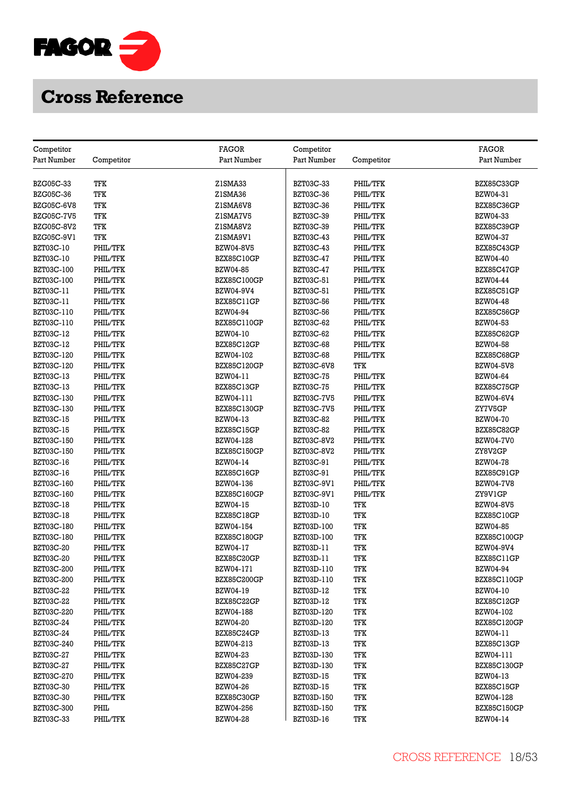

| Competitor        |            | FAGOR              | Competitor        |            | <b>FAGOR</b>       |
|-------------------|------------|--------------------|-------------------|------------|--------------------|
| Part Number       | Competitor | Part Number        | Part Number       | Competitor | Part Number        |
| <b>BZG05C-33</b>  | TFK        | Z1SMA33            | BZT03C-33         | PHIL/TFK   | BZX85C33GP         |
| BZG05C-36         | TFK        | Z1SMA36            | <b>BZT03C-36</b>  | PHIL/TFK   | BZW04-31           |
| <b>BZG05C-6V8</b> | TFK        | ZISMA6V8           | <b>BZT03C-36</b>  | PHIL/TFK   | BZX85C36GP         |
| <b>BZG05C-7V5</b> | TFK        | ZISMA7V5           | BZT03C-39         | PHIL/TFK   | BZW04-33           |
| <b>BZG05C-8V2</b> | TFK        | ZISMA8V2           | BZT03C-39         | PHIL/TFK   | BZX85C39GP         |
|                   |            |                    |                   |            |                    |
| BZG05C-9V1        | TFK        | ZISMA9VI           | <b>BZT03C-43</b>  | PHIL/TFK   | BZW04-37           |
| BZT03C-10         | PHIL/TFK   | <b>BZW04-8V5</b>   | <b>BZT03C-43</b>  | PHIL/TFK   | BZX85C43GP         |
| BZT03C-10         | PHIL/TFK   | BZX85C10GP         | <b>BZT03C-47</b>  | PHIL/TFK   | <b>BZW04-40</b>    |
| BZT03C-100        | PHIL/TFK   | <b>BZW04-85</b>    | <b>BZT03C-47</b>  | PHIL/TFK   | BZX85C47GP         |
| BZT03C-100        | PHIL/TFK   | <b>BZX85C100GP</b> | BZT03C-51         | PHIL/TFK   | <b>BZW04-44</b>    |
| BZT03C-11         | PHIL/TFK   | BZW04-9V4          | BZT03C-51         | PHIL/TFK   | BZX85C51GP         |
| BZT03C-11         | PHIL/TFK   | BZX85C11GP         | <b>BZT03C-56</b>  | PHIL/TFK   | <b>BZW04-48</b>    |
| BZT03C-110        | PHIL/TFK   | <b>BZW04-94</b>    | BZT03C-56         | PHIL/TFK   | BZX85C56GP         |
| BZT03C-110        | PHIL/TFK   | <b>BZX85C110GP</b> | BZT03C-62         | PHIL/TFK   | BZW04-53           |
| BZT03C-12         | PHIL/TFK   | BZW04-10           | BZT03C-62         | PHIL/TFK   | BZX85C62GP         |
| BZT03C-12         | PHIL/TFK   | BZX85C12GP         | <b>BZT03C-68</b>  | PHIL/TFK   | <b>BZW04-58</b>    |
| BZT03C-120        | PHIL/TFK   | BZW04-102          | <b>BZT03C-68</b>  | PHIL/TFK   | BZX85C68GP         |
| BZT03C-120        | PHIL/TFK   | <b>BZX85C120GP</b> | BZT03C-6V8        | TFK        | <b>BZW04-5V8</b>   |
| BZT03C-13         | PHIL/TFK   | BZW04-11           | <b>BZT03C-75</b>  | PHIL/TFK   | BZW04-64           |
| BZT03C-13         | PHIL/TFK   | BZX85C13GP         | <b>BZT03C-75</b>  | PHIL/TFK   | <b>BZX85C75GP</b>  |
| BZT03C-130        | PHIL/TFK   | BZW04-111          | <b>BZT03C-7V5</b> | PHIL/TFK   | BZW04-6V4          |
| BZT03C-130        | PHIL/TFK   | <b>BZX85C130GP</b> | <b>BZT03C-7V5</b> | PHIL/TFK   | ZY7V5GP            |
| BZT03C-15         | PHIL/TFK   | BZW04-13           | <b>BZT03C-82</b>  | PHIL/TFK   | <b>BZW04-70</b>    |
| <b>BZT03C-15</b>  | PHIL/TFK   | BZX85C15GP         | <b>BZT03C-82</b>  | PHIL/TFK   | BZX85C82GP         |
| BZT03C-150        | PHIL/TFK   | BZW04-128          | BZT03C-8V2        | PHIL/TFK   | <b>BZW04-7V0</b>   |
| BZT03C-150        | PHIL/TFK   | <b>BZX85C150GP</b> | <b>BZT03C-8V2</b> | PHIL/TFK   | ZY8V2GP            |
| BZT03C-16         | PHIL/TFK   | BZW04-14           | BZT03C-91         | PHIL/TFK   | <b>BZW04-78</b>    |
| BZT03C-16         | PHIL/TFK   | BZX85C16GP         | BZT03C-91         | PHIL/TFK   | BZX85C91GP         |
| BZT03C-160        | PHIL/TFK   | BZW04-136          | BZT03C-9V1        | PHIL/TFK   | <b>BZW04-7V8</b>   |
| BZT03C-160        | PHIL/TFK   | <b>BZX85C160GP</b> | BZT03C-9V1        | PHIL/TFK   | ZY9V1GP            |
| <b>BZT03C-18</b>  | PHIL/TFK   | BZW04-15           | BZT03D-10         | <b>TFK</b> | <b>BZW04-8V5</b>   |
| <b>BZT03C-18</b>  | PHIL/TFK   | BZX85C18GP         | <b>BZT03D-10</b>  | TFK        | BZX85C10GP         |
| BZT03C-180        | PHIL/TFK   | BZW04-154          | BZT03D-100        | <b>TFK</b> | BZW04-85           |
| BZT03C-180        | PHIL/TFK   | <b>BZX85C180GP</b> | BZT03D-100        | TFK        | BZX85C100GP        |
| <b>BZT03C-20</b>  | PHIL/TFK   | BZW04-17           | BZT03D-11         | TFK        | BZW04-9V4          |
| <b>BZT03C-20</b>  | PHIL/TFK   | BZX85C20GP         | BZT03D-11         | TFK        | BZX85C11GP         |
| <b>BZT03C-200</b> | PHIL/TFK   | BZW04-171          | BZT03D-110        | TFK        | BZW04-94           |
| BZT03C-200        | PHIL/TFK   | <b>BZX85C200GP</b> | BZT03D-110        | TFK        | BZX85C110GP        |
| <b>BZT03C-22</b>  | PHIL/TFK   | BZW04-19           | BZT03D-12         | TFK        | BZW04-10           |
| <b>BZT03C-22</b>  | PHIL/TFK   | BZX85C22GP         | BZT03D-12         | TFK        | BZX85C12GP         |
| <b>BZT03C-220</b> | PHIL/TFK   | BZW04-188          | BZT03D-120        | TFK        | BZW04-102          |
| BZT03C-24         | PHIL/TFK   | <b>BZW04-20</b>    | BZT03D-120        | TFK        | <b>BZX85C120GP</b> |
| <b>BZT03C-24</b>  | PHIL/TFK   | BZX85C24GP         | BZT03D-13         | TFK        | BZW04-11           |
| BZT03C-240        | PHIL/TFK   | BZW04-213          | BZT03D-13         | TFK        | BZX85C13GP         |
| BZT03C-27         | PHIL/TFK   | BZW04-23           | BZT03D-130        | TFK        | BZW04-111          |
| <b>BZT03C-27</b>  | PHIL/TFK   | <b>BZX85C27GP</b>  | BZT03D-130        | TFK        | BZX85C130GP        |
| BZT03C-270        | PHIL/TFK   | BZW04-239          | BZT03D-15         | TFK        | BZW04-13           |
| BZT03C-30         | PHIL/TFK   | BZW04-26           | BZT03D-15         | <b>TFK</b> | <b>BZX85C15GP</b>  |
|                   |            |                    |                   |            |                    |
| BZT03C-30         | PHIL/TFK   | BZX85C30GP         | BZT03D-150        | TFK        | BZW04-128          |
| <b>BZT03C-300</b> | PHIL       | BZW04-256          | BZT03D-150        | TFK        | <b>BZX85C150GP</b> |
| BZT03C-33         | PHIL/TFK   | <b>BZW04-28</b>    | BZT03D-16         | TFK        | BZW04-14           |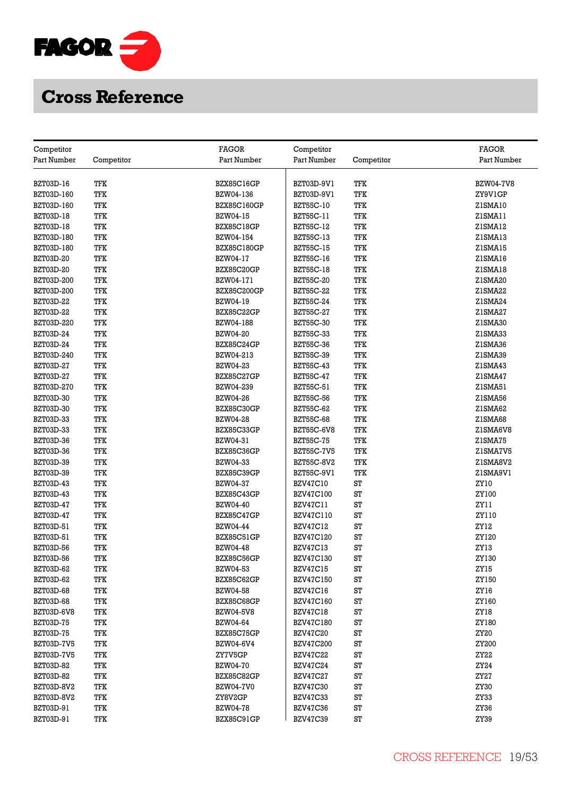

|                                |            | <b>FAGOR</b>                   |                                    |            | <b>FAGOR</b>     |
|--------------------------------|------------|--------------------------------|------------------------------------|------------|------------------|
| Competitor<br>Part Number      | Competitor | Part Number                    | Competitor<br>Part Number          | Competitor | Part Number      |
|                                |            |                                |                                    |            |                  |
| BZT03D-16                      | TFK        | BZX85C16GP                     | BZT03D-9V1                         | TFK        | <b>BZW04-7V8</b> |
| BZT03D-160                     | TFK        | BZW04-136                      | BZT03D-9V1                         | TFK        | ZY9V1GP          |
| BZT03D-160                     | TFK        | BZX85C160GP                    | BZT55C-10                          | TFK        | ZISMA10          |
| BZT03D-18                      | TFK        | BZW04-15                       | BZT55C-11                          | TFK        | ZISMA11          |
| BZT03D-18                      | TFK        | BZX85C18GP                     | BZT55C-12                          | TFK        | ZISMA12          |
| BZT03D-180                     | TFK        | BZW04-154                      | BZT55C-13                          | TFK        | ZISMA13          |
| BZT03D-180                     | TFK        | <b>BZX85C180GP</b>             | BZT55C-15                          | TFK        | ZISMA15          |
| BZT03D-20                      | TFK        | BZW04-17                       | BZT55C-16                          | TFK        | ZISMA16          |
| <b>BZT03D-20</b>               | TFK        | BZX85C20GP                     | <b>BZT55C-18</b>                   | TFK        | ZISMA18          |
| BZT03D-200                     | TFK        | BZW04-171                      | BZT55C-20                          | TFK        | Z1SMA20          |
| BZT03D-200                     | TFK        | <b>BZX85C200GP</b>             | <b>BZT55C-22</b>                   | TFK        | Z1SMA22          |
| BZT03D-22                      | TFK        | BZW04-19                       | <b>BZT55C-24</b>                   | TFK        | Z1SMA24          |
| BZT03D-22                      | TFK        | BZX85C22GP                     | <b>BZT55C-27</b>                   | TFK        | Z1SMA27          |
| BZT03D-220                     | TFK        | BZW04-188                      | <b>BZT55C-30</b>                   | TFK        | Z1SMA30          |
| <b>BZT03D-24</b>               | TFK        | <b>BZW04-20</b>                | <b>BZT55C-33</b>                   | TFK        | ZISMA33          |
| BZT03D-24                      | TFK        | BZX85C24GP                     | BZT55C-36                          | TFK        | Z1SMA36          |
| BZT03D-240                     | TFK        | BZW04-213                      | BZT55C-39                          | TFK        | Z1SMA39          |
| BZT03D-27                      | TFK        | BZW04-23                       | <b>BZT55C-43</b>                   | TFK        | Z1SMA43          |
| BZT03D-27                      | TFK        | <b>BZX85C27GP</b>              | <b>BZT55C-47</b>                   | TFK        | ZISMA47          |
| BZT03D-270                     | TFK        | BZW04-239                      | BZT55C-51                          | TFK        | Z1SMA51          |
| BZT03D-30                      | TFK        | <b>BZW04-26</b>                | <b>BZT55C-56</b>                   | TFK        | Z1SMA56          |
| <b>BZT03D-30</b>               | TFK        | BZX85C30GP                     | BZT55C-62                          | TFK        | Z1SMA62          |
| <b>BZT03D-33</b>               | TFK        | <b>BZW04-28</b>                | <b>BZT55C-68</b>                   | TFK        | ZISMA68          |
| BZT03D-33                      | TFK        | BZX85C33GP                     | BZT55C-6V8                         | TFK        | Z1SMA6V8         |
| BZT03D-36                      | TFK        | BZW04-31                       | <b>BZT55C-75</b>                   | TFK        | ZISMA75          |
| BZT03D-36                      | TFK        | BZX85C36GP                     | <b>BZT55C-7V5</b>                  | TFK        | ZISMA7V5         |
| BZT03D-39                      | TFK        | BZW04-33                       |                                    | <b>TFK</b> | ZISMA8V2         |
| BZT03D-39                      | TFK        | BZX85C39GP                     | BZT55C-8V2<br>BZT55C-9V1           | TFK        | ZISMA9VI         |
| BZT03D-43                      | TFK        | <b>BZW04-37</b>                | <b>BZV47C10</b>                    | ST         |                  |
| BZT03D-43                      | TFK        | BZX85C43GP                     | <b>BZV47C100</b>                   | ST         | ZY 10<br>ZY100   |
| BZT03D-47                      | TFK        | <b>BZW04-40</b>                | <b>BZV47C11</b>                    | ST         | ZY11             |
| BZT03D-47                      | TFK        | BZX85C47GP                     | <b>BZV47C110</b>                   | ST         | ZY110            |
| BZT03D-51                      | TFK        | BZW04-44                       | <b>BZV47C12</b>                    | ST         | ZY12             |
| BZT03D-51                      | TFK        | BZX85C51GP                     | <b>BZV47C120</b>                   | ST         | ZY120            |
| <b>BZT03D-56</b>               | TFK        | <b>BZW04-48</b>                | <b>BZV47C13</b>                    | ST         | ZY13             |
| <b>BZT03D-56</b>               | TFK        | BZX85C56GP                     | <b>BZV47C130</b>                   | ST         | ZY130            |
| BZT03D-62                      | TFK        | BZW04-53                       | <b>BZV47C15</b>                    | ST         | ZY15             |
| BZT03D-62                      | TFK        | BZX85C62GP                     | <b>BZV47C150</b>                   | ST         | ZY150            |
| <b>BZT03D-68</b>               | TFK        | <b>BZW04-58</b>                | <b>BZV47C16</b>                    | ST         | ZY16             |
| <b>BZT03D-68</b>               | TFK        | BZX85C68GP                     | <b>BZV47C160</b>                   | ST         | ZY160            |
| BZT03D-6V8                     | TFK        | <b>BZW04-5V8</b>               | <b>BZV47C18</b>                    | ST         | ZY18             |
| <b>BZT03D-75</b>               | TFK        | BZW04-64                       | <b>BZV47C180</b>                   | ST         | ZY180            |
| <b>BZT03D-75</b>               | TFK        | BZX85C75GP                     | <b>BZV47C20</b>                    | ST         | ZY20             |
| BZT03D-7V5                     | TFK        | BZW04-6V4                      | <b>BZV47C200</b>                   | ST         | ZY200            |
| BZT03D-7V5                     | TFK        | ZY7V5GP                        | <b>BZV47C22</b>                    | ST         | ZY22             |
| BZT03D-82                      | TFK        | <b>BZW04-70</b>                | <b>BZV47C24</b>                    | ST         | ZY24             |
|                                | TFK        |                                |                                    | ST         | ZY27             |
| <b>BZT03D-82</b><br>BZT03D-8V2 | TFK        | BZX85C82GP<br><b>BZW04-7V0</b> | <b>BZV47C27</b><br><b>BZV47C30</b> | ST         | ZY30             |
| BZT03D-8V2                     | TFK        | ZY8V2GP                        | <b>BZV47C33</b>                    | ST         | ZY33             |
| BZT03D-91                      | TFK        | <b>BZW04-78</b>                | <b>BZV47C36</b>                    | ST         | ZY36             |
| BZT03D-91                      | TFK        | BZX85C91GP                     | <b>BZV47C39</b>                    | ST         | ZY39             |
|                                |            |                                |                                    |            |                  |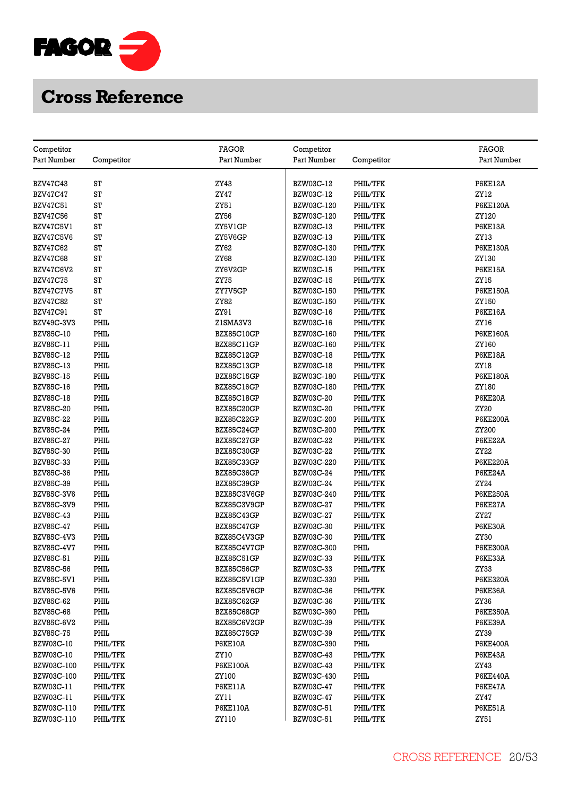

| Part Number<br>Competitor<br>Part Number<br>Part Number<br>Competitor<br>Part Number<br>ST<br>ZY43<br>BZW03C-12<br>PHIL/TFK<br>P6KE12A<br><b>BZV47C43</b><br>ST<br><b>ZY47</b><br><b>BZV47C47</b><br>BZW03C-12<br>PHIL/TFK<br>ZY12<br>ST<br>ZY51<br>BZW03C-120<br>PHIL/TFK<br><b>P6KE120A</b><br>BZV47C51<br>ZY56<br><b>BZV47C56</b><br>ST<br>BZW03C-120<br>PHIL/TFK<br>ZY120<br>BZV47C5V1<br>ST<br>ZY5V1GP<br>BZW03C-13<br>PHIL/TFK<br>P6KE13A<br>BZV47C5V6<br>ST<br>ZY5V6GP<br>BZW03C-13<br>PHIL/TFK<br>ZY13<br>ST<br><b>BZV47C62</b><br>ZY62<br>BZW03C-130<br>PHIL/TFK<br><b>P6KE130A</b><br>ST<br><b>ZY68</b><br>PHIL/TFK<br>ZY130<br><b>BZV47C68</b><br>BZW03C-130<br>BZV47C6V2<br>ST<br>ZY6V2GP<br><b>BZW03C-15</b><br>PHIL/TFK<br><b>P6KE15A</b><br>ST<br><b>BZV47C75</b><br>ZY75<br><b>BZW03C-15</b><br>PHIL/TFK<br>ZY15<br>BZV47C7V5<br>ST<br>ZY7V5GP<br>BZW03C-150<br>PHIL/TFK<br><b>P6KE150A</b><br>ST<br>ZY82<br>PHIL/TFK<br>ZY150<br><b>BZV47C82</b><br>BZW03C-150<br>BZV47C91<br>ST<br>ZY91<br><b>BZW03C-16</b><br>PHIL/TFK<br><b>P6KE16A</b><br>PHIL<br>BZW03C-16<br>PHIL/TFK<br>BZV49C-3V3<br>ZISMA3V3<br>ZY16<br>PHIL<br><b>BZV85C-10</b><br>BZX85C10GP<br>BZW03C-160<br>PHIL/TFK<br><b>P6KE160A</b><br>BZV85C-11<br>PHIL<br>BZX85C11GP<br>BZW03C-160<br>PHIL/TFK<br>ZY160<br><b>BZV85C-12</b><br>PHIL<br><b>BZW03C-18</b><br>PHIL/TFK<br><b>P6KE18A</b><br>BZX85C12GP<br>BZV85C-13<br>PHIL<br>BZX85C13GP<br><b>BZW03C-18</b><br>PHIL/TFK<br>ZY18<br>PHIL<br>PHIL/TFK<br><b>BZV85C-15</b><br>BZX85C15GP<br>BZW03C-180<br><b>P6KE180A</b><br><b>BZV85C-16</b><br>PHIL<br>BZX85C16GP<br>BZW03C-180<br>PHIL/TFK<br>ZY180<br>PHIL<br><b>BZV85C-18</b><br>BZX85C18GP<br><b>BZW03C-20</b><br>PHIL/TFK<br>P6KE20A<br><b>BZV85C-20</b><br>PHIL<br><b>BZW03C-20</b><br>PHIL/TFK<br>ZY20<br>BZX85C20GP<br>PHIL<br>PHIL/TFK<br><b>BZV85C-22</b><br>BZX85C22GP<br>BZW03C-200<br><b>P6KE200A</b><br><b>BZV85C-24</b><br>PHIL<br>BZX85C24GP<br>BZW03C-200<br>PHIL/TFK<br>ZY200<br>PHIL<br><b>BZV85C-27</b><br>BZX85C27GP<br><b>BZW03C-22</b><br>PHIL/TFK<br>P6KE22A<br><b>BZV85C-30</b><br>PHIL<br>BZX85C30GP<br><b>BZW03C-22</b><br>PHIL/TFK<br>ZY22<br>BZV85C-33<br>PHIL<br>BZX85C33GP<br>BZW03C-220<br>PHIL/TFK<br><b>P6KE220A</b><br>PHIL<br>BZW03C-24<br>PHIL/TFK<br>P6KE24A<br>BZV85C-36<br>BZX85C36GP<br><b>BZV85C-39</b><br>PHIL<br>BZW03C-24<br>PHIL/TFK<br>BZX85C39GP<br>ZY24<br>PHIL<br>PHIL/TFK<br><b>BZV85C-3V6</b><br>BZX85C3V6GP<br>BZW03C-240<br><b>P6KE250A</b><br>BZV85C-3V9<br>PHIL<br><b>BZW03C-27</b><br>P6KE27A<br>BZX85C3V9GP<br>PHIL/TFK<br>PHIL<br><b>BZV85C-43</b><br><b>BZW03C-27</b><br>PHIL/TFK<br>ZY27<br>BZX85C43GP<br><b>BZV85C-47</b><br>PHIL<br><b>BZW03C-30</b><br>PHIL/TFK<br>P6KE30A<br>BZX85C47GP<br>PHIL<br>PHIL/TFK<br>ZY30<br><b>BZV85C-4V3</b><br>BZX85C4V3GP<br>BZW03C-30<br><b>BZV85C-4V7</b><br>PHIL<br>BZW03C-300<br>PHIL<br><b>P6KE300A</b><br>BZX85C4V7GP<br>PHIL<br>BZV85C-51<br>BZX85C51GP<br>BZW03C-33<br>PHIL/TFK<br>P6KE33A<br>PHIL<br><b>BZV85C-56</b><br>PHIL/TFK<br>BZX85C56GP<br>BZW03C-33<br>ZY33<br>PHIL<br>PHIL<br><b>P6KE320A</b><br>BZV85C-5V1<br>BZX85C5V1GP<br>BZW03C-330<br>PHIL<br><b>BZV85C-5V6</b><br>BZX85C5V6GP<br><b>BZW03C-36</b><br>PHIL/TFK<br>P6KE36A<br><b>BZV85C-62</b><br>PHIL<br>PHIL/TFK<br>BZX85C62GP<br><b>BZW03C-36</b><br>ZY36<br>PHIL<br><b>BZV85C-68</b><br>BZW03C-360<br>PHIL<br><b>P6KE350A</b><br>BZX85C68GP<br>PHIL<br>P6KE39A<br>BZV85C-6V2<br>BZX85C6V2GP<br>BZW03C-39<br>PHIL/TFK<br>PHIL<br>BZX85C75GP<br>PHIL/TFK<br><b>BZV85C-75</b><br>BZW03C-39<br>ZY39<br>BZW03C-10<br>PHIL/TFK<br>P6KE10A<br>PHIL<br>BZW03C-390<br><b>P6KE400A</b><br>PHIL/TFK<br>BZW03C-10<br>ZY10<br><b>BZW03C-43</b><br>PHIL/TFK<br>P6KE43A<br>BZW03C-100<br>PHIL/TFK<br><b>P6KE100A</b><br><b>BZW03C-43</b><br>PHIL/TFK<br>ZY43<br>BZW03C-100<br>PHIL/TFK<br>ZY100<br>BZW03C-430<br>PHIL<br><b>P6KE440A</b><br>P6KE11A<br>BZW03C-11<br>PHIL/TFK<br><b>BZW03C-47</b><br>PHIL/TFK<br>P6KE47A<br>BZW03C-11<br>PHIL/TFK<br>ZY11<br>BZW03C-47<br>PHIL/TFK<br>ZY47<br>BZW03C-110<br>PHIL/TFK<br><b>P6KE110A</b><br><b>BZW03C-51</b><br>PHIL/TFK<br><b>P6KE51A</b><br>BZW03C-110<br>PHIL/TFK<br>ZY110<br>BZW03C-51<br>PHIL/TFK<br>ZY51 |            | <b>FAGOR</b> |            | <b>FAGOR</b> |
|------------------------------------------------------------------------------------------------------------------------------------------------------------------------------------------------------------------------------------------------------------------------------------------------------------------------------------------------------------------------------------------------------------------------------------------------------------------------------------------------------------------------------------------------------------------------------------------------------------------------------------------------------------------------------------------------------------------------------------------------------------------------------------------------------------------------------------------------------------------------------------------------------------------------------------------------------------------------------------------------------------------------------------------------------------------------------------------------------------------------------------------------------------------------------------------------------------------------------------------------------------------------------------------------------------------------------------------------------------------------------------------------------------------------------------------------------------------------------------------------------------------------------------------------------------------------------------------------------------------------------------------------------------------------------------------------------------------------------------------------------------------------------------------------------------------------------------------------------------------------------------------------------------------------------------------------------------------------------------------------------------------------------------------------------------------------------------------------------------------------------------------------------------------------------------------------------------------------------------------------------------------------------------------------------------------------------------------------------------------------------------------------------------------------------------------------------------------------------------------------------------------------------------------------------------------------------------------------------------------------------------------------------------------------------------------------------------------------------------------------------------------------------------------------------------------------------------------------------------------------------------------------------------------------------------------------------------------------------------------------------------------------------------------------------------------------------------------------------------------------------------------------------------------------------------------------------------------------------------------------------------------------------------------------------------------------------------------------------------------------------------------------------------------------------------------------------------------------------------------------------------------------------------------------------------------------------------------------------------------------------------------------------------------------------------------------------------------------------------------------------------------------------------------------------------------------------------------------------------------------------------------------------------------------------------------------------------------------------------------------------------------------------------------------------------------------------------------------------------------------------------------------------------------------------------------------------------|------------|--------------|------------|--------------|
|                                                                                                                                                                                                                                                                                                                                                                                                                                                                                                                                                                                                                                                                                                                                                                                                                                                                                                                                                                                                                                                                                                                                                                                                                                                                                                                                                                                                                                                                                                                                                                                                                                                                                                                                                                                                                                                                                                                                                                                                                                                                                                                                                                                                                                                                                                                                                                                                                                                                                                                                                                                                                                                                                                                                                                                                                                                                                                                                                                                                                                                                                                                                                                                                                                                                                                                                                                                                                                                                                                                                                                                                                                                                                                                                                                                                                                                                                                                                                                                                                                                                                                                                                                                                            | Competitor |              | Competitor |              |
|                                                                                                                                                                                                                                                                                                                                                                                                                                                                                                                                                                                                                                                                                                                                                                                                                                                                                                                                                                                                                                                                                                                                                                                                                                                                                                                                                                                                                                                                                                                                                                                                                                                                                                                                                                                                                                                                                                                                                                                                                                                                                                                                                                                                                                                                                                                                                                                                                                                                                                                                                                                                                                                                                                                                                                                                                                                                                                                                                                                                                                                                                                                                                                                                                                                                                                                                                                                                                                                                                                                                                                                                                                                                                                                                                                                                                                                                                                                                                                                                                                                                                                                                                                                                            |            |              |            |              |
|                                                                                                                                                                                                                                                                                                                                                                                                                                                                                                                                                                                                                                                                                                                                                                                                                                                                                                                                                                                                                                                                                                                                                                                                                                                                                                                                                                                                                                                                                                                                                                                                                                                                                                                                                                                                                                                                                                                                                                                                                                                                                                                                                                                                                                                                                                                                                                                                                                                                                                                                                                                                                                                                                                                                                                                                                                                                                                                                                                                                                                                                                                                                                                                                                                                                                                                                                                                                                                                                                                                                                                                                                                                                                                                                                                                                                                                                                                                                                                                                                                                                                                                                                                                                            |            |              |            |              |
|                                                                                                                                                                                                                                                                                                                                                                                                                                                                                                                                                                                                                                                                                                                                                                                                                                                                                                                                                                                                                                                                                                                                                                                                                                                                                                                                                                                                                                                                                                                                                                                                                                                                                                                                                                                                                                                                                                                                                                                                                                                                                                                                                                                                                                                                                                                                                                                                                                                                                                                                                                                                                                                                                                                                                                                                                                                                                                                                                                                                                                                                                                                                                                                                                                                                                                                                                                                                                                                                                                                                                                                                                                                                                                                                                                                                                                                                                                                                                                                                                                                                                                                                                                                                            |            |              |            |              |
|                                                                                                                                                                                                                                                                                                                                                                                                                                                                                                                                                                                                                                                                                                                                                                                                                                                                                                                                                                                                                                                                                                                                                                                                                                                                                                                                                                                                                                                                                                                                                                                                                                                                                                                                                                                                                                                                                                                                                                                                                                                                                                                                                                                                                                                                                                                                                                                                                                                                                                                                                                                                                                                                                                                                                                                                                                                                                                                                                                                                                                                                                                                                                                                                                                                                                                                                                                                                                                                                                                                                                                                                                                                                                                                                                                                                                                                                                                                                                                                                                                                                                                                                                                                                            |            |              |            |              |
|                                                                                                                                                                                                                                                                                                                                                                                                                                                                                                                                                                                                                                                                                                                                                                                                                                                                                                                                                                                                                                                                                                                                                                                                                                                                                                                                                                                                                                                                                                                                                                                                                                                                                                                                                                                                                                                                                                                                                                                                                                                                                                                                                                                                                                                                                                                                                                                                                                                                                                                                                                                                                                                                                                                                                                                                                                                                                                                                                                                                                                                                                                                                                                                                                                                                                                                                                                                                                                                                                                                                                                                                                                                                                                                                                                                                                                                                                                                                                                                                                                                                                                                                                                                                            |            |              |            |              |
|                                                                                                                                                                                                                                                                                                                                                                                                                                                                                                                                                                                                                                                                                                                                                                                                                                                                                                                                                                                                                                                                                                                                                                                                                                                                                                                                                                                                                                                                                                                                                                                                                                                                                                                                                                                                                                                                                                                                                                                                                                                                                                                                                                                                                                                                                                                                                                                                                                                                                                                                                                                                                                                                                                                                                                                                                                                                                                                                                                                                                                                                                                                                                                                                                                                                                                                                                                                                                                                                                                                                                                                                                                                                                                                                                                                                                                                                                                                                                                                                                                                                                                                                                                                                            |            |              |            |              |
|                                                                                                                                                                                                                                                                                                                                                                                                                                                                                                                                                                                                                                                                                                                                                                                                                                                                                                                                                                                                                                                                                                                                                                                                                                                                                                                                                                                                                                                                                                                                                                                                                                                                                                                                                                                                                                                                                                                                                                                                                                                                                                                                                                                                                                                                                                                                                                                                                                                                                                                                                                                                                                                                                                                                                                                                                                                                                                                                                                                                                                                                                                                                                                                                                                                                                                                                                                                                                                                                                                                                                                                                                                                                                                                                                                                                                                                                                                                                                                                                                                                                                                                                                                                                            |            |              |            |              |
|                                                                                                                                                                                                                                                                                                                                                                                                                                                                                                                                                                                                                                                                                                                                                                                                                                                                                                                                                                                                                                                                                                                                                                                                                                                                                                                                                                                                                                                                                                                                                                                                                                                                                                                                                                                                                                                                                                                                                                                                                                                                                                                                                                                                                                                                                                                                                                                                                                                                                                                                                                                                                                                                                                                                                                                                                                                                                                                                                                                                                                                                                                                                                                                                                                                                                                                                                                                                                                                                                                                                                                                                                                                                                                                                                                                                                                                                                                                                                                                                                                                                                                                                                                                                            |            |              |            |              |
|                                                                                                                                                                                                                                                                                                                                                                                                                                                                                                                                                                                                                                                                                                                                                                                                                                                                                                                                                                                                                                                                                                                                                                                                                                                                                                                                                                                                                                                                                                                                                                                                                                                                                                                                                                                                                                                                                                                                                                                                                                                                                                                                                                                                                                                                                                                                                                                                                                                                                                                                                                                                                                                                                                                                                                                                                                                                                                                                                                                                                                                                                                                                                                                                                                                                                                                                                                                                                                                                                                                                                                                                                                                                                                                                                                                                                                                                                                                                                                                                                                                                                                                                                                                                            |            |              |            |              |
|                                                                                                                                                                                                                                                                                                                                                                                                                                                                                                                                                                                                                                                                                                                                                                                                                                                                                                                                                                                                                                                                                                                                                                                                                                                                                                                                                                                                                                                                                                                                                                                                                                                                                                                                                                                                                                                                                                                                                                                                                                                                                                                                                                                                                                                                                                                                                                                                                                                                                                                                                                                                                                                                                                                                                                                                                                                                                                                                                                                                                                                                                                                                                                                                                                                                                                                                                                                                                                                                                                                                                                                                                                                                                                                                                                                                                                                                                                                                                                                                                                                                                                                                                                                                            |            |              |            |              |
|                                                                                                                                                                                                                                                                                                                                                                                                                                                                                                                                                                                                                                                                                                                                                                                                                                                                                                                                                                                                                                                                                                                                                                                                                                                                                                                                                                                                                                                                                                                                                                                                                                                                                                                                                                                                                                                                                                                                                                                                                                                                                                                                                                                                                                                                                                                                                                                                                                                                                                                                                                                                                                                                                                                                                                                                                                                                                                                                                                                                                                                                                                                                                                                                                                                                                                                                                                                                                                                                                                                                                                                                                                                                                                                                                                                                                                                                                                                                                                                                                                                                                                                                                                                                            |            |              |            |              |
|                                                                                                                                                                                                                                                                                                                                                                                                                                                                                                                                                                                                                                                                                                                                                                                                                                                                                                                                                                                                                                                                                                                                                                                                                                                                                                                                                                                                                                                                                                                                                                                                                                                                                                                                                                                                                                                                                                                                                                                                                                                                                                                                                                                                                                                                                                                                                                                                                                                                                                                                                                                                                                                                                                                                                                                                                                                                                                                                                                                                                                                                                                                                                                                                                                                                                                                                                                                                                                                                                                                                                                                                                                                                                                                                                                                                                                                                                                                                                                                                                                                                                                                                                                                                            |            |              |            |              |
|                                                                                                                                                                                                                                                                                                                                                                                                                                                                                                                                                                                                                                                                                                                                                                                                                                                                                                                                                                                                                                                                                                                                                                                                                                                                                                                                                                                                                                                                                                                                                                                                                                                                                                                                                                                                                                                                                                                                                                                                                                                                                                                                                                                                                                                                                                                                                                                                                                                                                                                                                                                                                                                                                                                                                                                                                                                                                                                                                                                                                                                                                                                                                                                                                                                                                                                                                                                                                                                                                                                                                                                                                                                                                                                                                                                                                                                                                                                                                                                                                                                                                                                                                                                                            |            |              |            |              |
|                                                                                                                                                                                                                                                                                                                                                                                                                                                                                                                                                                                                                                                                                                                                                                                                                                                                                                                                                                                                                                                                                                                                                                                                                                                                                                                                                                                                                                                                                                                                                                                                                                                                                                                                                                                                                                                                                                                                                                                                                                                                                                                                                                                                                                                                                                                                                                                                                                                                                                                                                                                                                                                                                                                                                                                                                                                                                                                                                                                                                                                                                                                                                                                                                                                                                                                                                                                                                                                                                                                                                                                                                                                                                                                                                                                                                                                                                                                                                                                                                                                                                                                                                                                                            |            |              |            |              |
|                                                                                                                                                                                                                                                                                                                                                                                                                                                                                                                                                                                                                                                                                                                                                                                                                                                                                                                                                                                                                                                                                                                                                                                                                                                                                                                                                                                                                                                                                                                                                                                                                                                                                                                                                                                                                                                                                                                                                                                                                                                                                                                                                                                                                                                                                                                                                                                                                                                                                                                                                                                                                                                                                                                                                                                                                                                                                                                                                                                                                                                                                                                                                                                                                                                                                                                                                                                                                                                                                                                                                                                                                                                                                                                                                                                                                                                                                                                                                                                                                                                                                                                                                                                                            |            |              |            |              |
|                                                                                                                                                                                                                                                                                                                                                                                                                                                                                                                                                                                                                                                                                                                                                                                                                                                                                                                                                                                                                                                                                                                                                                                                                                                                                                                                                                                                                                                                                                                                                                                                                                                                                                                                                                                                                                                                                                                                                                                                                                                                                                                                                                                                                                                                                                                                                                                                                                                                                                                                                                                                                                                                                                                                                                                                                                                                                                                                                                                                                                                                                                                                                                                                                                                                                                                                                                                                                                                                                                                                                                                                                                                                                                                                                                                                                                                                                                                                                                                                                                                                                                                                                                                                            |            |              |            |              |
|                                                                                                                                                                                                                                                                                                                                                                                                                                                                                                                                                                                                                                                                                                                                                                                                                                                                                                                                                                                                                                                                                                                                                                                                                                                                                                                                                                                                                                                                                                                                                                                                                                                                                                                                                                                                                                                                                                                                                                                                                                                                                                                                                                                                                                                                                                                                                                                                                                                                                                                                                                                                                                                                                                                                                                                                                                                                                                                                                                                                                                                                                                                                                                                                                                                                                                                                                                                                                                                                                                                                                                                                                                                                                                                                                                                                                                                                                                                                                                                                                                                                                                                                                                                                            |            |              |            |              |
|                                                                                                                                                                                                                                                                                                                                                                                                                                                                                                                                                                                                                                                                                                                                                                                                                                                                                                                                                                                                                                                                                                                                                                                                                                                                                                                                                                                                                                                                                                                                                                                                                                                                                                                                                                                                                                                                                                                                                                                                                                                                                                                                                                                                                                                                                                                                                                                                                                                                                                                                                                                                                                                                                                                                                                                                                                                                                                                                                                                                                                                                                                                                                                                                                                                                                                                                                                                                                                                                                                                                                                                                                                                                                                                                                                                                                                                                                                                                                                                                                                                                                                                                                                                                            |            |              |            |              |
|                                                                                                                                                                                                                                                                                                                                                                                                                                                                                                                                                                                                                                                                                                                                                                                                                                                                                                                                                                                                                                                                                                                                                                                                                                                                                                                                                                                                                                                                                                                                                                                                                                                                                                                                                                                                                                                                                                                                                                                                                                                                                                                                                                                                                                                                                                                                                                                                                                                                                                                                                                                                                                                                                                                                                                                                                                                                                                                                                                                                                                                                                                                                                                                                                                                                                                                                                                                                                                                                                                                                                                                                                                                                                                                                                                                                                                                                                                                                                                                                                                                                                                                                                                                                            |            |              |            |              |
|                                                                                                                                                                                                                                                                                                                                                                                                                                                                                                                                                                                                                                                                                                                                                                                                                                                                                                                                                                                                                                                                                                                                                                                                                                                                                                                                                                                                                                                                                                                                                                                                                                                                                                                                                                                                                                                                                                                                                                                                                                                                                                                                                                                                                                                                                                                                                                                                                                                                                                                                                                                                                                                                                                                                                                                                                                                                                                                                                                                                                                                                                                                                                                                                                                                                                                                                                                                                                                                                                                                                                                                                                                                                                                                                                                                                                                                                                                                                                                                                                                                                                                                                                                                                            |            |              |            |              |
|                                                                                                                                                                                                                                                                                                                                                                                                                                                                                                                                                                                                                                                                                                                                                                                                                                                                                                                                                                                                                                                                                                                                                                                                                                                                                                                                                                                                                                                                                                                                                                                                                                                                                                                                                                                                                                                                                                                                                                                                                                                                                                                                                                                                                                                                                                                                                                                                                                                                                                                                                                                                                                                                                                                                                                                                                                                                                                                                                                                                                                                                                                                                                                                                                                                                                                                                                                                                                                                                                                                                                                                                                                                                                                                                                                                                                                                                                                                                                                                                                                                                                                                                                                                                            |            |              |            |              |
|                                                                                                                                                                                                                                                                                                                                                                                                                                                                                                                                                                                                                                                                                                                                                                                                                                                                                                                                                                                                                                                                                                                                                                                                                                                                                                                                                                                                                                                                                                                                                                                                                                                                                                                                                                                                                                                                                                                                                                                                                                                                                                                                                                                                                                                                                                                                                                                                                                                                                                                                                                                                                                                                                                                                                                                                                                                                                                                                                                                                                                                                                                                                                                                                                                                                                                                                                                                                                                                                                                                                                                                                                                                                                                                                                                                                                                                                                                                                                                                                                                                                                                                                                                                                            |            |              |            |              |
|                                                                                                                                                                                                                                                                                                                                                                                                                                                                                                                                                                                                                                                                                                                                                                                                                                                                                                                                                                                                                                                                                                                                                                                                                                                                                                                                                                                                                                                                                                                                                                                                                                                                                                                                                                                                                                                                                                                                                                                                                                                                                                                                                                                                                                                                                                                                                                                                                                                                                                                                                                                                                                                                                                                                                                                                                                                                                                                                                                                                                                                                                                                                                                                                                                                                                                                                                                                                                                                                                                                                                                                                                                                                                                                                                                                                                                                                                                                                                                                                                                                                                                                                                                                                            |            |              |            |              |
|                                                                                                                                                                                                                                                                                                                                                                                                                                                                                                                                                                                                                                                                                                                                                                                                                                                                                                                                                                                                                                                                                                                                                                                                                                                                                                                                                                                                                                                                                                                                                                                                                                                                                                                                                                                                                                                                                                                                                                                                                                                                                                                                                                                                                                                                                                                                                                                                                                                                                                                                                                                                                                                                                                                                                                                                                                                                                                                                                                                                                                                                                                                                                                                                                                                                                                                                                                                                                                                                                                                                                                                                                                                                                                                                                                                                                                                                                                                                                                                                                                                                                                                                                                                                            |            |              |            |              |
|                                                                                                                                                                                                                                                                                                                                                                                                                                                                                                                                                                                                                                                                                                                                                                                                                                                                                                                                                                                                                                                                                                                                                                                                                                                                                                                                                                                                                                                                                                                                                                                                                                                                                                                                                                                                                                                                                                                                                                                                                                                                                                                                                                                                                                                                                                                                                                                                                                                                                                                                                                                                                                                                                                                                                                                                                                                                                                                                                                                                                                                                                                                                                                                                                                                                                                                                                                                                                                                                                                                                                                                                                                                                                                                                                                                                                                                                                                                                                                                                                                                                                                                                                                                                            |            |              |            |              |
|                                                                                                                                                                                                                                                                                                                                                                                                                                                                                                                                                                                                                                                                                                                                                                                                                                                                                                                                                                                                                                                                                                                                                                                                                                                                                                                                                                                                                                                                                                                                                                                                                                                                                                                                                                                                                                                                                                                                                                                                                                                                                                                                                                                                                                                                                                                                                                                                                                                                                                                                                                                                                                                                                                                                                                                                                                                                                                                                                                                                                                                                                                                                                                                                                                                                                                                                                                                                                                                                                                                                                                                                                                                                                                                                                                                                                                                                                                                                                                                                                                                                                                                                                                                                            |            |              |            |              |
|                                                                                                                                                                                                                                                                                                                                                                                                                                                                                                                                                                                                                                                                                                                                                                                                                                                                                                                                                                                                                                                                                                                                                                                                                                                                                                                                                                                                                                                                                                                                                                                                                                                                                                                                                                                                                                                                                                                                                                                                                                                                                                                                                                                                                                                                                                                                                                                                                                                                                                                                                                                                                                                                                                                                                                                                                                                                                                                                                                                                                                                                                                                                                                                                                                                                                                                                                                                                                                                                                                                                                                                                                                                                                                                                                                                                                                                                                                                                                                                                                                                                                                                                                                                                            |            |              |            |              |
|                                                                                                                                                                                                                                                                                                                                                                                                                                                                                                                                                                                                                                                                                                                                                                                                                                                                                                                                                                                                                                                                                                                                                                                                                                                                                                                                                                                                                                                                                                                                                                                                                                                                                                                                                                                                                                                                                                                                                                                                                                                                                                                                                                                                                                                                                                                                                                                                                                                                                                                                                                                                                                                                                                                                                                                                                                                                                                                                                                                                                                                                                                                                                                                                                                                                                                                                                                                                                                                                                                                                                                                                                                                                                                                                                                                                                                                                                                                                                                                                                                                                                                                                                                                                            |            |              |            |              |
|                                                                                                                                                                                                                                                                                                                                                                                                                                                                                                                                                                                                                                                                                                                                                                                                                                                                                                                                                                                                                                                                                                                                                                                                                                                                                                                                                                                                                                                                                                                                                                                                                                                                                                                                                                                                                                                                                                                                                                                                                                                                                                                                                                                                                                                                                                                                                                                                                                                                                                                                                                                                                                                                                                                                                                                                                                                                                                                                                                                                                                                                                                                                                                                                                                                                                                                                                                                                                                                                                                                                                                                                                                                                                                                                                                                                                                                                                                                                                                                                                                                                                                                                                                                                            |            |              |            |              |
|                                                                                                                                                                                                                                                                                                                                                                                                                                                                                                                                                                                                                                                                                                                                                                                                                                                                                                                                                                                                                                                                                                                                                                                                                                                                                                                                                                                                                                                                                                                                                                                                                                                                                                                                                                                                                                                                                                                                                                                                                                                                                                                                                                                                                                                                                                                                                                                                                                                                                                                                                                                                                                                                                                                                                                                                                                                                                                                                                                                                                                                                                                                                                                                                                                                                                                                                                                                                                                                                                                                                                                                                                                                                                                                                                                                                                                                                                                                                                                                                                                                                                                                                                                                                            |            |              |            |              |
|                                                                                                                                                                                                                                                                                                                                                                                                                                                                                                                                                                                                                                                                                                                                                                                                                                                                                                                                                                                                                                                                                                                                                                                                                                                                                                                                                                                                                                                                                                                                                                                                                                                                                                                                                                                                                                                                                                                                                                                                                                                                                                                                                                                                                                                                                                                                                                                                                                                                                                                                                                                                                                                                                                                                                                                                                                                                                                                                                                                                                                                                                                                                                                                                                                                                                                                                                                                                                                                                                                                                                                                                                                                                                                                                                                                                                                                                                                                                                                                                                                                                                                                                                                                                            |            |              |            |              |
|                                                                                                                                                                                                                                                                                                                                                                                                                                                                                                                                                                                                                                                                                                                                                                                                                                                                                                                                                                                                                                                                                                                                                                                                                                                                                                                                                                                                                                                                                                                                                                                                                                                                                                                                                                                                                                                                                                                                                                                                                                                                                                                                                                                                                                                                                                                                                                                                                                                                                                                                                                                                                                                                                                                                                                                                                                                                                                                                                                                                                                                                                                                                                                                                                                                                                                                                                                                                                                                                                                                                                                                                                                                                                                                                                                                                                                                                                                                                                                                                                                                                                                                                                                                                            |            |              |            |              |
|                                                                                                                                                                                                                                                                                                                                                                                                                                                                                                                                                                                                                                                                                                                                                                                                                                                                                                                                                                                                                                                                                                                                                                                                                                                                                                                                                                                                                                                                                                                                                                                                                                                                                                                                                                                                                                                                                                                                                                                                                                                                                                                                                                                                                                                                                                                                                                                                                                                                                                                                                                                                                                                                                                                                                                                                                                                                                                                                                                                                                                                                                                                                                                                                                                                                                                                                                                                                                                                                                                                                                                                                                                                                                                                                                                                                                                                                                                                                                                                                                                                                                                                                                                                                            |            |              |            |              |
|                                                                                                                                                                                                                                                                                                                                                                                                                                                                                                                                                                                                                                                                                                                                                                                                                                                                                                                                                                                                                                                                                                                                                                                                                                                                                                                                                                                                                                                                                                                                                                                                                                                                                                                                                                                                                                                                                                                                                                                                                                                                                                                                                                                                                                                                                                                                                                                                                                                                                                                                                                                                                                                                                                                                                                                                                                                                                                                                                                                                                                                                                                                                                                                                                                                                                                                                                                                                                                                                                                                                                                                                                                                                                                                                                                                                                                                                                                                                                                                                                                                                                                                                                                                                            |            |              |            |              |
|                                                                                                                                                                                                                                                                                                                                                                                                                                                                                                                                                                                                                                                                                                                                                                                                                                                                                                                                                                                                                                                                                                                                                                                                                                                                                                                                                                                                                                                                                                                                                                                                                                                                                                                                                                                                                                                                                                                                                                                                                                                                                                                                                                                                                                                                                                                                                                                                                                                                                                                                                                                                                                                                                                                                                                                                                                                                                                                                                                                                                                                                                                                                                                                                                                                                                                                                                                                                                                                                                                                                                                                                                                                                                                                                                                                                                                                                                                                                                                                                                                                                                                                                                                                                            |            |              |            |              |
|                                                                                                                                                                                                                                                                                                                                                                                                                                                                                                                                                                                                                                                                                                                                                                                                                                                                                                                                                                                                                                                                                                                                                                                                                                                                                                                                                                                                                                                                                                                                                                                                                                                                                                                                                                                                                                                                                                                                                                                                                                                                                                                                                                                                                                                                                                                                                                                                                                                                                                                                                                                                                                                                                                                                                                                                                                                                                                                                                                                                                                                                                                                                                                                                                                                                                                                                                                                                                                                                                                                                                                                                                                                                                                                                                                                                                                                                                                                                                                                                                                                                                                                                                                                                            |            |              |            |              |
|                                                                                                                                                                                                                                                                                                                                                                                                                                                                                                                                                                                                                                                                                                                                                                                                                                                                                                                                                                                                                                                                                                                                                                                                                                                                                                                                                                                                                                                                                                                                                                                                                                                                                                                                                                                                                                                                                                                                                                                                                                                                                                                                                                                                                                                                                                                                                                                                                                                                                                                                                                                                                                                                                                                                                                                                                                                                                                                                                                                                                                                                                                                                                                                                                                                                                                                                                                                                                                                                                                                                                                                                                                                                                                                                                                                                                                                                                                                                                                                                                                                                                                                                                                                                            |            |              |            |              |
|                                                                                                                                                                                                                                                                                                                                                                                                                                                                                                                                                                                                                                                                                                                                                                                                                                                                                                                                                                                                                                                                                                                                                                                                                                                                                                                                                                                                                                                                                                                                                                                                                                                                                                                                                                                                                                                                                                                                                                                                                                                                                                                                                                                                                                                                                                                                                                                                                                                                                                                                                                                                                                                                                                                                                                                                                                                                                                                                                                                                                                                                                                                                                                                                                                                                                                                                                                                                                                                                                                                                                                                                                                                                                                                                                                                                                                                                                                                                                                                                                                                                                                                                                                                                            |            |              |            |              |
|                                                                                                                                                                                                                                                                                                                                                                                                                                                                                                                                                                                                                                                                                                                                                                                                                                                                                                                                                                                                                                                                                                                                                                                                                                                                                                                                                                                                                                                                                                                                                                                                                                                                                                                                                                                                                                                                                                                                                                                                                                                                                                                                                                                                                                                                                                                                                                                                                                                                                                                                                                                                                                                                                                                                                                                                                                                                                                                                                                                                                                                                                                                                                                                                                                                                                                                                                                                                                                                                                                                                                                                                                                                                                                                                                                                                                                                                                                                                                                                                                                                                                                                                                                                                            |            |              |            |              |
|                                                                                                                                                                                                                                                                                                                                                                                                                                                                                                                                                                                                                                                                                                                                                                                                                                                                                                                                                                                                                                                                                                                                                                                                                                                                                                                                                                                                                                                                                                                                                                                                                                                                                                                                                                                                                                                                                                                                                                                                                                                                                                                                                                                                                                                                                                                                                                                                                                                                                                                                                                                                                                                                                                                                                                                                                                                                                                                                                                                                                                                                                                                                                                                                                                                                                                                                                                                                                                                                                                                                                                                                                                                                                                                                                                                                                                                                                                                                                                                                                                                                                                                                                                                                            |            |              |            |              |
|                                                                                                                                                                                                                                                                                                                                                                                                                                                                                                                                                                                                                                                                                                                                                                                                                                                                                                                                                                                                                                                                                                                                                                                                                                                                                                                                                                                                                                                                                                                                                                                                                                                                                                                                                                                                                                                                                                                                                                                                                                                                                                                                                                                                                                                                                                                                                                                                                                                                                                                                                                                                                                                                                                                                                                                                                                                                                                                                                                                                                                                                                                                                                                                                                                                                                                                                                                                                                                                                                                                                                                                                                                                                                                                                                                                                                                                                                                                                                                                                                                                                                                                                                                                                            |            |              |            |              |
|                                                                                                                                                                                                                                                                                                                                                                                                                                                                                                                                                                                                                                                                                                                                                                                                                                                                                                                                                                                                                                                                                                                                                                                                                                                                                                                                                                                                                                                                                                                                                                                                                                                                                                                                                                                                                                                                                                                                                                                                                                                                                                                                                                                                                                                                                                                                                                                                                                                                                                                                                                                                                                                                                                                                                                                                                                                                                                                                                                                                                                                                                                                                                                                                                                                                                                                                                                                                                                                                                                                                                                                                                                                                                                                                                                                                                                                                                                                                                                                                                                                                                                                                                                                                            |            |              |            |              |
|                                                                                                                                                                                                                                                                                                                                                                                                                                                                                                                                                                                                                                                                                                                                                                                                                                                                                                                                                                                                                                                                                                                                                                                                                                                                                                                                                                                                                                                                                                                                                                                                                                                                                                                                                                                                                                                                                                                                                                                                                                                                                                                                                                                                                                                                                                                                                                                                                                                                                                                                                                                                                                                                                                                                                                                                                                                                                                                                                                                                                                                                                                                                                                                                                                                                                                                                                                                                                                                                                                                                                                                                                                                                                                                                                                                                                                                                                                                                                                                                                                                                                                                                                                                                            |            |              |            |              |
|                                                                                                                                                                                                                                                                                                                                                                                                                                                                                                                                                                                                                                                                                                                                                                                                                                                                                                                                                                                                                                                                                                                                                                                                                                                                                                                                                                                                                                                                                                                                                                                                                                                                                                                                                                                                                                                                                                                                                                                                                                                                                                                                                                                                                                                                                                                                                                                                                                                                                                                                                                                                                                                                                                                                                                                                                                                                                                                                                                                                                                                                                                                                                                                                                                                                                                                                                                                                                                                                                                                                                                                                                                                                                                                                                                                                                                                                                                                                                                                                                                                                                                                                                                                                            |            |              |            |              |
|                                                                                                                                                                                                                                                                                                                                                                                                                                                                                                                                                                                                                                                                                                                                                                                                                                                                                                                                                                                                                                                                                                                                                                                                                                                                                                                                                                                                                                                                                                                                                                                                                                                                                                                                                                                                                                                                                                                                                                                                                                                                                                                                                                                                                                                                                                                                                                                                                                                                                                                                                                                                                                                                                                                                                                                                                                                                                                                                                                                                                                                                                                                                                                                                                                                                                                                                                                                                                                                                                                                                                                                                                                                                                                                                                                                                                                                                                                                                                                                                                                                                                                                                                                                                            |            |              |            |              |
|                                                                                                                                                                                                                                                                                                                                                                                                                                                                                                                                                                                                                                                                                                                                                                                                                                                                                                                                                                                                                                                                                                                                                                                                                                                                                                                                                                                                                                                                                                                                                                                                                                                                                                                                                                                                                                                                                                                                                                                                                                                                                                                                                                                                                                                                                                                                                                                                                                                                                                                                                                                                                                                                                                                                                                                                                                                                                                                                                                                                                                                                                                                                                                                                                                                                                                                                                                                                                                                                                                                                                                                                                                                                                                                                                                                                                                                                                                                                                                                                                                                                                                                                                                                                            |            |              |            |              |
|                                                                                                                                                                                                                                                                                                                                                                                                                                                                                                                                                                                                                                                                                                                                                                                                                                                                                                                                                                                                                                                                                                                                                                                                                                                                                                                                                                                                                                                                                                                                                                                                                                                                                                                                                                                                                                                                                                                                                                                                                                                                                                                                                                                                                                                                                                                                                                                                                                                                                                                                                                                                                                                                                                                                                                                                                                                                                                                                                                                                                                                                                                                                                                                                                                                                                                                                                                                                                                                                                                                                                                                                                                                                                                                                                                                                                                                                                                                                                                                                                                                                                                                                                                                                            |            |              |            |              |
|                                                                                                                                                                                                                                                                                                                                                                                                                                                                                                                                                                                                                                                                                                                                                                                                                                                                                                                                                                                                                                                                                                                                                                                                                                                                                                                                                                                                                                                                                                                                                                                                                                                                                                                                                                                                                                                                                                                                                                                                                                                                                                                                                                                                                                                                                                                                                                                                                                                                                                                                                                                                                                                                                                                                                                                                                                                                                                                                                                                                                                                                                                                                                                                                                                                                                                                                                                                                                                                                                                                                                                                                                                                                                                                                                                                                                                                                                                                                                                                                                                                                                                                                                                                                            |            |              |            |              |
|                                                                                                                                                                                                                                                                                                                                                                                                                                                                                                                                                                                                                                                                                                                                                                                                                                                                                                                                                                                                                                                                                                                                                                                                                                                                                                                                                                                                                                                                                                                                                                                                                                                                                                                                                                                                                                                                                                                                                                                                                                                                                                                                                                                                                                                                                                                                                                                                                                                                                                                                                                                                                                                                                                                                                                                                                                                                                                                                                                                                                                                                                                                                                                                                                                                                                                                                                                                                                                                                                                                                                                                                                                                                                                                                                                                                                                                                                                                                                                                                                                                                                                                                                                                                            |            |              |            |              |
|                                                                                                                                                                                                                                                                                                                                                                                                                                                                                                                                                                                                                                                                                                                                                                                                                                                                                                                                                                                                                                                                                                                                                                                                                                                                                                                                                                                                                                                                                                                                                                                                                                                                                                                                                                                                                                                                                                                                                                                                                                                                                                                                                                                                                                                                                                                                                                                                                                                                                                                                                                                                                                                                                                                                                                                                                                                                                                                                                                                                                                                                                                                                                                                                                                                                                                                                                                                                                                                                                                                                                                                                                                                                                                                                                                                                                                                                                                                                                                                                                                                                                                                                                                                                            |            |              |            |              |
|                                                                                                                                                                                                                                                                                                                                                                                                                                                                                                                                                                                                                                                                                                                                                                                                                                                                                                                                                                                                                                                                                                                                                                                                                                                                                                                                                                                                                                                                                                                                                                                                                                                                                                                                                                                                                                                                                                                                                                                                                                                                                                                                                                                                                                                                                                                                                                                                                                                                                                                                                                                                                                                                                                                                                                                                                                                                                                                                                                                                                                                                                                                                                                                                                                                                                                                                                                                                                                                                                                                                                                                                                                                                                                                                                                                                                                                                                                                                                                                                                                                                                                                                                                                                            |            |              |            |              |
|                                                                                                                                                                                                                                                                                                                                                                                                                                                                                                                                                                                                                                                                                                                                                                                                                                                                                                                                                                                                                                                                                                                                                                                                                                                                                                                                                                                                                                                                                                                                                                                                                                                                                                                                                                                                                                                                                                                                                                                                                                                                                                                                                                                                                                                                                                                                                                                                                                                                                                                                                                                                                                                                                                                                                                                                                                                                                                                                                                                                                                                                                                                                                                                                                                                                                                                                                                                                                                                                                                                                                                                                                                                                                                                                                                                                                                                                                                                                                                                                                                                                                                                                                                                                            |            |              |            |              |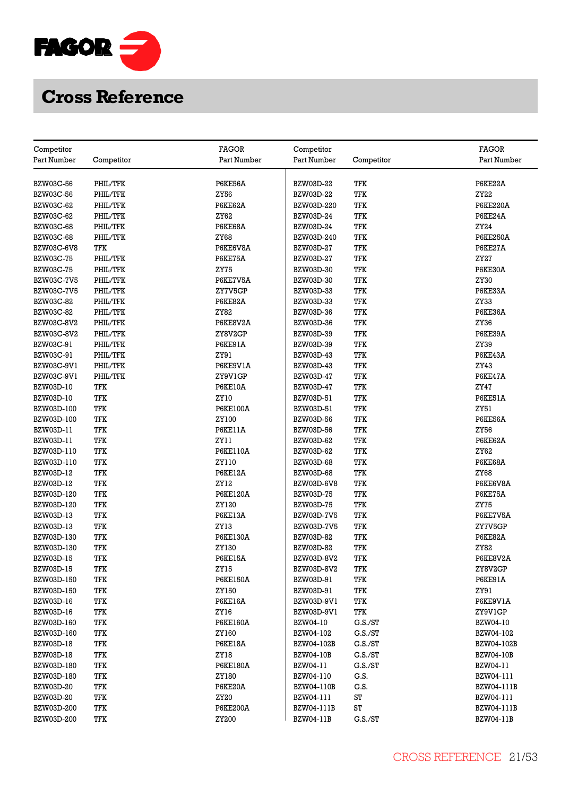

| Competitor        |            | <b>FAGOR</b>    | Competitor        |            | <b>FAGOR</b>     |
|-------------------|------------|-----------------|-------------------|------------|------------------|
| Part Number       | Competitor | Part Number     | Part Number       | Competitor | Part Number      |
|                   |            |                 |                   |            |                  |
| <b>BZW03C-56</b>  | PHIL/TFK   | P6KE56A         | BZW03D-22         | TFK        | P6KE22A          |
| BZW03C-56         | PHIL/TFK   | ZY56            | BZW03D-22         | TFK        | ZY22             |
| <b>BZW03C-62</b>  | PHIL/TFK   | P6KE62A         | BZW03D-220        | TFK        | <b>P6KE220A</b>  |
| BZW03C-62         | PHIL/TFK   | ZY62            | BZW03D-24         | TFK        | P6KE24A          |
| <b>BZW03C-68</b>  | PHIL/TFK   | P6KE68A         | BZW03D-24         | TFK        | ZY24             |
| <b>BZW03C-68</b>  | PHIL/TFK   | <b>ZY68</b>     | BZW03D-240        | TFK        | <b>P6KE250A</b>  |
| BZW03C-6V8        | TFK        | P6KE6V8A        | BZW03D-27         | TFK        | P6KE27A          |
| <b>BZW03C-75</b>  | PHIL/TFK   | P6KE75A         | BZW03D-27         | TFK        | ZY27             |
| <b>BZW03C-75</b>  | PHIL/TFK   | <b>ZY75</b>     | BZW03D-30         | TFK        | P6KE30A          |
| <b>BZW03C-7V5</b> | PHIL/TFK   | P6KE7V5A        | BZW03D-30         | <b>TFK</b> | ZY30             |
| <b>BZW03C-7V5</b> | PHIL/TFK   | ZY7V5GP         | BZW03D-33         | TFK        | P6KE33A          |
| <b>BZW03C-82</b>  | PHIL/TFK   | P6KE82A         | BZW03D-33         | <b>TFK</b> | ZY33             |
| <b>BZW03C-82</b>  | PHIL/TFK   | ZY82            | BZW03D-36         | TFK        | P6KE36A          |
| BZW03C-8V2        | PHIL/TFK   | P6KE8V2A        | BZW03D-36         | TFK        | ZY36             |
| BZW03C-8V2        | PHIL/TFK   | ZY8V2GP         | BZW03D-39         | TFK        | P6KE39A          |
| BZW03C-91         | PHIL/TFK   | P6KE91A         | BZW03D-39         | TFK        | ZY39             |
| BZW03C-91         | PHIL/TFK   | ZY91            | BZW03D-43         | TFK        | P6KE43A          |
| BZW03C-9V1        | PHIL/TFK   | P6KE9V1A        | BZW03D-43         | TFK        | ZY43             |
| BZW03C-9V1        | PHIL/TFK   | ZY9V1GP         | BZW03D-47         | TFK        | P6KE47A          |
| BZW03D-10         | TFK        | P6KE10A         | BZW03D-47         | TFK        | ZY47             |
| BZW03D-10         | TFK        | ZY10            | BZW03D-51         | TFK        | P6KE51A          |
| BZW03D-100        | TFK        | <b>P6KE100A</b> | BZW03D-51         | <b>TFK</b> | ZY51             |
| BZW03D-100        | TFK        | ZY100           | BZW03D-56         | TFK        | P6KE56A          |
| BZW03D-11         | TFK        | P6KE11A         | BZW03D-56         | TFK        | ZY56             |
| BZW03D-11         | TFK        | ZY11            | BZW03D-62         | TFK        | P6KE62A          |
| BZW03D-110        | TFK        | <b>P6KE110A</b> | BZW03D-62         | TFK        | ZY62             |
| BZW03D-110        | TFK        | ZY110           | <b>BZW03D-68</b>  | TFK        | P6KE68A          |
| BZW03D-12         | TFK        | P6KE12A         | BZW03D-68         | TFK        | <b>ZY68</b>      |
| BZW03D-12         | TFK        | ZY12            | BZW03D-6V8        | <b>TFK</b> | P6KE6V8A         |
| BZW03D-120        | TFK        | <b>P6KE120A</b> | <b>BZW03D-75</b>  | TFK        | P6KE75A          |
| BZW03D-120        | <b>TFK</b> | ZY120           | <b>BZW03D-75</b>  | TFK        | <b>ZY75</b>      |
| BZW03D-13         | TFK        | P6KE13A         | <b>BZW03D-7V5</b> | <b>TFK</b> | P6KE7V5A         |
| BZW03D-13         | TFK        | ZY13            | <b>BZW03D-7V5</b> | TFK        | ZY7V5GP          |
| BZW03D-130        | TFK        | P6KE130A        | BZW03D-82         | TFK        | P6KE82A          |
| BZW03D-130        | TFK        | ZY130           | BZW03D-82         | <b>TFK</b> | ZY82             |
| <b>BZW03D-15</b>  | TFK        | <b>P6KE15A</b>  | BZW03D-8V2        | TFK        | P6KE8V2A         |
| BZW03D-15         | TFK        | ZY15            | BZW03D-8V2        | TFK        | ZY8V2GP          |
| BZW03D-150        | TFK        | <b>P6KE150A</b> | BZW03D-91         | TFK        | P6KE91A          |
| BZW03D-150        | TFK        | ZY150           | BZW03D-91         | TFK        | ZY91             |
| BZW03D-16         | TFK        | <b>P6KE16A</b>  | BZW03D-9V1        | TFK        | P6KE9V1A         |
| BZW03D-16         | TFK        | ZY16            | BZW03D-9V1        | TFK        | ZY9V1GP          |
| BZW03D-160        | TFK        | <b>P6KE160A</b> | BZW04-10          | C.S./ST    | BZW04-10         |
| BZW03D-160        | TFK        | ZY160           | BZW04-102         | G.S./ST    | BZW04-102        |
| <b>BZW03D-18</b>  | TFK        | <b>P6KE18A</b>  | BZW04-102B        | G.S./ST    | BZW04-102B       |
| BZW03D-18         | TFK        | ZY18            | <b>BZW04-10B</b>  | C.S./ST    | <b>BZW04-10B</b> |
| BZW03D-180        | TFK        | <b>P6KE180A</b> | BZW04-11          | G.S./ST    | BZW04-11         |
| BZW03D-180        | TFK        | ZY180           | BZW04-110         | G.S.       | BZW04-111        |
| BZW03D-20         | TFK        | P6KE20A         | BZW04-110B        | G.S.       | BZW04-111B       |
| BZW03D-20         | TFK        | ZY20            | BZW04-111         | ST         | BZW04-111        |
| BZW03D-200        | TFK        | <b>P6KE200A</b> | BZW04-111B        | ST         | BZW04-111B       |
| BZW03D-200        | TFK        | ZY200           | <b>BZW04-11B</b>  | G.S./ST    | <b>BZW04-11B</b> |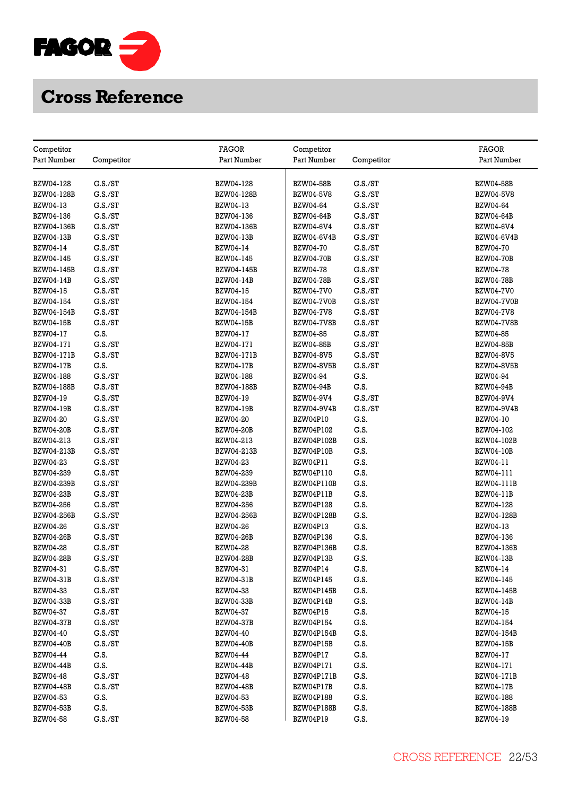

|                           |                    | <b>FAGOR</b>      |                           |                    | <b>FAGOR</b>      |
|---------------------------|--------------------|-------------------|---------------------------|--------------------|-------------------|
| Competitor<br>Part Number | Competitor         | Part Number       | Competitor<br>Part Number | Competitor         | Part Number       |
|                           |                    |                   |                           |                    |                   |
| BZW04-128                 | G.S./ST            | BZW04-128         | <b>BZW04-58B</b>          | G.S./ST            | <b>BZW04-58B</b>  |
| BZW04-128B                | G.S./ST            | BZW04-128B        | <b>BZW04-5V8</b>          | G.S./ST            | <b>BZW04-5V8</b>  |
| BZW04-13                  | G.S./ST            | BZW04-13          | <b>BZW04-64</b>           | C.S./ST            | BZW04-64          |
| BZW04-136                 | G.S./ST            | BZW04-136         | <b>BZW04-64B</b>          | G.S./ST            | <b>BZW04-64B</b>  |
| BZW04-136B                | G.S./ST            | BZW04-136B        | BZW04-6V4                 | G.S./ST            | BZW04-6V4         |
| <b>BZW04-13B</b>          | G.S./ST            | <b>BZW04-13B</b>  | <b>BZW04-6V4B</b>         | G.S./ST            | <b>BZW04-6V4B</b> |
| BZW04-14                  | G.S./ST            | BZW04-14          | <b>BZW04-70</b>           | G.S./ST            | <b>BZW04-70</b>   |
| BZW04-145                 | G.S./ST            | BZW04-145         | <b>BZW04-70B</b>          | G.S./ST            | <b>BZW04-70B</b>  |
| BZW04-145B                | G.S./ST            | BZW04-145B        | <b>BZW04-78</b>           | G.S./ST            | <b>BZW04-78</b>   |
| <b>BZW04-14B</b>          | G.S./ST            | BZW04-14B         | <b>BZW04-78B</b>          | G.S./ST            | <b>BZW04-78B</b>  |
| BZW04-15                  | G.S./ST            | BZW04-15          | <b>BZW04-7V0</b>          | G.S./ST            | <b>BZW04-7V0</b>  |
| BZW04-154                 | G.S./ST            | BZW04-154         | BZW04-7V0B                | G.S./ST            | <b>BZW04-7V0B</b> |
| BZW04-154B                | G.S./ST            | BZW04-154B        | <b>BZW04-7V8</b>          | C.S./ST            | <b>BZW04-7V8</b>  |
| <b>BZW04-15B</b>          | G.S./ST            | <b>BZW04-15B</b>  | <b>BZW04-7V8B</b>         | G.S./ST            | <b>BZW04-7V8B</b> |
| BZW04-17                  | G.S.               | BZW04-17          | <b>BZW04-85</b>           | G.S./ST            | BZW04-85          |
|                           |                    | BZW04-171         |                           |                    |                   |
| BZW04-171<br>BZW04-171B   | G.S./ST<br>G.S./ST |                   | <b>BZW04-85B</b>          | G.S./ST<br>G.S./ST | <b>BZW04-85B</b>  |
|                           |                    | BZW04-171B        | <b>BZW04-8V5</b>          |                    | <b>BZW04-8V5</b>  |
| <b>BZW04-17B</b>          | G.S.               | <b>BZW04-17B</b>  | <b>BZW04-8V5B</b>         | G.S./ST            | <b>BZW04-8V5B</b> |
| BZW04-188                 | G.S./ST            | BZW04-188         | BZW04-94                  | G.S.               | BZW04-94          |
| BZW04-188B                | G.S./ST            | BZW04-188B        | <b>BZW04-94B</b>          | G.S.               | <b>BZW04-94B</b>  |
| BZW04-19                  | G.S./ST            | BZW04-19          | BZW04-9V4                 | G.S./ST            | BZW04-9V4         |
| <b>BZW04-19B</b>          | G.S./ST            | <b>BZW04-19B</b>  | <b>BZW04-9V4B</b>         | G.S./ST            | <b>BZW04-9V4B</b> |
| <b>BZW04-20</b>           | G.S./ST            | BZW04-20          | BZW04P10                  | G.S.               | BZW04-10          |
| <b>BZW04-20B</b>          | G.S./ST            | <b>BZW04-20B</b>  | <b>BZW04P102</b>          | G.S.               | BZW04-102         |
| BZW04-213                 | G.S./ST            | BZW04-213         | BZW04P102B                | G.S.               | BZW04-102B        |
| BZW04-213B                | G.S./ST            | BZW04-213B        | BZW04P10B                 | G.S.               | <b>BZW04-10B</b>  |
| BZW04-23                  | G.S./ST            | BZW04-23          | BZW04P11                  | G.S.               | BZW04-11          |
| BZW04-239                 | G.S./ST            | BZW04-239         | BZW04P110                 | G.S.               | BZW04-111         |
| BZW04-239B                | G.S./ST            | <b>BZW04-239B</b> | BZW04P110B                | G.S.               | BZW04-111B        |
| <b>BZW04-23B</b>          | G.S./ST            | <b>BZW04-23B</b>  | BZW04P11B                 | G.S.               | <b>BZW04-11B</b>  |
| BZW04-256                 | G.S./ST            | BZW04-256         | BZW04P128                 | G.S.               | BZW04-128         |
| BZW04-256B                | G.S./ST            | BZW04-256B        | BZW04P128B                | G.S.               | BZW04-128B        |
| BZW04-26                  | G.S./ST            | <b>BZW04-26</b>   | BZW04P13                  | G.S.               | BZW04-13          |
| <b>BZW04-26B</b>          | G.S./ST            | <b>BZW04-26B</b>  | BZW04P136                 | G.S.               | BZW04-136         |
| <b>BZW04-28</b>           | G.S./ST            | <b>BZW04-28</b>   | BZW04P136B                | G.S.               | <b>BZW04-136B</b> |
| <b>BZW04-28B</b>          | G.S./ST            | <b>BZW04-28B</b>  | BZW04P13B                 | G.S.               | <b>BZW04-13B</b>  |
| BZW04-31                  | G.S./ST            | BZW04-31          | BZW04P14                  | G.S.               | BZW04-14          |
| <b>BZW04-31B</b>          | G.S./ST            | <b>BZW04-31B</b>  | BZW04P145                 | G.S.               | BZW04-145         |
| BZW04-33                  | G.S./ST            | <b>BZW04-33</b>   | BZW04P145B                | G.S.               | BZW04-145B        |
| <b>BZW04-33B</b>          | G.S./ST            | <b>BZW04-33B</b>  | BZW04P14B                 | G.S.               | <b>BZW04-14B</b>  |
| <b>BZW04-37</b>           | G.S./ST            | <b>BZW04-37</b>   | BZW04P15                  | G.S.               | <b>BZW04-15</b>   |
| <b>BZW04-37B</b>          | G.S./ST            | <b>BZW04-37B</b>  | <b>BZW04P154</b>          | G.S.               | BZW04-154         |
| BZW04-40                  | G.S./ST            | <b>BZW04-40</b>   | BZW04P154B                | G.S.               | BZW04-154B        |
| <b>BZW04-40B</b>          | G.S./ST            | <b>BZW04-40B</b>  | BZW04P15B                 | G.S.               | <b>BZW04-15B</b>  |
| BZW04-44                  | G.S.               | BZW04-44          | BZW04P17                  | G.S.               | BZW04-17          |
| <b>BZW04-44B</b>          | G.S.               | <b>BZW04-44B</b>  | BZW04P171                 | G.S.               | BZW04-171         |
| <b>BZW04-48</b>           | G.S./ST            | <b>BZW04-48</b>   | BZW04P171B                | G.S.               | BZW04-171B        |
| <b>BZW04-48B</b>          | G.S./ST            | <b>BZW04-48B</b>  | BZW04P17B                 | G.S.               | <b>BZW04-17B</b>  |
| BZW04-53                  | G.S.               | BZW04-53          | <b>BZW04P188</b>          | G.S.               | BZW04-188         |
| <b>BZW04-53B</b>          | G.S.               | <b>BZW04-53B</b>  | BZW04P188B                | G.S.               | <b>BZW04-188B</b> |
| <b>BZW04-58</b>           | G.S./ST            | <b>BZW04-58</b>   | BZW04P19                  | G.S.               | BZW04-19          |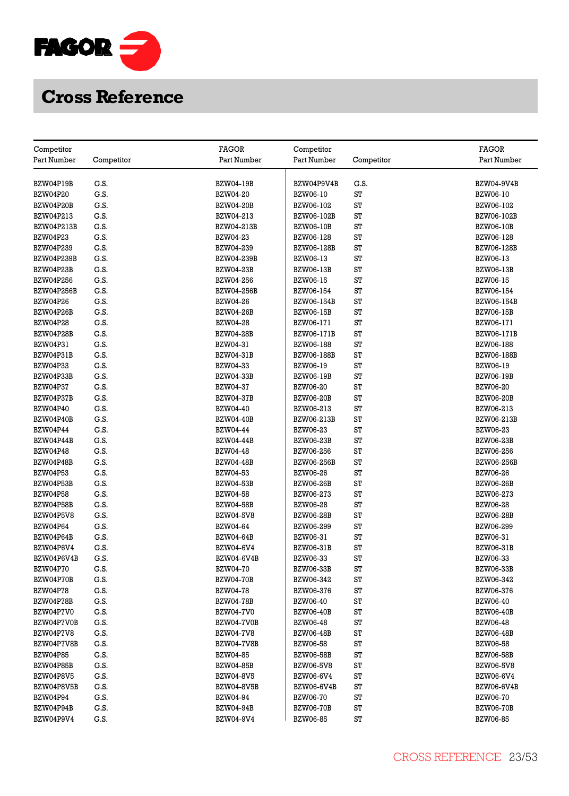

| Competitor        |              | <b>FAGOR</b>      | Competitor        |            | <b>FAGOR</b>      |
|-------------------|--------------|-------------------|-------------------|------------|-------------------|
| Part Number       | Competitor   | Part Number       | Part Number       | Competitor | Part Number       |
|                   |              |                   |                   |            |                   |
| BZW04P19B         | G.S.         | <b>BZW04-19B</b>  | BZW04P9V4B        | G.S.       | <b>BZW04-9V4B</b> |
| <b>BZW04P20</b>   | G.S.         | <b>BZW04-20</b>   | <b>BZW06-10</b>   | ST         | BZW06-10          |
| BZW04P20B         | G.S.         | <b>BZW04-20B</b>  | BZW06-102         | ST         | BZW06-102         |
| BZW04P213         | G.S.         | BZW04-213         | BZW06-102B        | ST         | <b>BZW06-102B</b> |
| BZW04P213B        | G.S.         | BZW04-213B        | <b>BZW06-10B</b>  | ST         | <b>BZW06-10B</b>  |
| <b>BZW04P23</b>   | G.S.         | <b>BZW04-23</b>   | BZW06-128         | ST         | BZW06-128         |
| BZW04P239         | G.S.         | BZW04-239         | <b>BZW06-128B</b> | ST         | <b>BZW06-128B</b> |
| <b>BZW04P239B</b> | G.S.         | BZW04-239B        | BZW06-13          | ST         | BZW06-13          |
| BZW04P23B         | G.S.         | <b>BZW04-23B</b>  | <b>BZW06-13B</b>  | ST         | <b>BZW06-13B</b>  |
| BZW04P256         | G.S.         | BZW04-256         | BZW06-15          | ST         | <b>BZW06-15</b>   |
| <b>BZW04P256B</b> | G.S.         | <b>BZW04-256B</b> | BZW06-154         | ST         | BZW06-154         |
| <b>BZW04P26</b>   | G.S.         | BZW04-26          | BZW06-154B        | ST         | BZW06-154B        |
| BZW04P26B         | G.S.         | <b>BZW04-26B</b>  | <b>BZW06-15B</b>  | ST         | <b>BZW06-15B</b>  |
| <b>BZW04P28</b>   | G.S.         | <b>BZW04-28</b>   | BZW06-171         | ST         | BZW06-171         |
|                   |              |                   |                   | ST         |                   |
| BZW04P28B         | G.S.         | <b>BZW04-28B</b>  | <b>BZW06-171B</b> | ST         | <b>BZW06-171B</b> |
| BZW04P31          | G.S.<br>G.S. | BZW04-31          | BZW06-188         | ST         | BZW06-188         |
| BZW04P31B         |              | <b>BZW04-31B</b>  | BZW06-188B        |            | <b>BZW06-188B</b> |
| <b>BZW04P33</b>   | G.S.         | BZW04-33          | BZW06-19          | ST         | BZW06-19          |
| BZW04P33B         | G.S.         | <b>BZW04-33B</b>  | <b>BZW06-19B</b>  | ST         | <b>BZW06-19B</b>  |
| <b>BZW04P37</b>   | G.S.         | BZW04-37          | <b>BZW06-20</b>   | ST         | <b>BZW06-20</b>   |
| BZW04P37B         | G.S.         | <b>BZW04-37B</b>  | <b>BZW06-20B</b>  | ST         | <b>BZW06-20B</b>  |
| <b>BZW04P40</b>   | G.S.         | <b>BZW04-40</b>   | BZW06-213         | ST         | BZW06-213         |
| BZW04P40B         | G.S.         | <b>BZW04-40B</b>  | BZW06-213B        | ST         | BZW06-213B        |
| <b>BZW04P44</b>   | G.S.         | BZW04-44          | BZW06-23          | ST         | BZW06-23          |
| BZW04P44B         | G.S.         | <b>BZW04-44B</b>  | <b>BZW06-23B</b>  | ST         | <b>BZW06-23B</b>  |
| BZW04P48          | G.S.         | <b>BZW04-48</b>   | BZW06-256         | ST         | BZW06-256         |
| BZW04P48B         | G.S.         | <b>BZW04-48B</b>  | <b>BZW06-256B</b> | ST         | <b>BZW06-256B</b> |
| <b>BZW04P53</b>   | G.S.         | <b>BZW04-53</b>   | BZW06-26          | ST         | <b>BZW06-26</b>   |
| BZW04P53B         | G.S.         | <b>BZW04-53B</b>  | <b>BZW06-26B</b>  | ST         | <b>BZW06-26B</b>  |
| <b>BZW04P58</b>   | G.S.         | <b>BZW04-58</b>   | BZW06-273         | ST         | BZW06-273         |
| BZW04P58B         | G.S.         | <b>BZW04-58B</b>  | <b>BZW06-28</b>   | ST         | <b>BZW06-28</b>   |
| BZW04P5V8         | G.S.         | <b>BZW04-5V8</b>  | <b>BZW06-28B</b>  | ST         | <b>BZW06-28B</b>  |
| <b>BZW04P64</b>   | G.S.         | BZW04-64          | BZW06-299         | ST         | BZW06-299         |
| BZW04P64B         | G.S.         | <b>BZW04-64B</b>  | BZW06-31          | ST         | BZW06-31          |
| BZW04P6V4         | G.S.         | BZW04-6V4         | <b>BZW06-31B</b>  | ST         | <b>BZW06-31B</b>  |
| BZW04P6V4B        | G.S.         | BZW04-6V4B        | BZW06-33          | ST         | BZW06-33          |
| <b>BZW04P70</b>   | G.S.         | <b>BZW04-70</b>   | <b>BZW06-33B</b>  | ST         | <b>BZW06-33B</b>  |
| BZW04P70B         | G.S.         | <b>BZW04-70B</b>  | BZW06-342         | ST         | BZW06-342         |
| <b>BZW04P78</b>   | G.S.         | <b>BZW04-78</b>   | BZW06-376         | ST         | BZW06-376         |
| BZW04P78B         | G.S.         | <b>BZW04-78B</b>  | <b>BZW06-40</b>   | ST         | <b>BZW06-40</b>   |
| BZW04P7V0         | G.S.         | <b>BZW04-7V0</b>  | <b>BZW06-40B</b>  | ST         | <b>BZW06-40B</b>  |
| BZW04P7V0B        | G.S.         | BZW04-7V0B        | <b>BZW06-48</b>   | ST         | <b>BZW06-48</b>   |
| BZW04P7V8         | G.S.         | <b>BZW04-7V8</b>  | <b>BZW06-48B</b>  | ST         | <b>BZW06-48B</b>  |
| BZW04P7V8B        | G.S.         | <b>BZW04-7V8B</b> | <b>BZW06-58</b>   | ST         | <b>BZW06-58</b>   |
| <b>BZW04P85</b>   | G.S.         | <b>BZW04-85</b>   | <b>BZW06-58B</b>  | ST         | <b>BZW06-58B</b>  |
| BZW04P85B         | G.S.         | <b>BZW04-85B</b>  | <b>BZW06-5V8</b>  | ST         | <b>BZW06-5V8</b>  |
| BZW04P8V5         | G.S.         | <b>BZW04-8V5</b>  | BZW06-6V4         | ST         | BZW06-6V4         |
| BZW04P8V5B        | G.S.         | <b>BZW04-8V5B</b> | <b>BZW06-6V4B</b> | ST         | <b>BZW06-6V4B</b> |
| <b>BZW04P94</b>   | G.S.         | <b>BZW04-94</b>   | <b>BZW06-70</b>   | ST         | <b>BZW06-70</b>   |
| BZW04P94B         | G.S.         | <b>BZW04-94B</b>  | <b>BZW06-70B</b>  | ST         | <b>BZW06-70B</b>  |
| BZW04P9V4         | G.S.         | BZW04-9V4         | <b>BZW06-85</b>   | ST         | <b>BZW06-85</b>   |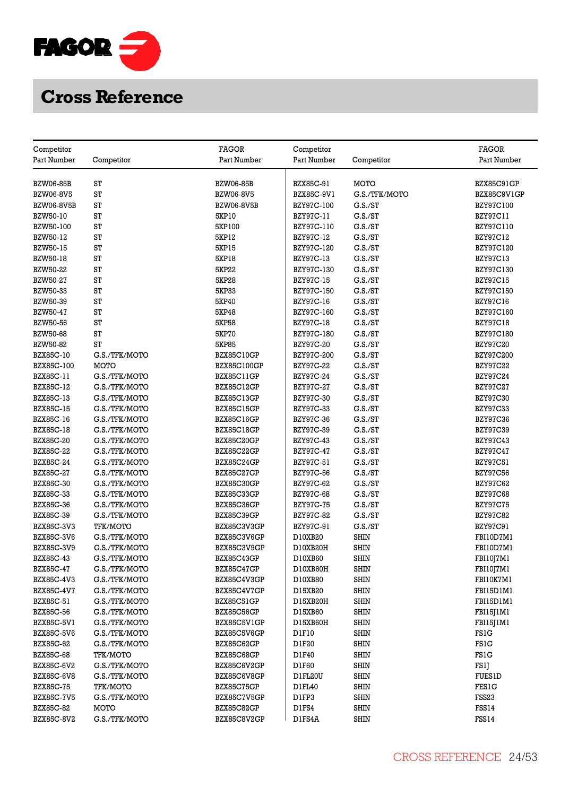

| Competitor        |               | <b>FAGOR</b>       | Competitor       |               | <b>FAGOR</b>     |
|-------------------|---------------|--------------------|------------------|---------------|------------------|
| Part Number       | Competitor    | Part Number        | Part Number      | Competitor    | Part Number      |
|                   |               |                    |                  |               |                  |
| <b>BZW06-85B</b>  | ST            | <b>BZW06-85B</b>   | BZX85C-91        | MOTO          | BZX85C91GP       |
| BZW06-8V5         | ST            | BZW06-8V5          | BZX85C-9V1       | G.S./TFK/MOTO | BZX85C9V1GP      |
| <b>BZW06-8V5B</b> | ST            | <b>BZW06-8V5B</b>  | BZY97C-100       | G.S./ST       | BZY97C100        |
| BZW50-10          | ST            | 5KP10              | BZY97C-11        | G.S./ST       | BZY97C11         |
| BZW50-100         | ST            | 5KP100             | BZY97C-110       | C.S./ST       | BZY97C110        |
| BZW50-12          | ST            | 5KP12              | <b>BZY97C-12</b> | G.S./ST       | BZY97C12         |
| BZW50-15          | ST            | <b>5KP15</b>       | BZY97C-120       | G.S./ST       | BZY97C120        |
| BZW50-18          | ST            | <b>5KP18</b>       | BZY97C-13        | G.S./ST       | <b>BZY97C13</b>  |
| <b>BZW50-22</b>   | ST            | <b>5KP22</b>       | BZY97C-130       | C.S./ST       | <b>BZY97C130</b> |
| <b>BZW50-27</b>   | ST            | <b>5KP28</b>       | <b>BZY97C-15</b> | G.S./ST       | <b>BZY97C15</b>  |
| BZW50-33          | ST            | 5KP33              | BZY97C-150       | G.S./ST       | BZY97C150        |
| BZW50-39          | ST            | 5KP40              | <b>BZY97C-16</b> | G.S./ST       | <b>BZY97C16</b>  |
| BZW50-47          | ST            | 5KP48              | BZY97C-160       | G.S./ST       | <b>BZY97C160</b> |
| <b>BZW50-56</b>   | ST            | <b>5KP58</b>       | <b>BZY97C-18</b> | G.S./ST       | <b>BZY97C18</b>  |
| <b>BZW50-68</b>   | ST            | <b>5KP70</b>       | BZY97C-180       | G.S./ST       | <b>BZY97C180</b> |
| BZW50-82          | ST            | <b>5KP85</b>       | <b>BZY97C-20</b> | G.S./ST       | <b>BZY97C20</b>  |
| BZX85C-10         | G.S./TFK/MOTO | <b>BZX85C10GP</b>  | BZY97C-200       | G.S./ST       | BZY97C200        |
| BZX85C-100        | <b>MOTO</b>   | <b>BZX85C100GP</b> | <b>BZY97C-22</b> | G.S./ST       | <b>BZY97C22</b>  |
| BZX85C-11         | G.S./TFK/MOTO | BZX85C11GP         | <b>BZY97C-24</b> | G.S./ST       | <b>BZY97C24</b>  |
| BZX85C-12         | G.S./TFK/MOTO | BZX85C12GP         | <b>BZY97C-27</b> | G.S./ST       | <b>BZY97C27</b>  |
| BZX85C-13         | G.S./TFK/MOTO | BZX85C13GP         | <b>BZY97C-30</b> | G.S./ST       | <b>BZY97C30</b>  |
| <b>BZX85C-15</b>  | G.S./TFK/MOTO | <b>BZX85C15GP</b>  | BZY97C-33        | G.S./ST       | <b>BZY97C33</b>  |
| BZX85C-16         | G.S./TFK/MOTO | BZX85C16GP         | <b>BZY97C-36</b> | G.S./ST       | <b>BZY97C36</b>  |
| <b>BZX85C-18</b>  | G.S./TFK/MOTO | <b>BZX85C18GP</b>  | <b>BZY97C-39</b> | G.S./ST       | <b>BZY97C39</b>  |
| <b>BZX85C-20</b>  | G.S./TFK/MOTO | BZX85C20GP         | <b>BZY97C-43</b> | G.S./ST       | <b>BZY97C43</b>  |
| <b>BZX85C-22</b>  | G.S./TFK/MOTO | BZX85C22GP         | <b>BZY97C-47</b> | G.S./ST       | <b>BZY97C47</b>  |
| <b>BZX85C-24</b>  | G.S./TFK/MOTO | BZX85C24GP         | BZY97C-51        | G.S./ST       | <b>BZY97C51</b>  |
| <b>BZX85C-27</b>  | G.S./TFK/MOTO | <b>BZX85C27GP</b>  | <b>BZY97C-56</b> | G.S./ST       | <b>BZY97C56</b>  |
| <b>BZX85C-30</b>  | G.S./TFK/MOTO | <b>BZX85C30GP</b>  | <b>BZY97C-62</b> | G.S./ST       | <b>BZY97C62</b>  |
| BZX85C-33         | G.S./TFK/MOTO | BZX85C33GP         | <b>BZY97C-68</b> | G.S./ST       | <b>BZY97C68</b>  |
| BZX85C-36         | G.S./TFK/MOTO | BZX85C36GP         | <b>BZY97C-75</b> | G.S./ST       | <b>BZY97C75</b>  |
| BZX85C-39         | G.S./TFK/MOTO | BZX85C39GP         | <b>BZY97C-82</b> | G.S./ST       | <b>BZY97C82</b>  |
| BZX85C-3V3        | TFK/MOTO      | BZX85C3V3GP        | BZY97C-91        | G.S./ST       | BZY97C91         |
| BZX85C-3V6        | G.S./TFK/MOTO | BZX85C3V6GP        | D10XB20          | <b>SHIN</b>   | FBI10D7M1        |
| BZX85C-3V9        | G.S./TFK/MOTO | BZX85C3V9GP        | D10XB20H         | <b>SHIN</b>   | FBI10D7M1        |
| <b>BZX85C-43</b>  | G.S./TFK/MOTO | BZX85C43GP         | D10XB60          | <b>SHIN</b>   | FBI10J7M1        |
| <b>BZX85C-47</b>  | G.S./TFK/MOTO | BZX85C47GP         | D10XB60H         | <b>SHIN</b>   | FBI10J7M1        |
| BZX85C-4V3        | G.S./TFK/MOTO | BZX85C4V3GP        | D10XB80          | <b>SHIN</b>   | FBI10K7M1        |
| BZX85C-4V7        | G.S./TFK/MOTO | BZX85C4V7GP        | D15XB20          | <b>SHIN</b>   | FBI15D1M1        |
| BZX85C-51         | G.S./TFK/MOTO | BZX85C51GP         | D15XB20H         | <b>SHIN</b>   | FBI15D1M1        |
| <b>BZX85C-56</b>  | G.S./TFK/MOTO | BZX85C56GP         | D15XB60          | SHIN          | FBI15J1M1        |
| BZX85C-5V1        | G.S./TFK/MOTO | BZX85C5V1GP        | D15XB60H         | <b>SHIN</b>   | FBI15J1M1        |
| BZX85C-5V6        | G.S./TFK/MOTO | BZX85C5V6GP        | D1F10            | <b>SHIN</b>   | FS1G             |
| BZX85C-62         | G.S./TFK/MOTO | BZX85C62GP         | D1F20            | <b>SHIN</b>   | <b>FS1G</b>      |
| BZX85C-68         | TFK/MOTO      | BZX85C68GP         | D1F40            | SHIN          | <b>FS1G</b>      |
| BZX85C-6V2        | G.S./TFK/MOTO | BZX85C6V2GP        | D1F60            | <b>SHIN</b>   | FS1J             |
| BZX85C-6V8        | G.S./TFK/MOTO | BZX85C6V8GP        | D1FL20U          | <b>SHIN</b>   | <b>FUES1D</b>    |
| <b>BZX85C-75</b>  | TFK/MOTO      | BZX85C75GP         | D1FL40           | <b>SHIN</b>   | <b>FES1G</b>     |
| <b>BZX85C-7V5</b> | G.S./TFK/MOTO | BZX85C7V5GP        | D1FP3            | <b>SHIN</b>   | <b>FSS23</b>     |
| <b>BZX85C-82</b>  | <b>MOTO</b>   | <b>BZX85C82GP</b>  | D1FS4            | <b>SHIN</b>   | FSS14            |
| <b>BZX85C-8V2</b> | G.S./TFK/MOTO | BZX85C8V2GP        | D1FS4A           | <b>SHIN</b>   | <b>FSS14</b>     |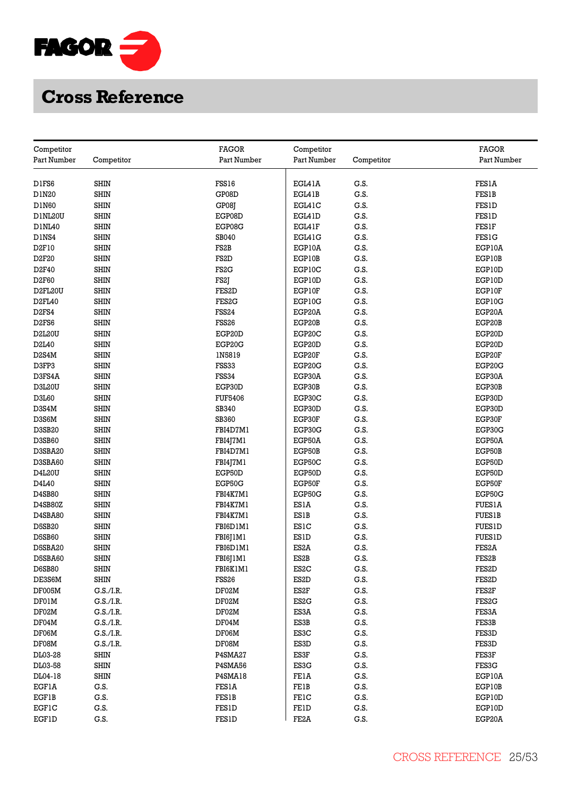

|                           |             | <b>FAGOR</b><br>Competitor |                   |            | <b>FAGOR</b>       |  |
|---------------------------|-------------|----------------------------|-------------------|------------|--------------------|--|
| Competitor<br>Part Number | Competitor  | Part Number                | Part Number       | Competitor | Part Number        |  |
|                           |             |                            |                   |            |                    |  |
| D1FS6                     | <b>SHIN</b> | FSS16                      | EGL41A            | G.S.       | <b>FES1A</b>       |  |
| D1N20                     | <b>SHIN</b> | GP08D                      | EGL41B            | G.S.       | <b>FES1B</b>       |  |
| <b>D1N60</b>              | <b>SHIN</b> | GP08J                      | EGL41C            | G.S.       | <b>FES1D</b>       |  |
| D1NL20U                   | <b>SHIN</b> | EGP08D                     | EGL41D            | G.S.       | <b>FES1D</b>       |  |
| D1NL40                    | <b>SHIN</b> | EGP08G                     | EGL41F            | G.S.       | <b>FES1F</b>       |  |
| D1NS4                     | <b>SHIN</b> | SB040                      | EGL41G            | G.S.       | <b>FES1G</b>       |  |
| D <sub>2F10</sub>         | <b>SHIN</b> | FS <sub>2</sub> B          | EGP10A            | G.S.       | EGP10A             |  |
| D2F20                     | <b>SHIN</b> | FS <sub>2</sub> D          | EGP10B            | G.S.       | EGP10B             |  |
|                           | <b>SHIN</b> | FS <sub>2</sub> G          |                   |            |                    |  |
| D <sub>2F40</sub>         |             |                            | EGP10C            | G.S.       | EGP10D             |  |
| D2F60                     | <b>SHIN</b> | FS2J                       | EGP10D            | G.S.       | EGP10D             |  |
| D2FL20U                   | SHIN        | FES <sub>2</sub> D         | EGP10F            | G.S.       | EGP10F             |  |
| D2FL40                    | <b>SHIN</b> | FES2G                      | EGP10G            | G.S.       | EGP10G             |  |
| D <sub>2FS4</sub>         | <b>SHIN</b> | <b>FSS24</b>               | EGP20A            | G.S.       | EGP20A             |  |
| D <sub>2FS6</sub>         | <b>SHIN</b> | FSS <sub>26</sub>          | EGP20B            | G.S.       | EGP20B             |  |
| D2L20U                    | <b>SHIN</b> | EGP20D                     | EGP20C            | G.S.       | EGP20D             |  |
| D2L40                     | <b>SHIN</b> | EGP20G                     | EGP20D            | G.S.       | EGP20D             |  |
| D2S4M                     | <b>SHIN</b> | IN5819                     | EGP20F            | G.S.       | EGP20F             |  |
| D3FP3                     | <b>SHIN</b> | FSS33                      | EGP20G            | G.S.       | EGP20G             |  |
| D3FS4A                    | <b>SHIN</b> | <b>FSS34</b>               | EGP30A            | G.S.       | EGP30A             |  |
| D3L20U                    | <b>SHIN</b> | EGP30D                     | EGP30B            | G.S.       | EGP30B             |  |
| D3L60                     | <b>SHIN</b> | <b>FUF5406</b>             | EGP30C            | G.S.       | EGP30D             |  |
| D3S4M                     | <b>SHIN</b> | SB340                      | EGP30D            | G.S.       | EGP30D             |  |
| D3S6M                     | <b>SHIN</b> | SB360                      | EGP30F            | G.S.       | EGP30F             |  |
| D3SB20                    | <b>SHIN</b> | FBI4D7M1                   | EGP30G            | G.S.       | EGP30G             |  |
| D3SB60                    | <b>SHIN</b> | FBI4J7M1                   | EGP50A            | G.S.       | EGP50A             |  |
| D3SBA20                   | <b>SHIN</b> | FBI4D7M1                   | EGP50B            | G.S.       | EGP50B             |  |
| D3SBA60                   | <b>SHIN</b> | FBI4J7M1                   | EGP50C            | G.S.       | EGP50D             |  |
| D4L20U                    | <b>SHIN</b> | EGP50D                     | EGP50D            | G.S.       | EGP50D             |  |
| D4L40                     | <b>SHIN</b> | EGP50G                     | EGP50F            | G.S.       | EGP50F             |  |
| D4SB80                    | SHIN        | FBI4K7M1                   | EGP50G            | G.S.       | EGP50G             |  |
| D4SB80Z                   | <b>SHIN</b> | FBI4K7M1                   | ES1A              | G.S.       | <b>FUES1A</b>      |  |
| D4SBA80                   | SHIN        | FBI4K7M1                   | <b>ES1B</b>       | G.S.       | <b>FUES1B</b>      |  |
| <b>D5SB20</b>             | <b>SHIN</b> | FBI6D1M1                   | ES1C              | G.S.       | <b>FUES1D</b>      |  |
| D5SB60                    | <b>SHIN</b> | FBI6J1M1                   | <b>ES1D</b>       | G.S.       | <b>FUES1D</b>      |  |
| D5SBA20                   | <b>SHIN</b> | FBI6D1M1                   | ES <sub>2</sub> A | G.S.       | FES2A              |  |
| D5SBA60                   | <b>SHIN</b> | FBI6J1M1                   | ES2B              | G.S.       | FES2B              |  |
| <b>D6SB80</b>             | <b>SHIN</b> | FBI6K1M1                   | ES <sub>2</sub> C | G.S.       | FES2D              |  |
| DE3S6M                    | <b>SHIN</b> | FSS26                      | ES <sub>2</sub> D | G.S.       | FES <sub>2</sub> D |  |
| DF005M                    | G.S./I.R.   | DF02M                      | ES2F              | G.S.       | FES <sub>2</sub> F |  |
| DF01M                     | G.S./I.R.   | DF02M                      | ES2G              | G.S.       | FES <sub>2</sub> G |  |
| DF02M                     | G.S./I.R.   | DF02M                      | ES3A              | G.S.       | FES3A              |  |
| DF04M                     | G.S./I.R.   | DF04M                      | ES3B              | G.S.       | FES3B              |  |
| DF06M                     | G.S./I.R.   | DF06M                      | ES3C              | G.S.       | FES3D              |  |
| DF08M                     | G.S./I.R.   | DF08M                      | ES3D              | G.S.       | FES3D              |  |
| DL03-28                   | <b>SHIN</b> | P4SMA27                    | ES3F              | G.S.       | FES3F              |  |
| DL03-58                   | <b>SHIN</b> | P4SMA56                    | ES3G              | G.S.       | FES3G              |  |
| DL04-18                   | <b>SHIN</b> | P4SMA18                    | FEIA              | G.S.       | EGP10A             |  |
| <b>EGF1A</b>              | G.S.        | <b>FES1A</b>               | <b>FE1B</b>       | G.S.       | EGP10B             |  |
| <b>EGF1B</b>              | G.S.        | <b>FES1B</b>               | <b>FE1C</b>       | G.S.       | EGP10D             |  |
| <b>EGF1C</b>              | G.S.        | <b>FES1D</b>               | FEID              | G.S.       | EGP10D             |  |
| EGFID                     | G.S.        | <b>FES1D</b>               | FE2A              | G.S.       | EGP20A             |  |
|                           |             |                            |                   |            |                    |  |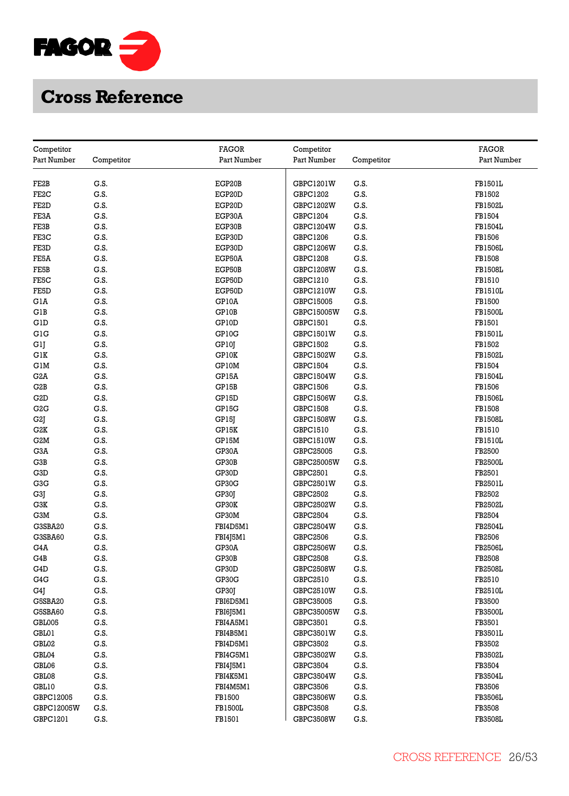

| Part Number<br>Competitor<br>Part Number<br>Part Number<br>Competitor<br>Part Number<br>FE2B<br>G.S.<br>EGP20B<br>GBPC1201W<br>G.S.<br><b>FB1501L</b><br>FE <sub>2</sub> C<br>G.S.<br>EGP20D<br>GBPC1202<br>G.S.<br>FB1502<br>FE2D<br>G.S.<br>EGP20D<br>G.S.<br><b>FB1502L</b><br>GBPC1202W<br>FE3A<br>G.S.<br>EGP30A<br>GBPC1204<br>G.S.<br>FB1504<br>G.S.<br>G.S.<br>FE3B<br>EGP30B<br>GBPC1204W<br><b>FB1504L</b><br>FE3C<br>G.S.<br>EGP30D<br>GBPC1206<br>G.S.<br>FB1506<br>G.S.<br>EGP30D<br>G.S.<br><b>FB1506L</b><br>FE3D<br>GBPC1206W<br>G.S.<br>G.S.<br>FB1508<br>FE5A<br>EGP50A<br>GBPC1208<br>G.S.<br>EGP50B<br>G.S.<br>FE5B<br>GBPC1208W<br><b>FB1508L</b><br>G.S.<br>EGP50D<br>G.S.<br>FE5C<br>GBPC1210<br>FB1510<br>FE5D<br>G.S.<br>EGP50D<br><b>GBPC1210W</b><br>G.S.<br><b>FB1510L</b><br>G.S.<br>GP10A<br>G.S.<br>FB1500<br>GlA<br>GBPC15005<br>GP10B<br>GIB<br>G.S.<br>GBPC15005W<br>G.S.<br><b>FB1500L</b><br>GID<br>G.S.<br>GP10D<br>G.S.<br>FB1501<br>GBPC1501<br>G.S.<br>GP10G<br>G.S.<br><b>FB1501L</b><br>GIG<br>GBPC1501W<br>FB1502<br>GlJ<br>G.S.<br>GP10J<br>GBPC1502<br>G.S.<br>GlK<br>G.S.<br>GP10K<br>GBPC1502W<br>G.S.<br><b>FB1502L</b><br>GP10M<br>GIM<br>G.S.<br>G.S.<br>FB1504<br>GBPC1504<br>G.S.<br>G.S.<br>G2A<br>GP15A<br>GBPC1504W<br><b>FB1504L</b><br>G2B<br>G.S.<br>GP15B<br>GBPC1506<br>G.S.<br>FB1506<br>G.S.<br>GP15D<br>G.S.<br>G2D<br>GBPC1506W<br><b>FB1506L</b><br>GP15G<br>G2G<br>G.S.<br>GBPC1508<br>G.S.<br>FB1508<br>G.S.<br>G.S.<br>G2J<br>GP15J<br><b>GBPC1508W</b><br><b>FB1508L</b><br>G2K<br>G.S.<br>GP15K<br>GBPC1510<br>G.S.<br>FB1510<br>G2M<br>G.S.<br>GP15M<br>G.S.<br><b>FB1510L</b><br>GBPC1510W<br>GP30A<br>FB2500<br>G3A<br>G.S.<br>GBPC25005<br>G.S.<br>G3B<br>G.S.<br>GP30B<br>G.S.<br><b>FB2500L</b><br>GBPC25005W<br>G3D<br>G.S.<br>GP30D<br>GBPC2501<br>G.S.<br>FB2501<br>G3G<br>G.S.<br>GP30G<br>G.S.<br><b>FB2501L</b><br>GBPC2501W<br>G3J<br>G.S.<br>GP30J<br>GBPC2502<br>G.S.<br>FB2502<br>G3K<br>G.S.<br>GP30K<br>GBPC2502W<br>G.S.<br><b>FB2502L</b><br>G3M<br>G.S.<br>GP30M<br>GBPC2504<br>G.S.<br>FB2504<br>G3SBA20<br>G.S.<br>FBI4D5M1<br>G.S.<br><b>FB2504L</b><br>GBPC2504W<br>G3SBA60<br>G.S.<br>FBI4J5M1<br>G.S.<br>FB2506<br>GBPC2506<br>G4A<br>G.S.<br>GP30A<br>G.S.<br><b>FB2506L</b><br>GBPC2506W<br>G4B<br>G.S.<br>GP30B<br>G.S.<br>FB2508<br>GBPC2508<br>G.S.<br>GP30D<br>G.S.<br><b>FB2508L</b><br>G4D<br>GBPC2508W<br>G.S.<br>G.S.<br>G4G<br>GP30G<br>GBPC2510<br>FB2510<br>G.S.<br>G.S.<br><b>FB2510L</b><br>G4J<br>GP30J<br>GBPC2510W<br>G.S.<br>G5SBA20<br>G.S.<br>FBI6D5M1<br>FB3500<br>GBPC35005<br>G5SBA60<br>G.S.<br>FBI6J5M1<br>G.S.<br><b>FB3500L</b><br>GBPC35005W<br><b>GBL005</b><br>FB3501<br>G.S.<br>FBI4A5M1<br>GBPC3501<br>G.S.<br>G.S.<br>G.S.<br>GBL01<br>FBI4B5M1<br>GBPC3501W<br>FB3501L<br>G.S.<br>FB3502<br>GBL02<br>G.S.<br>FBI4D5M1<br>GBPC3502<br>G.S.<br>G.S.<br><b>FB3502L</b><br>GBL04<br>FBI4G5M1<br>GBPC3502W<br>GBL06<br>G.S.<br>FBI4J5M1<br>GBPC3504<br>G.S.<br>FB3504<br>G.S.<br>G.S.<br>GBL08<br>FBI4K5M1<br>GBPC3504W<br><b>FB3504L</b><br>FB3506<br>GBL10<br>G.S.<br>FBI4M5M1<br>GBPC3506<br>G.S.<br>G.S.<br>FB1500<br>G.S.<br><b>FB3506L</b><br>GBPC12005<br>GBPC3506W<br>GBPC12005W<br>G.S.<br><b>FB1500L</b><br><b>GBPC3508</b><br>G.S.<br>FB3508<br>GBPC1201<br>G.S.<br>FB1501<br>GBPC3508W<br>G.S.<br><b>FB3508L</b> |            |              |            |       |
|-------------------------------------------------------------------------------------------------------------------------------------------------------------------------------------------------------------------------------------------------------------------------------------------------------------------------------------------------------------------------------------------------------------------------------------------------------------------------------------------------------------------------------------------------------------------------------------------------------------------------------------------------------------------------------------------------------------------------------------------------------------------------------------------------------------------------------------------------------------------------------------------------------------------------------------------------------------------------------------------------------------------------------------------------------------------------------------------------------------------------------------------------------------------------------------------------------------------------------------------------------------------------------------------------------------------------------------------------------------------------------------------------------------------------------------------------------------------------------------------------------------------------------------------------------------------------------------------------------------------------------------------------------------------------------------------------------------------------------------------------------------------------------------------------------------------------------------------------------------------------------------------------------------------------------------------------------------------------------------------------------------------------------------------------------------------------------------------------------------------------------------------------------------------------------------------------------------------------------------------------------------------------------------------------------------------------------------------------------------------------------------------------------------------------------------------------------------------------------------------------------------------------------------------------------------------------------------------------------------------------------------------------------------------------------------------------------------------------------------------------------------------------------------------------------------------------------------------------------------------------------------------------------------------------------------------------------------------------------------------------------------------------------------------------------------------------------------------------------------------------------------------------------------------------------------------------------------------------------------------------------------------------------------------------------------------------------------------------------------|------------|--------------|------------|-------|
|                                                                                                                                                                                                                                                                                                                                                                                                                                                                                                                                                                                                                                                                                                                                                                                                                                                                                                                                                                                                                                                                                                                                                                                                                                                                                                                                                                                                                                                                                                                                                                                                                                                                                                                                                                                                                                                                                                                                                                                                                                                                                                                                                                                                                                                                                                                                                                                                                                                                                                                                                                                                                                                                                                                                                                                                                                                                                                                                                                                                                                                                                                                                                                                                                                                                                                                                                             | Competitor | <b>FAGOR</b> | Competitor | FAGOR |
|                                                                                                                                                                                                                                                                                                                                                                                                                                                                                                                                                                                                                                                                                                                                                                                                                                                                                                                                                                                                                                                                                                                                                                                                                                                                                                                                                                                                                                                                                                                                                                                                                                                                                                                                                                                                                                                                                                                                                                                                                                                                                                                                                                                                                                                                                                                                                                                                                                                                                                                                                                                                                                                                                                                                                                                                                                                                                                                                                                                                                                                                                                                                                                                                                                                                                                                                                             |            |              |            |       |
|                                                                                                                                                                                                                                                                                                                                                                                                                                                                                                                                                                                                                                                                                                                                                                                                                                                                                                                                                                                                                                                                                                                                                                                                                                                                                                                                                                                                                                                                                                                                                                                                                                                                                                                                                                                                                                                                                                                                                                                                                                                                                                                                                                                                                                                                                                                                                                                                                                                                                                                                                                                                                                                                                                                                                                                                                                                                                                                                                                                                                                                                                                                                                                                                                                                                                                                                                             |            |              |            |       |
|                                                                                                                                                                                                                                                                                                                                                                                                                                                                                                                                                                                                                                                                                                                                                                                                                                                                                                                                                                                                                                                                                                                                                                                                                                                                                                                                                                                                                                                                                                                                                                                                                                                                                                                                                                                                                                                                                                                                                                                                                                                                                                                                                                                                                                                                                                                                                                                                                                                                                                                                                                                                                                                                                                                                                                                                                                                                                                                                                                                                                                                                                                                                                                                                                                                                                                                                                             |            |              |            |       |
|                                                                                                                                                                                                                                                                                                                                                                                                                                                                                                                                                                                                                                                                                                                                                                                                                                                                                                                                                                                                                                                                                                                                                                                                                                                                                                                                                                                                                                                                                                                                                                                                                                                                                                                                                                                                                                                                                                                                                                                                                                                                                                                                                                                                                                                                                                                                                                                                                                                                                                                                                                                                                                                                                                                                                                                                                                                                                                                                                                                                                                                                                                                                                                                                                                                                                                                                                             |            |              |            |       |
|                                                                                                                                                                                                                                                                                                                                                                                                                                                                                                                                                                                                                                                                                                                                                                                                                                                                                                                                                                                                                                                                                                                                                                                                                                                                                                                                                                                                                                                                                                                                                                                                                                                                                                                                                                                                                                                                                                                                                                                                                                                                                                                                                                                                                                                                                                                                                                                                                                                                                                                                                                                                                                                                                                                                                                                                                                                                                                                                                                                                                                                                                                                                                                                                                                                                                                                                                             |            |              |            |       |
|                                                                                                                                                                                                                                                                                                                                                                                                                                                                                                                                                                                                                                                                                                                                                                                                                                                                                                                                                                                                                                                                                                                                                                                                                                                                                                                                                                                                                                                                                                                                                                                                                                                                                                                                                                                                                                                                                                                                                                                                                                                                                                                                                                                                                                                                                                                                                                                                                                                                                                                                                                                                                                                                                                                                                                                                                                                                                                                                                                                                                                                                                                                                                                                                                                                                                                                                                             |            |              |            |       |
|                                                                                                                                                                                                                                                                                                                                                                                                                                                                                                                                                                                                                                                                                                                                                                                                                                                                                                                                                                                                                                                                                                                                                                                                                                                                                                                                                                                                                                                                                                                                                                                                                                                                                                                                                                                                                                                                                                                                                                                                                                                                                                                                                                                                                                                                                                                                                                                                                                                                                                                                                                                                                                                                                                                                                                                                                                                                                                                                                                                                                                                                                                                                                                                                                                                                                                                                                             |            |              |            |       |
|                                                                                                                                                                                                                                                                                                                                                                                                                                                                                                                                                                                                                                                                                                                                                                                                                                                                                                                                                                                                                                                                                                                                                                                                                                                                                                                                                                                                                                                                                                                                                                                                                                                                                                                                                                                                                                                                                                                                                                                                                                                                                                                                                                                                                                                                                                                                                                                                                                                                                                                                                                                                                                                                                                                                                                                                                                                                                                                                                                                                                                                                                                                                                                                                                                                                                                                                                             |            |              |            |       |
|                                                                                                                                                                                                                                                                                                                                                                                                                                                                                                                                                                                                                                                                                                                                                                                                                                                                                                                                                                                                                                                                                                                                                                                                                                                                                                                                                                                                                                                                                                                                                                                                                                                                                                                                                                                                                                                                                                                                                                                                                                                                                                                                                                                                                                                                                                                                                                                                                                                                                                                                                                                                                                                                                                                                                                                                                                                                                                                                                                                                                                                                                                                                                                                                                                                                                                                                                             |            |              |            |       |
|                                                                                                                                                                                                                                                                                                                                                                                                                                                                                                                                                                                                                                                                                                                                                                                                                                                                                                                                                                                                                                                                                                                                                                                                                                                                                                                                                                                                                                                                                                                                                                                                                                                                                                                                                                                                                                                                                                                                                                                                                                                                                                                                                                                                                                                                                                                                                                                                                                                                                                                                                                                                                                                                                                                                                                                                                                                                                                                                                                                                                                                                                                                                                                                                                                                                                                                                                             |            |              |            |       |
|                                                                                                                                                                                                                                                                                                                                                                                                                                                                                                                                                                                                                                                                                                                                                                                                                                                                                                                                                                                                                                                                                                                                                                                                                                                                                                                                                                                                                                                                                                                                                                                                                                                                                                                                                                                                                                                                                                                                                                                                                                                                                                                                                                                                                                                                                                                                                                                                                                                                                                                                                                                                                                                                                                                                                                                                                                                                                                                                                                                                                                                                                                                                                                                                                                                                                                                                                             |            |              |            |       |
|                                                                                                                                                                                                                                                                                                                                                                                                                                                                                                                                                                                                                                                                                                                                                                                                                                                                                                                                                                                                                                                                                                                                                                                                                                                                                                                                                                                                                                                                                                                                                                                                                                                                                                                                                                                                                                                                                                                                                                                                                                                                                                                                                                                                                                                                                                                                                                                                                                                                                                                                                                                                                                                                                                                                                                                                                                                                                                                                                                                                                                                                                                                                                                                                                                                                                                                                                             |            |              |            |       |
|                                                                                                                                                                                                                                                                                                                                                                                                                                                                                                                                                                                                                                                                                                                                                                                                                                                                                                                                                                                                                                                                                                                                                                                                                                                                                                                                                                                                                                                                                                                                                                                                                                                                                                                                                                                                                                                                                                                                                                                                                                                                                                                                                                                                                                                                                                                                                                                                                                                                                                                                                                                                                                                                                                                                                                                                                                                                                                                                                                                                                                                                                                                                                                                                                                                                                                                                                             |            |              |            |       |
|                                                                                                                                                                                                                                                                                                                                                                                                                                                                                                                                                                                                                                                                                                                                                                                                                                                                                                                                                                                                                                                                                                                                                                                                                                                                                                                                                                                                                                                                                                                                                                                                                                                                                                                                                                                                                                                                                                                                                                                                                                                                                                                                                                                                                                                                                                                                                                                                                                                                                                                                                                                                                                                                                                                                                                                                                                                                                                                                                                                                                                                                                                                                                                                                                                                                                                                                                             |            |              |            |       |
|                                                                                                                                                                                                                                                                                                                                                                                                                                                                                                                                                                                                                                                                                                                                                                                                                                                                                                                                                                                                                                                                                                                                                                                                                                                                                                                                                                                                                                                                                                                                                                                                                                                                                                                                                                                                                                                                                                                                                                                                                                                                                                                                                                                                                                                                                                                                                                                                                                                                                                                                                                                                                                                                                                                                                                                                                                                                                                                                                                                                                                                                                                                                                                                                                                                                                                                                                             |            |              |            |       |
|                                                                                                                                                                                                                                                                                                                                                                                                                                                                                                                                                                                                                                                                                                                                                                                                                                                                                                                                                                                                                                                                                                                                                                                                                                                                                                                                                                                                                                                                                                                                                                                                                                                                                                                                                                                                                                                                                                                                                                                                                                                                                                                                                                                                                                                                                                                                                                                                                                                                                                                                                                                                                                                                                                                                                                                                                                                                                                                                                                                                                                                                                                                                                                                                                                                                                                                                                             |            |              |            |       |
|                                                                                                                                                                                                                                                                                                                                                                                                                                                                                                                                                                                                                                                                                                                                                                                                                                                                                                                                                                                                                                                                                                                                                                                                                                                                                                                                                                                                                                                                                                                                                                                                                                                                                                                                                                                                                                                                                                                                                                                                                                                                                                                                                                                                                                                                                                                                                                                                                                                                                                                                                                                                                                                                                                                                                                                                                                                                                                                                                                                                                                                                                                                                                                                                                                                                                                                                                             |            |              |            |       |
|                                                                                                                                                                                                                                                                                                                                                                                                                                                                                                                                                                                                                                                                                                                                                                                                                                                                                                                                                                                                                                                                                                                                                                                                                                                                                                                                                                                                                                                                                                                                                                                                                                                                                                                                                                                                                                                                                                                                                                                                                                                                                                                                                                                                                                                                                                                                                                                                                                                                                                                                                                                                                                                                                                                                                                                                                                                                                                                                                                                                                                                                                                                                                                                                                                                                                                                                                             |            |              |            |       |
|                                                                                                                                                                                                                                                                                                                                                                                                                                                                                                                                                                                                                                                                                                                                                                                                                                                                                                                                                                                                                                                                                                                                                                                                                                                                                                                                                                                                                                                                                                                                                                                                                                                                                                                                                                                                                                                                                                                                                                                                                                                                                                                                                                                                                                                                                                                                                                                                                                                                                                                                                                                                                                                                                                                                                                                                                                                                                                                                                                                                                                                                                                                                                                                                                                                                                                                                                             |            |              |            |       |
|                                                                                                                                                                                                                                                                                                                                                                                                                                                                                                                                                                                                                                                                                                                                                                                                                                                                                                                                                                                                                                                                                                                                                                                                                                                                                                                                                                                                                                                                                                                                                                                                                                                                                                                                                                                                                                                                                                                                                                                                                                                                                                                                                                                                                                                                                                                                                                                                                                                                                                                                                                                                                                                                                                                                                                                                                                                                                                                                                                                                                                                                                                                                                                                                                                                                                                                                                             |            |              |            |       |
|                                                                                                                                                                                                                                                                                                                                                                                                                                                                                                                                                                                                                                                                                                                                                                                                                                                                                                                                                                                                                                                                                                                                                                                                                                                                                                                                                                                                                                                                                                                                                                                                                                                                                                                                                                                                                                                                                                                                                                                                                                                                                                                                                                                                                                                                                                                                                                                                                                                                                                                                                                                                                                                                                                                                                                                                                                                                                                                                                                                                                                                                                                                                                                                                                                                                                                                                                             |            |              |            |       |
|                                                                                                                                                                                                                                                                                                                                                                                                                                                                                                                                                                                                                                                                                                                                                                                                                                                                                                                                                                                                                                                                                                                                                                                                                                                                                                                                                                                                                                                                                                                                                                                                                                                                                                                                                                                                                                                                                                                                                                                                                                                                                                                                                                                                                                                                                                                                                                                                                                                                                                                                                                                                                                                                                                                                                                                                                                                                                                                                                                                                                                                                                                                                                                                                                                                                                                                                                             |            |              |            |       |
|                                                                                                                                                                                                                                                                                                                                                                                                                                                                                                                                                                                                                                                                                                                                                                                                                                                                                                                                                                                                                                                                                                                                                                                                                                                                                                                                                                                                                                                                                                                                                                                                                                                                                                                                                                                                                                                                                                                                                                                                                                                                                                                                                                                                                                                                                                                                                                                                                                                                                                                                                                                                                                                                                                                                                                                                                                                                                                                                                                                                                                                                                                                                                                                                                                                                                                                                                             |            |              |            |       |
|                                                                                                                                                                                                                                                                                                                                                                                                                                                                                                                                                                                                                                                                                                                                                                                                                                                                                                                                                                                                                                                                                                                                                                                                                                                                                                                                                                                                                                                                                                                                                                                                                                                                                                                                                                                                                                                                                                                                                                                                                                                                                                                                                                                                                                                                                                                                                                                                                                                                                                                                                                                                                                                                                                                                                                                                                                                                                                                                                                                                                                                                                                                                                                                                                                                                                                                                                             |            |              |            |       |
|                                                                                                                                                                                                                                                                                                                                                                                                                                                                                                                                                                                                                                                                                                                                                                                                                                                                                                                                                                                                                                                                                                                                                                                                                                                                                                                                                                                                                                                                                                                                                                                                                                                                                                                                                                                                                                                                                                                                                                                                                                                                                                                                                                                                                                                                                                                                                                                                                                                                                                                                                                                                                                                                                                                                                                                                                                                                                                                                                                                                                                                                                                                                                                                                                                                                                                                                                             |            |              |            |       |
|                                                                                                                                                                                                                                                                                                                                                                                                                                                                                                                                                                                                                                                                                                                                                                                                                                                                                                                                                                                                                                                                                                                                                                                                                                                                                                                                                                                                                                                                                                                                                                                                                                                                                                                                                                                                                                                                                                                                                                                                                                                                                                                                                                                                                                                                                                                                                                                                                                                                                                                                                                                                                                                                                                                                                                                                                                                                                                                                                                                                                                                                                                                                                                                                                                                                                                                                                             |            |              |            |       |
|                                                                                                                                                                                                                                                                                                                                                                                                                                                                                                                                                                                                                                                                                                                                                                                                                                                                                                                                                                                                                                                                                                                                                                                                                                                                                                                                                                                                                                                                                                                                                                                                                                                                                                                                                                                                                                                                                                                                                                                                                                                                                                                                                                                                                                                                                                                                                                                                                                                                                                                                                                                                                                                                                                                                                                                                                                                                                                                                                                                                                                                                                                                                                                                                                                                                                                                                                             |            |              |            |       |
|                                                                                                                                                                                                                                                                                                                                                                                                                                                                                                                                                                                                                                                                                                                                                                                                                                                                                                                                                                                                                                                                                                                                                                                                                                                                                                                                                                                                                                                                                                                                                                                                                                                                                                                                                                                                                                                                                                                                                                                                                                                                                                                                                                                                                                                                                                                                                                                                                                                                                                                                                                                                                                                                                                                                                                                                                                                                                                                                                                                                                                                                                                                                                                                                                                                                                                                                                             |            |              |            |       |
|                                                                                                                                                                                                                                                                                                                                                                                                                                                                                                                                                                                                                                                                                                                                                                                                                                                                                                                                                                                                                                                                                                                                                                                                                                                                                                                                                                                                                                                                                                                                                                                                                                                                                                                                                                                                                                                                                                                                                                                                                                                                                                                                                                                                                                                                                                                                                                                                                                                                                                                                                                                                                                                                                                                                                                                                                                                                                                                                                                                                                                                                                                                                                                                                                                                                                                                                                             |            |              |            |       |
|                                                                                                                                                                                                                                                                                                                                                                                                                                                                                                                                                                                                                                                                                                                                                                                                                                                                                                                                                                                                                                                                                                                                                                                                                                                                                                                                                                                                                                                                                                                                                                                                                                                                                                                                                                                                                                                                                                                                                                                                                                                                                                                                                                                                                                                                                                                                                                                                                                                                                                                                                                                                                                                                                                                                                                                                                                                                                                                                                                                                                                                                                                                                                                                                                                                                                                                                                             |            |              |            |       |
|                                                                                                                                                                                                                                                                                                                                                                                                                                                                                                                                                                                                                                                                                                                                                                                                                                                                                                                                                                                                                                                                                                                                                                                                                                                                                                                                                                                                                                                                                                                                                                                                                                                                                                                                                                                                                                                                                                                                                                                                                                                                                                                                                                                                                                                                                                                                                                                                                                                                                                                                                                                                                                                                                                                                                                                                                                                                                                                                                                                                                                                                                                                                                                                                                                                                                                                                                             |            |              |            |       |
|                                                                                                                                                                                                                                                                                                                                                                                                                                                                                                                                                                                                                                                                                                                                                                                                                                                                                                                                                                                                                                                                                                                                                                                                                                                                                                                                                                                                                                                                                                                                                                                                                                                                                                                                                                                                                                                                                                                                                                                                                                                                                                                                                                                                                                                                                                                                                                                                                                                                                                                                                                                                                                                                                                                                                                                                                                                                                                                                                                                                                                                                                                                                                                                                                                                                                                                                                             |            |              |            |       |
|                                                                                                                                                                                                                                                                                                                                                                                                                                                                                                                                                                                                                                                                                                                                                                                                                                                                                                                                                                                                                                                                                                                                                                                                                                                                                                                                                                                                                                                                                                                                                                                                                                                                                                                                                                                                                                                                                                                                                                                                                                                                                                                                                                                                                                                                                                                                                                                                                                                                                                                                                                                                                                                                                                                                                                                                                                                                                                                                                                                                                                                                                                                                                                                                                                                                                                                                                             |            |              |            |       |
|                                                                                                                                                                                                                                                                                                                                                                                                                                                                                                                                                                                                                                                                                                                                                                                                                                                                                                                                                                                                                                                                                                                                                                                                                                                                                                                                                                                                                                                                                                                                                                                                                                                                                                                                                                                                                                                                                                                                                                                                                                                                                                                                                                                                                                                                                                                                                                                                                                                                                                                                                                                                                                                                                                                                                                                                                                                                                                                                                                                                                                                                                                                                                                                                                                                                                                                                                             |            |              |            |       |
|                                                                                                                                                                                                                                                                                                                                                                                                                                                                                                                                                                                                                                                                                                                                                                                                                                                                                                                                                                                                                                                                                                                                                                                                                                                                                                                                                                                                                                                                                                                                                                                                                                                                                                                                                                                                                                                                                                                                                                                                                                                                                                                                                                                                                                                                                                                                                                                                                                                                                                                                                                                                                                                                                                                                                                                                                                                                                                                                                                                                                                                                                                                                                                                                                                                                                                                                                             |            |              |            |       |
|                                                                                                                                                                                                                                                                                                                                                                                                                                                                                                                                                                                                                                                                                                                                                                                                                                                                                                                                                                                                                                                                                                                                                                                                                                                                                                                                                                                                                                                                                                                                                                                                                                                                                                                                                                                                                                                                                                                                                                                                                                                                                                                                                                                                                                                                                                                                                                                                                                                                                                                                                                                                                                                                                                                                                                                                                                                                                                                                                                                                                                                                                                                                                                                                                                                                                                                                                             |            |              |            |       |
|                                                                                                                                                                                                                                                                                                                                                                                                                                                                                                                                                                                                                                                                                                                                                                                                                                                                                                                                                                                                                                                                                                                                                                                                                                                                                                                                                                                                                                                                                                                                                                                                                                                                                                                                                                                                                                                                                                                                                                                                                                                                                                                                                                                                                                                                                                                                                                                                                                                                                                                                                                                                                                                                                                                                                                                                                                                                                                                                                                                                                                                                                                                                                                                                                                                                                                                                                             |            |              |            |       |
|                                                                                                                                                                                                                                                                                                                                                                                                                                                                                                                                                                                                                                                                                                                                                                                                                                                                                                                                                                                                                                                                                                                                                                                                                                                                                                                                                                                                                                                                                                                                                                                                                                                                                                                                                                                                                                                                                                                                                                                                                                                                                                                                                                                                                                                                                                                                                                                                                                                                                                                                                                                                                                                                                                                                                                                                                                                                                                                                                                                                                                                                                                                                                                                                                                                                                                                                                             |            |              |            |       |
|                                                                                                                                                                                                                                                                                                                                                                                                                                                                                                                                                                                                                                                                                                                                                                                                                                                                                                                                                                                                                                                                                                                                                                                                                                                                                                                                                                                                                                                                                                                                                                                                                                                                                                                                                                                                                                                                                                                                                                                                                                                                                                                                                                                                                                                                                                                                                                                                                                                                                                                                                                                                                                                                                                                                                                                                                                                                                                                                                                                                                                                                                                                                                                                                                                                                                                                                                             |            |              |            |       |
|                                                                                                                                                                                                                                                                                                                                                                                                                                                                                                                                                                                                                                                                                                                                                                                                                                                                                                                                                                                                                                                                                                                                                                                                                                                                                                                                                                                                                                                                                                                                                                                                                                                                                                                                                                                                                                                                                                                                                                                                                                                                                                                                                                                                                                                                                                                                                                                                                                                                                                                                                                                                                                                                                                                                                                                                                                                                                                                                                                                                                                                                                                                                                                                                                                                                                                                                                             |            |              |            |       |
|                                                                                                                                                                                                                                                                                                                                                                                                                                                                                                                                                                                                                                                                                                                                                                                                                                                                                                                                                                                                                                                                                                                                                                                                                                                                                                                                                                                                                                                                                                                                                                                                                                                                                                                                                                                                                                                                                                                                                                                                                                                                                                                                                                                                                                                                                                                                                                                                                                                                                                                                                                                                                                                                                                                                                                                                                                                                                                                                                                                                                                                                                                                                                                                                                                                                                                                                                             |            |              |            |       |
|                                                                                                                                                                                                                                                                                                                                                                                                                                                                                                                                                                                                                                                                                                                                                                                                                                                                                                                                                                                                                                                                                                                                                                                                                                                                                                                                                                                                                                                                                                                                                                                                                                                                                                                                                                                                                                                                                                                                                                                                                                                                                                                                                                                                                                                                                                                                                                                                                                                                                                                                                                                                                                                                                                                                                                                                                                                                                                                                                                                                                                                                                                                                                                                                                                                                                                                                                             |            |              |            |       |
|                                                                                                                                                                                                                                                                                                                                                                                                                                                                                                                                                                                                                                                                                                                                                                                                                                                                                                                                                                                                                                                                                                                                                                                                                                                                                                                                                                                                                                                                                                                                                                                                                                                                                                                                                                                                                                                                                                                                                                                                                                                                                                                                                                                                                                                                                                                                                                                                                                                                                                                                                                                                                                                                                                                                                                                                                                                                                                                                                                                                                                                                                                                                                                                                                                                                                                                                                             |            |              |            |       |
|                                                                                                                                                                                                                                                                                                                                                                                                                                                                                                                                                                                                                                                                                                                                                                                                                                                                                                                                                                                                                                                                                                                                                                                                                                                                                                                                                                                                                                                                                                                                                                                                                                                                                                                                                                                                                                                                                                                                                                                                                                                                                                                                                                                                                                                                                                                                                                                                                                                                                                                                                                                                                                                                                                                                                                                                                                                                                                                                                                                                                                                                                                                                                                                                                                                                                                                                                             |            |              |            |       |
|                                                                                                                                                                                                                                                                                                                                                                                                                                                                                                                                                                                                                                                                                                                                                                                                                                                                                                                                                                                                                                                                                                                                                                                                                                                                                                                                                                                                                                                                                                                                                                                                                                                                                                                                                                                                                                                                                                                                                                                                                                                                                                                                                                                                                                                                                                                                                                                                                                                                                                                                                                                                                                                                                                                                                                                                                                                                                                                                                                                                                                                                                                                                                                                                                                                                                                                                                             |            |              |            |       |
|                                                                                                                                                                                                                                                                                                                                                                                                                                                                                                                                                                                                                                                                                                                                                                                                                                                                                                                                                                                                                                                                                                                                                                                                                                                                                                                                                                                                                                                                                                                                                                                                                                                                                                                                                                                                                                                                                                                                                                                                                                                                                                                                                                                                                                                                                                                                                                                                                                                                                                                                                                                                                                                                                                                                                                                                                                                                                                                                                                                                                                                                                                                                                                                                                                                                                                                                                             |            |              |            |       |
|                                                                                                                                                                                                                                                                                                                                                                                                                                                                                                                                                                                                                                                                                                                                                                                                                                                                                                                                                                                                                                                                                                                                                                                                                                                                                                                                                                                                                                                                                                                                                                                                                                                                                                                                                                                                                                                                                                                                                                                                                                                                                                                                                                                                                                                                                                                                                                                                                                                                                                                                                                                                                                                                                                                                                                                                                                                                                                                                                                                                                                                                                                                                                                                                                                                                                                                                                             |            |              |            |       |
|                                                                                                                                                                                                                                                                                                                                                                                                                                                                                                                                                                                                                                                                                                                                                                                                                                                                                                                                                                                                                                                                                                                                                                                                                                                                                                                                                                                                                                                                                                                                                                                                                                                                                                                                                                                                                                                                                                                                                                                                                                                                                                                                                                                                                                                                                                                                                                                                                                                                                                                                                                                                                                                                                                                                                                                                                                                                                                                                                                                                                                                                                                                                                                                                                                                                                                                                                             |            |              |            |       |
|                                                                                                                                                                                                                                                                                                                                                                                                                                                                                                                                                                                                                                                                                                                                                                                                                                                                                                                                                                                                                                                                                                                                                                                                                                                                                                                                                                                                                                                                                                                                                                                                                                                                                                                                                                                                                                                                                                                                                                                                                                                                                                                                                                                                                                                                                                                                                                                                                                                                                                                                                                                                                                                                                                                                                                                                                                                                                                                                                                                                                                                                                                                                                                                                                                                                                                                                                             |            |              |            |       |
|                                                                                                                                                                                                                                                                                                                                                                                                                                                                                                                                                                                                                                                                                                                                                                                                                                                                                                                                                                                                                                                                                                                                                                                                                                                                                                                                                                                                                                                                                                                                                                                                                                                                                                                                                                                                                                                                                                                                                                                                                                                                                                                                                                                                                                                                                                                                                                                                                                                                                                                                                                                                                                                                                                                                                                                                                                                                                                                                                                                                                                                                                                                                                                                                                                                                                                                                                             |            |              |            |       |
|                                                                                                                                                                                                                                                                                                                                                                                                                                                                                                                                                                                                                                                                                                                                                                                                                                                                                                                                                                                                                                                                                                                                                                                                                                                                                                                                                                                                                                                                                                                                                                                                                                                                                                                                                                                                                                                                                                                                                                                                                                                                                                                                                                                                                                                                                                                                                                                                                                                                                                                                                                                                                                                                                                                                                                                                                                                                                                                                                                                                                                                                                                                                                                                                                                                                                                                                                             |            |              |            |       |
|                                                                                                                                                                                                                                                                                                                                                                                                                                                                                                                                                                                                                                                                                                                                                                                                                                                                                                                                                                                                                                                                                                                                                                                                                                                                                                                                                                                                                                                                                                                                                                                                                                                                                                                                                                                                                                                                                                                                                                                                                                                                                                                                                                                                                                                                                                                                                                                                                                                                                                                                                                                                                                                                                                                                                                                                                                                                                                                                                                                                                                                                                                                                                                                                                                                                                                                                                             |            |              |            |       |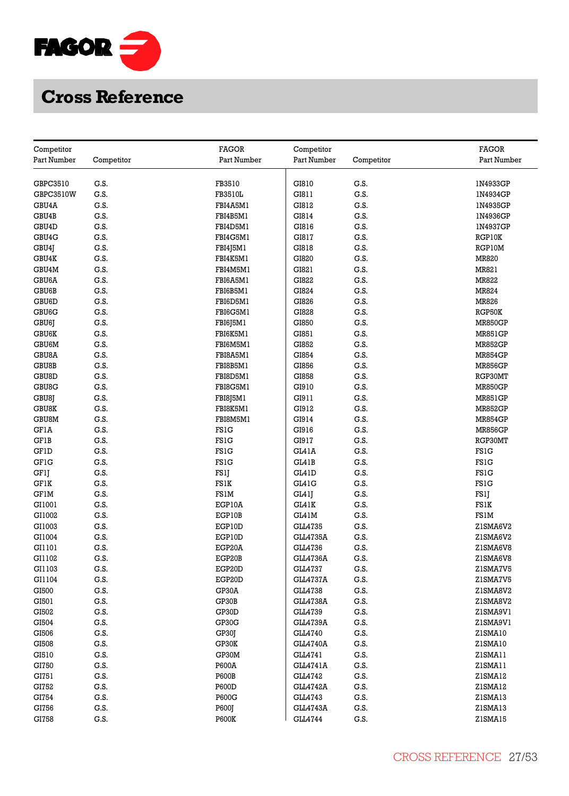

| Competitor         |            | <b>FAGOR</b>   | Competitor      |            | <b>FAGOR</b>   |
|--------------------|------------|----------------|-----------------|------------|----------------|
| Part Number        | Competitor | Part Number    | Part Number     | Competitor | Part Number    |
|                    |            |                |                 |            |                |
| GBPC3510           | G.S.       | FB3510         | GI810           | G.S.       | 1N4933GP       |
| GBPC3510W          | G.S.       | <b>FB3510L</b> | GI811           | G.S.       | 1N4934GP       |
| GBU4A              | G.S.       | FBI4A5M1       | GI812           | G.S.       | 1N4935GP       |
| GBU4B              | G.S.       | FBI4B5M1       | GI814           | G.S.       | 1N4936GP       |
| GBU <sub>4</sub> D | G.S.       | FBI4D5M1       | GI816           | G.S.       | 1N4937GP       |
| GBU <sub>4</sub> G | G.S.       | FBI4G5M1       | GI817           | G.S.       | RGP10K         |
| GBU4J              | G.S.       | FBI4J5M1       | GI818           | G.S.       | RGP10M         |
| GBU4K              | G.S.       | FBI4K5M1       | GI820           | G.S.       | <b>MR820</b>   |
| GBU4M              | G.S.       | FBI4M5M1       | GI821           | G.S.       | MR821          |
| GBU6A              | G.S.       | FBI6A5M1       | GI822           | G.S.       | MR822          |
| GBU6B              | G.S.       | FBI6B5M1       | GI824           | G.S.       | MR824          |
| GBU6D              | G.S.       | FBI6D5M1       | GI826           | G.S.       | MR826          |
| GBU6G              | G.S.       | FBI6G5M1       | GI828           | G.S.       | RGP50K         |
| GBU6J              | G.S.       | FBI6J5M1       | GI850           | G.S.       | <b>MR850GP</b> |
| <b>GBU6K</b>       | G.S.       | FBI6K5M1       | GI851           | G.S.       | <b>MR851GP</b> |
| GBU6M              | G.S.       | FBI6M5M1       | GI852           | G.S.       | <b>MR852GP</b> |
| GBU8A              | G.S.       | FBI8A5M1       | GI854           | G.S.       | <b>MR854GP</b> |
| GBU8B              | G.S.       | FBI8B5M1       | GI856           | G.S.       | <b>MR856GP</b> |
| GBU8D              | G.S.       | FBI8D5M1       | GI858           | G.S.       | RGP30MT        |
| GBU8G              | G.S.       | FBI8G5M1       | GI910           | G.S.       | <b>MR850GP</b> |
| GBU8J              | G.S.       | FBI8J5M1       | GI911           | G.S.       | <b>MR851GP</b> |
| <b>GBU8K</b>       | G.S.       | FBI8K5M1       | GI912           | G.S.       | <b>MR852GP</b> |
| GBU8M              | G.S.       | FBI8M5M1       | GI914           | G.S.       | <b>MR854GP</b> |
| <b>GF1A</b>        | G.S.       | <b>FS1G</b>    | GI916           | G.S.       | <b>MR856GP</b> |
| GF1B               | G.S.       | <b>FS1G</b>    | GI917           | G.S.       | RGP30MT        |
| GFID               | G.S.       | <b>FS1G</b>    | GL41A           | G.S.       | <b>FS1G</b>    |
| <b>GF1G</b>        | G.S.       | <b>FS1G</b>    | GL41B           | G.S.       | <b>FS1G</b>    |
| GFlJ               | G.S.       | FS1J           | GL41D           | G.S.       | <b>FS1G</b>    |
| <b>GF1K</b>        | G.S.       | FS1K           | GL41G           | G.S.       | <b>FS1G</b>    |
| <b>GF1M</b>        | G.S.       | FS1M           | GL41J           | G.S.       | FS1J           |
| GI1001             | G.S.       | EGP10A         | GL41K           | G.S.       | FS1K           |
| GI1002             | G.S.       | EGP10B         | GL41M           | G.S.       | FS1M           |
| GI1003             | G.S.       | EGP10D         | GLL4735         | G.S.       | Z1SMA6V2       |
| GI1004             | G.S.       | EGP10D         | <b>GLL4735A</b> | G.S.       | ZISMA6V2       |
| GI1101             | G.S.       | EGP20A         | GLL4736         | G.S.       | Z1SMA6V8       |
| GI1102             | G.S.       | EGP20B         | <b>GLL4736A</b> | G.S.       | Z1SMA6V8       |
| GI1103             | G.S.       | EGP20D         | GLL4737         | G.S.       | ZISMA7V5       |
| GI1104             | G.S.       | EGP20D         | <b>GLL4737A</b> | G.S.       | ZISMA7V5       |
| GI500              | G.S.       | GP30A          | GLL4738         | G.S.       | ZISMA8V2       |
| GI501              | G.S.       | GP30B          | <b>GLL4738A</b> | G.S.       | ZISMA8V2       |
| GI502              | G.S.       | GP30D          | GLL4739         | G.S.       | ZISMA9V1       |
| GI504              | G.S.       | GP30G          | <b>GLL4739A</b> | G.S.       | ZISMA9VI       |
| GI506              | G.S.       | GP30J          | GLL4740         | G.S.       | Z1SMA10        |
| GI508              | G.S.       | GP30K          | <b>GLL4740A</b> | G.S.       | ZISMA10        |
| GI510              | G.S.       | GP30M          | GLL4741         | G.S.       | ZISMA11        |
| GI750              | G.S.       | P600A          | <b>GLL4741A</b> | G.S.       | ZISMA11        |
| GI751              | G.S.       | <b>P600B</b>   | GLL4742         | G.S.       | ZISMA12        |
| GI752              | G.S.       | <b>P600D</b>   | <b>GLL4742A</b> | G.S.       | ZISMA12        |
| GI754              | G.S.       | P600G          | GLL4743         | G.S.       | Z1SMA13        |
| GI756              | G.S.       | P600J          | <b>GLL4743A</b> | G.S.       | ZISMA13        |
| GI758              | G.S.       | <b>P600K</b>   | GLL4744         | G.S.       | ZISMA15        |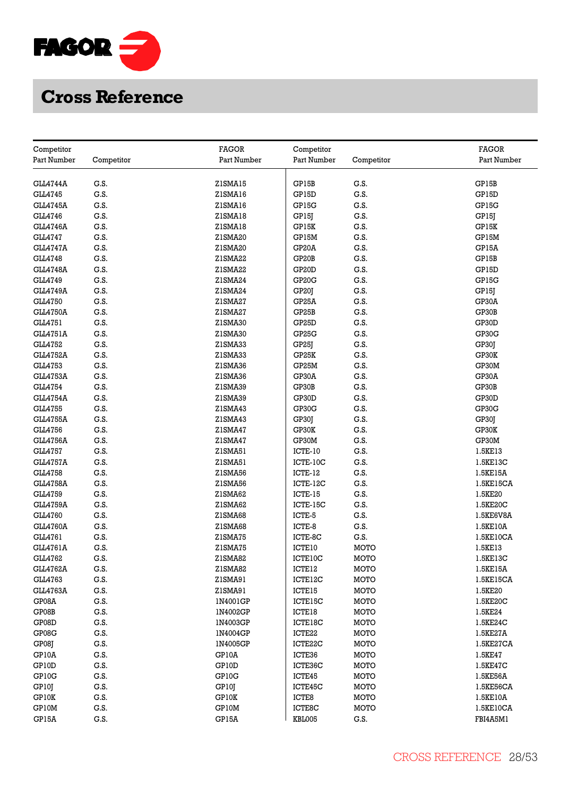

| Competitor      |              | <b>FAGOR</b> | Competitor         |              | <b>FAGOR</b>   |
|-----------------|--------------|--------------|--------------------|--------------|----------------|
| Part Number     | Competitor   | Part Number  | Part Number        | Competitor   | Part Number    |
| GLL4744A        | G.S.         | ZISMA15      | GP15B              | G.S.         | GP15B          |
| GLL4745         | G.S.         | ZISMA16      | GP15D              | G.S.         | GP15D          |
| <b>GLL4745A</b> | G.S.         | ZISMA16      | GP15G              | G.S.         | GP15G          |
| GLL4746         | G.S.         | ZISMA18      | GP15J              | G.S.         | GP15J          |
| <b>GLL4746A</b> | G.S.         | ZISMA18      | GP15K              | G.S.         | GP15K          |
| GLL4747         | G.S.         | Z1SMA20      | GP15M              | G.S.         | GP15M          |
| <b>GLL4747A</b> | G.S.         | Z1SMA20      | GP <sub>20</sub> A | G.S.         | GP15A          |
| GLL4748         | G.S.         | Z1SMA22      | GP20B              | G.S.         | GP15B          |
| <b>GLL4748A</b> | G.S.         | Z1SMA22      | GP <sub>20</sub> D | G.S.         | GP15D          |
| GLL4749         | G.S.         | Z1SMA24      | GP20G              | G.S.         | GP15G          |
| <b>GLL4749A</b> | G.S.         | Z1SMA24      | GP <sub>20</sub>   | G.S.         | GP15J          |
| <b>GLL4750</b>  | G.S.         | Z1SMA27      | GP25A              | G.S.         | GP30A          |
| <b>GLL4750A</b> | G.S.         | Z1SMA27      | GP25B              | G.S.         | GP30B          |
| GLL4751         | G.S.         | Z1SMA30      | GP25D              | G.S.         | GP30D          |
| <b>GLL4751A</b> | G.S.         | Z1SMA30      | GP25G              | G.S.         | GP30G          |
| GLL4752         | G.S.         | Z1SMA33      |                    | G.S.         |                |
| <b>GLL4752A</b> | G.S.         | Z1SMA33      | GP25J              | G.S.         | GP30J<br>GP30K |
| GLL4753         | G.S.         | Z1SMA36      | GP25K              | G.S.         |                |
| <b>GLL4753A</b> | G.S.         | Z1SMA36      | GP25M<br>GP30A     | G.S.         | GP30M          |
| GLL4754         | G.S.         | Z1SMA39      | GP30B              | G.S.         | GP30A<br>GP30B |
| <b>GLL4754A</b> | G.S.         | Z1SMA39      | GP30D              | G.S.         |                |
| GLL4755         | G.S.         |              |                    | G.S.         | GP30D          |
|                 |              | Z1SMA43      | GP30G              |              | GP30G          |
| <b>GLL4755A</b> | G.S.         | Z1SMA43      | GP30J              | G.S.         | GP30J          |
| GLL4756         | G.S.<br>G.S. | Z1SMA47      | GP30K              | G.S.<br>G.S. | GP30K          |
| <b>GLL4756A</b> |              | Z1SMA47      | GP30M              |              | GP30M          |
| GLL4757         | G.S.<br>G.S. | ZISMA51      | ICTE-10            | G.S.         | 1.5KE13        |
| <b>GLL4757A</b> |              | Z1SMA51      | ICTE-10C           | G.S.         | 1.5KE13C       |
| GLL4758         | G.S.         | Z1SMA56      | ICTE-12            | G.S.         | 1.5KE15A       |
| <b>GLL4758A</b> | G.S.         | Z1SMA56      | ICTE-12C           | G.S.         | 1.5KE15CA      |
| GLL4759         | G.S.         | ZISMA62      | ICTE-15            | G.S.         | 1.5KE20        |
| <b>GLL4759A</b> | G.S.         | Z1SMA62      | ICTE-15C           | G.S.         | 1.5KE20C       |
| GLL4760         | G.S.         | Z1SMA68      | ICTE-5             | G.S.         | 1.5KE6V8A      |
| <b>GLL4760A</b> | G.S.         | Z1SMA68      | ICTE-8             | G.S.         | 1.5KE10A       |
| GLL4761         | G.S.         | ZISMA75      | ICTE-8C            | G.S.         | 1.5KE10CA      |
| <b>GLL4761A</b> | G.S.         | ZISMA75      | ICTE10             | <b>MOTO</b>  | 1.5KE13        |
| GLL4762         | G.S.         | ZISMA82      | ICTE10C            | MOTO         | 1.5KE13C       |
| <b>GLL4762A</b> | G.S.         | ZISMA82      | ICTE12             | MOTO         | 1.5KE15A       |
| GLL4763         | G.S.         | ZISMA91      | ICTE12C            | MOTO         | 1.5KE15CA      |
| <b>GLL4763A</b> | G.S.         | ZISMA91      | ICTE15             | <b>MOTO</b>  | 1.5KE20        |
| GP08A           | G.S.         | 1N4001GP     | ICTE15C            | MOTO         | 1.5KE20C       |
| GP08B           | G.S.         | 1N4002GP     | ICTE18             | MOTO         | 1.5KE24        |
| GP08D           | G.S.         | 1N4003GP     | ICTE18C            | MOTO         | 1.5KE24C       |
| GP08G           | G.S.         | 1N4004GP     | ICTE22             | MOTO         | 1.5KE27A       |
| GP08J           | G.S.         | 1N4005GP     | ICTE22C            | <b>MOTO</b>  | 1.5KE27CA      |
| GP10A           | G.S.         | GP10A        | ICTE36             | MOTO         | 1.5KE47        |
| GP10D           | G.S.         | GP10D        | ICTE36C            | MOTO         | 1.5KE47C       |
| GP10G           | G.S.         | GP10G        | ICTE45             | MOTO         | 1.5KE56A       |
| GP10J           | G.S.         | GP10J        | ICTE45C            | MOTO         | 1.5KE56CA      |
| GP10K           | G.S.         | GP10K        | ICTE8              | MOTO         | 1.5KE10A       |
| GP10M           | G.S.         | GP10M        | ICTE8C             | <b>MOTO</b>  | 1.5KE10CA      |
| GP15A           | G.S.         | GP15A        | KBL005             | G.S.         | FBI4A5M1       |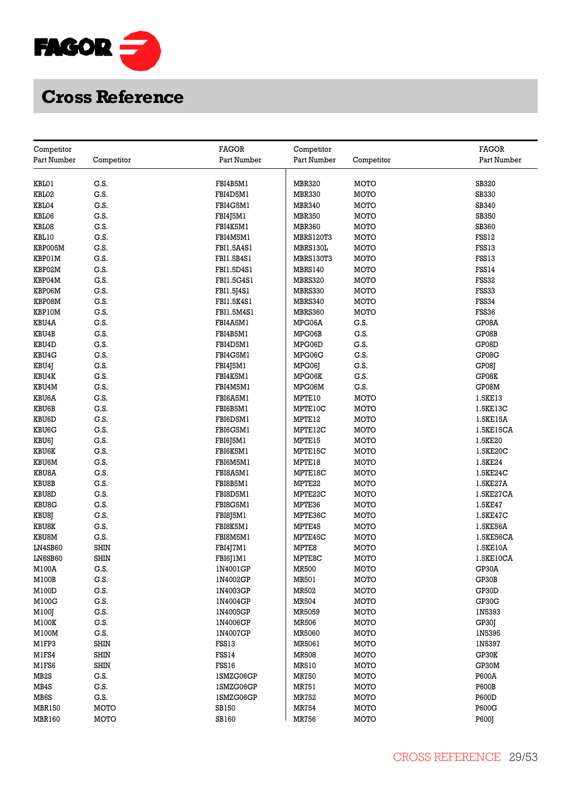

| <b>FAGOR</b><br>Competitor<br>Competitor<br>Part Number<br>Part Number<br>Competitor<br>Part Number<br>Competitor<br>Part Number<br>KBL01<br>G.S.<br>FBI4B5M1<br><b>MBR320</b><br>SB320<br>MOTO<br>KBL02<br>G.S.<br>FBI4D5M1<br><b>MBR330</b><br>MOTO<br><b>SB330</b><br>KBL04<br>G.S.<br>FBI4G5M1<br>SB340<br><b>MBR340</b><br>MOTO<br>SB350<br>KBL06<br>G.S.<br>FBI4J5M1<br><b>MBR350</b><br>MOTO<br>KBL08<br>G.S.<br>FBI4K5M1<br><b>MBR360</b><br>MOTO<br><b>SB360</b><br>KBL10<br>G.S.<br>FBI4M5M1<br><b>MBRS120T3</b><br>MOTO<br>FSS12<br>KBP005M<br>G.S.<br>FBI1.5A4S1<br>MOTO<br>FSS13<br>MBRS130L<br>G.S.<br>FSS13<br>KBP01M<br>FBI1.5B4S1<br><b>MBRS130T3</b><br>MOTO<br>FSS14<br>KBP02M<br>G.S.<br>FBI1.5D4S1<br><b>MBRS140</b><br>MOTO<br>G.S.<br><b>FSS32</b><br>KBP04M<br>FBI1.5G4S1<br>MOTO<br>MBRS320<br>KBP06M<br>G.S.<br>FBI1.5J4S1<br>MBRS330<br>MOTO<br>FSS33<br>KBP08M<br>G.S.<br>FBI1.5K4S1<br><b>FSS34</b><br>MBRS340<br>MOTO<br>KBP10M<br>G.S.<br>FBI1.5M4S1<br>MBRS360<br>MOTO<br>FSS36<br>KBU4A<br>G.S.<br>FBI4A5M1<br>G.S.<br>GP08A<br>MPG06A<br>KBU4B<br>G.S.<br>FBI4B5M1<br>MPG06B<br>G.S.<br>GP08B<br>G.S.<br>FBI4D5M1<br>G.S.<br>GP08D<br>KBU4D<br>MPG06D<br>KBU4G<br>G.S.<br>FBI4G5M1<br>G.S.<br>GP08G<br>MPG06G<br>G.S.<br>FBI4J5M1<br>G.S.<br>GP08J<br>KBU4J<br>MPG061<br>G.S.<br>G.S.<br>KBU4K<br>FBI4K5M1<br>GP08K<br>MPG06K<br>G.S.<br>G.S.<br>GP08M<br>KBU4M<br>FBI4M5M1<br>MPG06M<br>G.S.<br>KBU6A<br>FBI6A5M1<br>MOTO<br>1.5KE13<br>MPTE10<br>KBU6B<br>G.S.<br>FBI6B5M1<br>MOTO<br>MPTE10C<br>1.5KE13C<br>G.S.<br>KBU6D<br>FBI6D5M1<br>MPTE12<br>MOTO<br>1.5KE15A<br>KBU6G<br>G.S.<br>FBI6G5M1<br>MPTE12C<br><b>MOTO</b><br>1.5KE15CA<br>G.S.<br>KBU6J<br>FBI6J5M1<br>MPTE15<br>MOTO<br>1.5KE20<br>KBU6K<br>G.S.<br>FBI6K5M1<br>MPTE15C<br>MOTO<br>1.5KE20C<br>G.S.<br>MPTE18<br>MOTO<br>1.5KE24<br>KBU6M<br>FBI6M5M1<br>KBU8A<br>G.S.<br>FBI8A5M1<br>MPTE18C<br>MOTO<br>1.5KE24C<br>KBU8B<br>G.S.<br><b>MOTO</b><br>FBI8B5M1<br>MPTE22<br>1.5KE27A<br>G.S.<br><b>KBU8D</b><br>FBI8D5M1<br>MPTE22C<br>MOTO<br>1.5KE27CA<br><b>KBU8G</b><br>G.S.<br>1.5KE47<br>FBI8G5M1<br>MPTE36<br>MOTO<br>G.S.<br>KBU8J<br>FBI8J5M1<br>MOTO<br>MPTE36C<br>1.5KE47C<br><b>KBU8K</b><br>G.S.<br>FBI8K5M1<br><b>MOTO</b><br>MPTE45<br>1.5KE56A<br>G.S.<br>KBU8M<br>FBI8M5M1<br>MPTE45C<br>MOTO<br>1.5KE56CA<br><b>SHIN</b><br>LN4SB60<br>FBI4J7M1<br>MPTE8<br>MOTO<br>1.5KE10A<br><b>SHIN</b><br>LN6SB60<br>MPTE8C<br>MOTO<br>1.5KE10CA<br>FBI6J1M1<br>G.S.<br>M100A<br>1N4001GP<br><b>MR500</b><br>MOTO<br>GP30A<br>G.S.<br>GP30B<br>M100B<br>1N4002GP<br>MR501<br>MOTO<br>G.S.<br>M100D<br>1N4003GP<br>MR502<br>MOTO<br>GP30D<br>M100G<br>G.S.<br><b>MR504</b><br>MOTO<br>GP30G<br>1N4004GP<br>G.S.<br>MR5059<br>1N5393<br>M100J<br>1N4005GP<br>MOTO<br>M100K<br>G.S.<br>1N4006GP<br><b>MR506</b><br>MOTO<br>GP30J<br>G.S.<br>1N5395<br>M100M<br>1N4007GP<br><b>MR5060</b><br>MOTO<br><b>SHIN</b><br>M1FP3<br>FSS13<br>MR5061<br>MOTO<br>1N5397<br>M1FS4<br><b>SHIN</b><br>FSS14<br><b>MR508</b><br>MOTO<br>GP30K<br>M1FS6<br><b>SHIN</b><br>FSS16<br>MR510<br>MOTO<br>GP30M<br>MB <sub>2</sub> S<br>G.S.<br><b>MR750</b><br>MOTO<br>P600A<br>1SMZG06GP<br>MB4S<br>G.S.<br>1SMZG06GP<br><b>MR751</b><br>MOTO<br><b>P600B</b><br>MB6S<br>G.S.<br>1SMZG06GP<br>MR752<br>MOTO<br><b>P600D</b><br><b>MBR150</b><br>MOTO<br><b>SB150</b><br><b>MR754</b><br>MOTO<br>P600G<br><b>MBR160</b><br>MOTO<br><b>SB160</b><br><b>MR756</b><br>MOTO<br><b>P600J</b> |  |  | <b>FAGOR</b> |
|-------------------------------------------------------------------------------------------------------------------------------------------------------------------------------------------------------------------------------------------------------------------------------------------------------------------------------------------------------------------------------------------------------------------------------------------------------------------------------------------------------------------------------------------------------------------------------------------------------------------------------------------------------------------------------------------------------------------------------------------------------------------------------------------------------------------------------------------------------------------------------------------------------------------------------------------------------------------------------------------------------------------------------------------------------------------------------------------------------------------------------------------------------------------------------------------------------------------------------------------------------------------------------------------------------------------------------------------------------------------------------------------------------------------------------------------------------------------------------------------------------------------------------------------------------------------------------------------------------------------------------------------------------------------------------------------------------------------------------------------------------------------------------------------------------------------------------------------------------------------------------------------------------------------------------------------------------------------------------------------------------------------------------------------------------------------------------------------------------------------------------------------------------------------------------------------------------------------------------------------------------------------------------------------------------------------------------------------------------------------------------------------------------------------------------------------------------------------------------------------------------------------------------------------------------------------------------------------------------------------------------------------------------------------------------------------------------------------------------------------------------------------------------------------------------------------------------------------------------------------------------------------------------------------------------------------------------------------------------------------------------------------------------------------------------------------------------------------------------------------------------------------------------------------------------------------------------------------------------------------------------------------------------------------------------------------------------------------------------------------------------------------------------------------------------------------------------------------------------|--|--|--------------|
|                                                                                                                                                                                                                                                                                                                                                                                                                                                                                                                                                                                                                                                                                                                                                                                                                                                                                                                                                                                                                                                                                                                                                                                                                                                                                                                                                                                                                                                                                                                                                                                                                                                                                                                                                                                                                                                                                                                                                                                                                                                                                                                                                                                                                                                                                                                                                                                                                                                                                                                                                                                                                                                                                                                                                                                                                                                                                                                                                                                                                                                                                                                                                                                                                                                                                                                                                                                                                                                                               |  |  |              |
|                                                                                                                                                                                                                                                                                                                                                                                                                                                                                                                                                                                                                                                                                                                                                                                                                                                                                                                                                                                                                                                                                                                                                                                                                                                                                                                                                                                                                                                                                                                                                                                                                                                                                                                                                                                                                                                                                                                                                                                                                                                                                                                                                                                                                                                                                                                                                                                                                                                                                                                                                                                                                                                                                                                                                                                                                                                                                                                                                                                                                                                                                                                                                                                                                                                                                                                                                                                                                                                                               |  |  |              |
|                                                                                                                                                                                                                                                                                                                                                                                                                                                                                                                                                                                                                                                                                                                                                                                                                                                                                                                                                                                                                                                                                                                                                                                                                                                                                                                                                                                                                                                                                                                                                                                                                                                                                                                                                                                                                                                                                                                                                                                                                                                                                                                                                                                                                                                                                                                                                                                                                                                                                                                                                                                                                                                                                                                                                                                                                                                                                                                                                                                                                                                                                                                                                                                                                                                                                                                                                                                                                                                                               |  |  |              |
|                                                                                                                                                                                                                                                                                                                                                                                                                                                                                                                                                                                                                                                                                                                                                                                                                                                                                                                                                                                                                                                                                                                                                                                                                                                                                                                                                                                                                                                                                                                                                                                                                                                                                                                                                                                                                                                                                                                                                                                                                                                                                                                                                                                                                                                                                                                                                                                                                                                                                                                                                                                                                                                                                                                                                                                                                                                                                                                                                                                                                                                                                                                                                                                                                                                                                                                                                                                                                                                                               |  |  |              |
|                                                                                                                                                                                                                                                                                                                                                                                                                                                                                                                                                                                                                                                                                                                                                                                                                                                                                                                                                                                                                                                                                                                                                                                                                                                                                                                                                                                                                                                                                                                                                                                                                                                                                                                                                                                                                                                                                                                                                                                                                                                                                                                                                                                                                                                                                                                                                                                                                                                                                                                                                                                                                                                                                                                                                                                                                                                                                                                                                                                                                                                                                                                                                                                                                                                                                                                                                                                                                                                                               |  |  |              |
|                                                                                                                                                                                                                                                                                                                                                                                                                                                                                                                                                                                                                                                                                                                                                                                                                                                                                                                                                                                                                                                                                                                                                                                                                                                                                                                                                                                                                                                                                                                                                                                                                                                                                                                                                                                                                                                                                                                                                                                                                                                                                                                                                                                                                                                                                                                                                                                                                                                                                                                                                                                                                                                                                                                                                                                                                                                                                                                                                                                                                                                                                                                                                                                                                                                                                                                                                                                                                                                                               |  |  |              |
|                                                                                                                                                                                                                                                                                                                                                                                                                                                                                                                                                                                                                                                                                                                                                                                                                                                                                                                                                                                                                                                                                                                                                                                                                                                                                                                                                                                                                                                                                                                                                                                                                                                                                                                                                                                                                                                                                                                                                                                                                                                                                                                                                                                                                                                                                                                                                                                                                                                                                                                                                                                                                                                                                                                                                                                                                                                                                                                                                                                                                                                                                                                                                                                                                                                                                                                                                                                                                                                                               |  |  |              |
|                                                                                                                                                                                                                                                                                                                                                                                                                                                                                                                                                                                                                                                                                                                                                                                                                                                                                                                                                                                                                                                                                                                                                                                                                                                                                                                                                                                                                                                                                                                                                                                                                                                                                                                                                                                                                                                                                                                                                                                                                                                                                                                                                                                                                                                                                                                                                                                                                                                                                                                                                                                                                                                                                                                                                                                                                                                                                                                                                                                                                                                                                                                                                                                                                                                                                                                                                                                                                                                                               |  |  |              |
|                                                                                                                                                                                                                                                                                                                                                                                                                                                                                                                                                                                                                                                                                                                                                                                                                                                                                                                                                                                                                                                                                                                                                                                                                                                                                                                                                                                                                                                                                                                                                                                                                                                                                                                                                                                                                                                                                                                                                                                                                                                                                                                                                                                                                                                                                                                                                                                                                                                                                                                                                                                                                                                                                                                                                                                                                                                                                                                                                                                                                                                                                                                                                                                                                                                                                                                                                                                                                                                                               |  |  |              |
|                                                                                                                                                                                                                                                                                                                                                                                                                                                                                                                                                                                                                                                                                                                                                                                                                                                                                                                                                                                                                                                                                                                                                                                                                                                                                                                                                                                                                                                                                                                                                                                                                                                                                                                                                                                                                                                                                                                                                                                                                                                                                                                                                                                                                                                                                                                                                                                                                                                                                                                                                                                                                                                                                                                                                                                                                                                                                                                                                                                                                                                                                                                                                                                                                                                                                                                                                                                                                                                                               |  |  |              |
|                                                                                                                                                                                                                                                                                                                                                                                                                                                                                                                                                                                                                                                                                                                                                                                                                                                                                                                                                                                                                                                                                                                                                                                                                                                                                                                                                                                                                                                                                                                                                                                                                                                                                                                                                                                                                                                                                                                                                                                                                                                                                                                                                                                                                                                                                                                                                                                                                                                                                                                                                                                                                                                                                                                                                                                                                                                                                                                                                                                                                                                                                                                                                                                                                                                                                                                                                                                                                                                                               |  |  |              |
|                                                                                                                                                                                                                                                                                                                                                                                                                                                                                                                                                                                                                                                                                                                                                                                                                                                                                                                                                                                                                                                                                                                                                                                                                                                                                                                                                                                                                                                                                                                                                                                                                                                                                                                                                                                                                                                                                                                                                                                                                                                                                                                                                                                                                                                                                                                                                                                                                                                                                                                                                                                                                                                                                                                                                                                                                                                                                                                                                                                                                                                                                                                                                                                                                                                                                                                                                                                                                                                                               |  |  |              |
|                                                                                                                                                                                                                                                                                                                                                                                                                                                                                                                                                                                                                                                                                                                                                                                                                                                                                                                                                                                                                                                                                                                                                                                                                                                                                                                                                                                                                                                                                                                                                                                                                                                                                                                                                                                                                                                                                                                                                                                                                                                                                                                                                                                                                                                                                                                                                                                                                                                                                                                                                                                                                                                                                                                                                                                                                                                                                                                                                                                                                                                                                                                                                                                                                                                                                                                                                                                                                                                                               |  |  |              |
|                                                                                                                                                                                                                                                                                                                                                                                                                                                                                                                                                                                                                                                                                                                                                                                                                                                                                                                                                                                                                                                                                                                                                                                                                                                                                                                                                                                                                                                                                                                                                                                                                                                                                                                                                                                                                                                                                                                                                                                                                                                                                                                                                                                                                                                                                                                                                                                                                                                                                                                                                                                                                                                                                                                                                                                                                                                                                                                                                                                                                                                                                                                                                                                                                                                                                                                                                                                                                                                                               |  |  |              |
|                                                                                                                                                                                                                                                                                                                                                                                                                                                                                                                                                                                                                                                                                                                                                                                                                                                                                                                                                                                                                                                                                                                                                                                                                                                                                                                                                                                                                                                                                                                                                                                                                                                                                                                                                                                                                                                                                                                                                                                                                                                                                                                                                                                                                                                                                                                                                                                                                                                                                                                                                                                                                                                                                                                                                                                                                                                                                                                                                                                                                                                                                                                                                                                                                                                                                                                                                                                                                                                                               |  |  |              |
|                                                                                                                                                                                                                                                                                                                                                                                                                                                                                                                                                                                                                                                                                                                                                                                                                                                                                                                                                                                                                                                                                                                                                                                                                                                                                                                                                                                                                                                                                                                                                                                                                                                                                                                                                                                                                                                                                                                                                                                                                                                                                                                                                                                                                                                                                                                                                                                                                                                                                                                                                                                                                                                                                                                                                                                                                                                                                                                                                                                                                                                                                                                                                                                                                                                                                                                                                                                                                                                                               |  |  |              |
|                                                                                                                                                                                                                                                                                                                                                                                                                                                                                                                                                                                                                                                                                                                                                                                                                                                                                                                                                                                                                                                                                                                                                                                                                                                                                                                                                                                                                                                                                                                                                                                                                                                                                                                                                                                                                                                                                                                                                                                                                                                                                                                                                                                                                                                                                                                                                                                                                                                                                                                                                                                                                                                                                                                                                                                                                                                                                                                                                                                                                                                                                                                                                                                                                                                                                                                                                                                                                                                                               |  |  |              |
|                                                                                                                                                                                                                                                                                                                                                                                                                                                                                                                                                                                                                                                                                                                                                                                                                                                                                                                                                                                                                                                                                                                                                                                                                                                                                                                                                                                                                                                                                                                                                                                                                                                                                                                                                                                                                                                                                                                                                                                                                                                                                                                                                                                                                                                                                                                                                                                                                                                                                                                                                                                                                                                                                                                                                                                                                                                                                                                                                                                                                                                                                                                                                                                                                                                                                                                                                                                                                                                                               |  |  |              |
|                                                                                                                                                                                                                                                                                                                                                                                                                                                                                                                                                                                                                                                                                                                                                                                                                                                                                                                                                                                                                                                                                                                                                                                                                                                                                                                                                                                                                                                                                                                                                                                                                                                                                                                                                                                                                                                                                                                                                                                                                                                                                                                                                                                                                                                                                                                                                                                                                                                                                                                                                                                                                                                                                                                                                                                                                                                                                                                                                                                                                                                                                                                                                                                                                                                                                                                                                                                                                                                                               |  |  |              |
|                                                                                                                                                                                                                                                                                                                                                                                                                                                                                                                                                                                                                                                                                                                                                                                                                                                                                                                                                                                                                                                                                                                                                                                                                                                                                                                                                                                                                                                                                                                                                                                                                                                                                                                                                                                                                                                                                                                                                                                                                                                                                                                                                                                                                                                                                                                                                                                                                                                                                                                                                                                                                                                                                                                                                                                                                                                                                                                                                                                                                                                                                                                                                                                                                                                                                                                                                                                                                                                                               |  |  |              |
|                                                                                                                                                                                                                                                                                                                                                                                                                                                                                                                                                                                                                                                                                                                                                                                                                                                                                                                                                                                                                                                                                                                                                                                                                                                                                                                                                                                                                                                                                                                                                                                                                                                                                                                                                                                                                                                                                                                                                                                                                                                                                                                                                                                                                                                                                                                                                                                                                                                                                                                                                                                                                                                                                                                                                                                                                                                                                                                                                                                                                                                                                                                                                                                                                                                                                                                                                                                                                                                                               |  |  |              |
|                                                                                                                                                                                                                                                                                                                                                                                                                                                                                                                                                                                                                                                                                                                                                                                                                                                                                                                                                                                                                                                                                                                                                                                                                                                                                                                                                                                                                                                                                                                                                                                                                                                                                                                                                                                                                                                                                                                                                                                                                                                                                                                                                                                                                                                                                                                                                                                                                                                                                                                                                                                                                                                                                                                                                                                                                                                                                                                                                                                                                                                                                                                                                                                                                                                                                                                                                                                                                                                                               |  |  |              |
|                                                                                                                                                                                                                                                                                                                                                                                                                                                                                                                                                                                                                                                                                                                                                                                                                                                                                                                                                                                                                                                                                                                                                                                                                                                                                                                                                                                                                                                                                                                                                                                                                                                                                                                                                                                                                                                                                                                                                                                                                                                                                                                                                                                                                                                                                                                                                                                                                                                                                                                                                                                                                                                                                                                                                                                                                                                                                                                                                                                                                                                                                                                                                                                                                                                                                                                                                                                                                                                                               |  |  |              |
|                                                                                                                                                                                                                                                                                                                                                                                                                                                                                                                                                                                                                                                                                                                                                                                                                                                                                                                                                                                                                                                                                                                                                                                                                                                                                                                                                                                                                                                                                                                                                                                                                                                                                                                                                                                                                                                                                                                                                                                                                                                                                                                                                                                                                                                                                                                                                                                                                                                                                                                                                                                                                                                                                                                                                                                                                                                                                                                                                                                                                                                                                                                                                                                                                                                                                                                                                                                                                                                                               |  |  |              |
|                                                                                                                                                                                                                                                                                                                                                                                                                                                                                                                                                                                                                                                                                                                                                                                                                                                                                                                                                                                                                                                                                                                                                                                                                                                                                                                                                                                                                                                                                                                                                                                                                                                                                                                                                                                                                                                                                                                                                                                                                                                                                                                                                                                                                                                                                                                                                                                                                                                                                                                                                                                                                                                                                                                                                                                                                                                                                                                                                                                                                                                                                                                                                                                                                                                                                                                                                                                                                                                                               |  |  |              |
|                                                                                                                                                                                                                                                                                                                                                                                                                                                                                                                                                                                                                                                                                                                                                                                                                                                                                                                                                                                                                                                                                                                                                                                                                                                                                                                                                                                                                                                                                                                                                                                                                                                                                                                                                                                                                                                                                                                                                                                                                                                                                                                                                                                                                                                                                                                                                                                                                                                                                                                                                                                                                                                                                                                                                                                                                                                                                                                                                                                                                                                                                                                                                                                                                                                                                                                                                                                                                                                                               |  |  |              |
|                                                                                                                                                                                                                                                                                                                                                                                                                                                                                                                                                                                                                                                                                                                                                                                                                                                                                                                                                                                                                                                                                                                                                                                                                                                                                                                                                                                                                                                                                                                                                                                                                                                                                                                                                                                                                                                                                                                                                                                                                                                                                                                                                                                                                                                                                                                                                                                                                                                                                                                                                                                                                                                                                                                                                                                                                                                                                                                                                                                                                                                                                                                                                                                                                                                                                                                                                                                                                                                                               |  |  |              |
|                                                                                                                                                                                                                                                                                                                                                                                                                                                                                                                                                                                                                                                                                                                                                                                                                                                                                                                                                                                                                                                                                                                                                                                                                                                                                                                                                                                                                                                                                                                                                                                                                                                                                                                                                                                                                                                                                                                                                                                                                                                                                                                                                                                                                                                                                                                                                                                                                                                                                                                                                                                                                                                                                                                                                                                                                                                                                                                                                                                                                                                                                                                                                                                                                                                                                                                                                                                                                                                                               |  |  |              |
|                                                                                                                                                                                                                                                                                                                                                                                                                                                                                                                                                                                                                                                                                                                                                                                                                                                                                                                                                                                                                                                                                                                                                                                                                                                                                                                                                                                                                                                                                                                                                                                                                                                                                                                                                                                                                                                                                                                                                                                                                                                                                                                                                                                                                                                                                                                                                                                                                                                                                                                                                                                                                                                                                                                                                                                                                                                                                                                                                                                                                                                                                                                                                                                                                                                                                                                                                                                                                                                                               |  |  |              |
|                                                                                                                                                                                                                                                                                                                                                                                                                                                                                                                                                                                                                                                                                                                                                                                                                                                                                                                                                                                                                                                                                                                                                                                                                                                                                                                                                                                                                                                                                                                                                                                                                                                                                                                                                                                                                                                                                                                                                                                                                                                                                                                                                                                                                                                                                                                                                                                                                                                                                                                                                                                                                                                                                                                                                                                                                                                                                                                                                                                                                                                                                                                                                                                                                                                                                                                                                                                                                                                                               |  |  |              |
|                                                                                                                                                                                                                                                                                                                                                                                                                                                                                                                                                                                                                                                                                                                                                                                                                                                                                                                                                                                                                                                                                                                                                                                                                                                                                                                                                                                                                                                                                                                                                                                                                                                                                                                                                                                                                                                                                                                                                                                                                                                                                                                                                                                                                                                                                                                                                                                                                                                                                                                                                                                                                                                                                                                                                                                                                                                                                                                                                                                                                                                                                                                                                                                                                                                                                                                                                                                                                                                                               |  |  |              |
|                                                                                                                                                                                                                                                                                                                                                                                                                                                                                                                                                                                                                                                                                                                                                                                                                                                                                                                                                                                                                                                                                                                                                                                                                                                                                                                                                                                                                                                                                                                                                                                                                                                                                                                                                                                                                                                                                                                                                                                                                                                                                                                                                                                                                                                                                                                                                                                                                                                                                                                                                                                                                                                                                                                                                                                                                                                                                                                                                                                                                                                                                                                                                                                                                                                                                                                                                                                                                                                                               |  |  |              |
|                                                                                                                                                                                                                                                                                                                                                                                                                                                                                                                                                                                                                                                                                                                                                                                                                                                                                                                                                                                                                                                                                                                                                                                                                                                                                                                                                                                                                                                                                                                                                                                                                                                                                                                                                                                                                                                                                                                                                                                                                                                                                                                                                                                                                                                                                                                                                                                                                                                                                                                                                                                                                                                                                                                                                                                                                                                                                                                                                                                                                                                                                                                                                                                                                                                                                                                                                                                                                                                                               |  |  |              |
|                                                                                                                                                                                                                                                                                                                                                                                                                                                                                                                                                                                                                                                                                                                                                                                                                                                                                                                                                                                                                                                                                                                                                                                                                                                                                                                                                                                                                                                                                                                                                                                                                                                                                                                                                                                                                                                                                                                                                                                                                                                                                                                                                                                                                                                                                                                                                                                                                                                                                                                                                                                                                                                                                                                                                                                                                                                                                                                                                                                                                                                                                                                                                                                                                                                                                                                                                                                                                                                                               |  |  |              |
|                                                                                                                                                                                                                                                                                                                                                                                                                                                                                                                                                                                                                                                                                                                                                                                                                                                                                                                                                                                                                                                                                                                                                                                                                                                                                                                                                                                                                                                                                                                                                                                                                                                                                                                                                                                                                                                                                                                                                                                                                                                                                                                                                                                                                                                                                                                                                                                                                                                                                                                                                                                                                                                                                                                                                                                                                                                                                                                                                                                                                                                                                                                                                                                                                                                                                                                                                                                                                                                                               |  |  |              |
|                                                                                                                                                                                                                                                                                                                                                                                                                                                                                                                                                                                                                                                                                                                                                                                                                                                                                                                                                                                                                                                                                                                                                                                                                                                                                                                                                                                                                                                                                                                                                                                                                                                                                                                                                                                                                                                                                                                                                                                                                                                                                                                                                                                                                                                                                                                                                                                                                                                                                                                                                                                                                                                                                                                                                                                                                                                                                                                                                                                                                                                                                                                                                                                                                                                                                                                                                                                                                                                                               |  |  |              |
|                                                                                                                                                                                                                                                                                                                                                                                                                                                                                                                                                                                                                                                                                                                                                                                                                                                                                                                                                                                                                                                                                                                                                                                                                                                                                                                                                                                                                                                                                                                                                                                                                                                                                                                                                                                                                                                                                                                                                                                                                                                                                                                                                                                                                                                                                                                                                                                                                                                                                                                                                                                                                                                                                                                                                                                                                                                                                                                                                                                                                                                                                                                                                                                                                                                                                                                                                                                                                                                                               |  |  |              |
|                                                                                                                                                                                                                                                                                                                                                                                                                                                                                                                                                                                                                                                                                                                                                                                                                                                                                                                                                                                                                                                                                                                                                                                                                                                                                                                                                                                                                                                                                                                                                                                                                                                                                                                                                                                                                                                                                                                                                                                                                                                                                                                                                                                                                                                                                                                                                                                                                                                                                                                                                                                                                                                                                                                                                                                                                                                                                                                                                                                                                                                                                                                                                                                                                                                                                                                                                                                                                                                                               |  |  |              |
|                                                                                                                                                                                                                                                                                                                                                                                                                                                                                                                                                                                                                                                                                                                                                                                                                                                                                                                                                                                                                                                                                                                                                                                                                                                                                                                                                                                                                                                                                                                                                                                                                                                                                                                                                                                                                                                                                                                                                                                                                                                                                                                                                                                                                                                                                                                                                                                                                                                                                                                                                                                                                                                                                                                                                                                                                                                                                                                                                                                                                                                                                                                                                                                                                                                                                                                                                                                                                                                                               |  |  |              |
|                                                                                                                                                                                                                                                                                                                                                                                                                                                                                                                                                                                                                                                                                                                                                                                                                                                                                                                                                                                                                                                                                                                                                                                                                                                                                                                                                                                                                                                                                                                                                                                                                                                                                                                                                                                                                                                                                                                                                                                                                                                                                                                                                                                                                                                                                                                                                                                                                                                                                                                                                                                                                                                                                                                                                                                                                                                                                                                                                                                                                                                                                                                                                                                                                                                                                                                                                                                                                                                                               |  |  |              |
|                                                                                                                                                                                                                                                                                                                                                                                                                                                                                                                                                                                                                                                                                                                                                                                                                                                                                                                                                                                                                                                                                                                                                                                                                                                                                                                                                                                                                                                                                                                                                                                                                                                                                                                                                                                                                                                                                                                                                                                                                                                                                                                                                                                                                                                                                                                                                                                                                                                                                                                                                                                                                                                                                                                                                                                                                                                                                                                                                                                                                                                                                                                                                                                                                                                                                                                                                                                                                                                                               |  |  |              |
|                                                                                                                                                                                                                                                                                                                                                                                                                                                                                                                                                                                                                                                                                                                                                                                                                                                                                                                                                                                                                                                                                                                                                                                                                                                                                                                                                                                                                                                                                                                                                                                                                                                                                                                                                                                                                                                                                                                                                                                                                                                                                                                                                                                                                                                                                                                                                                                                                                                                                                                                                                                                                                                                                                                                                                                                                                                                                                                                                                                                                                                                                                                                                                                                                                                                                                                                                                                                                                                                               |  |  |              |
|                                                                                                                                                                                                                                                                                                                                                                                                                                                                                                                                                                                                                                                                                                                                                                                                                                                                                                                                                                                                                                                                                                                                                                                                                                                                                                                                                                                                                                                                                                                                                                                                                                                                                                                                                                                                                                                                                                                                                                                                                                                                                                                                                                                                                                                                                                                                                                                                                                                                                                                                                                                                                                                                                                                                                                                                                                                                                                                                                                                                                                                                                                                                                                                                                                                                                                                                                                                                                                                                               |  |  |              |
|                                                                                                                                                                                                                                                                                                                                                                                                                                                                                                                                                                                                                                                                                                                                                                                                                                                                                                                                                                                                                                                                                                                                                                                                                                                                                                                                                                                                                                                                                                                                                                                                                                                                                                                                                                                                                                                                                                                                                                                                                                                                                                                                                                                                                                                                                                                                                                                                                                                                                                                                                                                                                                                                                                                                                                                                                                                                                                                                                                                                                                                                                                                                                                                                                                                                                                                                                                                                                                                                               |  |  |              |
|                                                                                                                                                                                                                                                                                                                                                                                                                                                                                                                                                                                                                                                                                                                                                                                                                                                                                                                                                                                                                                                                                                                                                                                                                                                                                                                                                                                                                                                                                                                                                                                                                                                                                                                                                                                                                                                                                                                                                                                                                                                                                                                                                                                                                                                                                                                                                                                                                                                                                                                                                                                                                                                                                                                                                                                                                                                                                                                                                                                                                                                                                                                                                                                                                                                                                                                                                                                                                                                                               |  |  |              |
|                                                                                                                                                                                                                                                                                                                                                                                                                                                                                                                                                                                                                                                                                                                                                                                                                                                                                                                                                                                                                                                                                                                                                                                                                                                                                                                                                                                                                                                                                                                                                                                                                                                                                                                                                                                                                                                                                                                                                                                                                                                                                                                                                                                                                                                                                                                                                                                                                                                                                                                                                                                                                                                                                                                                                                                                                                                                                                                                                                                                                                                                                                                                                                                                                                                                                                                                                                                                                                                                               |  |  |              |
|                                                                                                                                                                                                                                                                                                                                                                                                                                                                                                                                                                                                                                                                                                                                                                                                                                                                                                                                                                                                                                                                                                                                                                                                                                                                                                                                                                                                                                                                                                                                                                                                                                                                                                                                                                                                                                                                                                                                                                                                                                                                                                                                                                                                                                                                                                                                                                                                                                                                                                                                                                                                                                                                                                                                                                                                                                                                                                                                                                                                                                                                                                                                                                                                                                                                                                                                                                                                                                                                               |  |  |              |
|                                                                                                                                                                                                                                                                                                                                                                                                                                                                                                                                                                                                                                                                                                                                                                                                                                                                                                                                                                                                                                                                                                                                                                                                                                                                                                                                                                                                                                                                                                                                                                                                                                                                                                                                                                                                                                                                                                                                                                                                                                                                                                                                                                                                                                                                                                                                                                                                                                                                                                                                                                                                                                                                                                                                                                                                                                                                                                                                                                                                                                                                                                                                                                                                                                                                                                                                                                                                                                                                               |  |  |              |
|                                                                                                                                                                                                                                                                                                                                                                                                                                                                                                                                                                                                                                                                                                                                                                                                                                                                                                                                                                                                                                                                                                                                                                                                                                                                                                                                                                                                                                                                                                                                                                                                                                                                                                                                                                                                                                                                                                                                                                                                                                                                                                                                                                                                                                                                                                                                                                                                                                                                                                                                                                                                                                                                                                                                                                                                                                                                                                                                                                                                                                                                                                                                                                                                                                                                                                                                                                                                                                                                               |  |  |              |
|                                                                                                                                                                                                                                                                                                                                                                                                                                                                                                                                                                                                                                                                                                                                                                                                                                                                                                                                                                                                                                                                                                                                                                                                                                                                                                                                                                                                                                                                                                                                                                                                                                                                                                                                                                                                                                                                                                                                                                                                                                                                                                                                                                                                                                                                                                                                                                                                                                                                                                                                                                                                                                                                                                                                                                                                                                                                                                                                                                                                                                                                                                                                                                                                                                                                                                                                                                                                                                                                               |  |  |              |
|                                                                                                                                                                                                                                                                                                                                                                                                                                                                                                                                                                                                                                                                                                                                                                                                                                                                                                                                                                                                                                                                                                                                                                                                                                                                                                                                                                                                                                                                                                                                                                                                                                                                                                                                                                                                                                                                                                                                                                                                                                                                                                                                                                                                                                                                                                                                                                                                                                                                                                                                                                                                                                                                                                                                                                                                                                                                                                                                                                                                                                                                                                                                                                                                                                                                                                                                                                                                                                                                               |  |  |              |
|                                                                                                                                                                                                                                                                                                                                                                                                                                                                                                                                                                                                                                                                                                                                                                                                                                                                                                                                                                                                                                                                                                                                                                                                                                                                                                                                                                                                                                                                                                                                                                                                                                                                                                                                                                                                                                                                                                                                                                                                                                                                                                                                                                                                                                                                                                                                                                                                                                                                                                                                                                                                                                                                                                                                                                                                                                                                                                                                                                                                                                                                                                                                                                                                                                                                                                                                                                                                                                                                               |  |  |              |
|                                                                                                                                                                                                                                                                                                                                                                                                                                                                                                                                                                                                                                                                                                                                                                                                                                                                                                                                                                                                                                                                                                                                                                                                                                                                                                                                                                                                                                                                                                                                                                                                                                                                                                                                                                                                                                                                                                                                                                                                                                                                                                                                                                                                                                                                                                                                                                                                                                                                                                                                                                                                                                                                                                                                                                                                                                                                                                                                                                                                                                                                                                                                                                                                                                                                                                                                                                                                                                                                               |  |  |              |
|                                                                                                                                                                                                                                                                                                                                                                                                                                                                                                                                                                                                                                                                                                                                                                                                                                                                                                                                                                                                                                                                                                                                                                                                                                                                                                                                                                                                                                                                                                                                                                                                                                                                                                                                                                                                                                                                                                                                                                                                                                                                                                                                                                                                                                                                                                                                                                                                                                                                                                                                                                                                                                                                                                                                                                                                                                                                                                                                                                                                                                                                                                                                                                                                                                                                                                                                                                                                                                                                               |  |  |              |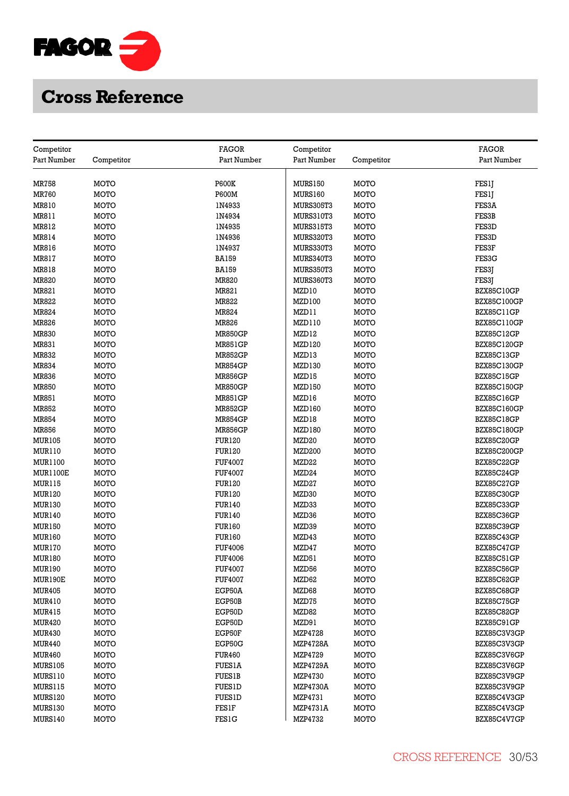

| Competitor     |             | FAGOR          | Competitor        |             | FAGOR              |
|----------------|-------------|----------------|-------------------|-------------|--------------------|
| Part Number    | Competitor  | Part Number    | Part Number       | Competitor  | Part Number        |
|                |             |                |                   |             |                    |
| MR758          | MOTO        | <b>P600K</b>   | <b>MURS150</b>    | MOTO        | FES1J              |
| <b>MR760</b>   | MOTO        | P600M          | MURS160           | MOTO        | FES1J              |
| MR810          | MOTO        | 1N4933         | <b>MURS305T3</b>  | MOTO        | FES3A              |
| MR811          | MOTO        | 1N4934         | <b>MURS310T3</b>  | MOTO        | FES3B              |
| MR812          | MOTO        | 1N4935         | <b>MURS315T3</b>  | MOTO        | FES3D              |
| MR814          | MOTO        | 1N4936         | <b>MURS320T3</b>  | MOTO        | FES3D              |
| MR816          | MOTO        | 1N4937         | <b>MURS330T3</b>  | MOTO        | FES3F              |
| MR817          | MOTO        | <b>BA159</b>   | <b>MURS340T3</b>  | MOTO        | FES3G              |
| MR818          | MOTO        | <b>BA159</b>   | <b>MURS350T3</b>  | MOTO        | FES3J              |
| MR820          | MOTO        | MR820          | MURS360T3         | MOTO        | FES3J              |
| MR821          | MOTO        | MR821          | MZD10             | MOTO        | BZX85C10GP         |
| MR822          | <b>MOTO</b> | MR822          | MZD100            | MOTO        | <b>BZX85C100GP</b> |
| MR824          | MOTO        | MR824          | MZD11             | MOTO        | BZX85C11GP         |
| MR826          | MOTO        | MR826          | MZD110            | MOTO        | BZX85C110GP        |
| <b>MR830</b>   | MOTO        | <b>MR850GP</b> | MZD12             | MOTO        | BZX85C12GP         |
| MR831          | MOTO        | <b>MR851GP</b> | MZD120            | MOTO        | <b>BZX85C120GP</b> |
| MR832          | MOTO        | <b>MR852GP</b> | MZD13             | MOTO        | BZX85C13GP         |
| <b>MR834</b>   | MOTO        | <b>MR854GP</b> | MZD130            | MOTO        | BZX85C130GP        |
| <b>MR836</b>   | MOTO        | <b>MR856GP</b> | MZD15             | MOTO        | <b>BZX85C15GP</b>  |
| <b>MR850</b>   | MOTO        | <b>MR850GP</b> | MZD150            | MOTO        | BZX85C150GP        |
| MR851          | MOTO        | <b>MR851GP</b> | MZD16             | MOTO        | <b>BZX85C16GP</b>  |
| MR852          | MOTO        | <b>MR852GP</b> | MZD160            | MOTO        | BZX85C160GP        |
| <b>MR854</b>   | <b>MOTO</b> | <b>MR854GP</b> | MZD18             | MOTO        | BZX85C18GP         |
| <b>MR856</b>   | MOTO        | <b>MR856GP</b> | MZD180            | MOTO        | <b>BZX85C180GP</b> |
| <b>MUR105</b>  | MOTO        | <b>FUR120</b>  | MZD <sub>20</sub> | MOTO        | BZX85C20GP         |
| <b>MUR110</b>  | MOTO        | <b>FUR120</b>  | MZD200            | MOTO        | <b>BZX85C200GP</b> |
| MUR1100        | <b>MOTO</b> | <b>FUF4007</b> | MZD22             | <b>MOTO</b> | BZX85C22GP         |
| MUR1100E       | MOTO        | <b>FUF4007</b> | MZD <sub>24</sub> | MOTO        | BZX85C24GP         |
| <b>MUR115</b>  | MOTO        | <b>FUR120</b>  | MZD27             | MOTO        | BZX85C27GP         |
| <b>MUR120</b>  | MOTO        | <b>FUR120</b>  | MZD30             | MOTO        | BZX85C30GP         |
| <b>MUR130</b>  | <b>MOTO</b> | <b>FUR140</b>  | MZD33             | MOTO        | BZX85C33GP         |
| <b>MUR140</b>  | MOTO        | <b>FUR140</b>  | MZD36             | MOTO        | BZX85C36GP         |
| <b>MUR150</b>  | MOTO        | <b>FUR160</b>  | MZD39             | MOTO        | BZX85C39GP         |
| <b>MUR160</b>  | MOTO        | <b>FUR160</b>  | MZD43             | MOTO        | BZX85C43GP         |
| <b>MUR170</b>  | MOTO        | <b>FUF4006</b> | MZD47             | MOTO        | BZX85C47GP         |
| <b>MUR180</b>  | MOTO        | <b>FUF4006</b> | MZD51             | MOTO        | BZX85C51GP         |
| MUR190         | MOTO        | <b>FUF4007</b> | MZD56             | MOTO        | BZX85C56GP         |
| MUR190E        | <b>MOTO</b> | <b>FUF4007</b> | MZD62             | MOTO        | BZX85C62GP         |
| <b>MUR405</b>  | MOTO        | EGP50A         | MZD68             | MOTO        | BZX85C68GP         |
| MUR410         | MOTO        | EGP50B         | MZD75             | MOTO        | BZX85C75GP         |
| <b>MUR415</b>  | MOTO        | EGP50D         | MZD82             | MOTO        | BZX85C82GP         |
| <b>MUR420</b>  | MOTO        | EGP50D         | MZD91             | MOTO        | BZX85C91GP         |
| <b>MUR430</b>  | MOTO        | EGP50F         | MZP4728           | MOTO        | BZX85C3V3GP        |
| <b>MUR440</b>  | MOTO        | EGP50G         | <b>MZP4728A</b>   | MOTO        | BZX85C3V3GP        |
| <b>MUR460</b>  | MOTO        | <b>FUR460</b>  | MZP4729           | MOTO        | BZX85C3V6GP        |
| <b>MURS105</b> | MOTO        | <b>FUES1A</b>  | <b>MZP4729A</b>   | MOTO        | BZX85C3V6GP        |
| MURS110        | MOTO        | <b>FUES1B</b>  | MZP4730           | MOTO        | BZX85C3V9GP        |
| <b>MURS115</b> | MOTO        | <b>FUES1D</b>  | <b>MZP4730A</b>   | MOTO        | BZX85C3V9GP        |
| MURS120        | MOTO        | <b>FUES1D</b>  | MZP4731           | MOTO        | BZX85C4V3GP        |
| <b>MURS130</b> | MOTO        | FESIF          | MZP4731A          | MOTO        | BZX85C4V3GP        |
| MURS140        | MOTO        | <b>FES1G</b>   | MZP4732           | MOTO        | BZX85C4V7GP        |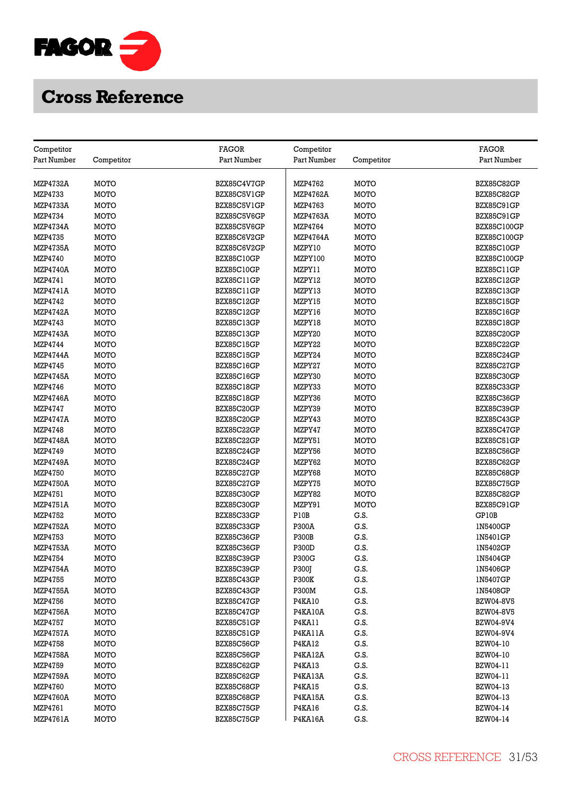

| Competitor                 |              | FAGOR       | Competitor       |              | <b>FAGOR</b>       |
|----------------------------|--------------|-------------|------------------|--------------|--------------------|
| Part Number                | Competitor   | Part Number | Part Number      | Competitor   | Part Number        |
|                            |              |             |                  |              |                    |
| <b>MZP4732A</b>            | MOTO         | BZX85C4V7GP | MZP4762          | MOTO         | BZX85C82GP         |
| MZP4733                    | MOTO         | BZX85C5V1GP | MZP4762A         | MOTO         | BZX85C82GP         |
| <b>MZP4733A</b>            | <b>MOTO</b>  | BZX85C5V1GP | MZP4763          | <b>MOTO</b>  | BZX85C91GP         |
| MZP4734                    | MOTO         | BZX85C5V6GP | MZP4763A         | MOTO         | BZX85C91GP         |
| <b>MZP4734A</b>            | MOTO         | BZX85C5V6GP | MZP4764          | <b>MOTO</b>  | <b>BZX85C100GP</b> |
| MZP4735                    | MOTO         | BZX85C6V2GP | <b>MZP4764A</b>  | MOTO         | <b>BZX85C100GP</b> |
| <b>MZP4735A</b>            | MOTO         | BZX85C6V2GP | MZPY10           | MOTO         | <b>BZX85C10GP</b>  |
| MZP4740                    | <b>MOTO</b>  | BZX85C10GP  | MZPY100          | MOTO         | <b>BZX85C100GP</b> |
| <b>MZP4740A</b>            | MOTO         | BZX85C10GP  | MZPY11           | MOTO         | BZX85C11GP         |
| MZP4741                    | MOTO         | BZX85C11GP  | MZPY12           | MOTO         | BZX85C12GP         |
| MZP4741A                   | MOTO         | BZX85C11GP  | MZPY13           | MOTO         | <b>BZX85C13GP</b>  |
| MZP4742                    | MOTO         | BZX85C12GP  | MZPY15           | MOTO         | <b>BZX85C15GP</b>  |
| <b>MZP4742A</b>            | <b>MOTO</b>  | BZX85C12GP  | MZPY16           | <b>MOTO</b>  | BZX85C16GP         |
| MZP4743                    | MOTO         | BZX85C13GP  | MZPY18           | MOTO         | BZX85C18GP         |
| <b>MZP4743A</b>            | MOTO         | BZX85C13GP  | MZPY20           | MOTO         | <b>BZX85C20GP</b>  |
| MZP4744                    | MOTO         | BZX85C15GP  | MZPY22           | MOTO         | BZX85C22GP         |
| <b>MZP4744A</b>            | MOTO         | BZX85C15GP  | MZPY24           | MOTO         | BZX85C24GP         |
| MZP4745                    | MOTO         | BZX85C16GP  | MZPY27           | MOTO         | <b>BZX85C27GP</b>  |
| <b>MZP4745A</b>            | MOTO         | BZX85C16GP  | MZPY30           | MOTO         | BZX85C30GP         |
| MZP4746                    | MOTO         | BZX85C18GP  | MZPY33           | MOTO         | BZX85C33GP         |
|                            |              |             |                  |              |                    |
| <b>MZP4746A</b><br>MZP4747 | MOTO<br>MOTO | BZX85C18GP  | MZPY36<br>MZPY39 | MOTO<br>MOTO | BZX85C36GP         |
|                            |              | BZX85C20GP  |                  |              | BZX85C39GP         |
| <b>MZP4747A</b>            | MOTO         | BZX85C20GP  | MZPY43           | MOTO         | <b>BZX85C43GP</b>  |
| MZP4748                    | <b>MOTO</b>  | BZX85C22GP  | MZPY47           | MOTO         | BZX85C47GP         |
| MZP4748A                   | MOTO         | BZX85C22GP  | MZPY51           | MOTO         | BZX85C51GP         |
| MZP4749                    | <b>MOTO</b>  | BZX85C24GP  | MZPY56           | MOTO         | <b>BZX85C56GP</b>  |
| MZP4749A                   | MOTO         | BZX85C24GP  | MZPY62           | MOTO         | BZX85C62GP         |
| <b>MZP4750</b>             | MOTO         | BZX85C27GP  | MZPY68           | MOTO         | BZX85C68GP         |
| <b>MZP4750A</b>            | MOTO         | BZX85C27GP  | MZPY75           | MOTO         | BZX85C75GP         |
| MZP4751                    | <b>MOTO</b>  | BZX85C30GP  | MZPY82           | MOTO         | BZX85C82GP         |
| <b>MZP4751A</b>            | <b>MOTO</b>  | BZX85C30GP  | MZPY91           | <b>MOTO</b>  | BZX85C91GP         |
| MZP4752                    | MOTO         | BZX85C33GP  | P10B             | G.S.         | GP10B              |
| <b>MZP4752A</b>            | MOTO         | BZX85C33GP  | P300A            | G.S.         | 1N5400GP           |
| MZP4753                    | MOTO         | BZX85C36GP  | <b>P300B</b>     | G.S.         | 1N5401GP           |
| <b>MZP4753A</b>            | MOTO         | BZX85C36GP  | P300D            | G.S.         | 1N5402GP           |
| MZP4754                    | <b>MOTO</b>  | BZX85C39GP  | P300G            | G.S.         | 1N5404GP           |
| <b>MZP4754A</b>            | MOTO         | BZX85C39GP  | P300J            | G.S.         | 1N5406GP           |
| <b>MZP4755</b>             | MOTO         | BZX85C43GP  | <b>P300K</b>     | G.S.         | 1N5407GP           |
| <b>MZP4755A</b>            | MOTO         | BZX85C43GP  | P300M            | G.S.         | 1N5408GP           |
| MZP4756                    | MOTO         | BZX85C47GP  | <b>P4KA10</b>    | G.S.         | <b>BZW04-8V5</b>   |
| <b>MZP4756A</b>            | MOTO         | BZX85C47GP  | <b>P4KA10A</b>   | G.S.         | BZW04-8V5          |
| MZP4757                    | MOTO         | BZX85C51GP  | <b>P4KA11</b>    | G.S.         | BZW04-9V4          |
| <b>MZP4757A</b>            | MOTO         | BZX85C51GP  | P4KA11A          | G.S.         | BZW04-9V4          |
| MZP4758                    | MOTO         | BZX85C56GP  | <b>P4KA12</b>    | G.S.         | BZW04-10           |
| <b>MZP4758A</b>            | <b>MOTO</b>  | BZX85C56GP  | P4KA12A          | G.S.         | BZW04-10           |
| MZP4759                    | MOTO         | BZX85C62GP  | <b>P4KA13</b>    | G.S.         | BZW04-11           |
| <b>MZP4759A</b>            | MOTO         | BZX85C62GP  | P4KA13A          | G.S.         | BZW04-11           |
| MZP4760                    | MOTO         | BZX85C68GP  | <b>P4KA15</b>    | G.S.         | BZW04-13           |
| <b>MZP4760A</b>            | MOTO         | BZX85C68GP  | P4KA15A          | G.S.         | BZW04-13           |
| MZP4761                    | MOTO         | BZX85C75GP  | <b>P4KA16</b>    | G.S.         | BZW04-14           |
| MZP4761A                   | MOTO         | BZX85C75GP  | P4KA16A          | G.S.         | BZW04-14           |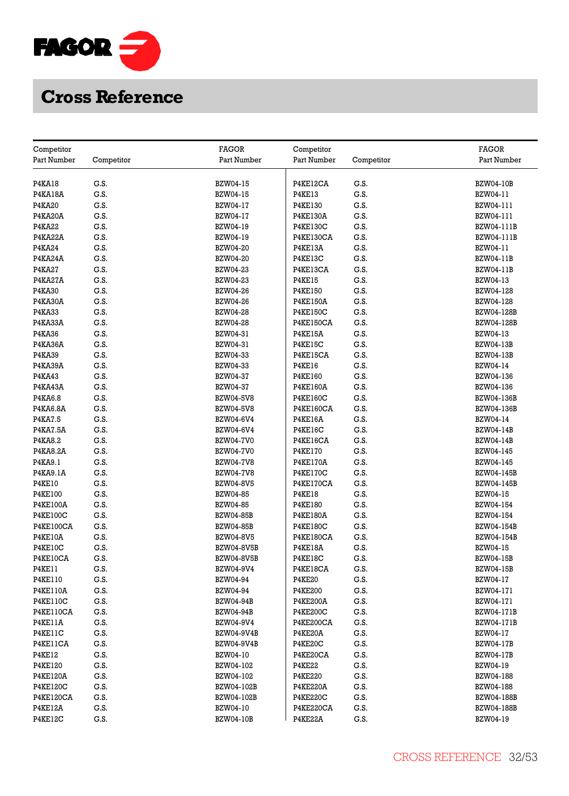

| Competitor       |            | <b>FAGOR</b>      | Competitor       |            | <b>FAGOR</b>      |
|------------------|------------|-------------------|------------------|------------|-------------------|
| Part Number      | Competitor | Part Number       | Part Number      | Competitor | Part Number       |
|                  |            |                   |                  |            |                   |
| <b>P4KA18</b>    | G.S.       | <b>BZW04-15</b>   | P4KE12CA         | G.S.       | <b>BZW04-10B</b>  |
| <b>P4KA18A</b>   | G.S.       | BZW04-15          | <b>P4KE13</b>    | G.S.       | BZW04-11          |
| <b>P4KA20</b>    | G.S.       | BZW04-17          | <b>P4KE130</b>   | G.S.       | BZW04-111         |
| P4KA20A          | G.S.       | BZW04-17          | <b>P4KE130A</b>  | G.S.       | BZW04-111         |
| P4KA22           | G.S.       | BZW04-19          | <b>P4KE130C</b>  | G.S.       | BZW04-111B        |
| P4KA22A          | G.S.       | BZW04-19          | P4KE130CA        | G.S.       | BZW04-111B        |
| P4KA24           | G.S.       | <b>BZW04-20</b>   | P4KE13A          | G.S.       | BZW04-11          |
| P4KA24A          | G.S.       | BZW04-20          | P4KE13C          | G.S.       | BZW04-11B         |
| <b>P4KA27</b>    | G.S.       | BZW04-23          | P4KE13CA         | G.S.       | <b>BZW04-11B</b>  |
| P4KA27A          | G.S.       | <b>BZW04-23</b>   | <b>P4KE15</b>    | G.S.       | BZW04-13          |
| P4KA30           | G.S.       | BZW04-26          | <b>P4KE150</b>   | G.S.       | BZW04-128         |
| P4KA30A          | G.S.       | <b>BZW04-26</b>   | <b>P4KE150A</b>  | G.S.       | BZW04-128         |
| <b>P4KA33</b>    | G.S.       | <b>BZW04-28</b>   | <b>P4KE150C</b>  | G.S.       | BZW04-128B        |
| P4KA33A          | G.S.       | <b>BZW04-28</b>   | <b>P4KE150CA</b> | G.S.       | BZW04-128B        |
| P4KA36           | G.S.       | BZW04-31          | P4KE15A          | G.S.       | BZW04-13          |
| P4KA36A          | G.S.       | BZW04-31          | <b>P4KE15C</b>   | G.S.       | <b>BZW04-13B</b>  |
| <b>P4KA39</b>    | G.S.       |                   | P4KE15CA         | G.S.       |                   |
|                  |            | BZW04-33          |                  |            | <b>BZW04-13B</b>  |
| P4KA39A          | G.S.       | BZW04-33          | <b>P4KE16</b>    | G.S.       | BZW04-14          |
| <b>P4KA43</b>    | G.S.       | BZW04-37          | P4KE160          | G.S.       | BZW04-136         |
| P4KA43A          | G.S.       | BZW04-37          | <b>P4KE160A</b>  | G.S.       | BZW04-136         |
| P4KA6.8          | G.S.       | <b>BZW04-5V8</b>  | <b>P4KE160C</b>  | G.S.       | BZW04-136B        |
| P4KA6.8A         | G.S.       | <b>BZW04-5V8</b>  | <b>P4KE160CA</b> | G.S.       | BZW04-136B        |
| P4KA7.5          | G.S.       | BZW04-6V4         | P4KE16A          | G.S.       | BZW04-14          |
| P4KA7.5A         | G.S.       | BZW04-6V4         | <b>P4KE16C</b>   | G.S.       | <b>BZW04-14B</b>  |
| P4KA8.2          | G.S.       | <b>BZW04-7V0</b>  | P4KE16CA         | G.S.       | <b>BZW04-14B</b>  |
| P4KA8.2A         | G.S.       | <b>BZW04-7V0</b>  | <b>P4KE170</b>   | G.S.       | BZW04-145         |
| P4KA9.1          | G.S.       | <b>BZW04-7V8</b>  | <b>P4KE170A</b>  | G.S.       | BZW04-145         |
| P4KA9.1A         | G.S.       | <b>BZW04-7V8</b>  | <b>P4KE170C</b>  | G.S.       | BZW04-145B        |
| <b>P4KE10</b>    | G.S.       | <b>BZW04-8V5</b>  | P4KE170CA        | G.S.       | BZW04-145B        |
| <b>P4KE100</b>   | G.S.       | BZW04-85          | <b>P4KE18</b>    | G.S.       | BZW04-15          |
| <b>P4KE100A</b>  | G.S.       | BZW04-85          | <b>P4KE180</b>   | G.S.       | BZW04-154         |
| P4KE100C         | G.S.       | <b>BZW04-85B</b>  | <b>P4KE180A</b>  | G.S.       | BZW04-154         |
| <b>P4KE100CA</b> | G.S.       | <b>BZW04-85B</b>  | <b>P4KE180C</b>  | G.S.       | BZW04-154B        |
| P4KE10A          | G.S.       | <b>BZW04-8V5</b>  | P4KE180CA        | G.S.       | BZW04-154B        |
| <b>P4KE10C</b>   | G.S.       | <b>BZW04-8V5B</b> | P4KE18A          | G.S.       | BZW04-15          |
| P4KE10CA         | G.S.       | <b>BZW04-8V5B</b> | P4KE18C          | G.S.       | <b>BZW04-15B</b>  |
| P4KE11           | G.S.       | BZW04-9V4         | P4KE18CA         | G.S.       | <b>BZW04-15B</b>  |
| <b>P4KE110</b>   | G.S.       | BZW04-94          | <b>P4KE20</b>    | G.S.       | BZW04-17          |
| <b>P4KE110A</b>  | G.S.       | <b>BZW04-94</b>   | <b>P4KE200</b>   | G.S.       | BZW04-171         |
| <b>P4KE110C</b>  | G.S.       | <b>BZW04-94B</b>  | <b>P4KE200A</b>  | G.S.       | BZW04-171         |
| P4KE110CA        | G.S.       | <b>BZW04-94B</b>  | <b>P4KE200C</b>  | G.S.       | <b>BZW04-171B</b> |
| P4KE11A          | G.S.       | BZW04-9V4         | P4KE200CA        | G.S.       | BZW04-171B        |
| P4KE11C          | G.S.       | <b>BZW04-9V4B</b> | P4KE20A          | G.S.       | BZW04-17          |
| P4KE11CA         | G.S.       | <b>BZW04-9V4B</b> | P4KE20C          | G.S.       | <b>BZW04-17B</b>  |
| <b>P4KE12</b>    | G.S.       | BZW04-10          | P4KE20CA         | G.S.       | <b>BZW04-17B</b>  |
| <b>P4KE120</b>   | G.S.       | BZW04-102         | <b>P4KE22</b>    | G.S.       | BZW04-19          |
| <b>P4KE120A</b>  | G.S.       | BZW04-102         | <b>P4KE220</b>   | G.S.       | BZW04-188         |
| <b>P4KE120C</b>  | G.S.       | BZW04-102B        | <b>P4KE220A</b>  | G.S.       | BZW04-188         |
| P4KE120CA        | G.S.       | BZW04-102B        | <b>P4KE220C</b>  | G.S.       | BZW04-188B        |
| P4KE12A          | G.S.       | BZW04-10          | P4KE220CA        | G.S.       | <b>BZW04-188B</b> |
| P4KE12C          | G.S.       | <b>BZW04-10B</b>  | P4KE22A          | G.S.       | BZW04-19          |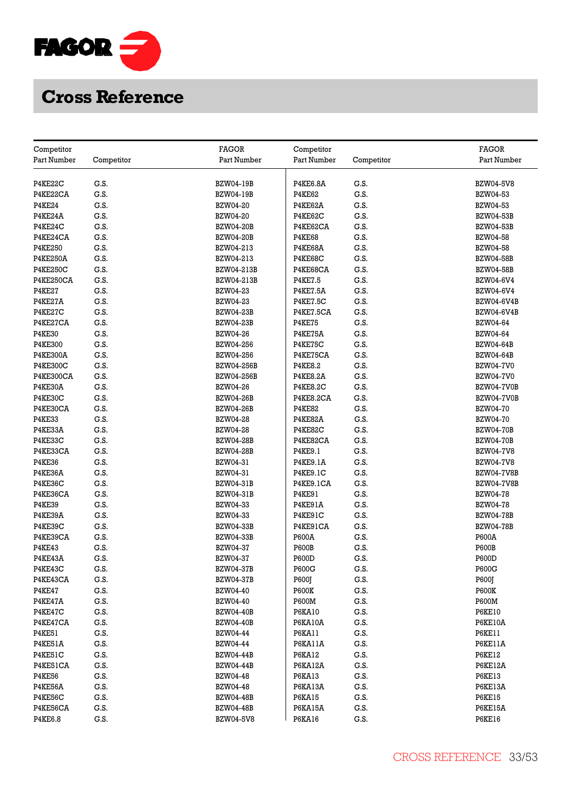

| Competitor       |            | <b>FAGOR</b>      | Competitor      |            | <b>FAGOR</b>      |
|------------------|------------|-------------------|-----------------|------------|-------------------|
| Part Number      | Competitor | Part Number       | Part Number     | Competitor | Part Number       |
|                  |            |                   |                 |            |                   |
| P4KE22C          | G.S.       | <b>BZW04-19B</b>  | <b>P4KE6.8A</b> | G.S.       | <b>BZW04-5V8</b>  |
| P4KE22CA         | G.S.       | <b>BZW04-19B</b>  | <b>P4KE62</b>   | G.S.       | BZW04-53          |
| <b>P4KE24</b>    | G.S.       | <b>BZW04-20</b>   | P4KE62A         | G.S.       | <b>BZW04-53</b>   |
| P4KE24A          | G.S.       | BZW04-20          | P4KE62C         | G.S.       | <b>BZW04-53B</b>  |
| P4KE24C          | G.S.       | <b>BZW04-20B</b>  | P4KE62CA        | G.S.       | <b>BZW04-53B</b>  |
| P4KE24CA         | G.S.       | <b>BZW04-20B</b>  | <b>P4KE68</b>   | G.S.       | <b>BZW04-58</b>   |
| P4KE250          | G.S.       | BZW04-213         | P4KE68A         | G.S.       | <b>BZW04-58</b>   |
| <b>P4KE250A</b>  | G.S.       | BZW04-213         | P4KE68C         | G.S.       | <b>BZW04-58B</b>  |
| <b>P4KE250C</b>  | G.S.       | BZW04-213B        | P4KE68CA        | G.S.       | <b>BZW04-58B</b>  |
| <b>P4KE250CA</b> | G.S.       | BZW04-213B        | <b>P4KE7.5</b>  | G.S.       | BZW04-6V4         |
| <b>P4KE27</b>    | G.S.       | <b>BZW04-23</b>   | <b>P4KE7.5A</b> | G.S.       | BZW04-6V4         |
| P4KE27A          | G.S.       | <b>BZW04-23</b>   | <b>P4KE7.5C</b> | G.S.       | <b>BZW04-6V4B</b> |
| P4KE27C          | G.S.       | <b>BZW04-23B</b>  | P4KE7.5CA       | G.S.       | BZW04-6V4B        |
| P4KE27CA         | G.S.       | <b>BZW04-23B</b>  | <b>P4KE75</b>   | G.S.       | BZW04-64          |
| <b>P4KE30</b>    | G.S.       | BZW04-26          | P4KE75A         | G.S.       | BZW04-64          |
| <b>P4KE300</b>   | G.S.       | BZW04-256         | P4KE75C         | G.S.       | <b>BZW04-64B</b>  |
| <b>P4KE300A</b>  | G.S.       | BZW04-256         | P4KE75CA        | G.S.       | <b>BZW04-64B</b>  |
| <b>P4KE300C</b>  | G.S.       | <b>BZW04-256B</b> | <b>P4KE8.2</b>  | G.S.       | <b>BZW04-7V0</b>  |
| P4KE300CA        | G.S.       | <b>BZW04-256B</b> | <b>P4KE8.2A</b> | G.S.       | <b>BZW04-7V0</b>  |
| P4KE30A          | G.S.       | <b>BZW04-26</b>   | <b>P4KE8.2C</b> | G.S.       | BZW04-7V0B        |
| P4KE30C          | G.S.       | <b>BZW04-26B</b>  | P4KE8.2CA       | G.S.       | BZW04-7V0B        |
| P4KE30CA         | G.S.       | <b>BZW04-26B</b>  | <b>P4KE82</b>   | G.S.       | <b>BZW04-70</b>   |
| <b>P4KE33</b>    | G.S.       | <b>BZW04-28</b>   | P4KE82A         | G.S.       | <b>BZW04-70</b>   |
| P4KE33A          | G.S.       | <b>BZW04-28</b>   | P4KE82C         | G.S.       | <b>BZW04-70B</b>  |
| P4KE33C          | G.S.       | <b>BZW04-28B</b>  | P4KE82CA        | G.S.       | <b>BZW04-70B</b>  |
| P4KE33CA         | G.S.       | <b>BZW04-28B</b>  | P4KE9.1         | G.S.       | <b>BZW04-7V8</b>  |
| <b>P4KE36</b>    | G.S.       | BZW04-31          | <b>P4KE9.1A</b> | G.S.       | <b>BZW04-7V8</b>  |
| P4KE36A          | G.S.       | BZW04-31          | P4KE9.1C        | G.S.       | <b>BZW04-7V8B</b> |
| P4KE36C          | G.S.       | <b>BZW04-31B</b>  | P4KE9.1CA       | G.S.       | <b>BZW04-7V8B</b> |
| P4KE36CA         | G.S.       | <b>BZW04-31B</b>  | <b>P4KE91</b>   | G.S.       | <b>BZW04-78</b>   |
| <b>P4KE39</b>    | G.S.       | BZW04-33          | P4KE91A         | G.S.       | <b>BZW04-78</b>   |
| P4KE39A          | G.S.       | BZW04-33          | P4KE91C         | G.S.       | <b>BZW04-78B</b>  |
| P4KE39C          | G.S.       | <b>BZW04-33B</b>  | P4KE91CA        | G.S.       | <b>BZW04-78B</b>  |
| P4KE39CA         | G.S.       | <b>BZW04-33B</b>  | P600A           | G.S.       | P600A             |
| <b>P4KE43</b>    | G.S.       | BZW04-37          | <b>P600B</b>    | G.S.       | <b>P600B</b>      |
| P4KE43A          | G.S.       | BZW04-37          | P600D           | G.S.       | P600D             |
| P4KE43C          | G.S.       | <b>BZW04-37B</b>  | P600G           | G.S.       | P600G             |
| P4KE43CA         | G.S.       | <b>BZW04-37B</b>  | P600J           | G.S.       | P600J             |
| <b>P4KE47</b>    | G.S.       | <b>BZW04-40</b>   | <b>P600K</b>    | G.S.       | <b>P600K</b>      |
| P4KE47A          | G.S.       | <b>BZW04-40</b>   | P600M           | G.S.       | <b>P600M</b>      |
| P4KE47C          | G.S.       | <b>BZW04-40B</b>  | <b>P6KA10</b>   | G.S.       | <b>P6KE10</b>     |
| P4KE47CA         | G.S.       | <b>BZW04-40B</b>  | <b>P6KA10A</b>  | G.S.       | <b>P6KE10A</b>    |
| <b>P4KE51</b>    | G.S.       | <b>BZW04-44</b>   | <b>P6KA11</b>   | G.S.       | P6KE11            |
| P4KE51A          | G.S.       | BZW04-44          | P6KA11A         | G.S.       | P6KE11A           |
| P4KE51C          | G.S.       | <b>BZW04-44B</b>  | <b>P6KA12</b>   | G.S.       | <b>P6KE12</b>     |
| P4KE51CA         | G.S.       | <b>BZW04-44B</b>  | P6KA12A         | G.S.       | P6KE12A           |
| <b>P4KE56</b>    | G.S.       | <b>BZW04-48</b>   | <b>P6KA13</b>   | G.S.       | <b>P6KE13</b>     |
| P4KE56A          | G.S.       | <b>BZW04-48</b>   | P6KA13A         | G.S.       | P6KE13A           |
| P4KE56C          | G.S.       | <b>BZW04-48B</b>  | <b>P6KA15</b>   | G.S.       | <b>P6KE15</b>     |
| P4KE56CA         | G.S.       | <b>BZW04-48B</b>  | P6KA15A         | G.S.       | P6KE15A           |
| <b>P4KE6.8</b>   | G.S.       | <b>BZW04-5V8</b>  | <b>P6KA16</b>   | G.S.       | <b>P6KE16</b>     |
|                  |            |                   |                 |            |                   |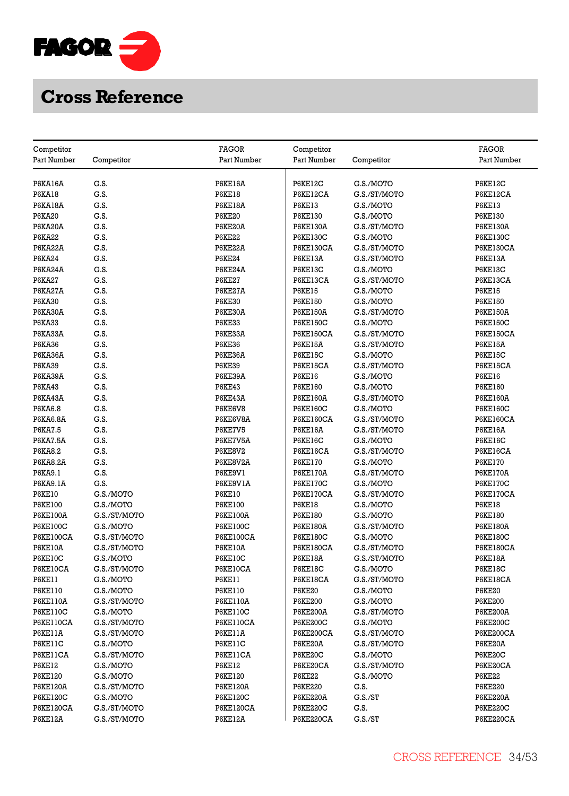

| Competitor                      |                           | <b>FAGOR</b>                    | Competitor                         |                           | <b>FAGOR</b>                       |
|---------------------------------|---------------------------|---------------------------------|------------------------------------|---------------------------|------------------------------------|
| Part Number                     | Competitor                | Part Number                     | Part Number                        | Competitor                | Part Number                        |
|                                 |                           |                                 |                                    |                           |                                    |
| P6KA16A                         | G.S.                      | <b>P6KE16A</b>                  | <b>P6KE12C</b>                     | G.S./MOTO                 | P6KE12C                            |
| <b>P6KA18</b>                   | G.S.                      | <b>P6KE18</b>                   | P6KE12CA                           | G.S./ST/MOTO              | P6KE12CA                           |
| P6KA18A                         | G.S.                      | P6KE18A                         | <b>P6KE13</b>                      | G.S./MOTO                 | <b>P6KE13</b>                      |
| <b>P6KA20</b>                   | G.S.                      | <b>P6KE20</b>                   | <b>P6KE130</b>                     | G.S./MOTO                 | P6KE130                            |
| P6KA20A                         | G.S.                      | P6KE20A                         | P6KE130A                           | G.S./ST/MOTO              | <b>P6KE130A</b>                    |
| <b>P6KA22</b>                   | G.S.                      | <b>P6KE22</b>                   | <b>P6KE130C</b>                    | G.S./MOTO                 | <b>P6KE130C</b>                    |
| P6KA22A                         | G.S.                      | P6KE22A                         | P6KE130CA                          | G.S./ST/MOTO              | P6KE130CA                          |
| <b>P6KA24</b>                   | G.S.                      | <b>P6KE24</b>                   | P6KE13A                            | G.S./ST/MOTO              | P6KE13A                            |
| P6KA24A                         | G.S.                      | P6KE24A                         | P6KE13C                            | G.S./MOTO                 | P6KE13C                            |
| <b>P6KA27</b>                   | G.S.                      | <b>P6KE27</b>                   | P6KE13CA                           | G.S./ST/MOTO              | P6KE13CA                           |
| P6KA27A                         | G.S.                      | P6KE27A                         | <b>P6KE15</b>                      | G.S./MOTO                 | <b>P6KE15</b>                      |
| <b>P6KA30</b>                   | G.S.                      | <b>P6KE30</b>                   | <b>P6KE150</b>                     | G.S./MOTO                 | P6KE150                            |
| P6KA30A                         | G.S.                      | P6KE30A                         | <b>P6KE150A</b>                    | G.S./ST/MOTO              | <b>P6KE150A</b>                    |
| <b>P6KA33</b>                   | G.S.                      | <b>P6KE33</b>                   | <b>P6KE150C</b>                    | G.S./MOTO                 | <b>P6KE150C</b>                    |
| P6KA33A                         | G.S.                      | P6KE33A                         | <b>P6KE150CA</b>                   | G.S./ST/MOTO              | <b>P6KE150CA</b>                   |
| <b>P6KA36</b>                   | G.S.                      | <b>P6KE36</b>                   | <b>P6KE15A</b>                     | G.S./ST/MOTO              | <b>P6KE15A</b>                     |
| P6KA36A                         | G.S.                      | P6KE36A                         | <b>P6KE15C</b>                     | G.S./MOTO                 | P6KE15C                            |
| <b>P6KA39</b>                   | G.S.                      | <b>P6KE39</b>                   | P6KE15CA                           | G.S./ST/MOTO              | P6KE15CA                           |
| P6KA39A                         | G.S.                      | P6KE39A                         | <b>P6KE16</b>                      | G.S./MOTO                 | <b>P6KE16</b>                      |
| <b>P6KA43</b>                   | G.S.                      | <b>P6KE43</b>                   | P6KE160                            | G.S./MOTO                 | <b>P6KE160</b>                     |
| P6KA43A                         | G.S.                      | P6KE43A                         | <b>P6KE160A</b>                    | G.S./ST/MOTO              | <b>P6KE160A</b>                    |
| P6KA6.8                         | G.S.                      | P6KE6V8                         | <b>P6KE160C</b>                    | G.S./MOTO                 | <b>P6KE160C</b>                    |
| <b>P6KA6.8A</b>                 | G.S.                      | P6KE6V8A                        | <b>P6KE160CA</b>                   | G.S./ST/MOTO              | <b>P6KE160CA</b>                   |
| P6KA7.5                         | G.S.                      | P6KE7V5                         | P6KE16A                            | G.S./ST/MOTO              | P6KE16A                            |
| <b>P6KA7.5A</b>                 | G.S.                      | P6KE7V5A                        | <b>P6KE16C</b>                     | G.S./MOTO                 | <b>P6KE16C</b>                     |
|                                 | G.S.                      |                                 |                                    |                           |                                    |
| P6KA8.2<br>P6KA8.2A             | G.S.                      | P6KE8V2<br>P6KE8V2A             | P6KE16CA<br><b>P6KE170</b>         | G.S./ST/MOTO<br>G.S./MOTO | P6KE16CA<br><b>P6KE170</b>         |
| P6KA9.1                         | G.S.                      | P6KE9V1                         | <b>P6KE170A</b>                    | G.S./ST/MOTO              | <b>P6KE170A</b>                    |
|                                 | G.S.                      | P6KE9V1A                        | <b>P6KE170C</b>                    |                           |                                    |
| P6KA9.1A                        |                           | <b>P6KE10</b>                   | P6KE170CA                          | G.S./MOTO                 | <b>P6KE170C</b>                    |
| <b>P6KE10</b><br><b>P6KE100</b> | G.S./MOTO<br>G.S./MOTO    | <b>P6KE100</b>                  | <b>P6KE18</b>                      | G.S./ST/MOTO<br>G.S./MOTO | P6KE170CA<br><b>P6KE18</b>         |
|                                 |                           |                                 |                                    |                           |                                    |
| <b>P6KE100A</b>                 | G.S./ST/MOTO              | <b>P6KE100A</b>                 | <b>P6KE180</b>                     | G.S./MOTO                 | <b>P6KE180</b>                     |
| <b>P6KE100C</b>                 | G.S./MOTO                 | <b>P6KE100C</b>                 | <b>P6KE180A</b><br><b>P6KE180C</b> | G.S./ST/MOTO              | <b>P6KE180A</b><br><b>P6KE180C</b> |
| <b>P6KE100CA</b>                | G.S./ST/MOTO              | <b>P6KE100CA</b>                |                                    | G.S./MOTO                 |                                    |
| <b>P6KE10A</b>                  | G.S./ST/MOTO              | <b>P6KE10A</b><br>P6KE10C       | <b>P6KE180CA</b>                   | G.S./ST/MOTO              | <b>P6KE180CA</b>                   |
| P6KE10C<br>P6KE10CA             | G.S./MOTO<br>G.S./ST/MOTO | P6KE10CA                        | <b>P6KE18A</b><br>P6KE18C          | G.S./ST/MOTO<br>G.S./MOTO | <b>P6KE18A</b><br>P6KE18C          |
|                                 |                           |                                 |                                    |                           |                                    |
| P6KE11                          | G.S./MOTO<br>G.S./MOTO    | <b>P6KE11</b><br><b>P6KE110</b> | P6KE18CA<br><b>P6KE20</b>          | G.S./ST/MOTO<br>G.S./MOTO | P6KE18CA<br><b>P6KE20</b>          |
| P6KE110                         |                           |                                 | <b>P6KE200</b>                     | G.S./MOTO                 | <b>P6KE200</b>                     |
| <b>P6KE110A</b>                 | G.S./ST/MOTO              | <b>P6KE110A</b>                 |                                    |                           | <b>P6KE200A</b>                    |
| <b>P6KE110C</b>                 | G.S./MOTO                 | <b>P6KE110C</b>                 | <b>P6KE200A</b>                    | G.S./ST/MOTO              |                                    |
| P6KE110CA                       | G.S./ST/MOTO              | <b>P6KE110CA</b>                | <b>P6KE200C</b>                    | G.S./MOTO                 | <b>P6KE200C</b>                    |
| <b>P6KE11A</b>                  | G.S./ST/MOTO              | <b>P6KE11A</b>                  | P6KE200CA                          | G.S./ST/MOTO              | P6KE200CA                          |
| P6KE11C                         | G.S./MOTO                 | P6KE11C                         | P6KE20A                            | G.S./ST/MOTO              | P6KE20A                            |
| P6KE11CA                        | G.S./ST/MOTO              | P6KE11CA                        | P6KE20C                            | G.S./MOTO                 | P6KE20C                            |
| <b>P6KE12</b>                   | G.S./MOTO                 | <b>P6KE12</b>                   | P6KE20CA                           | G.S./ST/MOTO              | P6KE20CA                           |
| P6KE120                         | G.S./MOTO                 | P6KE120                         | <b>P6KE22</b>                      | G.S./MOTO                 | <b>P6KE22</b>                      |
| <b>P6KE120A</b>                 | G.S./ST/MOTO              | <b>P6KE120A</b>                 | <b>P6KE220</b>                     | G.S.                      | <b>P6KE220</b>                     |
| <b>P6KE120C</b>                 | G.S./MOTO                 | <b>P6KE120C</b>                 | <b>P6KE220A</b>                    | G.S./ST                   | <b>P6KE220A</b>                    |
| P6KE120CA                       | G.S./ST/MOTO              | P6KE120CA                       | <b>P6KE220C</b>                    | G.S.                      | <b>P6KE220C</b>                    |
| <b>P6KE12A</b>                  | G.S./ST/MOTO              | <b>P6KE12A</b>                  | P6KE220CA                          | G.S./ST                   | P6KE220CA                          |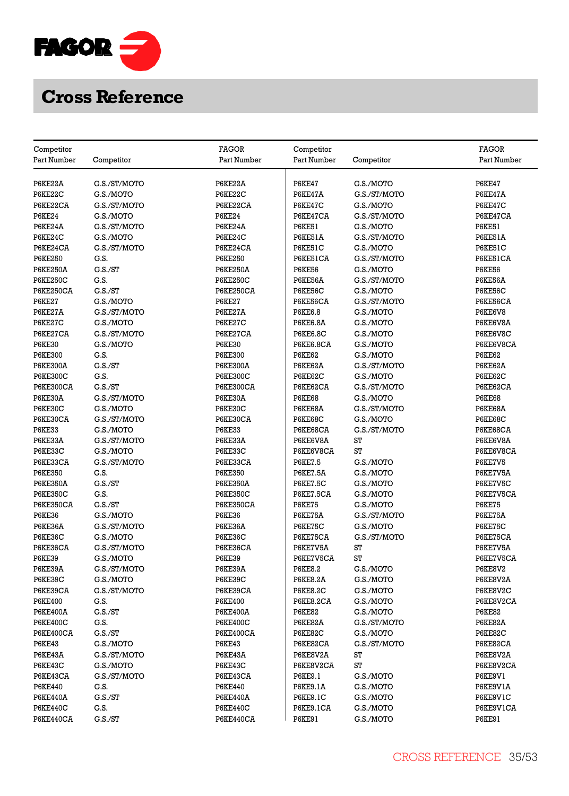

|                           |                 | <b>FAGOR</b>     |                           |              | FAGOR         |
|---------------------------|-----------------|------------------|---------------------------|--------------|---------------|
| Competitor<br>Part Number | Competitor      | Part Number      | Competitor<br>Part Number | Competitor   | Part Number   |
|                           |                 |                  |                           |              |               |
| P6KE22A                   | G.S./ST/MOTO    | P6KE22A          | <b>P6KE47</b>             | G.S./MOTO    | <b>P6KE47</b> |
| P6KE22C                   | G.S./MOTO       | P6KE22C          | P6KE47A                   | G.S./ST/MOTO | P6KE47A       |
| P6KE22CA                  | G.S./ST/MOTO    | P6KE22CA         | <b>P6KE47C</b>            | G.S./MOTO    | P6KE47C       |
| <b>P6KE24</b>             | G.S./MOTO       | <b>P6KE24</b>    | P6KE47CA                  | G.S./ST/MOTO | P6KE47CA      |
| P6KE24A                   | G.S./ST/MOTO    | P6KE24A          | <b>P6KE51</b>             | G.S./MOTO    | <b>P6KE51</b> |
| P6KE24C                   | G.S./MOTO       | P6KE24C          | P6KE51A                   | G.S./ST/MOTO | P6KE51A       |
| P6KE24CA                  | G.S./ST/MOTO    | P6KE24CA         | P6KE51C                   | G.S./MOTO    | P6KE51C       |
| <b>P6KE250</b>            | G.S.            | <b>P6KE250</b>   | P6KE51CA                  | G.S./ST/MOTO | P6KE51CA      |
| <b>P6KE250A</b>           | G.S./ST         | <b>P6KE250A</b>  | <b>P6KE56</b>             | G.S./MOTO    | <b>P6KE56</b> |
| <b>P6KE250C</b>           | G.S.            | <b>P6KE250C</b>  | P6KE56A                   | G.S./ST/MOTO | P6KE56A       |
| <b>P6KE250CA</b>          | G.S./ST         | <b>P6KE250CA</b> | P6KE56C                   | G.S./MOTO    | P6KE56C       |
| <b>P6KE27</b>             | G.S./MOTO       | <b>P6KE27</b>    | P6KE56CA                  | G.S./ST/MOTO | P6KE56CA      |
| P6KE27A                   | G.S./ST/MOTO    | P6KE27A          | <b>P6KE6.8</b>            | G.S./MOTO    | P6KE6V8       |
| P6KE27C                   | G.S./MOTO       | P6KE27C          | <b>P6KE6.8A</b>           | G.S./MOTO    | P6KE6V8A      |
| P6KE27CA                  | G.S./ST/MOTO    | P6KE27CA         | <b>P6KE6.8C</b>           | G.S./MOTO    | P6KE6V8C      |
| <b>P6KE30</b>             | G.S./MOTO       | <b>P6KE30</b>    | P6KE6.8CA                 | G.S./MOTO    | P6KE6V8CA     |
| <b>P6KE300</b>            | G.S.            | <b>P6KE300</b>   | <b>P6KE62</b>             | G.S./MOTO    | <b>P6KE62</b> |
|                           |                 |                  |                           |              |               |
| <b>P6KE300A</b>           | G.S./ST<br>G.S. | <b>P6KE300A</b>  | P6KE62A<br>P6KE62C        | G.S./ST/MOTO | P6KE62A       |
| <b>P6KE300C</b>           | G.S./ST         | <b>P6KE300C</b>  |                           | G.S./MOTO    | P6KE62C       |
| <b>P6KE300CA</b>          |                 | P6KE300CA        | P6KE62CA                  | G.S./ST/MOTO | P6KE62CA      |
| P6KE30A                   | G.S./ST/MOTO    | P6KE30A          | <b>P6KE68</b>             | G.S./MOTO    | <b>P6KE68</b> |
| P6KE30C                   | G.S./MOTO       | P6KE30C          | P6KE68A                   | G.S./ST/MOTO | P6KE68A       |
| P6KE30CA                  | G.S./ST/MOTO    | P6KE30CA         | P6KE68C                   | G.S./MOTO    | P6KE68C       |
| <b>P6KE33</b>             | G.S./MOTO       | <b>P6KE33</b>    | P6KE68CA                  | G.S./ST/MOTO | P6KE68CA      |
| P6KE33A                   | G.S./ST/MOTO    | P6KE33A          | P6KE6V8A                  | ST           | P6KE6V8A      |
| P6KE33C                   | G.S./MOTO       | P6KE33C          | P6KE6V8CA                 | ST           | P6KE6V8CA     |
| P6KE33CA                  | G.S./ST/MOTO    | P6KE33CA         | <b>P6KE7.5</b>            | G.S./MOTO    | P6KE7V5       |
| <b>P6KE350</b>            | G.S.            | <b>P6KE350</b>   | <b>P6KE7.5A</b>           | G.S./MOTO    | P6KE7V5A      |
| <b>P6KE350A</b>           | G.S./ST         | <b>P6KE350A</b>  | <b>P6KE7.5C</b>           | G.S./MOTO    | P6KE7V5C      |
| <b>P6KE350C</b>           | G.S.            | <b>P6KE350C</b>  | P6KE7.5CA                 | G.S./MOTO    | P6KE7V5CA     |
| <b>P6KE350CA</b>          | G.S./ST         | <b>P6KE350CA</b> | <b>P6KE75</b>             | G.S./MOTO    | <b>P6KE75</b> |
| <b>P6KE36</b>             | G.S./MOTO       | <b>P6KE36</b>    | P6KE75A                   | G.S./ST/MOTO | P6KE75A       |
| P6KE36A                   | G.S./ST/MOTO    | P6KE36A          | P6KE75C                   | G.S./MOTO    | P6KE75C       |
| P6KE36C                   | G.S./MOTO       | P6KE36C          | P6KE75CA                  | G.S./ST/MOTO | P6KE75CA      |
| P6KE36CA                  | G.S./ST/MOTO    | P6KE36CA         | P6KE7V5A                  | ST           | P6KE7V5A      |
| <b>P6KE39</b>             | G.S./MOTO       | <b>P6KE39</b>    | P6KE7V5CA                 | ST           | P6KE7V5CA     |
| P6KE39A                   | G.S./ST/MOTO    | P6KE39A          | <b>P6KE8.2</b>            | G.S./MOTO    | P6KE8V2       |
| P6KE39C                   | G.S./MOTO       | P6KE39C          | <b>P6KE8.2A</b>           | G.S./MOTO    | P6KE8V2A      |
| P6KE39CA                  | G.S./ST/MOTO    | P6KE39CA         | <b>P6KE8.2C</b>           | G.S./MOTO    | P6KE8V2C      |
| <b>P6KE400</b>            | G.S.            | <b>P6KE400</b>   | P6KE8.2CA                 | G.S./MOTO    | P6KE8V2CA     |
| <b>P6KE400A</b>           | C.S./ST         | <b>P6KE400A</b>  | <b>P6KE82</b>             | G.S./MOTO    | <b>P6KE82</b> |
| <b>P6KE400C</b>           | G.S.            | <b>P6KE400C</b>  | P6KE82A                   | G.S./ST/MOTO | P6KE82A       |
| P6KE400CA                 | G.S./ST         | P6KE400CA        | P6KE82C                   | G.S./MOTO    | P6KE82C       |
| <b>P6KE43</b>             | G.S./MOTO       | <b>P6KE43</b>    | P6KE82CA                  | G.S./ST/MOTO | P6KE82CA      |
| P6KE43A                   | G.S./ST/MOTO    | P6KE43A          | P6KE8V2A                  | ST           | P6KE8V2A      |
| P6KE43C                   | G.S./MOTO       | P6KE43C          | P6KE8V2CA                 | ST           | P6KE8V2CA     |
| P6KE43CA                  | G.S./ST/MOTO    | P6KE43CA         | P6KE9.1                   | G.S./MOTO    | P6KE9V1       |
| <b>P6KE440</b>            | G.S.            | <b>P6KE440</b>   | P6KE9.1A                  | G.S./MOTO    | P6KE9V1A      |
| <b>P6KE440A</b>           | G.S./ST         | <b>P6KE440A</b>  | <b>P6KE9.1C</b>           | G.S./MOTO    | P6KE9V1C      |
| <b>P6KE440C</b>           | G.S.            | <b>P6KE440C</b>  | P6KE9.1CA                 | G.S./MOTO    | P6KE9V1CA     |
| P6KE440CA                 | G.S./ST         | P6KE440CA        | <b>P6KE91</b>             | G.S./MOTO    | <b>P6KE91</b> |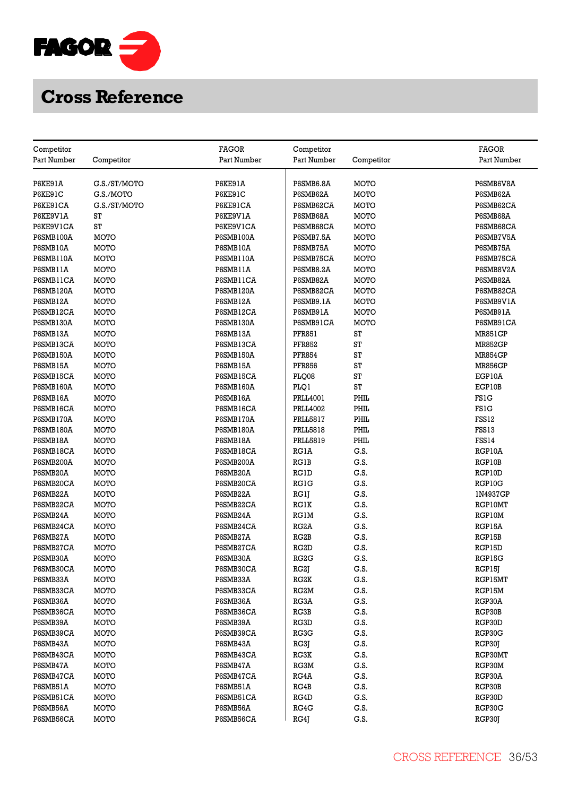

| Competitor                    |              | <b>FAGOR</b>          | Competitor        |             | <b>FAGOR</b>   |
|-------------------------------|--------------|-----------------------|-------------------|-------------|----------------|
| Part Number                   | Competitor   | Part Number           | Part Number       | Competitor  | Part Number    |
|                               |              |                       |                   |             |                |
| P6KE91A                       | G.S./ST/MOTO | P6KE91A               | P6SMB6.8A         | MOTO        | P6SMB6V8A      |
| P6KE91C                       | G.S./MOTO    | P6KE91C               | P6SMB62A          | MOTO        | P6SMB62A       |
| P6KE91CA                      | G.S./ST/MOTO | P6KE91CA              | P6SMB62CA         | MOTO        | P6SMB62CA      |
| P6KE9V1A                      | ST           | P6KE9V1A              | P6SMB68A          | MOTO        | P6SMB68A       |
| P6KE9V1CA                     | ST           | P6KE9V1CA             | P6SMB68CA         | MOTO        | P6SMB68CA      |
| P6SMB100A                     | MOTO         | <b>P6SMB100A</b>      | P6SMB7.5A         | MOTO        | P6SMB7V5A      |
| P6SMB10A                      | MOTO         | P6SMB10A              | P6SMB75A          | <b>MOTO</b> | P6SMB75A       |
| P6SMB110A                     | MOTO         | <b>P6SMB110A</b>      | P6SMB75CA         | MOTO        | P6SMB75CA      |
| P6SMB11A                      | MOTO         | P6SMB11A              | P6SMB8.2A         | MOTO        | P6SMB8V2A      |
| P6SMB11CA                     | MOTO         | P6SMB11CA             | P6SMB82A          | MOTO        | P6SMB82A       |
| P6SMB120A                     | MOTO         | <b>P6SMB120A</b>      | P6SMB82CA         | MOTO        | P6SMB82CA      |
| P6SMB12A                      | MOTO         | P6SMB12A              | P6SMB9.1A         | MOTO        | P6SMB9V1A      |
| P6SMB12CA                     | MOTO         | P6SMB12CA             | P6SMB91A          | MOTO        | P6SMB91A       |
| P6SMB130A                     | MOTO         | <b>P6SMB130A</b>      | P6SMB91CA         | <b>MOTO</b> | P6SMB91CA      |
| P6SMB13A                      | MOTO         | P6SMB13A              | <b>PFR851</b>     | ST          | <b>MR851GP</b> |
|                               | MOTO         | P6SMB13CA             | <b>PFR852</b>     | ST          | <b>MR852GP</b> |
| P6SMB13CA<br><b>P6SMB150A</b> | MOTO         |                       | <b>PFR854</b>     | ST          |                |
| P6SMB15A                      |              | P6SMB150A<br>P6SMB15A |                   | ST          | <b>MR854GP</b> |
|                               | MOTO         |                       | <b>PFR856</b>     | ST          | <b>MR856GP</b> |
| P6SMB15CA                     | MOTO         | P6SMB15CA             | PLQ08             |             | EGP10A         |
| <b>P6SMB160A</b>              | MOTO         | <b>P6SMB160A</b>      | PLO1              | ST          | EGP10B         |
| P6SMB16A                      | MOTO         | P6SMB16A              | <b>PRLL4001</b>   | PHIL        | <b>FS1G</b>    |
| P6SMB16CA                     | MOTO         | P6SMB16CA             | <b>PRLL4002</b>   | PHIL        | <b>FS1G</b>    |
| P6SMB170A                     | MOTO         | P6SMB170A             | <b>PRLL5817</b>   | PHIL        | FSS12          |
| <b>P6SMB180A</b>              | MOTO         | <b>P6SMB180A</b>      | <b>PRLL5818</b>   | PHIL        | FSS13          |
| P6SMB18A                      | MOTO         | P6SMB18A              | <b>PRLL5819</b>   | PHIL        | <b>FSS14</b>   |
| P6SMB18CA                     | MOTO         | P6SMB18CA             | <b>RG1A</b>       | G.S.        | RGP10A         |
| P6SMB200A                     | <b>MOTO</b>  | <b>P6SMB200A</b>      | <b>RG1B</b>       | G.S.        | RGP10B         |
| P6SMB20A                      | MOTO         | P6SMB20A              | <b>RG1D</b>       | G.S.        | RGP10D         |
| P6SMB20CA                     | <b>MOTO</b>  | P6SMB20CA             | <b>RG1G</b>       | G.S.        | RGP10G         |
| P6SMB22A                      | MOTO         | P6SMB22A              | RG1J              | G.S.        | 1N4937GP       |
| P6SMB22CA                     | MOTO         | P6SMB22CA             | <b>RG1K</b>       | G.S.        | RGP10MT        |
| P6SMB24A                      | MOTO         | P6SMB24A              | <b>RG1M</b>       | G.S.        | RGP10M         |
| P6SMB24CA                     | MOTO         | P6SMB24CA             | RG <sub>2</sub> A | G.S.        | RGP15A         |
| P6SMB27A                      | MOTO         | P6SMB27A              | RG <sub>2</sub> B | G.S.        | RGP15B         |
| P6SMB27CA                     | MOTO         | P6SMB27CA             | RG <sub>2</sub> D | G.S.        | RGP15D         |
| P6SMB30A                      | MOTO         | P6SMB30A              | RG <sub>2</sub> G | G.S.        | RGP15G         |
| P6SMB30CA                     | MOTO         | P6SMB30CA             | RG2J              | G.S.        | RGP15J         |
| P6SMB33A                      | MOTO         | P6SMB33A              | RG2K              | G.S.        | RGP15MT        |
| P6SMB33CA                     | MOTO         | P6SMB33CA             | RG2M              | G.S.        | RGP15M         |
| P6SMB36A                      | MOTO         | P6SMB36A              | RG3A              | G.S.        | RGP30A         |
| P6SMB36CA                     | MOTO         | P6SMB36CA             | RG3B              | G.S.        | RGP30B         |
| P6SMB39A                      | MOTO         | P6SMB39A              | RG3D              | G.S.        | RGP30D         |
| P6SMB39CA                     | MOTO         | P6SMB39CA             | RG3G              | G.S.        | RGP30G         |
| P6SMB43A                      | MOTO         | P6SMB43A              | RG3J              | G.S.        | RGP30J         |
| P6SMB43CA                     | MOTO         | P6SMB43CA             | RG3K              | G.S.        | RGP30MT        |
| P6SMB47A                      | MOTO         | P6SMB47A              | RG3M              | G.S.        | RGP30M         |
| P6SMB47CA                     | MOTO         | P6SMB47CA             | RG4A              | G.S.        | RGP30A         |
| P6SMB51A                      | MOTO         | P6SMB51A              | RG4B              | G.S.        | RGP30B         |
| P6SMB51CA                     | MOTO         | P6SMB51CA             | RG4D              | G.S.        | RGP30D         |
| P6SMB56A                      | MOTO         | P6SMB56A              | RG4G              | G.S.        | RGP30G         |
| P6SMB56CA                     | MOTO         | P6SMB56CA             | RG4J              | G.S.        | RGP30J         |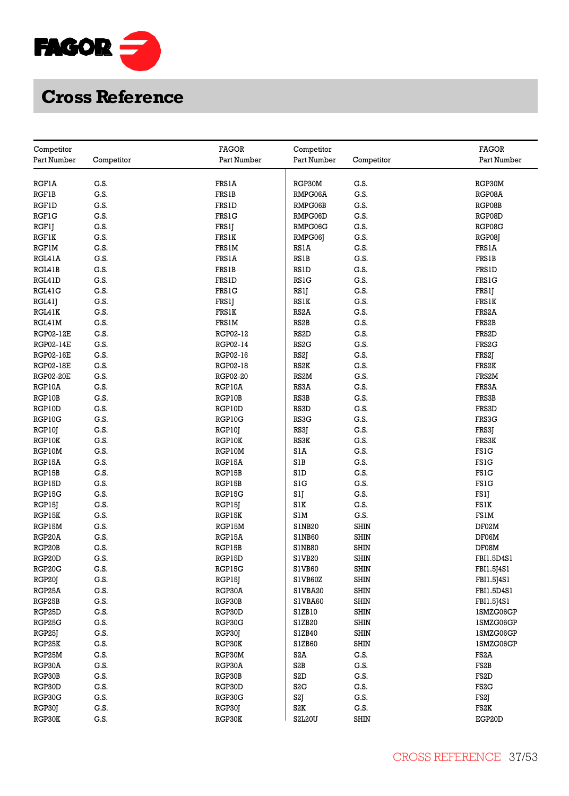

| Competitor       |              | <b>FAGOR</b>     | Competitor         |                            | <b>FAGOR</b>          |
|------------------|--------------|------------------|--------------------|----------------------------|-----------------------|
| Part Number      | Competitor   | Part Number      | Part Number        | Competitor                 | Part Number           |
|                  |              |                  |                    |                            |                       |
| <b>RGF1A</b>     | G.S.         | <b>FRS1A</b>     | RGP30M             | G.S.                       | RGP30M                |
| <b>RGF1B</b>     | G.S.         | <b>FRS1B</b>     | RMPG06A            | G.S.                       | RGP08A                |
| <b>RGF1D</b>     | G.S.         | <b>FRS1D</b>     | RMPG06B            | G.S.                       | RGP08B                |
| <b>RGF1G</b>     | G.S.         | <b>FRS1G</b>     | RMPG06D            | G.S.                       | RGP08D                |
| RGF1J            | G.S.         | <b>FRS1J</b>     | RMPG06G            | G.S.                       | RGP08G                |
| <b>RGF1K</b>     | G.S.         | FRS1K            | RMPG06J            | G.S.                       | RGP08J                |
| RGFIM            | G.S.         | FRS1M            | RS1A               | G.S.                       | FRS1A                 |
| RGL41A           | G.S.         | <b>FRS1A</b>     | <b>RS1B</b>        | G.S.                       | <b>FRS1B</b>          |
| RGL41B           | G.S.         | <b>FRS1B</b>     | RSID               | G.S.                       | <b>FRS1D</b>          |
| RGL41D           | G.S.         | FRS1D            | <b>RS1G</b>        | G.S.                       | FRS1G                 |
| RGL41G           | G.S.         | <b>FRS1G</b>     | RSlJ               | G.S.                       | FRS1J                 |
| RGL41J           | G.S.         | FRS1J            | <b>RS1K</b>        | G.S.                       | FRS1K                 |
| RGL41K           | G.S.         | <b>FRS1K</b>     | RS <sub>2</sub> A  | G.S.                       | FRS <sub>2</sub> A    |
| RGL41M           | G.S.         | FRS1M            | RS <sub>2</sub> B  | G.S.                       | FRS2B                 |
| RGP02-12E        | G.S.         | RGP02-12         | RS <sub>2</sub> D  | G.S.                       | FRS <sub>2</sub> D    |
| <b>RGP02-14E</b> | G.S.         | RGP02-14         | RS <sub>2</sub> G  | G.S.                       | FRS <sub>2</sub> G    |
| <b>RGP02-16E</b> | G.S.         | RGP02-16         | RS2J               | G.S.                       | FRS2J                 |
| <b>RGP02-18E</b> | G.S.         | RGP02-18         | RS <sub>2</sub> K  | G.S.                       | FRS2K                 |
| <b>RGP02-20E</b> | G.S.         | RGP02-20         | RS <sub>2</sub> M  | G.S.                       | FRS2M                 |
| RGP10A           | G.S.         | RGP10A           | RS3A               | G.S.                       | FRS3A                 |
| RGP10B           | G.S.         | RGP10B           | RS3B               | G.S.                       | FRS3B                 |
| RGP10D           | G.S.         | RGP10D           | RS3D               | G.S.                       | FRS3D                 |
| RGP10G           | G.S.         | RGP10G           | RS3G               | G.S.                       | FRS3G                 |
|                  | G.S.         |                  | RS3J               | G.S.                       |                       |
| RGP10J<br>RGP10K | G.S.         | RGP10J           | RS3K               | G.S.                       | FRS3J<br><b>FRS3K</b> |
| RGP10M           | G.S.         | RGP10K<br>RGP10M | SlĀ                | G.S.                       | FS1G                  |
|                  | G.S.         | RGP15A           | S1B                | G.S.                       | <b>FS1G</b>           |
| RGP15A           | G.S.         |                  | S1D                | G.S.                       | <b>FS1G</b>           |
| RGP15B           |              | RGP15B           | S1G                |                            | <b>FS1G</b>           |
| RGP15D           | G.S.<br>G.S. | RGP15B           |                    | G.S.<br>G.S.               |                       |
| RGP15G           | G.S.         | RGP15G           | SlJ                |                            | FS1J                  |
| RGP15J           |              | RGP15J           | SIK                | G.S.                       | FS1K                  |
| RGP15K           | G.S.         | RGP15K           | S1M                | G.S.                       | FS1M                  |
| RGP15M           | G.S.         | RGP15M           | S1NB <sub>20</sub> | <b>SHIN</b><br><b>SHIN</b> | DF02M<br>DF06M        |
| RGP20A           | G.S.         | RGP15A           | S1NB60             |                            |                       |
| RGP20B           | G.S.         | RGP15B           | S1NB80             | <b>SHIN</b>                | DF08M                 |
| RGP20D           | G.S.         | RGP15D           | S1VB20             | <b>SHIN</b>                | FBI1.5D4S1            |
| RGP20G           | G.S.         | RGP15G           | S1VB60             | <b>SHIN</b>                | FBI1.5[4S1            |
| RGP20J           | G.S.         | RGP15J           | S1VB60Z            | <b>SHIN</b>                | FBI1.5J4S1            |
| RGP25A           | G.S.         | RGP30A           | S1VBA20            | <b>SHIN</b>                | FBI1.5D4S1            |
| RGP25B           | G.S.         | RGP30B           | S1VBA60            | <b>SHIN</b>                | FBI1.5J4S1            |
| RGP25D           | G.S.         | RGP30D           | S1ZB10             | <b>SHIN</b>                | 1SMZG06GP             |
| RGP25G           | G.S.         | RGP30G           | S1ZB20             | <b>SHIN</b>                | 1SMZG06GP             |
| RGP25J           | G.S.         | RGP30J           | S1ZB40             | <b>SHIN</b>                | 1SMZG06GP             |
| RGP25K           | G.S.         | RGP30K           | S1ZB60             | <b>SHIN</b>                | 1SMZG06GP             |
| RGP25M           | G.S.         | RGP30M           | S <sub>2</sub> A   | G.S.                       | FS <sub>2</sub> A     |
| RGP30A           | G.S.         | RGP30A           | S <sub>2</sub> B   | G.S.                       | FS2B                  |
| RGP30B           | G.S.         | RGP30B           | S <sub>2</sub> D   | G.S.                       | FS <sub>2</sub> D     |
| RGP30D           | G.S.         | RGP30D           | S <sub>2</sub> G   | G.S.                       | FS <sub>2</sub> G     |
| RGP30G           | G.S.         | RGP30G           | S2J                | G.S.                       | FS2J                  |
| RGP30J           | G.S.         | RGP30J           | S <sub>2</sub> K   | G.S.                       | FS2K                  |
| RGP30K           | G.S.         | RGP30K           | <b>S2L20U</b>      | <b>SHIN</b>                | EGP20D                |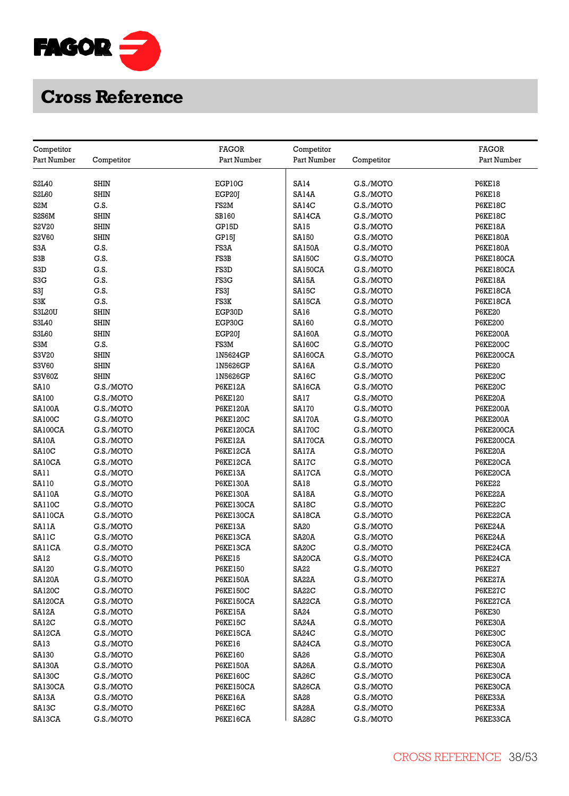

| Competitor                     |             | <b>FAGOR</b>      | Competitor          |            | <b>FAGOR</b>     |
|--------------------------------|-------------|-------------------|---------------------|------------|------------------|
| Part Number                    | Competitor  | Part Number       | Part Number         | Competitor | Part Number      |
|                                |             |                   |                     |            |                  |
| S <sub>2</sub> L <sub>40</sub> | <b>SHIN</b> | EGP10G            | <b>SA14</b>         | G.S./MOTO  | <b>P6KE18</b>    |
| S2L60                          | <b>SHIN</b> | EGP20J            | SA14A               | G.S./MOTO  | <b>P6KE18</b>    |
| S2M                            | G.S.        | FS <sub>2</sub> M | SA14C               | G.S./MOTO  | P6KE18C          |
| S2S6M                          | <b>SHIN</b> | <b>SB160</b>      | SA14CA              | G.S./MOTO  | P6KE18C          |
| S2V20                          | <b>SHIN</b> | GP15D             | SA15                | G.S./MOTO  | <b>P6KE18A</b>   |
| S2V60                          | <b>SHIN</b> | GP15J             | SA150               | G.S./MOTO  | <b>P6KE180A</b>  |
| S3A                            | G.S.        | FS3A              | <b>SA150A</b>       | G.S./MOTO  | <b>P6KE180A</b>  |
| S3B                            | G.S.        | FS3B              | <b>SA150C</b>       | G.S./MOTO  | P6KE180CA        |
| S3D                            | G.S.        | FS3D              | SA150CA             | G.S./MOTO  | <b>P6KE180CA</b> |
| S3G                            | G.S.        | FS3G              | SA15A               | G.S./MOTO  | P6KE18A          |
| S3J                            | G.S.        | FS3J              | SA15C               | G.S./MOTO  | P6KE18CA         |
| S3K                            | G.S.        | FS3K              | SA15CA              | G.S./MOTO  | P6KE18CA         |
| <b>S3L20U</b>                  | <b>SHIN</b> | EGP30D            | SA16                | G.S./MOTO  | <b>P6KE20</b>    |
| S3L40                          | <b>SHIN</b> | EGP30G            | SA160               | G.S./MOTO  | <b>P6KE200</b>   |
| S3L60                          | <b>SHIN</b> | EGP20J            | <b>SA160A</b>       | G.S./MOTO  | <b>P6KE200A</b>  |
| S3M                            | G.S.        | FS3M              | <b>SA160C</b>       | G.S./MOTO  | <b>P6KE200C</b>  |
| S3V20                          | <b>SHIN</b> | 1N5624GP          | SA160CA             | G.S./MOTO  | P6KE200CA        |
| S3V60                          | <b>SHIN</b> | 1N5626GP          | SA16A               | G.S./MOTO  | <b>P6KE20</b>    |
| S3V60Z                         | <b>SHIN</b> | 1N5626GP          | SA16C               | G.S./MOTO  | P6KE20C          |
| <b>SA10</b>                    | G.S./MOTO   | <b>P6KE12A</b>    | SA16CA              | G.S./MOTO  | P6KE20C          |
| SA100                          | G.S./MOTO   | P6KE120           | SA17                | G.S./MOTO  | P6KE20A          |
| <b>SA100A</b>                  | G.S./MOTO   | <b>P6KE120A</b>   | <b>SA170</b>        | G.S./MOTO  | <b>P6KE200A</b>  |
| <b>SA100C</b>                  | G.S./MOTO   | <b>P6KE120C</b>   | SA170A              | G.S./MOTO  | <b>P6KE200A</b>  |
| SA100CA                        | G.S./MOTO   | P6KE120CA         | SA170C              | G.S./MOTO  | <b>P6KE200CA</b> |
| SA10A                          | G.S./MOTO   | P6KE12A           | SA170CA             | G.S./MOTO  | <b>P6KE200CA</b> |
| SA10C                          | G.S./MOTO   | P6KE12CA          | SA17A               | G.S./MOTO  | P6KE20A          |
| SA10CA                         | G.S./MOTO   | P6KE12CA          | SA17C               | G.S./MOTO  | P6KE20CA         |
| SA11                           | G.S./MOTO   | P6KE13A           | <b>SA17CA</b>       | G.S./MOTO  | P6KE20CA         |
| SA110                          | G.S./MOTO   | <b>P6KE130A</b>   | SA18                | G.S./MOTO  | <b>P6KE22</b>    |
| <b>SA110A</b>                  | G.S./MOTO   | <b>P6KE130A</b>   | SA18A               | G.S./MOTO  | P6KE22A          |
| <b>SA110C</b>                  | G.S./MOTO   | P6KE130CA         | SA18C               | G.S./MOTO  | P6KE22C          |
| SA110CA                        | G.S./MOTO   | P6KE130CA         | SA18CA              | G.S./MOTO  | P6KE22CA         |
| SA11A                          | G.S./MOTO   | P6KE13A           | <b>SA20</b>         | G.S./MOTO  | P6KE24A          |
| SAIIC                          | G.S./MOTO   | P6KE13CA          | SA <sub>20</sub> A  | G.S./MOTO  | P6KE24A          |
| SAIICA                         | G.S./MOTO   | P6KE13CA          | SA <sub>20</sub> C  | G.S./MOTO  | P6KE24CA         |
| SA <sub>12</sub>               | G.S./MOTO   | <b>P6KE15</b>     | SA <sub>20</sub> CA | G.S./MOTO  | P6KE24CA         |
| SA120                          | G.S./MOTO   | <b>P6KE150</b>    | <b>SA22</b>         | G.S./MOTO  | <b>P6KE27</b>    |
| <b>SA120A</b>                  | G.S./MOTO   | <b>P6KE150A</b>   | SA22A               | G.S./MOTO  | P6KE27A          |
| <b>SA120C</b>                  | G.S./MOTO   | <b>P6KE150C</b>   | SA <sub>2</sub> 2C  | G.S./MOTO  | P6KE27C          |
| SA120CA                        | G.S./MOTO   | <b>P6KE150CA</b>  | SA22CA              | G.S./MOTO  | P6KE27CA         |
| SA12A                          | G.S./MOTO   | <b>P6KE15A</b>    | SA24                | G.S./MOTO  | <b>P6KE30</b>    |
| SA12C                          | G.S./MOTO   | <b>P6KE15C</b>    | SA <sub>24</sub> A  | G.S./MOTO  | P6KE30A          |
| SA12CA                         | G.S./MOTO   | P6KE15CA          | SA <sub>24</sub> C  | G.S./MOTO  | P6KE30C          |
| SA13                           | G.S./MOTO   | <b>P6KE16</b>     | SA24CA              | G.S./MOTO  | P6KE30CA         |
| SA130                          | G.S./MOTO   | <b>P6KE160</b>    | <b>SA26</b>         | G.S./MOTO  | P6KE30A          |
| <b>SA130A</b>                  | G.S./MOTO   | <b>P6KE150A</b>   | SA <sub>26</sub> A  | G.S./MOTO  | P6KE30A          |
| <b>SA130C</b>                  | G.S./MOTO   | P6KE160C          | SA <sub>26</sub> C  | G.S./MOTO  | P6KE30CA         |
| SA130CA                        | G.S./MOTO   | <b>P6KE150CA</b>  | SA26CA              | G.S./MOTO  | P6KE30CA         |
| SA13A                          | G.S./MOTO   | <b>P6KE16A</b>    | <b>SA28</b>         | G.S./MOTO  | P6KE33A          |
| SA13C                          | G.S./MOTO   | P6KE16C           | SA <sub>2</sub> 8A  | G.S./MOTO  | P6KE33A          |
| SA13CA                         | G.S./MOTO   | P6KE16CA          | SA <sub>28</sub> C  | G.S./MOTO  | P6KE33CA         |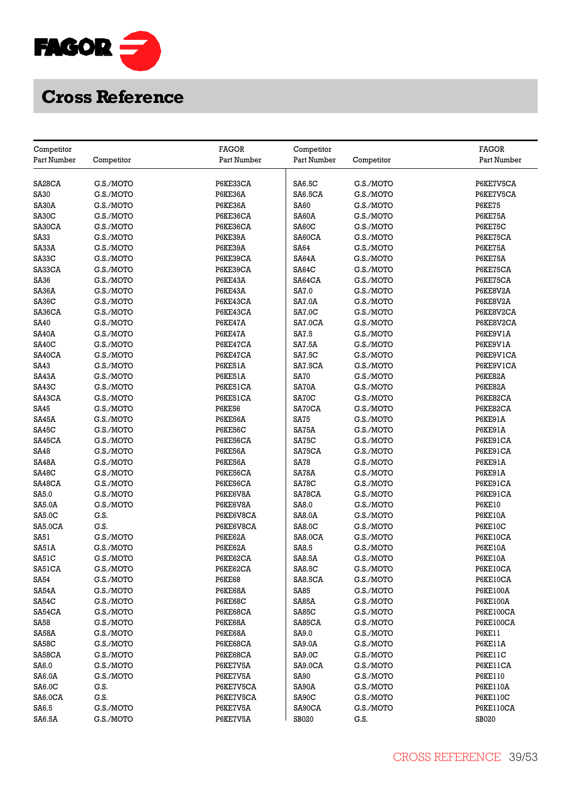

|                           |                   | <b>FAGOR</b>          |                              |                        | <b>FAGOR</b>               |
|---------------------------|-------------------|-----------------------|------------------------------|------------------------|----------------------------|
| Competitor<br>Part Number | Competitor        | Part Number           | Competitor<br>Part Number    | Competitor             | Part Number                |
|                           |                   |                       |                              |                        |                            |
| SA28CA                    | G.S./MOTO         | P6KE33CA              | SA6.5C                       | G.S./MOTO              | P6KE7V5CA                  |
| SA30                      | G.S./MOTO         | P6KE36A               | SA6.5CA                      | G.S./MOTO              | P6KE7V5CA                  |
| SA30A                     | G.S./MOTO         | P6KE36A               | <b>SA60</b>                  | G.S./MOTO              | <b>P6KE75</b>              |
| SA <sub>30</sub> C        | G.S./MOTO         | P6KE36CA              | SA60A                        | G.S./MOTO              | P6KE75A                    |
| SA30CA                    | G.S./MOTO         | P6KE36CA              | SA60C                        | G.S./MOTO              | P6KE75C                    |
| <b>SA33</b>               | G.S./MOTO         | P6KE39A               | SA60CA                       | G.S./MOTO              | P6KE75CA                   |
| SA33A                     | G.S./MOTO         | P6KE39A               | SA64                         | G.S./MOTO              | P6KE75A                    |
| SA33C                     | G.S./MOTO         | P6KE39CA              | SA64A                        | G.S./MOTO              | P6KE75A                    |
| SA33CA                    | G.S./MOTO         | P6KE39CA              | SA64C                        | G.S./MOTO              | P6KE75CA                   |
| SA <sub>36</sub>          | G.S./MOTO         | P6KE43A               | SA64CA                       | G.S./MOTO              | P6KE75CA                   |
| SA36A                     | G.S./MOTO         | P6KE43A               | SA7.0                        | G.S./MOTO              | P6KE8V2A                   |
| SA36C                     | G.S./MOTO         | P6KE43CA              | <b>SA7.0A</b>                | G.S./MOTO              | P6KE8V2A                   |
| SA36CA                    | G.S./MOTO         | P6KE43CA              | <b>SA7.0C</b>                | G.S./MOTO              | P6KE8V2CA                  |
| <b>SA40</b>               | G.S./MOTO         | P6KE47A               | SA7.0CA                      | G.S./MOTO              | P6KE8V2CA                  |
| SA <sub>40</sub> A        | G.S./MOTO         | P6KE47A               | SA7.5                        | G.S./MOTO              | P6KE9V1A                   |
| SA <sub>40</sub> C        | G.S./MOTO         | P6KE47CA              | <b>SA7.5A</b>                | G.S./MOTO              | P6KE9V1A                   |
| SA40CA                    | G.S./MOTO         | P6KE47CA              | <b>SA7.5C</b>                | G.S./MOTO              | P6KE9V1CA                  |
| <b>SA43</b>               | G.S./MOTO         | P6KE51A               | SA7.5CA                      | G.S./MOTO              | P6KE9V1CA                  |
| SA43A                     | G.S./MOTO         | P6KE51A               | <b>SA70</b>                  | G.S./MOTO              | P6KE82A                    |
| SA <sub>43</sub> C        | G.S./MOTO         | P6KE51CA              | SA70A                        | G.S./MOTO              | P6KE82A                    |
| SA43CA                    | G.S./MOTO         | P6KE51CA              | SA70C                        | G.S./MOTO              | P6KE82CA                   |
| <b>SA45</b>               | G.S./MOTO         | <b>P6KE56</b>         | SA70CA                       | G.S./MOTO              | P6KE82CA                   |
| SA45A                     | G.S./MOTO         | P6KE56A               | SA75                         | G.S./MOTO              | P6KE91A                    |
| SA <sub>45</sub> C        | G.S./MOTO         | P6KE56C               | SA75A                        | G.S./MOTO              | P6KE91A                    |
| SA45CA                    | G.S./MOTO         | P6KE56CA              | SA75C                        | G.S./MOTO              | P6KE91CA                   |
| <b>SA48</b>               | G.S./MOTO         | P6KE56A               | SA75CA                       | G.S./MOTO              | P6KE91CA                   |
| SA48A                     | G.S./MOTO         | P6KE56A               | <b>SA78</b>                  | G.S./MOTO              | P6KE91A                    |
| SA <sub>48</sub> C        | G.S./MOTO         | P6KE56CA              | SA78A                        | G.S./MOTO              | P6KE91A                    |
| SA48CA                    | G.S./MOTO         | P6KE56CA              | SA78C                        | G.S./MOTO              | P6KE91CA                   |
| SA5.0                     | G.S./MOTO         | P6KE6V8A              | SA78CA                       | G.S./MOTO              | P6KE91CA                   |
| <b>SA5.0A</b>             | G.S./MOTO         | P6KE6V8A              | SA8.0                        | G.S./MOTO              | <b>P6KE10</b>              |
| <b>SA5.0C</b>             | G.S.              | P6KE6V8CA             | SA8.0A                       | G.S./MOTO              | P6KE10A                    |
| SA5.0CA                   | G.S.              | P6KE6V8CA             | <b>SA8.0C</b>                | G.S./MOTO              | P6KE10C                    |
| SA51                      | G.S./MOTO         | P6KE62A               | SA8.0CA                      | G.S./MOTO              | P6KE10CA                   |
| SA51A                     | G.S./MOTO         | P6KE62A               | SA8.5                        | G.S./MOTO              | P6KE10A                    |
| SA51C                     | G.S./MOTO         | P6KE62CA              | <b>SA8.5A</b>                | G.S./MOTO              | P6KE10A                    |
| SA51CA                    | G.S./MOTO         | P6KE62CA              | <b>SA8.5C</b>                | G.S./MOTO              | P6KE10CA                   |
| <b>SA54</b>               | G.S./MOTO         | <b>P6KE68</b>         | SA8.5CA                      | G.S./MOTO              | P6KE10CA                   |
| SA54A                     | G.S./MOTO         | P6KE68A               | <b>SA85</b>                  | G.S./MOTO              | P6KE100A                   |
| SA54C                     | G.S./MOTO         | P6KE68C               | SA85A                        | G.S./MOTO              | <b>P6KE100A</b>            |
| SA54CA                    | G.S./MOTO         | P6KE68CA              | SA85C                        | G.S./MOTO              | <b>P6KE100CA</b>           |
| <b>SA58</b>               | G.S./MOTO         | P6KE68A               | SA85CA                       | G.S./MOTO              | P6KE100CA                  |
| SA58A                     | G.S./MOTO         | P6KE68A               | SA9.0                        | G.S./MOTO              | <b>P6KE11</b>              |
| SA58C                     | G.S./MOTO         | P6KE68CA              | SA9.0A                       | G.S./MOTO              | P6KE11A                    |
| SA58CA                    | G.S./MOTO         | P6KE68CA              | <b>SA9.0C</b>                | G.S./MOTO              | P6KE11C                    |
| SA6.0                     | G.S./MOTO         | P6KE7V5A              | SA9.0CA                      | G.S./MOTO              | P6KE11CA                   |
|                           |                   |                       |                              |                        |                            |
| SA6.0A<br>SA6.0C          | G.S./MOTO<br>G.S. | P6KE7V5A<br>P6KE7V5CA | <b>SA90</b><br>SA90A         | G.S./MOTO<br>G.S./MOTO | P6KE110<br><b>P6KE110A</b> |
|                           | G.S.              |                       |                              |                        |                            |
| SA6.0CA<br>SA6.5          | G.S./MOTO         | P6KE7V5CA<br>P6KE7V5A | SA <sub>90</sub> C<br>SA90CA | G.S./MOTO              | P6KE110C                   |
|                           |                   |                       |                              | G.S./MOTO              | P6KE110CA                  |
| SA6.5A                    | G.S./MOTO         | P6KE7V5A              | SB020                        | G.S.                   | SB020                      |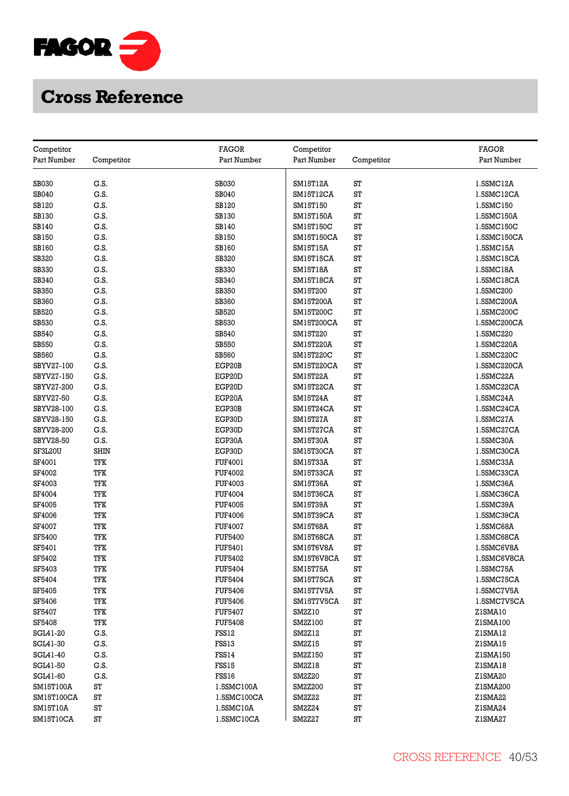

|                           |             | FAGOR          |                           |            | FAGOR       |
|---------------------------|-------------|----------------|---------------------------|------------|-------------|
| Competitor<br>Part Number | Competitor  | Part Number    | Competitor<br>Part Number | Competitor | Part Number |
|                           |             |                |                           |            |             |
| SB030                     | G.S.        | <b>SB030</b>   | SM15T12A                  | ST         | 1.5SMC12A   |
| SB040                     | G.S.        | SB040          | SM15T12CA                 | ST         | 1.5SMC12CA  |
| SB120                     | G.S.        | SB120          | SM15T150                  | ST         | 1.5SMC150   |
| SB130                     | G.S.        | <b>SB130</b>   | SM15T150A                 | ST         | 1.5SMC150A  |
| SB140                     | G.S.        | SB140          | SM15T150C                 | ST         | 1.5SMC150C  |
| SB150                     | G.S.        | <b>SB150</b>   | SM15T150CA                | ST         | 1.5SMC150CA |
| SB160                     | G.S.        | <b>SB160</b>   | SM15T15A                  | ST         | 1.5SMC15A   |
| SB320                     | G.S.        | SB320          | SM15T15CA                 | ST         | 1.5SMC15CA  |
|                           | G.S.        |                |                           | ST         | 1.5SMC18A   |
| <b>SB330</b><br>SB340     | G.S.        | SB330<br>SB340 | SM15T18A<br>SM15T18CA     | ST         | 1.5SMC18CA  |
| SB350                     | G.S.        | <b>SB350</b>   |                           | ST         | 1.5SMC200   |
|                           |             |                | SM15T200                  |            |             |
| SB360                     | G.S.        | SB360          | SM15T200A                 | ST<br>ST   | 1.5SMC200A  |
| SB520                     | G.S.        | SB520          | SM15T200C                 | ST         | 1.5SMC200C  |
| SB530                     | G.S.        | <b>SB530</b>   | SM15T200CA                |            | 1.5SMC200CA |
| SB540                     | G.S.        | <b>SB540</b>   | SM15T220                  | ST         | 1.5SMC220   |
| <b>SB550</b>              | G.S.        | <b>SB550</b>   | SM15T220A                 | ST         | 1.5SMC220A  |
| <b>SB560</b>              | G.S.        | <b>SB560</b>   | SM15T220C                 | ST         | 1.5SMC220C  |
| SBYV27-100                | G.S.        | EGP20B         | SM15T220CA                | ST         | 1.5SMC220CA |
| SBYV27-150                | G.S.        | EGP20D         | <b>SM15T22A</b>           | ST         | 1.5SMC22A   |
| SBYV27-200                | G.S.        | EGP20D         | SM15T22CA                 | ST         | 1.5SMC22CA  |
| SBYV27-50                 | G.S.        | EGP20A         | SM15T24A                  | ST         | 1.5SMC24A   |
| SBYV28-100                | G.S.        | EGP30B         | SM15T24CA                 | ST         | 1.5SMC24CA  |
| SBYV28-150                | G.S.        | EGP30D         | <b>SM15T27A</b>           | ST         | 1.5SMC27A   |
| SBYV28-200                | G.S.        | EGP30D         | SM15T27CA                 | ST         | 1.5SMC27CA  |
| SBYV28-50                 | G.S.        | EGP30A         | <b>SM15T30A</b>           | ST         | 1.5SMC30A   |
| SF3L20U                   | <b>SHIN</b> | EGP30D         | SM15T30CA                 | ST         | 1.5SMC30CA  |
| SF4001                    | TFK         | FUF4001        | <b>SM15T33A</b>           | ST         | 1.5SMC33A   |
| SF4002                    | TFK         | <b>FUF4002</b> | SM15T33CA                 | ST         | 1.5SMC33CA  |
| SF4003                    | TFK         | FUF4003        | SM15T36A                  | ST         | 1.5SMC36A   |
| SF4004                    | TFK         | <b>FUF4004</b> | SM15T36CA                 | ST         | 1.5SMC36CA  |
| <b>SF4005</b>             | TFK         | <b>FUF4005</b> | SM15T39A                  | ST         | 1.5SMC39A   |
| SF4006                    | TFK         | <b>FUF4006</b> | SM15T39CA                 | ST         | 1.5SMC39CA  |
| <b>SF4007</b>             | TFK         | <b>FUF4007</b> | SM15T68A                  | ST         | 1.5SMC68A   |
| SF5400                    | TFK         | <b>FUF5400</b> | SM15T68CA                 | ST         | 1.5SMC68CA  |
| SF5401                    | TFK         | FUF5401        | SM15T6V8A                 | ST         | 1.5SMC6V8A  |
| SF5402                    | TFK         | <b>FUF5402</b> | SM15T6V8CA                | ST         | 1.5SMC6V8CA |
| SF5403                    | TFK         | <b>FUF5404</b> | SM15T75A                  | ST         | 1.5SMC75A   |
| SF5404                    | TFK         | <b>FUF5404</b> | SM15T75CA                 | ST         | 1.5SMC75CA  |
| SF5405                    | TFK         | <b>FUF5406</b> | SM15T7V5A                 | ST         | 1.5SMC7V5A  |
| SF5406                    | TFK         | <b>FUF5406</b> | SM15T7V5CA                | ST         | 1.5SMC7V5CA |
| SF5407                    | TFK         | <b>FUF5407</b> | SM2Z10                    | ST         | ZISMA10     |
| SF5408                    | TFK         | <b>FUF5408</b> | SM2Z100                   | ST         | Z1SMA100    |
| SGL41-20                  | G.S.        | FSS12          | SM2Z12                    | ST         | Z1SMA12     |
| SGL41-30                  | G.S.        | FSS13          | SM2Z15                    | ST         | ZISMA15     |
| SGL41-40                  | G.S.        | FSS14          | SM2Z150                   | ST         | Z1SMA150    |
| SGL41-50                  | G.S.        | FSS15          | SM2Z18                    | ST         | ZISMA18     |
| SGL41-60                  | G.S.        | FSS16          | SM2Z20                    | ST         | Z1SMA20     |
| SM15T100A                 | ST          | 1.5SMC100A     | SM2Z200                   | ST         | Z1SMA200    |
| SM15T100CA                | ST          | 1.5SMC100CA    | <b>SM2Z22</b>             | ST         | Z1SMA22     |
| SM15T10A                  | ST          | 1.5SMC10A      | SM2Z24                    | ST         | ZISMA24     |
| SM15T10CA                 | ST          | 1.5SMC10CA     | SM2Z27                    | ST         | ZISMA27     |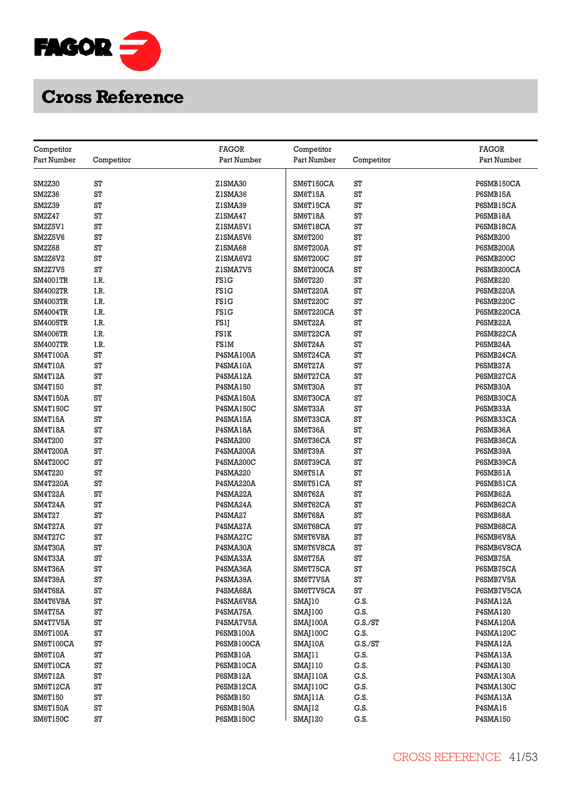

| Competitor      |            | <b>FAGOR</b>     | Competitor     |            | FAGOR            |
|-----------------|------------|------------------|----------------|------------|------------------|
| Part Number     | Competitor | Part Number      | Part Number    | Competitor | Part Number      |
|                 |            |                  |                |            |                  |
| SM2Z30          | ST         | Z1SMA30          | SM6T150CA      | ST         | P6SMB150CA       |
| SM2Z36          | ST         | Z1SMA36          | SM6T15A        | ST         | P6SMB15A         |
| SM2Z39          | ST         | Z1SMA39          | SM6T15CA       | ST         | P6SMB15CA        |
| SM2Z47          | ST         | Z1SMA47          | SM6T18A        | ST         | P6SMB18A         |
| SM2Z5V1         | ST         | ZISMA5V1         | SM6T18CA       | ST         | P6SMB18CA        |
| SM2Z5V6         | ST         | Z1SMA5V6         | SM6T200        | ST         | <b>P6SMB200</b>  |
| SM2Z68          | ST         | Z1SMA68          | SM6T200A       | ST         | P6SMB200A        |
| SM2Z6V2         | ST         | Z1SMA6V2         | SM6T200C       | ST         | P6SMB200C        |
| SM2Z7V5         | ST         | Z1SMA7V5         | SM6T200CA      | ST         | P6SMB200CA       |
| <b>SM4001TR</b> | I.R.       | <b>FS1G</b>      | SM6T220        | ST         | <b>P6SMB220</b>  |
| <b>SM4002TR</b> | I.R.       | <b>FS1G</b>      | SM6T220A       | ST         | P6SMB220A        |
|                 | I.R.       | <b>FS1G</b>      |                | ST         | P6SMB220C        |
| <b>SM4003TR</b> |            | <b>FS1G</b>      | SM6T220C       | ST         |                  |
| <b>SM4004TR</b> | I.R.       |                  | SM6T220CA      | ST         | P6SMB220CA       |
| <b>SM4005TR</b> | I.R.       | FS1J             | SM6T22A        |            | P6SMB22A         |
| <b>SM4006TR</b> | I.R.       | FS1K             | SM6T22CA       | ST         | P6SMB22CA        |
| <b>SM4007TR</b> | I.R.       | <b>FS1M</b>      | SM6T24A        | ST         | P6SMB24A         |
| <b>SM4T100A</b> | ST         | P4SMA100A        | SM6T24CA       | ST         | P6SMB24CA        |
| SM4T10A         | ST         | P4SMA10A         | SM6T27A        | ST         | P6SMB27A         |
| SM4T12A         | ST         | P4SMA12A         | SM6T27CA       | ST         | P6SMB27CA        |
| SM4T150         | ST         | P4SMA150         | SM6T30A        | ST         | P6SMB30A         |
| <b>SM4T150A</b> | ST         | <b>P4SMA150A</b> | SM6T30CA       | ST         | P6SMB30CA        |
| SM4T150C        | ST         | P4SMA150C        | SM6T33A        | ST         | P6SMB33A         |
| SM4T15A         | ST         | P4SMA15A         | SM6T33CA       | ST         | P6SMB33CA        |
| SM4T18A         | ST         | P4SMA18A         | SM6T36A        | ST         | P6SMB36A         |
| SM4T200         | ST         | P4SMA200         | SM6T36CA       | ST         | P6SMB36CA        |
| <b>SM4T200A</b> | ST         | <b>P4SMA200A</b> | SM6T39A        | ST         | P6SMB39A         |
| <b>SM4T200C</b> | ST         | P4SMA200C        | SM6T39CA       | ST         | P6SMB39CA        |
| SM4T220         | ST         | P4SMA220         | SM6T51A        | ST         | P6SMB51A         |
| <b>SM4T220A</b> | ST         | <b>P4SMA220A</b> | SM6T51CA       | ST         | P6SMB51CA        |
| SM4T22A         | ST         | P4SMA22A         | SM6T62A        | ST         | P6SMB62A         |
| SM4T24A         | ST         | P4SMA24A         | SM6T62CA       | ST         | P6SMB62CA        |
| <b>SM4T27</b>   | ST         | P4SMA27          | SM6T68A        | ST         | P6SMB68A         |
| SM4T27A         | ST         | P4SMA27A         | SM6T68CA       | ST         | P6SMB68CA        |
| SM4T27C         | ST         | P4SMA27C         | SM6T6V8A       | ST         | P6SMB6V8A        |
| SM4T30A         | ST         | P4SMA30A         | SM6T6V8CA      | ST         | P6SMB6V8CA       |
| SM4T33A         | ST         | P4SMA33A         | SM6T75A        | ST         | P6SMB75A         |
| SM4T36A         | ST         | P4SMA36A         | SM6T75CA       | ST         | P6SMB75CA        |
| SM4T39A         | ST         | P4SMA39A         | SM6T7V5A       | ST         | P6SMB7V5A        |
| SM4T68A         | ST         | P4SMA68A         | SM6T7V5CA      | ST         | P6SMB7V5CA       |
| SM4T6V8A        | ST         | P4SMA6V8A        | SMAJ10         | G.S.       | P4SMA12A         |
| SM4T75A         | ST         | P4SMA75A         | <b>SMAJ100</b> | G.S.       | P4SMA120         |
| SM4T7V5A        | ST         | P4SMA7V5A        | SMAJ100A       | G.S./ST    | <b>P4SMA120A</b> |
| SM6T100A        | ST         | P6SMB100A        | SMAJ100C       | G.S.       | P4SMA120C        |
| SM6T100CA       | ST         | P6SMB100CA       | SMAJ10A        | G.S./ST    | P4SMA12A         |
| SM6T10A         | ST         | P6SMB10A         | SMAJ11         | G.S.       | P4SMA13A         |
| SM6T10CA        | ST         | P6SMB10CA        | SMAJ110        | G.S.       | P4SMA130         |
| SM6T12A         | ST         | P6SMB12A         | SMAJ110A       | G.S.       | P4SMA130A        |
| SM6T12CA        | ST         | P6SMB12CA        | SMAJ110C       | G.S.       | P4SMA130C        |
| SM6T150         | ST         | <b>P6SMB150</b>  | SMAJ11A        | G.S.       | P4SMA13A         |
| SM6T150A        | ST         | <b>P6SMB150A</b> | SMAJ12         | G.S.       | P4SMA15          |
| SM6T150C        | ST         | <b>P6SMB150C</b> | SMAJ120        | G.S.       | P4SMA150         |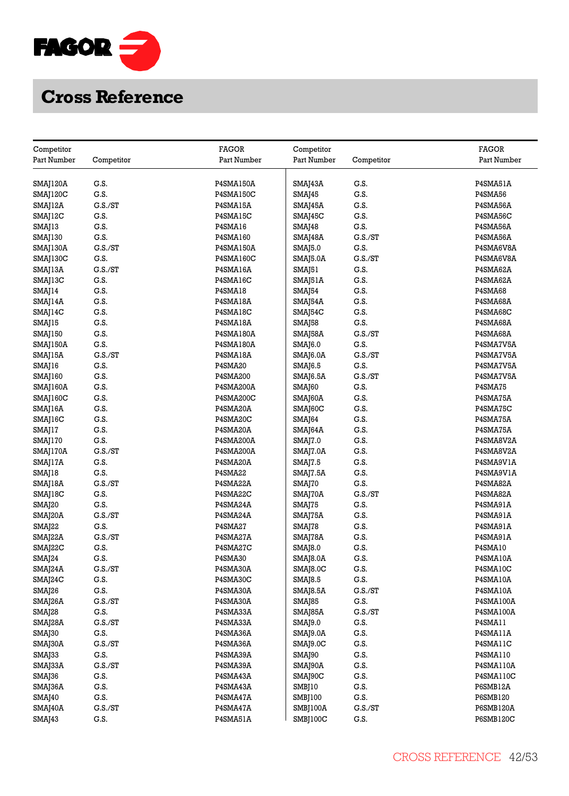

| Competitor          |            | <b>FAGOR</b>     | Competitor          |            | <b>FAGOR</b>     |
|---------------------|------------|------------------|---------------------|------------|------------------|
| Part Number         | Competitor | Part Number      | Part Number         | Competitor | Part Number      |
|                     |            |                  |                     |            |                  |
| SMAJ120A            | G.S.       | <b>P4SMA150A</b> | SMAJ43A             | G.S.       | P4SMA51A         |
| SMAJ120C            | G.S.       | P4SMA150C        | SMAJ45              | G.S.       | <b>P4SMA56</b>   |
| SMAJ12A             | G.S./ST    | P4SMA15A         | SMAJ45A             | G.S.       | P4SMA56A         |
| SMAJ12C             | G.S.       | P4SMA15C         | SMAJ45C             | G.S.       | P4SMA56C         |
| SMAJ13              | G.S.       | P4SMA16          | SMAJ48              | G.S.       | P4SMA56A         |
| SMAJ130             | G.S.       | <b>P4SMA160</b>  | SMAJ48A             | G.S./ST    | P4SMA56A         |
| SMAJ130A            | C.S./ST    | P4SMA150A        | SMAJ5.0             | G.S.       | P4SMA6V8A        |
| SMAJ130C            | G.S.       | P4SMA160C        | SMAJ5.0A            | G.S./ST    | P4SMA6V8A        |
| SMAJ13A             | G.S./ST    | P4SMA16A         | SMAJ51              | G.S.       | P4SMA62A         |
| SMAJ13C             | G.S.       | P4SMA16C         | SMAJ51A             | G.S.       | P4SMA62A         |
| SMAJ14              | G.S.       | P4SMA18          | SMAJ54              | G.S.       | P4SMA68          |
| SMAJ14A             | G.S.       | P4SMA18A         | SMAJ54A             | G.S.       | P4SMA68A         |
| SMAJ14C             | G.S.       | P4SMA18C         | SMAJ54C             | G.S.       | P4SMA68C         |
| SMAJ15              | G.S.       | P4SMA18A         | SMAJ58              | G.S.       | P4SMA68A         |
| SMAJ150             | G.S.       | <b>P4SMA180A</b> | SMAJ58A             | G.S./ST    | P4SMA68A         |
|                     | G.S.       | <b>P4SMA180A</b> |                     | G.S.       | P4SMA7V5A        |
| SMAJ150A            | G.S./ST    |                  | SMAJ6.0             |            | P4SMA7V5A        |
| SMAJ15A             |            | P4SMA18A         | SMAJ6.0A            | G.S./ST    |                  |
| SMAJ16              | G.S.       | P4SMA20          | <b>SMAJ6.5</b>      | G.S.       | P4SMA7V5A        |
| SMAJ160             | G.S.       | P4SMA200         | SMAJ6.5A            | G.S./ST    | P4SMA7V5A        |
| SMAJ160A            | G.S.       | P4SMA200A        | SMAJ60              | G.S.       | P4SMA75          |
| SMAJ160C            | G.S.       | P4SMA200C        | SMAJ60A             | G.S.       | P4SMA75A         |
| SMAJ16A             | G.S.       | P4SMA20A         | SMAJ60C             | G.S.       | P4SMA75C         |
| SMAJ16C             | G.S.       | P4SMA20C         | SMA <sub>[64</sub>  | G.S.       | P4SMA75A         |
| SMAJ17              | G.S.       | P4SMA20A         | SMAJ64A             | G.S.       | P4SMA75A         |
| SMAJ170             | G.S.       | <b>P4SMA200A</b> | SMAJ7.0             | G.S.       | P4SMA8V2A        |
| SMAJ170A            | G.S./ST    | <b>P4SMA200A</b> | SMAJ7.0A            | G.S.       | P4SMA8V2A        |
| SMAJ17A             | G.S.       | P4SMA20A         | <b>SMAJ7.5</b>      | G.S.       | P4SMA9V1A        |
| SMAJ18              | G.S.       | P4SMA22          | SMAJ7.5A            | G.S.       | P4SMA9V1A        |
| SMAJ18A             | G.S./ST    | P4SMA22A         | SMAJ70              | G.S.       | P4SMA82A         |
| SMAJ18C             | G.S.       | P4SMA22C         | SMAJ70A             | G.S./ST    | P4SMA82A         |
| SMAJ20              | G.S.       | P4SMA24A         | SMAJ75              | G.S.       | P4SMA91A         |
| SMAJ20A             | G.S./ST    | P4SMA24A         | SMAJ75A             | G.S.       | P4SMA91A         |
| SMAJ22              | G.S.       | P4SMA27          | SMAJ78              | G.S.       | P4SMA91A         |
| SMAJ22A             | G.S./ST    | P4SMA27A         | SMAJ78A             | G.S.       | P4SMA91A         |
| SMAJ22C             | G.S.       | P4SMA27C         | SMAJ8.0             | G.S.       | P4SMA10          |
| SMAJ24              | G.S.       | P4SMA30          | SMAJ8.0A            | G.S.       | P4SMA10A         |
| SMAJ24A             | G.S./ST    | P4SMA30A         | SMAJ8.0C            | G.S.       | P4SMA10C         |
| SMA <sub>[24C</sub> | G.S.       | P4SMA30C         | <b>SMAJ8.5</b>      | G.S.       | P4SMA10A         |
| SMAJ26              | G.S.       | P4SMA30A         | SMAJ8.5A            | G.S./ST    | P4SMA10A         |
| SMAJ26A             | G.S./ST    | P4SMA30A         | SMAJ85              | G.S.       | <b>P4SMA100A</b> |
| SMAJ28              | G.S.       | P4SMA33A         | SMAJ85A             | G.S./ST    | <b>P4SMA100A</b> |
| SMAJ28A             | G.S./ST    | P4SMA33A         | SMA <sub>[9.0</sub> | G.S.       | P4SMA11          |
| SMAJ30              | G.S.       | P4SMA36A         | SMAJ9.0A            | G.S.       | P4SMA11A         |
| SMAJ30A             | G.S./ST    | P4SMA36A         | SMAJ9.0C            | G.S.       | P4SMA11C         |
| SMAJ33              | G.S.       | P4SMA39A         | SMAJ90              | G.S.       | P4SMA110         |
| SMAJ33A             | G.S./ST    | P4SMA39A         | SMAJ90A             | G.S.       | P4SMA110A        |
| SMAJ36              | G.S.       | P4SMA43A         | SMAJ90C             | G.S.       | P4SMA110C        |
| SMAJ36A             | G.S.       | P4SMA43A         | SMBJ10              | G.S.       | P6SMB12A         |
| SMAJ40              | G.S.       | P4SMA47A         | SMBJ100             | G.S.       | P6SMB120         |
| SMAJ40A             | G.S./ST    | P4SMA47A         | SMBJ100A            | G.S./ST    | <b>P6SMB120A</b> |
| SMAJ43              | G.S.       | P4SMA51A         | SMBJ100C            | G.S.       | P6SMB120C        |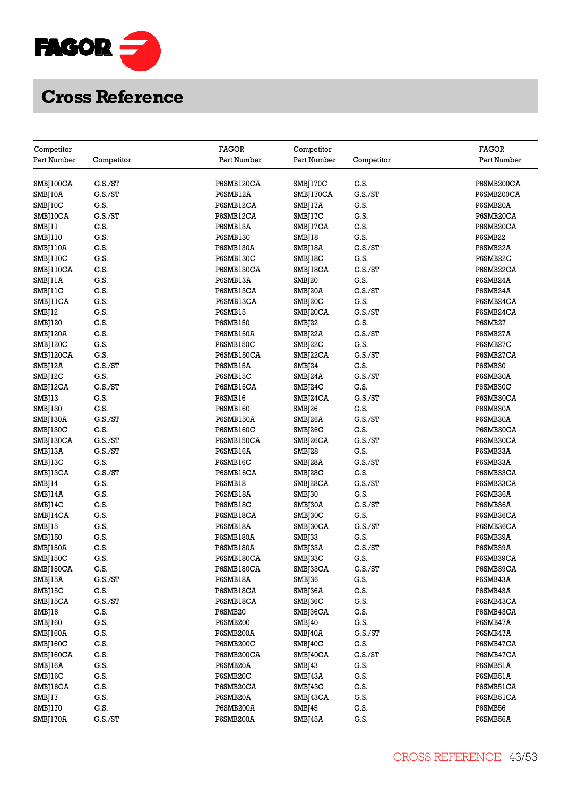

| Competitor         |            | <b>FAGOR</b>         | Competitor    |            | <b>FAGOR</b> |
|--------------------|------------|----------------------|---------------|------------|--------------|
| Part Number        | Competitor | Part Number          | Part Number   | Competitor | Part Number  |
|                    |            |                      |               |            |              |
| SMBJ100CA          | G.S./ST    | P6SMB120CA           | SMBJ170C      | G.S.       | P6SMB200CA   |
| SMBJ10A            | G.S./ST    | P6SMB12A             | SMBJ170CA     | G.S./ST    | P6SMB200CA   |
| SMBJ10C            | G.S.       | P6SMB12CA            | SMBJ17A       | G.S.       | P6SMB20A     |
| SMBJ10CA           | G.S./ST    | P6SMB12CA            | SMBJ17C       | G.S.       | P6SMB20CA    |
| SMBJ11             | G.S.       | P6SMB13A             | SMBJ17CA      | G.S.       | P6SMB20CA    |
| SMBJ110            | G.S.       | <b>P6SMB130</b>      | SMBJ18        | G.S.       | P6SMB22      |
| SMBJ110A           | G.S.       | <b>P6SMB130A</b>     | SMBJ18A       | G.S./ST    | P6SMB22A     |
| SMBJ110C           | G.S.       | P6SMB130C            | SMBJ18C       | G.S.       | P6SMB22C     |
| SMBJ110CA          | G.S.       | P6SMB130CA           | SMBJ18CA      | G.S./ST    | P6SMB22CA    |
| SMBJ11A            | G.S.       | P6SMB13A             | SMBJ20        | G.S.       | P6SMB24A     |
| SMBJ11C            | G.S.       | P6SMB13CA            | SMBJ20A       | G.S./ST    | P6SMB24A     |
| SMBJ11CA           | G.S.       | P6SMB13CA            | SMBJ20C       | G.S.       | P6SMB24CA    |
| SMBJ12             | G.S.       | P6SMB15              | SMBJ20CA      | G.S./ST    | P6SMB24CA    |
| SMBJ120            | G.S.       | <b>P6SMB150</b>      | SMBJ22        | G.S.       | P6SMB27      |
| SMBJ120A           | G.S.       | <b>P6SMB150A</b>     | SMBJ22A       | G.S./ST    | P6SMB27A     |
| SMBJ120C           | G.S.       | <b>P6SMB150C</b>     | SMBJ22C       | G.S.       | P6SMB27C     |
| SMBJ120CA          | G.S.       | P6SMB150CA           | SMBJ22CA      | G.S./ST    | P6SMB27CA    |
|                    | G.S./ST    |                      |               | G.S.       | P6SMB30      |
| SMBJ12A            | G.S.       | P6SMB15A<br>P6SMB15C | SMBJ24        | G.S./ST    | P6SMB30A     |
| SMBJ12C            | G.S./ST    | P6SMB15CA            | SMBJ24A       | G.S.       | P6SMB30C     |
| SMBJ12CA           |            |                      | SMBJ24C       |            |              |
| SMBJ13             | G.S.       | P6SMB16              | SMBJ24CA      | G.S./ST    | P6SMB30CA    |
| SMBJ130            | G.S.       | <b>P6SMB160</b>      | SMBJ26        | G.S.       | P6SMB30A     |
| SMBJ130A           | G.S./ST    | P6SMB150A            | SMBJ26A       | G.S./ST    | P6SMB30A     |
| SMBJ130C           | G.S.       | <b>P6SMB160C</b>     | SMBJ26C       | G.S.       | P6SMB30CA    |
| SMBJ130CA          | G.S./ST    | P6SMB150CA           | SMBJ26CA      | G.S./ST    | P6SMB30CA    |
| SMBJ13A            | G.S./ST    | P6SMB16A             | SMBJ28        | G.S.       | P6SMB33A     |
| SMBJ13C            | G.S.       | P6SMB16C             | SMBJ28A       | G.S./ST    | P6SMB33A     |
| SMBJ13CA           | G.S./ST    | P6SMB16CA            | SMBJ28C       | G.S.       | P6SMB33CA    |
| SMBJ14             | G.S.       | P6SMB18              | SMBJ28CA      | G.S./ST    | P6SMB33CA    |
| SMBJ14A            | G.S.       | P6SMB18A             | SMBJ30        | G.S.       | P6SMB36A     |
| SMBJ14C            | G.S.       | P6SMB18C             | SMBJ30A       | G.S./ST    | P6SMB36A     |
| SMBJ14CA           | G.S.       | P6SMB18CA            | SMBJ30C       | G.S.       | P6SMB36CA    |
| SMB <sub>[15</sub> | G.S.       | P6SMB18A             | SMBJ30CA      | G.S./ST    | P6SMB36CA    |
| SMBJ150            | G.S.       | <b>P6SMB180A</b>     | SMBJ33        | G.S.       | P6SMB39A     |
| SMBJ150A           | G.S.       | <b>P6SMB180A</b>     | SMBJ33A       | G.S./ST    | P6SMB39A     |
| SMBJ150C           | G.S.       | P6SMB180CA           | SMBJ33C       | G.S.       | P6SMB39CA    |
| SMBJ150CA          | G.S.       | P6SMB180CA           | SMBJ33CA      | G.S./ST    | P6SMB39CA    |
| SMBJ15A            | G.S./ST    | P6SMB18A             | SMBJ36        | G.S.       | P6SMB43A     |
| SMBJ15C            | G.S.       | P6SMB18CA            | SMBJ36A       | G.S.       | P6SMB43A     |
| SMBJ15CA           | G.S./ST    | P6SMB18CA            | SMBJ36C       | G.S.       | P6SMB43CA    |
| SMBJ16             | G.S.       | P6SMB20              | SMBJ36CA      | G.S.       | P6SMB43CA    |
| SMBJ160            | G.S.       | <b>P6SMB200</b>      | <b>SMBJ40</b> | G.S.       | P6SMB47A     |
| SMBJ160A           | G.S.       | P6SMB200A            | SMBJ40A       | G.S./ST    | P6SMB47A     |
| SMBJ160C           | G.S.       | P6SMB200C            | SMBJ40C       | G.S.       | P6SMB47CA    |
| SMBJ160CA          | G.S.       | P6SMB200CA           | SMBJ40CA      | G.S./ST    | P6SMB47CA    |
| SMBJ16A            | G.S.       | P6SMB20A             | SMBJ43        | G.S.       | P6SMB51A     |
| SMBJ16C            | G.S.       | P6SMB20C             | SMBJ43A       | G.S.       | P6SMB51A     |
| SMBJ16CA           | G.S.       | P6SMB20CA            | SMBJ43C       | G.S.       | P6SMB51CA    |
| SMBJ17             | G.S.       | P6SMB20A             | SMBJ43CA      | G.S.       | P6SMB51CA    |
| SMBJ170            | G.S.       | P6SMB200A            | SMBJ45        | G.S.       | P6SMB56      |
| SMBJ170A           | G.S./ST    | P6SMB200A            | SMBJ45A       | G.S.       | P6SMB56A     |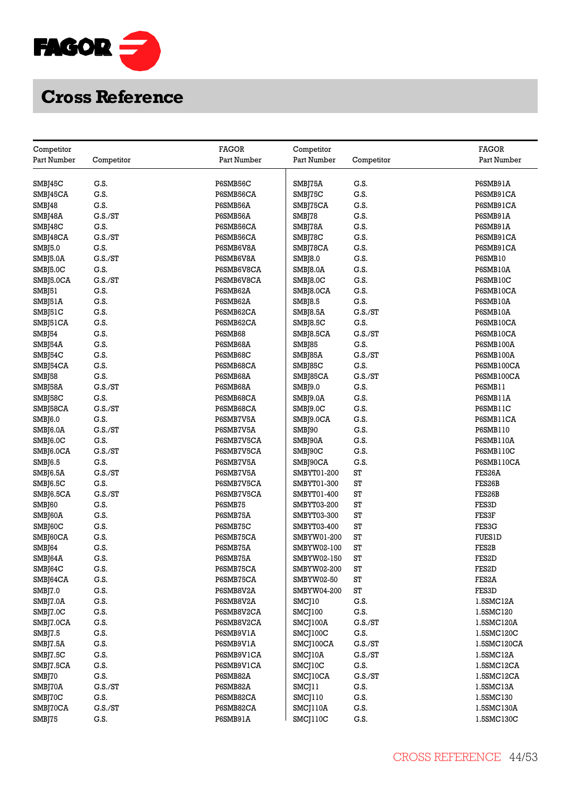

| Competitor                |            | FAGOR            | Competitor             |            | <b>FAGOR</b>       |
|---------------------------|------------|------------------|------------------------|------------|--------------------|
| Part Number               | Competitor | Part Number      | Part Number            | Competitor | Part Number        |
|                           |            |                  |                        |            |                    |
| SMB <sub>[45C</sub>       | G.S.       | P6SMB56C         | SMBJ75A                | G.S.       | P6SMB91A           |
| SMBJ45CA                  | G.S.       | P6SMB56CA        | SMBJ75C                | G.S.       | P6SMB91CA          |
| SMBJ48                    | G.S.       | P6SMB56A         | SMBJ75CA               | G.S.       | P6SMB91CA          |
| SMBJ48A                   | G.S./ST    | P6SMB56A         | SMBJ78                 | G.S.       | P6SMB91A           |
| SMBJ48C                   | G.S.       | P6SMB56CA        | SMBJ78A                | G.S.       | P6SMB91A           |
| SMBJ48CA                  | C.S./ST    | P6SMB56CA        | SMBJ78C                | G.S.       | P6SMB91CA          |
|                           | G.S.       | <b>P6SMB6V8A</b> | SMBJ78CA               | G.S.       | P6SMB91CA          |
| SMBJ5.0                   | G.S./ST    | P6SMB6V8A        |                        | G.S.       | P6SMB10            |
| SMBJ5.0A                  |            |                  | SMBJ8.0                |            |                    |
| SMBJ5.0C                  | G.S.       | P6SMB6V8CA       | SMB <sub>[8.0</sub> A  | G.S.       | P6SMB10A           |
| SMBJ5.0CA                 | G.S./ST    | P6SMB6V8CA       | SMBJ8.0C               | G.S.       | P6SMB10C           |
| SMBJ51                    | G.S.       | P6SMB62A         | SMBJ8.0CA              | G.S.       | P6SMB10CA          |
| SMBJ51A                   | G.S.       | P6SMB62A         | SMBJ8.5                | G.S.       | P6SMB10A           |
| SMBJ51C                   | G.S.       | P6SMB62CA        | SMBJ8.5A               | C.S./ST    | P6SMB10A           |
| SMBJ51CA                  | G.S.       | P6SMB62CA        | SMBJ8.5C               | G.S.       | P6SMB10CA          |
| SMB <sub>[54</sub>        | G.S.       | P6SMB68          | SMB <sub>[8.5</sub> CA | G.S./ST    | P6SMB10CA          |
| SMBJ54A                   | G.S.       | P6SMB68A         | SMBJ85                 | G.S.       | <b>P6SMB100A</b>   |
| SMBJ54C                   | G.S.       | P6SMB68C         | SMBJ85A                | G.S./ST    | <b>P6SMB100A</b>   |
| SMBJ54CA                  | G.S.       | P6SMB68CA        | SMBJ85C                | G.S.       | P6SMB100CA         |
| SMBJ58                    | G.S.       | P6SMB68A         | SMBJ85CA               | G.S./ST    | P6SMB100CA         |
| SMBJ58A                   | G.S./ST    | P6SMB68A         | SMBJ9.0                | G.S.       | P6SMB11            |
| SMBJ58C                   | G.S.       | P6SMB68CA        | SMBJ9.0A               | G.S.       | P6SMB11A           |
| SMBJ58CA                  | G.S./ST    | P6SMB68CA        | SMBJ9.0C               | G.S.       | P6SMB11C           |
| <b>SMB<sub>16.0</sub></b> | G.S.       | P6SMB7V5A        | SMBJ9.0CA              | G.S.       | P6SMB11CA          |
| SMBJ6.0A                  | C.S./ST    | P6SMB7V5A        | SMBJ90                 | G.S.       | P6SMB110           |
| SMBJ6.0C                  | G.S.       | P6SMB7V5CA       | SMBJ90A                | G.S.       | P6SMB110A          |
| SMBJ6.0CA                 | G.S./ST    | P6SMB7V5CA       | SMBJ90C                | G.S.       | P6SMB110C          |
| SMBJ6.5                   | G.S.       | P6SMB7V5A        | SMBJ90CA               | G.S.       | P6SMB110CA         |
| SMBJ6.5A                  | G.S./ST    | P6SMB7V5A        | SMBYT01-200            | ST         | FES26A             |
| SMB[6.5C]                 | G.S.       | P6SMB7V5CA       | SMBYT01-300            | ST         | FES26B             |
| SMBJ6.5CA                 | G.S./ST    | P6SMB7V5CA       | SMBYT01-400            | ST         | FES26B             |
| SMBJ60                    | G.S.       | P6SMB75          | SMBYT03-200            | ST         | FES3D              |
| SMBJ60A                   | G.S.       | P6SMB75A         | SMBYT03-300            | ST         | FES3F              |
| SMB <sub>[60</sub> C      | G.S.       | P6SMB75C         | <b>SMBYT03-400</b>     | ST         | FES3G              |
| SMBJ60CA                  | G.S.       | P6SMB75CA        | SMBYW01-200            | ST         | <b>FUES1D</b>      |
| SMB <sub>[64</sub>        | G.S.       | P6SMB75A         | SMBYW02-100            | ST         | FES2B              |
| SMBJ64A                   | G.S.       | P6SMB75A         | SMBYW02-150            | ST         | FES2D              |
| SMBJ64C                   | G.S.       | P6SMB75CA        | SMBYW02-200            | ST         | FES <sub>2</sub> D |
| SMBJ64CA                  | G.S.       | P6SMB75CA        | SMBYW02-50             | ST         | FES2A              |
| SMBJ7.0                   | G.S.       | P6SMB8V2A        | SMBYW04-200            | ST         | FES3D              |
| SMBJ7.0A                  | G.S.       | P6SMB8V2A        | SMCJ10                 | G.S.       | 1.5SMC12A          |
| SMBJ7.0C                  | G.S.       | P6SMB8V2CA       |                        | G.S.       | 1.5SMC120          |
|                           | G.S.       | P6SMB8V2CA       | SMCJ100<br>SMCJ100A    | G.S./ST    | 1.5SMC120A         |
| SMBJ7.0CA                 |            | P6SMB9V1A        |                        |            |                    |
| SMBJ7.5                   | G.S.       |                  | SMCJ100C               | G.S.       | 1.5SMC120C         |
| SMBJ7.5A                  | G.S.       | P6SMB9V1A        | SMCJ100CA              | C.S./ST    | 1.5SMC120CA        |
| SMBJ7.5C                  | G.S.       | P6SMB9V1CA       | SMCJ10A                | G.S./ST    | 1.5SMC12A          |
| SMBJ7.5CA                 | G.S.       | P6SMB9V1CA       | SMCJ10C                | G.S.       | 1.5SMC12CA         |
| SMBJ70                    | G.S.       | P6SMB82A         | SMCJ10CA               | G.S./ST    | 1.5SMC12CA         |
| SMBJ70A                   | C.S./ST    | P6SMB82A         | SMCJ11                 | G.S.       | 1.5SMC13A          |
| SMBJ70C                   | G.S.       | P6SMB82CA        | SMCJ110                | G.S.       | 1.5SMC130          |
| SMBJ70CA                  | C.S./ST    | P6SMB82CA        | SMCJ110A               | G.S.       | 1.5SMC130A         |
| SMBJ75                    | G.S.       | P6SMB91A         | SMCJ110C               | G.S.       | 1.5SMC130C         |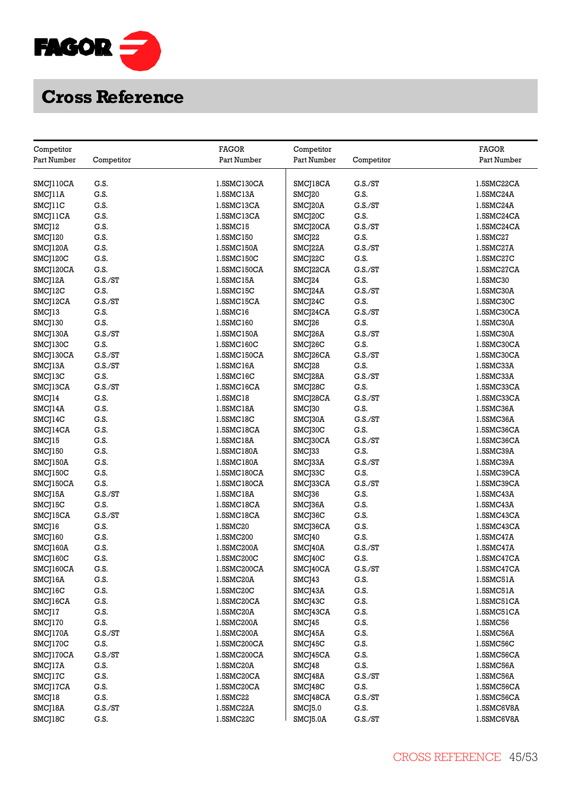

| Competitor          |            | <b>FAGOR</b> | Competitor  |            | FAGOR       |
|---------------------|------------|--------------|-------------|------------|-------------|
| Part Number         | Competitor | Part Number  | Part Number | Competitor | Part Number |
|                     |            |              |             |            |             |
| SMCJ110CA           | G.S.       | 1.5SMC130CA  | SMCJ18CA    | C.S./ST    | 1.5SMC22CA  |
| SMCJ11A             | G.S.       | 1.5SMC13A    | SMCJ20      | G.S.       | 1.5SMC24A   |
| SMCJ11C             | G.S.       | 1.5SMC13CA   | SMCJ20A     | G.S./ST    | 1.5SMC24A   |
| SMCJ11CA            | G.S.       | 1.5SMC13CA   | SMCJ20C     | G.S.       | 1.5SMC24CA  |
| SMCJ12              | G.S.       | 1.5SMC15     | SMCJ20CA    | G.S./ST    | 1.5SMC24CA  |
| SMCJ120             | G.S.       | 1.5SMC150    | SMCJ22      | G.S.       | 1.5SMC27    |
| SMCJ120A            | G.S.       | 1.5SMC150A   | SMCJ22A     | G.S./ST    | 1.5SMC27A   |
| SMCJ120C            | G.S.       | 1.5SMC150C   | SMCJ22C     | G.S.       | 1.5SMC27C   |
| SMCJ120CA           | G.S.       | 1.5SMC150CA  | SMCJ22CA    | G.S./ST    | 1.5SMC27CA  |
| SMCJ12A             | G.S./ST    | 1.5SMC15A    | SMCJ24      | G.S.       | 1.5SMC30    |
| SMCJ12C             | G.S.       | 1.5SMC15C    | SMCJ24A     | G.S./ST    | 1.5SMC30A   |
| SMCJ12CA            | G.S./ST    | 1.5SMC15CA   | SMCJ24C     | G.S.       | 1.5SMC30C   |
| SMCJ13              | G.S.       | 1.5SMC16     | SMCJ24CA    | G.S./ST    | 1.5SMC30CA  |
| SMCJ130             | G.S.       | 1.5SMC160    | SMCJ26      | G.S.       | 1.5SMC30A   |
| SMCJ130A            | G.S./ST    | 1.5SMC150A   | SMCJ26A     | G.S./ST    | 1.5SMC30A   |
| SMCJ130C            | G.S.       | 1.5SMC160C   | SMCJ26C     | G.S.       | 1.5SMC30CA  |
| SMCJ130CA           | G.S./ST    | 1.5SMC150CA  | SMCJ26CA    | G.S./ST    | 1.5SMC30CA  |
| SMCJ13A             | G.S./ST    | 1.5SMC16A    | SMCJ28      | G.S.       | 1.5SMC33A   |
| SMCJ13C             | G.S.       | 1.5SMC16C    | SMCJ28A     | G.S./ST    | 1.5SMC33A   |
| SMCJ13CA            | C.S./ST    | 1.5SMC16CA   | SMCJ28C     | G.S.       | 1.5SMC33CA  |
|                     | G.S.       | 1.5SMC18     |             | G.S./ST    | 1.5SMC33CA  |
| SMCJ14              |            |              | SMCJ28CA    | G.S.       |             |
| SMCJ14A             | G.S.       | 1.5SMC18A    | SMCJ30      |            | 1.5SMC36A   |
| SMC <sub>[14C</sub> | G.S.       | 1.5SMC18C    | SMCJ30A     | G.S./ST    | 1.5SMC36A   |
| SMCJ14CA            | G.S.       | 1.5SMC18CA   | SMCJ30C     | G.S.       | 1.5SMC36CA  |
| SMCJ15              | G.S.       | 1.5SMC18A    | SMCJ30CA    | G.S./ST    | 1.5SMC36CA  |
| SMCJ150             | G.S.       | 1.5SMC180A   | SMCJ33      | G.S.       | 1.5SMC39A   |
| SMCJ150A            | G.S.       | 1.5SMC180A   | SMCJ33A     | G.S./ST    | 1.5SMC39A   |
| SMCJ150C            | G.S.       | 1.5SMC180CA  | SMCJ33C     | G.S.       | 1.5SMC39CA  |
| SMCJ150CA           | G.S.       | 1.5SMC180CA  | SMCJ33CA    | G.S./ST    | 1.5SMC39CA  |
| SMCJ15A             | G.S./ST    | 1.5SMC18A    | SMCJ36      | G.S.       | 1.5SMC43A   |
| SMCJ15C             | G.S.       | 1.5SMC18CA   | SMCJ36A     | G.S.       | 1.5SMC43A   |
| SMCJ15CA            | G.S./ST    | 1.5SMC18CA   | SMCJ36C     | G.S.       | 1.5SMC43CA  |
| SMCJ16              | G.S.       | 1.5SMC20     | SMCJ36CA    | G.S.       | 1.5SMC43CA  |
| SMCJ160             | G.S.       | 1.5SMC200    | SMCJ40      | G.S.       | 1.5SMC47A   |
| SMCJ160A            | G.S.       | 1.5SMC200A   | SMCJ40A     | G.S./ST    | 1.5SMC47A   |
| SMCJ160C            | G.S.       | 1.5SMC200C   | SMCJ40C     | G.S.       | 1.5SMC47CA  |
| SMCJ160CA           | G.S.       | 1.5SMC200CA  | SMCJ40CA    | C.S./ST    | 1.5SMC47CA  |
| SMCJ16A             | G.S.       | 1.5SMC20A    | SMCJ43      | G.S.       | 1.5SMC51A   |
| SMCJ16C             | G.S.       | 1.5SMC20C    | SMCJ43A     | G.S.       | 1.5SMC51A   |
| SMCJ16CA            | G.S.       | 1.5SMC20CA   | SMCJ43C     | G.S.       | 1.5SMC51CA  |
| SMCJ17              | G.S.       | 1.5SMC20A    | SMCJ43CA    | G.S.       | 1.5SMC51CA  |
| SMCJ170             | G.S.       | 1.5SMC200A   | SMCJ45      | G.S.       | 1.5SMC56    |
| SMCJ170A            | G.S./ST    | 1.5SMC200A   | SMCJ45A     | G.S.       | 1.5SMC56A   |
| SMCJ170C            | G.S.       | 1.5SMC200CA  | SMCJ45C     | G.S.       | 1.5SMC56C   |
| SMCJ170CA           | G.S./ST    | 1.5SMC200CA  | SMCJ45CA    | G.S.       | 1.5SMC56CA  |
| SMCJ17A             | G.S.       | 1.5SMC20A    | SMCJ48      | G.S.       | 1.5SMC56A   |
| SMCJ17C             | G.S.       | 1.5SMC20CA   | SMCJ48A     | G.S./ST    | 1.5SMC56A   |
| SMCJ17CA            | G.S.       | 1.5SMC20CA   | SMCJ48C     | G.S.       | 1.5SMC56CA  |
| SMCJ18              | G.S.       | 1.5SMC22     | SMCJ48CA    | G.S./ST    | 1.5SMC56CA  |
| SMCJ18A             | G.S./ST    | 1.5SMC22A    | SMCJ5.0     | G.S.       | 1.5SMC6V8A  |
| SMCJ18C             | G.S.       | 1.5SMC22C    | SMCJ5.0A    | G.S./ST    | 1.5SMC6V8A  |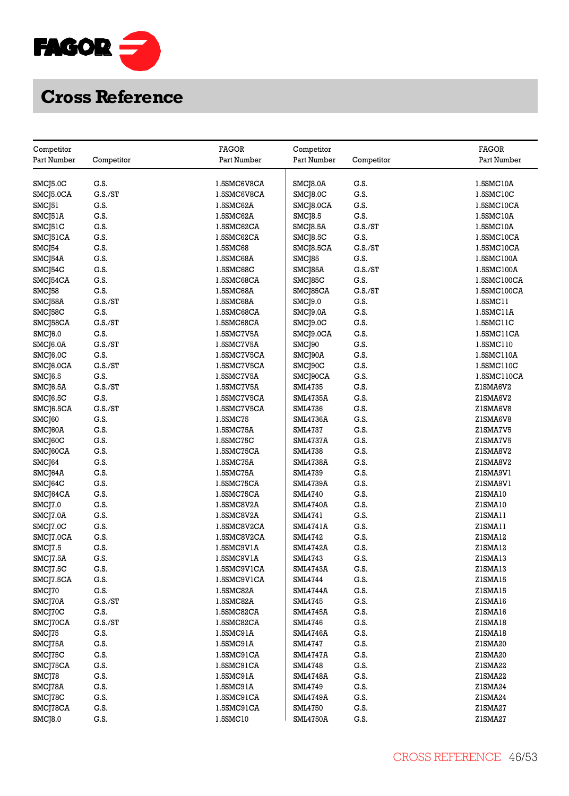

| Competitor            |            | <b>FAGOR</b>      | Competitor      |            | <b>FAGOR</b>      |
|-----------------------|------------|-------------------|-----------------|------------|-------------------|
| Part Number           | Competitor | Part Number       | Part Number     | Competitor | Part Number       |
|                       |            |                   |                 |            |                   |
| SMCJ5.0C              | G.S.       | 1.5SMC6V8CA       | SMCJ8.0A        | G.S.       | 1.5SMC10A         |
| SMCJ5.0CA             | G.S./ST    | 1.5SMC6V8CA       | SMCJ8.0C        | G.S.       | 1.5SMC10C         |
| SMCJ51                | G.S.       | 1.5SMC62A         | SMCJ8.0CA       | G.S.       | 1.5SMC10CA        |
| SMCJ51A               | G.S.       | 1.5SMC62A         | SMCJ8.5         | G.S.       | 1.5SMC10A         |
| SMCJ51C               | G.S.       | 1.5SMC62CA        | SMCJ8.5A        | C.S./ST    | 1.5SMC10A         |
| SMCJ51CA              | G.S.       | 1.5SMC62CA        | SMCJ8.5C        | G.S.       | 1.5SMC10CA        |
| SMCJ54                | G.S.       | 1.5SMC68          | SMCJ8.5CA       | G.S./ST    | 1.5SMC10CA        |
| SMCJ54A               | G.S.       | 1.5SMC68A         | SMCJ85          | G.S.       | 1.5SMC100A        |
| SMCJ54C               | G.S.       | 1.5SMC68C         | SMCJ85A         | G.S./ST    | 1.5SMC100A        |
| SMCJ54CA              | G.S.       | 1.5SMC68CA        | SMCJ85C         | G.S.       | 1.5SMC100CA       |
| SMCJ58                | G.S.       | 1.5SMC68A         | SMCJ85CA        | G.S./ST    | 1.5SMC100CA       |
| SMCJ58A               | G.S./ST    | 1.5SMC68A         | SMCJ9.0         | G.S.       | 1.5SMC11          |
| SMCJ58C               | G.S.       | 1.5SMC68CA        | SMCJ9.0A        | G.S.       | 1.5SMC11A         |
| SMCJ58CA              | G.S./ST    | 1.5SMC68CA        | SMCJ9.0C        | G.S.       | 1.5SMC11C         |
| SMCJ6.0               | G.S.       | 1.5SMC7V5A        | SMCJ9.0CA       | G.S.       | $1.5$ SMC $11$ CA |
| SMCJ6.0A              | G.S./ST    | 1.5SMC7V5A        | SMCJ90          | G.S.       | 1.5SMC110         |
| SMCJ6.0C              | G.S.       | 1.5SMC7V5CA       | SMCJ90A         | G.S.       | 1.5SMC110A        |
| SMCJ6.0CA             | G.S./ST    | 1.5SMC7V5CA       | SMCJ90C         | G.S.       | 1.5SMC110C        |
| SMCJ6.5               | G.S.       | 1.5SMC7V5A        | SMCJ90CA        | G.S.       | 1.5SMC110CA       |
| SMCJ6.5A              | G.S./ST    | 1.5SMC7V5A        | <b>SML4735</b>  | G.S.       | Z1SMA6V2          |
| SMC <sub>16.5</sub> C | G.S.       | 1.5SMC7V5CA       | <b>SML4735A</b> | G.S.       | ZISMA6V2          |
| SMCJ6.5CA             | G.S./ST    | 1.5SMC7V5CA       | <b>SML4736</b>  | G.S.       | ZISMA6V8          |
| SMC <sub>160</sub>    | G.S.       | 1.5SMC75          | SML4736A        | G.S.       | ZISMA6V8          |
| SMCJ60A               | G.S.       | 1.5SMC75A         | <b>SML4737</b>  | G.S.       | ZISMA7V5          |
| SMCJ60C               | G.S.       | 1.5SMC75C         | <b>SML4737A</b> | G.S.       | ZISMA7V5          |
| SMCJ60CA              | G.S.       | 1.5SMC75CA        | <b>SML4738</b>  | G.S.       | ZISMA8V2          |
| SMCJ64                | G.S.       | 1.5SMC75A         | <b>SML4738A</b> | G.S.       | ZISMA8V2          |
| SMCJ64A               | G.S.       | 1.5SMC75A         | SML4739         | G.S.       | ZISMA9VI          |
| SMC <sub>[64</sub> C] | G.S.       | 1.5SMC75CA        | <b>SML4739A</b> | G.S.       | ZISMA9VI          |
| SMCJ64CA              | G.S.       | 1.5SMC75CA        | <b>SML4740</b>  | G.S.       | ZISMA10           |
| SMCJ7.0               | G.S.       | 1.5SMC8V2A        | SML4740A        | G.S.       | Z1SMA10           |
| SMCJ7.0A              | G.S.       | 1.5SMC8V2A        | SML4741         | G.S.       | ZISMA11           |
| SMCJ7.0C              | G.S.       | 1.5SMC8V2CA       | SML4741A        | G.S.       | ZISMA11           |
| SMCJ7.0CA             | G.S.       | 1.5SMC8V2CA       | <b>SML4742</b>  | G.S.       | ZISMA12           |
| SMCJ7.5               | G.S.       | 1.5SMC9V1A        | <b>SML4742A</b> | G.S.       | Z1SMA12           |
| SMCJ7.5A              | G.S.       | 1.5SMC9V1A        | SML4743         | G.S.       | ZISMA13           |
| SMCJ7.5C              | G.S.       | 1.5SMC9V1CA       | SML4743A        | G.S.       | ZISMA13           |
| SMCJ7.5CA             | G.S.       | 1.5SMC9V1CA       | SML4744         | G.S.       | ZISMA15           |
| SMCJ70                | G.S.       | 1.5SMC82A         | SML4744A        | G.S.       | ZISMA15           |
| SMCJ70A               | G.S./ST    | 1.5SMC82A         | <b>SML4745</b>  | G.S.       | ZISMA16           |
| SMCJ70C               | G.S.       | 1.5SMC82CA        | <b>SML4745A</b> | G.S.       | ZISMA16           |
| SMCJ70CA              | G.S./ST    | 1.5SMC82CA        | SML4746         | G.S.       | ZISMA18           |
| SMCJ75                | G.S.       | 1.5SMC91A         | <b>SML4746A</b> | G.S.       | ZISMA18           |
| SMCJ75A               | G.S.       | 1.5SMC91A         | SML4747         | G.S.       | Z1SMA20           |
| SMCJ75C               | G.S.       | $1.5$ SMC $91$ CA | <b>SML4747A</b> | G.S.       | Z1SMA20           |
| SMCJ75CA              | G.S.       | 1.5SMC91CA        | SML4748         | G.S.       | Z1SMA22           |
| SMCJ78                | G.S.       | 1.5SMC91A         | <b>SML4748A</b> | G.S.       | Z1SMA22           |
| SMCJ78A               | G.S.       | 1.5SMC91A         | SML4749         | G.S.       | Z1SMA24           |
| SMCJ78C               | G.S.       | 1.5SMC91CA        | <b>SML4749A</b> | G.S.       | Z1SMA24           |
| SMCJ78CA              | G.S.       | 1.5SMC91CA        | <b>SML4750</b>  | G.S.       | ZISMA27           |
| SMCJ8.0               | G.S.       | 1.5SMC10          | <b>SML4750A</b> | G.S.       | Z1SMA27           |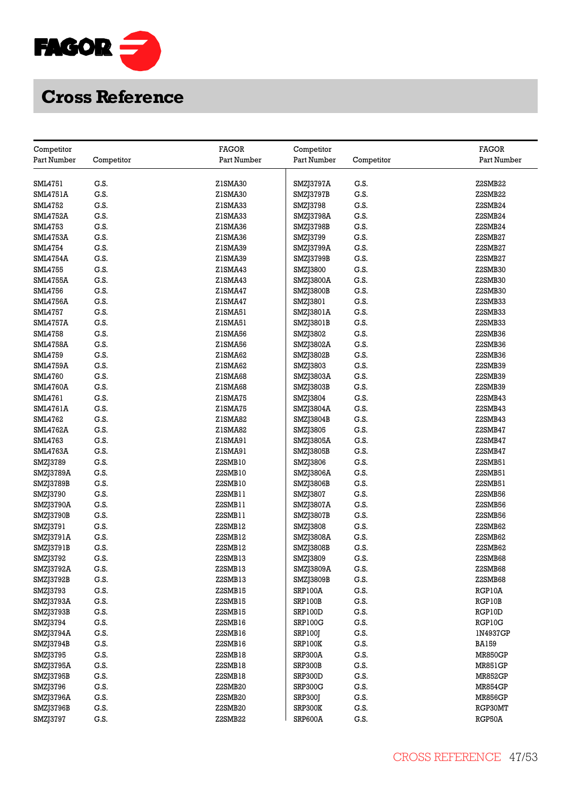

| Competitor      |            | <b>FAGOR</b> | Competitor       |            | <b>FAGOR</b>   |
|-----------------|------------|--------------|------------------|------------|----------------|
| Part Number     | Competitor | Part Number  | Part Number      | Competitor | Part Number    |
|                 |            |              |                  |            |                |
| <b>SML4751</b>  | G.S.       | Z1SMA30      | SMZJ3797A        | G.S.       | Z2SMB22        |
| <b>SML4751A</b> | G.S.       | Z1SMA30      | SMZJ3797B        | G.S.       | Z2SMB22        |
| <b>SML4752</b>  | G.S.       | Z1SMA33      | SMZJ3798         | G.S.       | Z2SMB24        |
| <b>SML4752A</b> | G.S.       | Z1SMA33      | SMZJ3798A        | G.S.       | Z2SMB24        |
| <b>SML4753</b>  | G.S.       | Z1SMA36      | SMZJ3798B        | G.S.       | Z2SMB24        |
| <b>SML4753A</b> | G.S.       | Z1SMA36      | SMZJ3799         | G.S.       | Z2SMB27        |
| <b>SML4754</b>  | G.S.       | Z1SMA39      | SMZJ3799A        | G.S.       | Z2SMB27        |
| <b>SML4754A</b> | G.S.       | Z1SMA39      | SMZJ3799B        | G.S.       | Z2SMB27        |
| <b>SML4755</b>  | G.S.       | Z1SMA43      | SMZJ3800         | G.S.       | Z2SMB30        |
| <b>SML4755A</b> | G.S.       | Z1SMA43      | SMZJ3800A        | G.S.       | Z2SMB30        |
| <b>SML4756</b>  | G.S.       | Z1SMA47      | SMZJ3800B        | G.S.       | Z2SMB30        |
| <b>SML4756A</b> | G.S.       | ZISMA47      | SMZJ3801         | G.S.       | Z2SMB33        |
| <b>SML4757</b>  | G.S.       | ZISMA51      | SMZJ3801A        | G.S.       | Z2SMB33        |
| SML4757A        | G.S.       | ZISMA51      | SMZJ3801B        | G.S.       | Z2SMB33        |
| <b>SML4758</b>  | G.S.       | Z1SMA56      | SMZJ3802         | G.S.       | Z2SMB36        |
| <b>SML4758A</b> | G.S.       | Z1SMA56      | SMZJ3802A        | G.S.       | Z2SMB36        |
| <b>SML4759</b>  | G.S.       | Z1SMA62      | SMZJ3802B        | G.S.       | Z2SMB36        |
| SML4759A        | G.S.       | Z1SMA62      | SMZJ3803         | G.S.       | Z2SMB39        |
| <b>SML4760</b>  | G.S.       | Z1SMA68      | SMZJ3803A        | G.S.       | Z2SMB39        |
| <b>SML4760A</b> | G.S.       | Z1SMA68      | SMZJ3803B        | G.S.       | Z2SMB39        |
| SML4761         | G.S.       | Z1SMA75      | SMZJ3804         | G.S.       | Z2SMB43        |
| SML4761A        | G.S.       | Z1SMA75      | SMZJ3804A        | G.S.       | Z2SMB43        |
| <b>SML4762</b>  | G.S.       | Z1SMA82      | SMZJ3804B        | G.S.       | Z2SMB43        |
| <b>SML4762A</b> | G.S.       | Z1SMA82      | SMZJ3805         | G.S.       | Z2SMB47        |
| SML4763         | G.S.       | ZISMA91      | SMZJ3805A        | G.S.       | Z2SMB47        |
| <b>SML4763A</b> | G.S.       | ZISMA91      | SMZJ3805B        | G.S.       | Z2SMB47        |
| SMZJ3789        | G.S.       | Z2SMB10      | SMZJ3806         | G.S.       | Z2SMB51        |
| SMZJ3789A       | G.S.       | Z2SMB10      | SMZJ3806A        | G.S.       | Z2SMB51        |
| SMZJ3789B       | G.S.       | Z2SMB10      | SMZJ3806B        | G.S.       | Z2SMB51        |
| SMZJ3790        | G.S.       | Z2SMB11      | SMZJ3807         | G.S.       | Z2SMB56        |
| SMZJ3790A       | G.S.       | Z2SMB11      | SMZJ3807A        | G.S.       | Z2SMB56        |
| SMZJ3790B       | G.S.       | Z2SMB11      | SMZJ3807B        | G.S.       | Z2SMB56        |
| SMZJ3791        | G.S.       | Z2SMB12      | SMZJ3808         | G.S.       | Z2SMB62        |
| SMZJ3791A       | G.S.       | Z2SMB12      | <b>SMZJ3808A</b> | G.S.       | Z2SMB62        |
| SMZJ3791B       | G.S.       | Z2SMB12      | <b>SMZJ3808B</b> | G.S.       | Z2SMB62        |
| SMZJ3792        | G.S.       | Z2SMB13      | SMZJ3809         | G.S.       | Z2SMB68        |
| SMZJ3792A       | G.S.       | Z2SMB13      | SMZJ3809A        | G.S.       | Z2SMB68        |
| SMZJ3792B       | G.S.       | Z2SMB13      | SMZJ3809B        | G.S.       | Z2SMB68        |
| SMZJ3793        | G.S.       | Z2SMB15      | <b>SRP100A</b>   | G.S.       | RGP10A         |
| SMZJ3793A       | G.S.       | Z2SMB15      | SRP100B          | G.S.       | RGP10B         |
| SMZJ3793B       | G.S.       | Z2SMB15      | SRP100D          | G.S.       | RGP10D         |
| SMZJ3794        | G.S.       | Z2SMB16      | <b>SRP100G</b>   | G.S.       | RGP10G         |
| SMZJ3794A       | G.S.       | Z2SMB16      | SRP100J          | G.S.       | 1N4937GP       |
| SMZJ3794B       | G.S.       | Z2SMB16      | SRP100K          | G.S.       | <b>BA159</b>   |
| SMZJ3795        | G.S.       | Z2SMB18      | SRP300A          | G.S.       | <b>MR850GP</b> |
| SMZJ3795A       | G.S.       | Z2SMB18      | SRP300B          | G.S.       | MR851GP        |
| SMZJ3795B       | G.S.       | Z2SMB18      | SRP300D          | G.S.       | <b>MR852GP</b> |
| SMZJ3796        | G.S.       | Z2SMB20      | SRP300G          | G.S.       | <b>MR854GP</b> |
| SMZJ3796A       | G.S.       | Z2SMB20      | SRP300J          | G.S.       | <b>MR856GP</b> |
| SMZJ3796B       | G.S.       | Z2SMB20      | SRP300K          | G.S.       | RGP30MT        |
|                 | G.S.       | Z2SMB22      | SRP600A          | G.S.       | RGP50A         |
| SMZJ3797        |            |              |                  |            |                |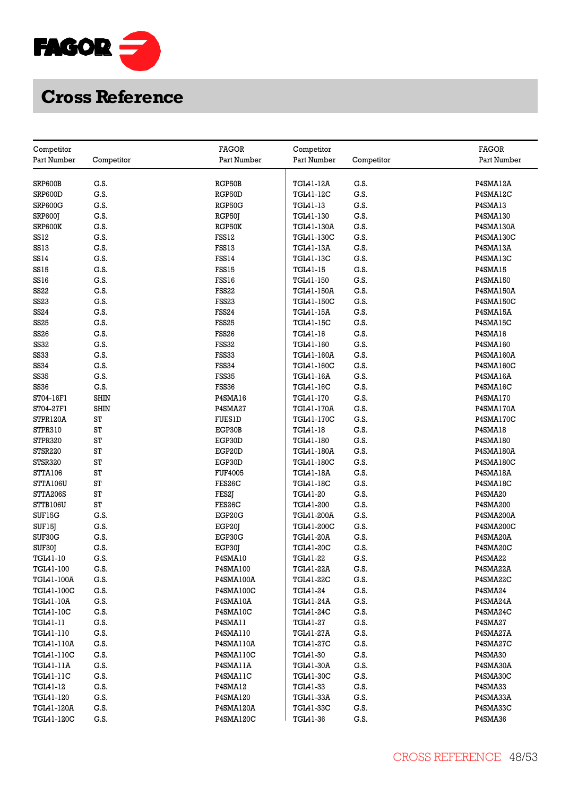

| Competitor      |             | <b>FAGOR</b>      | Competitor        |            | <b>FAGOR</b>     |
|-----------------|-------------|-------------------|-------------------|------------|------------------|
| Part Number     | Competitor  | Part Number       | Part Number       | Competitor | Part Number      |
|                 |             |                   |                   |            |                  |
| SRP600B         | G.S.        | RGP50B            | <b>TGL41-12A</b>  | G.S.       | P4SMA12A         |
| SRP600D         | G.S.        | RGP50D            | <b>TGL41-12C</b>  | G.S.       | P4SMA12C         |
| SRP600G         | G.S.        | RGP50G            | TGL41-13          | G.S.       | P4SMA13          |
| SRP600J         | G.S.        | RGP50J            | TGL41-130         | G.S.       | P4SMA130         |
| SRP600K         | G.S.        | RGP50K            | TGL41-130A        | G.S.       | P4SMA130A        |
| SS12            | G.S.        | FSS12             | TGL41-130C        | G.S.       | P4SMA130C        |
| <b>SS13</b>     | G.S.        | FSS13             | TGL41-13A         | G.S.       | P4SMA13A         |
| SS14            | G.S.        | FSS14             | TGL41-13C         | G.S.       | P4SMA13C         |
| <b>SS15</b>     | G.S.        | FSS15             | TGL41-15          | G.S.       | P4SMA15          |
| SS16            | G.S.        | FSS16             | TGL41-150         | G.S.       | P4SMA150         |
| SS22            | G.S.        | <b>FSS22</b>      | <b>TGL41-150A</b> | G.S.       | P4SMA150A        |
| <b>SS23</b>     | G.S.        | <b>FSS23</b>      | TGL41-150C        | G.S.       | P4SMA150C        |
| SS24            | G.S.        | FSS24             | TGL41-15A         | G.S.       | P4SMA15A         |
| <b>SS25</b>     | G.S.        | FSS <sub>25</sub> | <b>TGL41-15C</b>  | G.S.       | P4SMA15C         |
| <b>SS26</b>     | G.S.        | FSS <sub>26</sub> | TGL41-16          | G.S.       | P4SMA16          |
| <b>SS32</b>     | G.S.        | FSS32             | TGL41-160         | G.S.       | P4SMA160         |
| <b>SS33</b>     | G.S.        | FSS33             | TGL41-160A        | G.S.       | P4SMA160A        |
| SS34            | G.S.        | FSS34             | <b>TGL41-160C</b> | G.S.       | P4SMA160C        |
| <b>SS35</b>     | G.S.        | <b>FSS35</b>      | TGL41-16A         | G.S.       | P4SMA16A         |
| <b>SS36</b>     | G.S.        | FSS36             | TGL41-16C         | G.S.       | P4SMA16C         |
| ST04-16F1       | <b>SHIN</b> | P4SMA16           | TGL41-170         | G.S.       | <b>P4SMA170</b>  |
| ST04-27F1       | <b>SHIN</b> | P4SMA27           | TGL41-170A        | G.S.       | P4SMA170A        |
| STPR120A        | ST          | <b>FUES1D</b>     | <b>TGL41-170C</b> | G.S.       | P4SMA170C        |
| STPR310         | ST          | EGP30B            | TGL41-18          | G.S.       | P4SMA18          |
| STPR320         | ST          | EGP30D            | TGL41-180         | G.S.       | P4SMA180         |
| STSR220         | ST          | EGP20D            | <b>TGL41-180A</b> | G.S.       | <b>P4SMA180A</b> |
| STSR320         | ST          | EGP30D            | TGL41-180C        | G.S.       | P4SMA180C        |
| STTA106         | ST          | <b>FUF4005</b>    | TGL41-18A         | G.S.       | P4SMA18A         |
| STTA106U        | ST          | FES26C            | TGL41-18C         | G.S.       | P4SMA18C         |
| STTA206S        | ST          | FES2J             | TGL41-20          | G.S.       | P4SMA20          |
| <b>STTB106U</b> | ST          | FES26C            | TGL41-200         | G.S.       | P4SMA200         |
| SUF15G          | G.S.        | EGP20G            | <b>TGL41-200A</b> | G.S.       | <b>P4SMA200A</b> |
| SUF15J          | G.S.        | EGP20J            | TGL41-200C        | G.S.       | P4SMA200C        |
| SUF30G          | G.S.        | EGP30G            | TGL41-20A         | G.S.       | P4SMA20A         |
| SUF30J          | G.S.        | EGP30J            | <b>TGL41-20C</b>  | G.S.       | P4SMA20C         |
| TGL41-10        | G.S.        | P4SMA10           | TGL41-22          | G.S.       | P4SMA22          |
| TGL41-100       | G.S.        | P4SMA100          | <b>TGL41-22A</b>  | G.S.       | P4SMA22A         |
| TGL41-100A      | G.S.        | <b>P4SMA100A</b>  | TGL41-22C         | G.S.       | P4SMA22C         |
| TGL41-100C      | G.S.        | P4SMA100C         | TGL41-24          | G.S.       | P4SMA24          |
| TGL41-10A       | G.S.        | P4SMA10A          | TGL41-24A         | G.S.       | P4SMA24A         |
| TGL41-10C       | G.S.        | P4SMA10C          | <b>TGL41-24C</b>  | G.S.       | P4SMA24C         |
| TGL41-11        | G.S.        | P4SMA11           | TGL41-27          | G.S.       | P4SMA27          |
| TGL41-110       | G.S.        | P4SMA110          | <b>TGL41-27A</b>  | G.S.       | P4SMA27A         |
| TGL41-110A      | G.S.        | P4SMA110A         | <b>TGL41-27C</b>  | G.S.       | P4SMA27C         |
| TGL41-110C      | G.S.        | P4SMA110C         | TGL41-30          | G.S.       | P4SMA30          |
| TGL41-11A       | G.S.        | P4SMA11A          | <b>TGL41-30A</b>  | G.S.       | P4SMA30A         |
| TGL41-11C       | G.S.        | P4SMA11C          | <b>TGL41-30C</b>  | G.S.       | P4SMA30C         |
| TGL41-12        | G.S.        | P4SMA12           | TGL41-33          | G.S.       | P4SMA33          |
| TGL41-120       | G.S.        | P4SMA120          | TGL41-33A         | G.S.       | P4SMA33A         |
| TGL41-120A      | G.S.        | P4SMA120A         | TGL41-33C         | G.S.       | P4SMA33C         |
| TGL41-120C      | G.S.        | P4SMA120C         | TGL41-36          | G.S.       | P4SMA36          |
|                 |             |                   |                   |            |                  |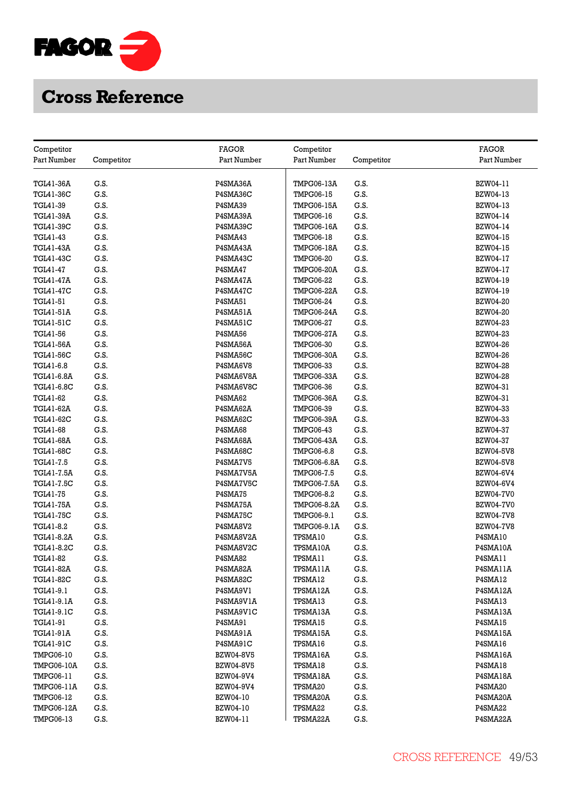

| Competitor        |            | <b>FAGOR</b>     | Competitor         |            | <b>FAGOR</b>     |
|-------------------|------------|------------------|--------------------|------------|------------------|
| Part Number       | Competitor | Part Number      | Part Number        | Competitor | Part Number      |
|                   |            |                  |                    |            |                  |
| <b>TGL41-36A</b>  | G.S.       | P4SMA36A         | <b>TMPG06-13A</b>  | G.S.       | BZW04-11         |
| TGL41-36C         | G.S.       | P4SMA36C         | <b>TMPG06-15</b>   | G.S.       | BZW04-13         |
| TGL41-39          | G.S.       | P4SMA39          | TMPG06-15A         | G.S.       | BZW04-13         |
| <b>TGL41-39A</b>  | G.S.       | P4SMA39A         | <b>TMPG06-16</b>   | G.S.       | BZW04-14         |
| TGL41-39C         | G.S.       | P4SMA39C         | <b>TMPG06-16A</b>  | G.S.       | BZW04-14         |
| TGL41-43          | G.S.       | P4SMA43          | <b>TMPG06-18</b>   | G.S.       | <b>BZW04-15</b>  |
| <b>TGL41-43A</b>  | G.S.       | P4SMA43A         | <b>TMPG06-18A</b>  | G.S.       | BZW04-15         |
| TGL41-43C         | G.S.       | P4SMA43C         | <b>TMPG06-20</b>   | G.S.       | BZW04-17         |
| TGL41-47          | G.S.       | P4SMA47          | <b>TMPG06-20A</b>  | G.S.       | BZW04-17         |
| <b>TGL41-47A</b>  | G.S.       | P4SMA47A         | <b>TMPG06-22</b>   | G.S.       | BZW04-19         |
| <b>TGL41-47C</b>  | G.S.       | P4SMA47C         | <b>TMPG06-22A</b>  | G.S.       | BZW04-19         |
| TGL41-51          | G.S.       | <b>P4SMA51</b>   | <b>TMPG06-24</b>   | G.S.       | <b>BZW04-20</b>  |
| <b>TGL41-51A</b>  | G.S.       | P4SMA51A         | <b>TMPG06-24A</b>  | G.S.       | <b>BZW04-20</b>  |
| TGL41-51C         | G.S.       | P4SMA51C         | <b>TMPG06-27</b>   | G.S.       | BZW04-23         |
| TGL41-56          | G.S.       | P4SMA56          | <b>TMPG06-27A</b>  | G.S.       | BZW04-23         |
| <b>TGL41-56A</b>  | G.S.       | P4SMA56A         | <b>TMPG06-30</b>   | G.S.       | BZW04-26         |
| <b>TGL41-56C</b>  | G.S.       | P4SMA56C         | <b>TMPG06-30A</b>  | G.S.       | BZW04-26         |
| TGL41-6.8         | G.S.       | P4SMA6V8         | <b>TMPG06-33</b>   | G.S.       | <b>BZW04-28</b>  |
| TGL41-6.8A        | G.S.       | P4SMA6V8A        | <b>TMPG06-33A</b>  | G.S.       | <b>BZW04-28</b>  |
| TGL41-6.8C        | G.S.       | P4SMA6V8C        | <b>TMPG06-36</b>   | G.S.       | BZW04-31         |
| TGL41-62          | G.S.       | P4SMA62          | <b>TMPG06-36A</b>  | G.S.       | BZW04-31         |
| <b>TGL41-62A</b>  | G.S.       | P4SMA62A         | <b>TMPG06-39</b>   | G.S.       | BZW04-33         |
| <b>TGL41-62C</b>  | G.S.       | P4SMA62C         | <b>TMPG06-39A</b>  | G.S.       | BZW04-33         |
| TGL41-68          | G.S.       | P4SMA68          | <b>TMPG06-43</b>   | G.S.       | <b>BZW04-37</b>  |
| <b>TGL41-68A</b>  | G.S.       | P4SMA68A         | <b>TMPG06-43A</b>  | G.S.       | BZW04-37         |
| <b>TGL41-68C</b>  | G.S.       | P4SMA68C         | TMPG06-6.8         | G.S.       | <b>BZW04-5V8</b> |
| TGL41-7.5         | G.S.       | P4SMA7V5         | TMPG06-6.8A        | G.S.       | <b>BZW04-5V8</b> |
| TGL41-7.5A        | G.S.       | P4SMA7V5A        | TMPG06-7.5         | G.S.       | BZW04-6V4        |
| TGL41-7.5C        | G.S.       | P4SMA7V5C        | TMPG06-7.5A        | G.S.       | BZW04-6V4        |
| TGL41-75          | G.S.       | P4SMA75          | <b>TMPG06-8.2</b>  | G.S.       | <b>BZW04-7V0</b> |
| <b>TGL41-75A</b>  | G.S.       | P4SMA75A         | <b>TMPG06-8.2A</b> | G.S.       | <b>BZW04-7V0</b> |
| <b>TGL41-75C</b>  | G.S.       | P4SMA75C         | TMPG06-9.1         | G.S.       | <b>BZW04-7V8</b> |
| TGL41-8.2         | G.S.       | P4SMA8V2         | TMPG06-9.1A        | G.S.       | <b>BZW04-7V8</b> |
| TGL41-8.2A        | G.S.       | P4SMA8V2A        | TPSMA10            | G.S.       | P4SMA10          |
| TGL41-8.2C        | G.S.       | P4SMA8V2C        | TPSMA10A           | G.S.       | P4SMA10A         |
| <b>TGL41-82</b>   | G.S.       | P4SMA82          | TPSMA11            | G.S.       | P4SMA11          |
| <b>TGL41-82A</b>  | G.S.       | P4SMA82A         | TPSMA11A           | G.S.       | P4SMA11A         |
| <b>TGL41-82C</b>  | G.S.       | P4SMA82C         | TPSMA12            | G.S.       | P4SMA12          |
| TGL41-9.1         | G.S.       | P4SMA9V1         | TPSMA12A           | G.S.       | P4SMA12A         |
| TGL41-9.1A        | G.S.       | P4SMA9V1A        | TPSMA13            | G.S.       | P4SMA13          |
| TGL41-9.1C        | G.S.       | P4SMA9V1C        | TPSMA13A           | G.S.       | P4SMA13A         |
| TGL41-91          | G.S.       | P4SMA91          | TPSMA15            | G.S.       | P4SMA15          |
| TGL41-91A         | G.S.       | P4SMA91A         | TPSMA15A           | G.S.       | P4SMA15A         |
| TGL41-91C         | G.S.       | P4SMA91C         | TPSMA16            | G.S.       | P4SMA16          |
| <b>TMPG06-10</b>  | G.S.       | <b>BZW04-8V5</b> | TPSMA16A           | G.S.       | P4SMA16A         |
| <b>TMPG06-10A</b> | G.S.       | <b>BZW04-8V5</b> | TPSMA18            | G.S.       | P4SMA18          |
| <b>TMPG06-11</b>  | G.S.       | BZW04-9V4        | TPSMA18A           | G.S.       | P4SMA18A         |
| <b>TMPG06-11A</b> | G.S.       | BZW04-9V4        | TPSMA20            | G.S.       | <b>P4SMA20</b>   |
| <b>TMPG06-12</b>  | G.S.       | BZW04-10         | TPSMA20A           | G.S.       | P4SMA20A         |
| <b>TMPG06-12A</b> | G.S.       | BZW04-10         | TPSMA22            | G.S.       | P4SMA22          |
| <b>TMPG06-13</b>  | G.S.       | BZW04-11         | TPSMA22A           | G.S.       | P4SMA22A         |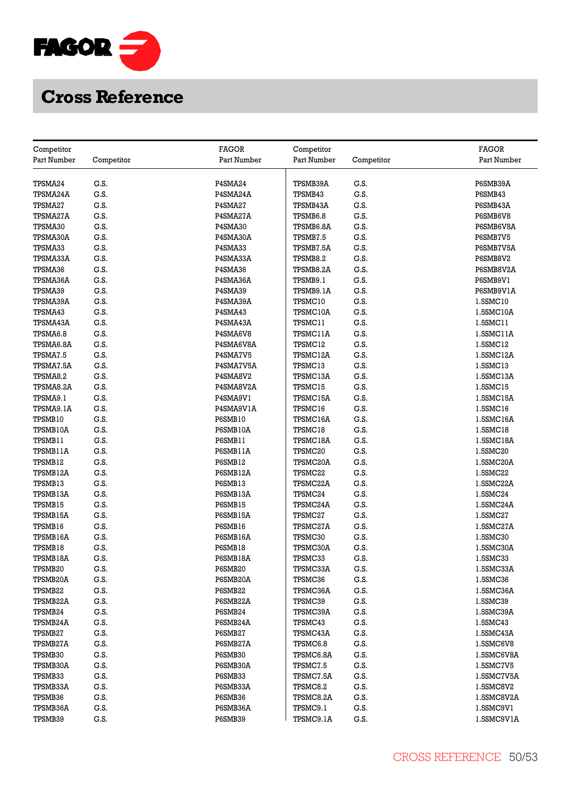

| Competitor      |            | <b>FAGOR</b> | Competitor  |            | <b>FAGOR</b> |
|-----------------|------------|--------------|-------------|------------|--------------|
| Part Number     | Competitor | Part Number  | Part Number | Competitor | Part Number  |
|                 |            |              |             |            |              |
| TPSMA24         | G.S.       | P4SMA24      | TPSMB39A    | G.S.       | P6SMB39A     |
| TPSMA24A        | G.S.       | P4SMA24A     | TPSMB43     | G.S.       | P6SMB43      |
| <b>TPSMA27</b>  | G.S.       | P4SMA27      | TPSMB43A    | G.S.       | P6SMB43A     |
| TPSMA27A        | G.S.       | P4SMA27A     | TPSMB6.8    | G.S.       | P6SMB6V8     |
| TPSMA30         | G.S.       | P4SMA30      | TPSMB6.8A   | G.S.       | P6SMB6V8A    |
| TPSMA30A        | G.S.       | P4SMA30A     | TPSMB7.5    | G.S.       | P6SMB7V5     |
| <b>TPSMA33</b>  | G.S.       | P4SMA33      | TPSMB7.5A   | G.S.       | P6SMB7V5A    |
| TPSMA33A        | G.S.       | P4SMA33A     | TPSMB8.2    | G.S.       | P6SMB8V2     |
| TPSMA36         | G.S.       | P4SMA36      | TPSMB8.2A   | G.S.       | P6SMB8V2A    |
| <b>TPSMA36A</b> | G.S.       | P4SMA36A     | TPSMB9.1    | G.S.       | P6SMB9V1     |
| TPSMA39         | G.S.       | P4SMA39      | TPSMB9.1A   | G.S.       | P6SMB9V1A    |
| TPSMA39A        | G.S.       | P4SMA39A     | TPSMC10     | G.S.       | 1.5SMC10     |
| TPSMA43         | G.S.       | P4SMA43      | TPSMC10A    | G.S.       | 1.5SMC10A    |
| TPSMA43A        | G.S.       | P4SMA43A     | TPSMC11     | G.S.       | 1.5SMC11     |
| TPSMA6.8        | G.S.       | P4SMA6V8     | TPSMC11A    | G.S.       | 1.5SMC11A    |
| TPSMA6.8A       | G.S.       | P4SMA6V8A    | TPSMC12     | G.S.       | 1.5SMC12     |
| TPSMA7.5        | G.S.       | P4SMA7V5     | TPSMC12A    | G.S.       | 1.5SMC12A    |
| TPSMA7.5A       | G.S.       | P4SMA7V5A    | TPSMC13     | G.S.       | 1.5SMC13     |
| TPSMA8.2        | G.S.       | P4SMA8V2     | TPSMC13A    | G.S.       | 1.5SMC13A    |
| TPSMA8.2A       | G.S.       | P4SMA8V2A    | TPSMC15     | G.S.       | 1.5SMC15     |
| TPSMA9.1        | G.S.       | P4SMA9V1     | TPSMC15A    | G.S.       | 1.5SMC15A    |
| TPSMA9.1A       | G.S.       | P4SMA9V1A    | TPSMC16     | G.S.       | 1.5SMC16     |
| TPSMB10         | G.S.       | P6SMB10      | TPSMC16A    | G.S.       | 1.5SMC16A    |
| TPSMB10A        | G.S.       | P6SMB10A     | TPSMC18     | G.S.       | 1.5SMC18     |
| TPSMB11         | G.S.       | P6SMB11      | TPSMC18A    | G.S.       | 1.5SMC18A    |
| TPSMB11A        | G.S.       | P6SMB11A     | TPSMC20     | G.S.       | 1.5SMC20     |
| TPSMB12         | G.S.       | P6SMB12      | TPSMC20A    | G.S.       | 1.5SMC20A    |
| TPSMB12A        | G.S.       | P6SMB12A     | TPSMC22     | G.S.       | 1.5SMC22     |
| TPSMB13         | G.S.       | P6SMB13      | TPSMC22A    | G.S.       | 1.5SMC22A    |
| TPSMB13A        | G.S.       | P6SMB13A     | TPSMC24     | G.S.       | 1.5SMC24     |
| TPSMB15         | G.S.       | P6SMB15      | TPSMC24A    | G.S.       | 1.5SMC24A    |
| TPSMB15A        | G.S.       | P6SMB15A     | TPSMC27     | G.S.       | 1.5SMC27     |
| TPSMB16         | G.S.       | P6SMB16      | TPSMC27A    | G.S.       | 1.5SMC27A    |
| TPSMB16A        | G.S.       | P6SMB16A     | TPSMC30     | G.S.       | 1.5SMC30     |
| TPSMB18         | G.S.       | P6SMB18      | TPSMC30A    | G.S.       | 1.5SMC30A    |
| TPSMB18A        | G.S.       | P6SMB18A     | TPSMC33     | G.S.       | 1.5SMC33     |
| TPSMB20         | G.S.       | P6SMB20      | TPSMC33A    | G.S.       | 1.5SMC33A    |
| TPSMB20A        | G.S.       | P6SMB20A     | TPSMC36     | G.S.       | 1.5SMC36     |
| TPSMB22         | G.S.       | P6SMB22      | TPSMC36A    | G.S.       | 1.5SMC36A    |
| TPSMB22A        | G.S.       | P6SMB22A     | TPSMC39     | G.S.       | 1.5SMC39     |
| TPSMB24         | G.S.       | P6SMB24      | TPSMC39A    | G.S.       | 1.5SMC39A    |
| TPSMB24A        | G.S.       | P6SMB24A     | TPSMC43     | G.S.       | 1.5SMC43     |
| <b>TPSMB27</b>  | G.S.       | P6SMB27      | TPSMC43A    | G.S.       | 1.5SMC43A    |
| TPSMB27A        | G.S.       | P6SMB27A     | TPSMC6.8    | G.S.       | 1.5SMC6V8    |
| TPSMB30         | G.S.       | P6SMB30      | TPSMC6.8A   | G.S.       | 1.5SMC6V8A   |
| TPSMB30A        | G.S.       | P6SMB30A     | TPSMC7.5    | G.S.       | 1.5SMC7V5    |
| TPSMB33         | G.S.       | P6SMB33      | TPSMC7.5A   | G.S.       | 1.5SMC7V5A   |
| TPSMB33A        | G.S.       | P6SMB33A     | TPSMC8.2    | G.S.       | 1.5SMC8V2    |
| TPSMB36         | G.S.       | P6SMB36      | TPSMC8.2A   | G.S.       | 1.5SMC8V2A   |
| TPSMB36A        | G.S.       | P6SMB36A     | TPSMC9.1    | G.S.       | 1.5SMC9V1    |
| TPSMB39         | G.S.       | P6SMB39      | TPSMC9.1A   | G.S.       | 1.5SMC9V1A   |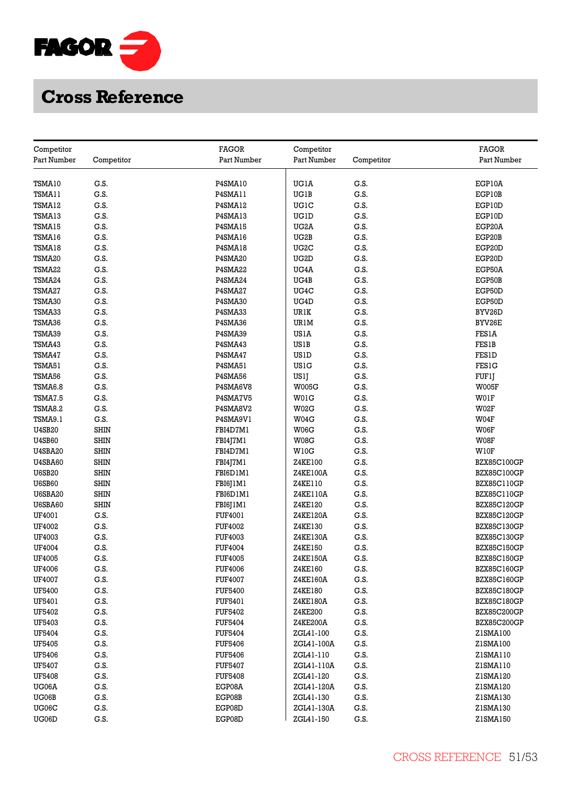

| Competitor               |                            | <b>FAGOR</b>                     | Competitor           |              | <b>FAGOR</b>                             |
|--------------------------|----------------------------|----------------------------------|----------------------|--------------|------------------------------------------|
| Part Number              | Competitor                 | Part Number                      | Part Number          | Competitor   | Part Number                              |
|                          |                            |                                  |                      |              |                                          |
| TSMA10                   | G.S.                       | P4SMA10                          | UGIA                 | G.S.         | EGP10A                                   |
| TSMA11                   | G.S.                       | P4SMA11                          | UGIB                 | G.S.         | EGP10B                                   |
| TSMA12                   | G.S.                       | P4SMA12                          | UGIC                 | G.S.         | EGP10D                                   |
| TSMA13                   | G.S.                       | P4SMA13                          | UGID                 | G.S.         | EGP10D                                   |
| TSMA15                   | G.S.                       | P4SMA15                          | UG2A                 | G.S.         | EGP20A                                   |
| TSMA16                   | G.S.                       | P4SMA16                          | UG2B                 | G.S.         | EGP20B                                   |
| TSMA18                   | G.S.                       | P4SMA18                          | UG2C                 | G.S.         | EGP20D                                   |
| TSMA20                   | G.S.                       | P4SMA20                          | UG2D                 | G.S.         | EGP20D                                   |
| TSMA22                   | G.S.                       | P4SMA22                          | UG4A                 | G.S.         | EGP50A                                   |
| TSMA24                   | G.S.                       | P4SMA24                          | UG4B                 | G.S.         | EGP50B                                   |
| TSMA27                   | G.S.                       | P4SMA27                          | UG4C                 | G.S.         | EGP50D                                   |
| TSMA30                   | G.S.                       | P4SMA30                          | UG4D                 | G.S.         | EGP50D                                   |
| TSMA33                   | G.S.                       | P4SMA33                          | URIK                 | G.S.         | BYV26D                                   |
| TSMA36                   | G.S.                       | P4SMA36                          | URIM                 | G.S.         | BYV26E                                   |
| TSMA39                   | G.S.                       | P4SMA39                          | USIA                 | G.S.         | <b>FES1A</b>                             |
| TSMA43                   | G.S.                       | P4SMA43                          | US1B                 | G.S.         | <b>FES1B</b>                             |
| TSMA47                   | G.S.                       | P4SMA47                          | <b>US1D</b>          | G.S.         | <b>FES1D</b>                             |
| TSMA51                   | G.S.                       | P4SMA51                          | <b>US1G</b>          | G.S.         | FES1G                                    |
| TSMA56                   | G.S.                       | P4SMA56                          |                      | G.S.         |                                          |
| TSMA6.8                  | G.S.                       | P4SMA6V8                         | USlJ<br><b>W005G</b> | G.S.         | FUFIJ<br>W005F                           |
| TSMA7.5                  | G.S.                       | P4SMA7V5                         | W01G                 | G.S.         | W01F                                     |
| TSMA8.2                  | G.S.                       | P4SMA8V2                         | W02G                 | G.S.         | W02F                                     |
|                          |                            |                                  |                      |              |                                          |
| TSMA9.1<br><b>U4SB20</b> | G.S.<br><b>SHIN</b>        | P4SMA9V1<br>FBI4D7M1             | W04G<br>W06G         | G.S.<br>G.S. | W04F<br>W06F                             |
| <b>U4SB60</b>            | <b>SHIN</b>                |                                  | W08G                 | G.S.         |                                          |
|                          |                            | FBI4J7M1                         |                      |              | W08F                                     |
| <b>U4SBA20</b>           | <b>SHIN</b><br><b>SHIN</b> | FBI4D7M1                         | W10G                 | G.S.<br>G.S. | W10F                                     |
| <b>U4SBA60</b>           | <b>SHIN</b>                | FBI4J7M1                         | Z4KE100              | G.S.         | BZX85C100GP                              |
| <b>U6SB20</b>            |                            | FBI6D1M1                         | Z4KE100A             |              | <b>BZX85C100GP</b>                       |
| <b>U6SB60</b>            | <b>SHIN</b>                | FBI6J1M1                         | Z4KE110              | G.S.         | BZX85C110GP                              |
| <b>U6SBA20</b>           | <b>SHIN</b><br><b>SHIN</b> | FBI6D1M1                         | Z4KE110A<br>Z4KE120  | G.S.         | <b>BZX85C110GP</b>                       |
| U6SBA60                  |                            | FBI6J1M1                         |                      | G.S.<br>G.S. | <b>BZX85C120GP</b>                       |
| UF4001                   | G.S.<br>G.S.               | FUF4001                          | Z4KE120A             |              | <b>BZX85C120GP</b>                       |
| UF4002<br>UF4003         | G.S.                       | <b>FUF4002</b>                   | Z4KE130              | G.S.<br>G.S. | BZX85C130GP                              |
|                          |                            | <b>FUF4003</b>                   | Z4KE130A             | G.S.         | <b>BZX85C130GP</b>                       |
| UF4004                   | G.S.<br>G.S.               | <b>FUF4004</b>                   | Z4KE150<br>Z4KE150A  | G.S.         | <b>BZX85C150GP</b>                       |
| UF4005<br>UF4006         | G.S.                       | <b>FUF4005</b><br><b>FUF4006</b> | Z4KE160              | G.S.         | <b>BZX85C150GP</b><br><b>BZX85C160GP</b> |
|                          |                            |                                  |                      | G.S.         |                                          |
| <b>UF4007</b>            | G.S.<br>G.S.               | <b>FUF4007</b>                   | Z4KE160A             | G.S.         | <b>BZX85C160GP</b>                       |
| UF5400                   | G.S.                       | <b>FUF5400</b>                   | Z4KE180              | G.S.         | <b>BZX85C180GP</b>                       |
| UF5401                   |                            | FUF5401                          | Z4KE180A             |              | BZX85C180GP                              |
| UF5402                   | G.S.                       | <b>FUF5402</b>                   | Z4KE200              | G.S.         | <b>BZX85C200GP</b>                       |
| UF5403                   | G.S.                       | <b>FUF5404</b>                   | Z4KE200A             | G.S.         | <b>BZX85C200GP</b>                       |
| UF5404                   | G.S.                       | <b>FUF5404</b>                   | ZGL41-100            | G.S.         | Z1SMA100                                 |
| <b>UF5405</b>            | G.S.                       | <b>FUF5406</b>                   | ZGL41-100A           | G.S.         | Z1SMA100                                 |
| UF5406                   | G.S.                       | <b>FUF5406</b>                   | ZGL41-110            | G.S.         | Z1SMA110                                 |
| UF5407                   | G.S.                       | <b>FUF5407</b>                   | ZGL41-110A           | G.S.         | Z1SMA110                                 |
| <b>UF5408</b>            | G.S.                       | <b>FUF5408</b>                   | ZGL41-120            | G.S.         | Z1SMA120                                 |
| UG06A                    | G.S.                       | EGP08A                           | ZGL41-120A           | G.S.         | Z1SMA120                                 |
| UG06B                    | G.S.                       | EGP08B                           | ZGL41-130            | G.S.         | Z1SMA130                                 |
| UG06C                    | G.S.                       | EGP08D                           | ZGL41-130A           | G.S.         | Z1SMA130                                 |
| UG06D                    | G.S.                       | EGP08D                           | ZGL41-150            | G.S.         | Z1SMA150                                 |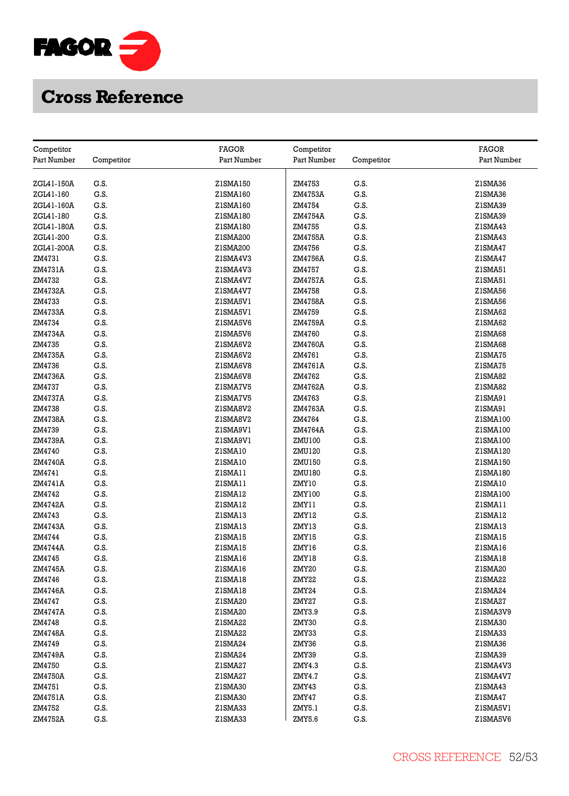

| Competitor        |            | <b>FAGOR</b>       | Competitor      |            | <b>FAGOR</b>        |
|-------------------|------------|--------------------|-----------------|------------|---------------------|
| Part Number       | Competitor | Part Number        | Part Number     | Competitor | Part Number         |
|                   |            |                    |                 |            |                     |
| ZGL41-150A        | G.S.       | Z1SMA150           | ZM4753          | G.S.       | Z1SMA36             |
| ZGL41-160         | G.S.       | Z1SMA160           | ZM4753A         | G.S.       | ZISMA36             |
| ZGL41-160A        | G.S.       | Z1SMA160           | ZM4754          | G.S.       | Z1SMA39             |
| ZGL41-180         | G.S.       | Z1SMA180           | ZM4754A         | G.S.       | Z1SMA39             |
| ZGL41-180A        | G.S.       | Z1SMA180           | ZM4755          | G.S.       | ZISMA43             |
| ZGL41-200         | G.S.       | Z1SMA200           | ZM4755A         | G.S.       | Z1SMA43             |
| ZGL41-200A        | G.S.       | Z1SMA200           | ZM4756          | G.S.       | Z1SMA47             |
| ZM4731            | G.S.       | ZISMA4V3           | ZM4756A         | G.S.       | Z1SMA47             |
| ZM4731A           | G.S.       | Z1SMA4V3           | ZM4757          | G.S.       | ZISMA51             |
| ZM4732            | G.S.       | ZISMA4V7           | ZM4757A         | G.S.       | ZISMA51             |
| ZM4732A           | G.S.       | ZISMA4V7           | ZM4758          | G.S.       | Z1SMA56             |
| ZM4733            | G.S.       | ZISMA5V1           | ZM4758A         | G.S.       | Z1SMA56             |
| ZM4733A           | G.S.       | ZISMA5VI           | ZM4759          | G.S.       | Z1SMA62             |
| ZM4734            | G.S.       | ZISMA5V6           | ZM4759A         | G.S.       | ZISMA62             |
| ZM4734A           | G.S.       | ZISMA5V6           | ZM4760          | G.S.       | Z1SMA68             |
| ZM4735            | G.S.       | Z1SMA6V2           | ZM4760A         | G.S.       | Z1SMA68             |
| ZM4735A           | G.S.       | ZISMA6V2           | ZM4761          | G.S.       | ZISMA75             |
| ZM4736            | G.S.       | Z1SMA6V8           | ZM4761A         | G.S.       | Z1SMA75             |
| ZM4736A           | G.S.       | Z1SMA6V8           | ZM4762          | G.S.       | Z1SMA82             |
| ZM4737            | G.S.       | ZISMA7V5           | ZM4762A         | G.S.       | Z1SMA82             |
| ZM4737A           | G.S.       | ZISMA7V5           | ZM4763          | G.S.       | ZISMA91             |
| ZM4738            | G.S.       | ZISMA8V2           | ZM4763A         | G.S.       | Z1SMA91             |
| ZM4738A           | G.S.       | ZISMA8V2           | ZM4764          | G.S.       | Z1SMA100            |
| ZM4739            | G.S.       | ZISMA9VI           | ZM4764A         | G.S.       | Z1SMA100            |
| ZM4739A           | G.S.       | ZISMA9VI           | ZMU100          | G.S.       | Z1SMA100            |
| ZM4740            | G.S.       | ZISMA10            | ZMU120          | G.S.       | Z1SMA120            |
| ZM4740A           | G.S.       | ZISMA10            | ZMU150          | G.S.       | Z1SMA150            |
| ZM4741            | G.S.       | ZISMA11            | ZMU180          | G.S.       | Z1SMA180            |
|                   | G.S.       |                    |                 | G.S.       |                     |
| ZM4741A<br>ZM4742 | G.S.       | ZISMA11<br>ZISMA12 | ZMY10<br>ZMY100 | G.S.       | ZISMA10<br>Z1SMA100 |
| ZM4742A           | G.S.       | ZISMA12            | ZMY11           | G.S.       | ZISMA11             |
|                   | G.S.       |                    |                 | G.S.       |                     |
| ZM4743<br>ZM4743A | G.S.       | ZISMA13<br>ZISMA13 | ZMY12<br>ZMY13  | G.S.       | ZISMA12<br>ZISMA13  |
| ZM4744            | G.S.       | ZISMA15            | ZMY15           | G.S.       |                     |
|                   | G.S.       | ZISMA15            | ZMY16           | G.S.       | ZISMA15<br>ZISMA16  |
| ZM4744A<br>ZM4745 | G.S.       | ZISMA16            |                 | G.S.       | ZISMA18             |
| ZM4745A           | G.S.       | ZISMA16            | ZMY18<br>ZMY20  | G.S.       | Z1SMA20             |
| ZM4746            | G.S.       | ZISMA18            | ZMY22           | G.S.       | Z1SMA22             |
| ZM4746A           | G.S.       | ZISMA18            | ZMY24           | G.S.       | Z1SMA24             |
| ZM4747            | G.S.       | Z1SMA20            | ZMY27           | G.S.       | Z1SMA27             |
| ZM4747A           | G.S.       | Z1SMA20            | ZMY3.9          | G.S.       | Z1SMA3V9            |
| ZM4748            | G.S.       | Z1SMA22            | ZMY30           | G.S.       | Z1SMA30             |
|                   | G.S.       | Z1SMA22            |                 | G.S.       | Z1SMA33             |
| ZM4748A           |            |                    | ZMY33           |            |                     |
| ZM4749            | G.S.       | Z1SMA24            | ZMY36           | G.S.       | Z1SMA36             |
| ZM4749A           | G.S.       | Z1SMA24            | ZMY39           | G.S.       | Z1SMA39             |
| ZM4750            | G.S.       | Z1SMA27            | ZMY4.3          | G.S.       | Z1SMA4V3            |
| ZM4750A           | G.S.       | Z1SMA27            | ZMY4.7          | G.S.       | Z1SMA4V7            |
| ZM4751            | G.S.       | Z1SMA30            | ZMY43           | G.S.       | Z1SMA43             |
| ZM4751A           | G.S.       | Z1SMA30            | ZMY47           | G.S.       | Z1SMA47             |
| ZM4752            | G.S.       | Z1SMA33            | ZMY5.1          | G.S.       | ZISMA5V1            |
| ZM4752A           | G.S.       | Z1SMA33            | ZMY5.6          | G.S.       | Z1SMA5V6            |